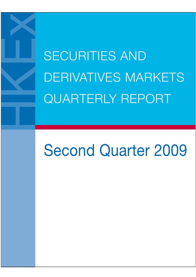SECURITIES AND DERIVATIVES MARKETS QUARTERLY REPORT

# Second Quarter 2009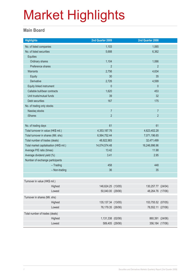### **Main Board**

| <b>Highlights</b>                       |                   | 2nd Quarter 2009    |               | 2nd Quarter 2008   |  |
|-----------------------------------------|-------------------|---------------------|---------------|--------------------|--|
| No. of listed companies                 |                   | 1,103               |               | 1,065              |  |
| No. of listed securities                |                   | 5,688               |               | 6,362              |  |
| Equities                                |                   |                     |               |                    |  |
| Ordinary shares                         |                   | 1,104               |               | 1,066              |  |
| Preference shares                       |                   | $\overline{2}$      |               | $\overline{2}$     |  |
| Warrants                                |                   | 2,756               |               | 4,634              |  |
| <b>Equity</b>                           |                   | 30                  |               | 35                 |  |
| Derivative                              |                   | 2,726               |               | 4,599              |  |
| Equity linked instrument                |                   | $\mathbf 0$         |               | $\theta$           |  |
| Callable bull/bear contracts            |                   | 1,620               |               | 453                |  |
| Unit trusts/mutual funds                |                   | 39                  |               | 32                 |  |
| Debt securities                         |                   | 167                 |               | 175                |  |
| No. of trading only stocks              |                   |                     |               |                    |  |
| Nasdaq stocks                           |                   | $\overline{7}$      |               | $\overline{7}$     |  |
| <b>iShares</b>                          |                   | $\overline{2}$      |               | $\overline{2}$     |  |
|                                         |                   |                     |               |                    |  |
| No. of trading days                     |                   | 61                  |               | 61                 |  |
| Total turnover in value (HK\$ mil.)     |                   | 4,353,187.76        | 4,623,402.28  |                    |  |
| Total turnover in shares (Mil. shs)     |                   | 6,564,752.44        | 7,071,196.65  |                    |  |
| Total number of trades (deals)          |                   | 48,922,983          | 32,471,499    |                    |  |
| Total market capitalisation (HK\$ mil.) |                   | 14,074,574.48       | 16,246,996.96 |                    |  |
| Average P/E ratio (times)               |                   | 13.42               | 11.98         |                    |  |
| Average dividend yield (%)              |                   | 3.41                |               | 2.95               |  |
| Number of exchange participants         |                   |                     |               |                    |  |
|                                         | $-$ Trading       | 458                 |               | 448                |  |
|                                         | - Non-trading     | 36                  |               | 35                 |  |
|                                         |                   |                     |               |                    |  |
| Turnover in value (HK\$ mil.)           |                   |                     |               |                    |  |
|                                         | Highest           | 146,624.25 (13/05)  |               | 130,257.77 (24/04) |  |
|                                         | Lowest            | 50,040.00 (29/06)   |               | 48,264.76 (17/06)  |  |
| Turnover in shares (Mil. shs)           |                   |                     |               |                    |  |
|                                         | Highest           | 135, 137.34 (13/05) |               | 153,755.52 (07/05) |  |
|                                         | Lowest            | 76,179.35 (26/06)   |               | 78,552.11 (27/06)  |  |
| Total number of trades (deals)          |                   |                     |               |                    |  |
|                                         |                   | 1,131,338 (02/06)   |               | 860,391 (24/06)    |  |
|                                         | Highest<br>Lowest | 589,405 (29/06)     |               | 356,184 (17/06)    |  |
|                                         |                   |                     |               |                    |  |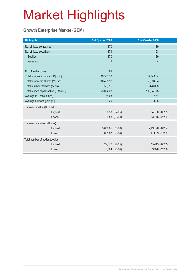### **Growth Enterprise Market (GEM)**

| <b>Highlights</b>                       |         | 2nd Quarter 2009 |                | 2nd Quarter 2008        |                |
|-----------------------------------------|---------|------------------|----------------|-------------------------|----------------|
| No. of listed companies                 |         | 170              |                | 189                     |                |
| No. of listed securities                |         | 171              |                | 193                     |                |
| Equities                                |         | 170              |                | 189                     |                |
| Warrants                                |         | $\overline{1}$   |                | $\overline{\mathbf{4}}$ |                |
|                                         |         |                  |                |                         |                |
| No. of trading days                     |         | 61               |                | 61                      |                |
| Total turnover in value (HK\$ mil.)     |         | 19,561.73        |                | 17,444.04               |                |
| Total turnover in shares (Mil. shs)     |         | 116,455.92       |                | 53,834.84               |                |
| Total number of trades (deals)          |         | 650,615          |                | 476,098                 |                |
| Total market capitalisation (HK\$ mil.) |         | 73,004.28        |                | 109,043.78              |                |
| Average P/E ratio (times)               |         | 34.03            |                | 15.61                   |                |
| Average dividend yield (%)              |         | 1.20             |                | 1.28                    |                |
| Turnover in value (HK\$ mil.)           |         |                  |                |                         |                |
|                                         | Highest |                  | 766.33 (22/05) |                         | 540.50 (06/05) |
|                                         | Lowest  |                  | 99.88 (23/04)  |                         | 133.46 (26/06) |
| Turnover in shares (Mil. shs)           |         |                  |                |                         |                |
|                                         | Highest | 5,878.05 (30/06) |                | 2,496.76 (07/04)        |                |
|                                         | Lowest  |                  | 665.87 (23/04) |                         | 411.69 (17/06) |
| Total number of trades (deals)          |         |                  |                |                         |                |
|                                         | Highest |                  | 22,878 (22/05) |                         | 15,415 (06/05) |
|                                         | Lowest  |                  | 3,504 (23/04)  |                         | 3,998 (23/06)  |
|                                         |         |                  |                |                         |                |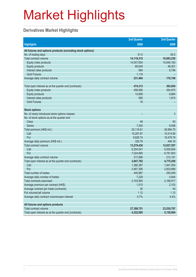### **Derivatives Market Highlights**

| <b>Highlights</b><br>2008<br>2009<br>All futures and options products (excluding stock options)<br>61.0<br>60.5<br>No. of trading days<br>Total contract volume<br>14,119,315<br>10,693,230<br>14,047,654<br>10,640,183<br>Equity index products<br>46,301<br><b>Equity products</b><br>69,549<br>994<br>Interest rates products<br>6,746<br><b>Gold Futures</b><br>1,118<br>176,748<br>Average daily contract volume<br>231,464<br>474,313<br>363,654<br>Total open interest as at the quarter end (contracts)<br>458,906<br>354,975<br>Equity index products<br><b>Equity products</b><br>14,806<br>6,864<br>585<br>1,815<br>Interest rates products<br>16<br><b>Gold Futures</b><br><b>Stock options</b><br>No. of newly introduced stock options classes<br>3<br>No. of stock options as at the quarter end<br>Class<br>48<br>50<br><b>Series</b><br>7,250<br>6,058<br>20,116.61<br>Total premium (HK\$ mil.)<br>26,994.75<br>Call<br>10,287.87<br>10,514.95<br>9,828.74<br>Put<br>16,479.79<br>329.78<br>446.19<br>Average daily premium (HK\$ mil.)<br>Total contract volume<br>13,279,436<br>12,837,557<br>Call<br>6,254,541<br>6,055,654<br>Put<br>7,024,895<br>6,781,903<br>Average daily contract volume<br>217,696<br>212,191<br>Total open interest as at the quarter end (contracts)<br>3,847,782<br>4,775,250<br>Call<br>1,380,387<br>1,941,554<br>Put<br>2,467,395<br>2,833,696 |
|------------------------------------------------------------------------------------------------------------------------------------------------------------------------------------------------------------------------------------------------------------------------------------------------------------------------------------------------------------------------------------------------------------------------------------------------------------------------------------------------------------------------------------------------------------------------------------------------------------------------------------------------------------------------------------------------------------------------------------------------------------------------------------------------------------------------------------------------------------------------------------------------------------------------------------------------------------------------------------------------------------------------------------------------------------------------------------------------------------------------------------------------------------------------------------------------------------------------------------------------------------------------------------------------------------------------------------------------------------------------------------------------|
|                                                                                                                                                                                                                                                                                                                                                                                                                                                                                                                                                                                                                                                                                                                                                                                                                                                                                                                                                                                                                                                                                                                                                                                                                                                                                                                                                                                                |
|                                                                                                                                                                                                                                                                                                                                                                                                                                                                                                                                                                                                                                                                                                                                                                                                                                                                                                                                                                                                                                                                                                                                                                                                                                                                                                                                                                                                |
|                                                                                                                                                                                                                                                                                                                                                                                                                                                                                                                                                                                                                                                                                                                                                                                                                                                                                                                                                                                                                                                                                                                                                                                                                                                                                                                                                                                                |
|                                                                                                                                                                                                                                                                                                                                                                                                                                                                                                                                                                                                                                                                                                                                                                                                                                                                                                                                                                                                                                                                                                                                                                                                                                                                                                                                                                                                |
|                                                                                                                                                                                                                                                                                                                                                                                                                                                                                                                                                                                                                                                                                                                                                                                                                                                                                                                                                                                                                                                                                                                                                                                                                                                                                                                                                                                                |
|                                                                                                                                                                                                                                                                                                                                                                                                                                                                                                                                                                                                                                                                                                                                                                                                                                                                                                                                                                                                                                                                                                                                                                                                                                                                                                                                                                                                |
|                                                                                                                                                                                                                                                                                                                                                                                                                                                                                                                                                                                                                                                                                                                                                                                                                                                                                                                                                                                                                                                                                                                                                                                                                                                                                                                                                                                                |
|                                                                                                                                                                                                                                                                                                                                                                                                                                                                                                                                                                                                                                                                                                                                                                                                                                                                                                                                                                                                                                                                                                                                                                                                                                                                                                                                                                                                |
|                                                                                                                                                                                                                                                                                                                                                                                                                                                                                                                                                                                                                                                                                                                                                                                                                                                                                                                                                                                                                                                                                                                                                                                                                                                                                                                                                                                                |
|                                                                                                                                                                                                                                                                                                                                                                                                                                                                                                                                                                                                                                                                                                                                                                                                                                                                                                                                                                                                                                                                                                                                                                                                                                                                                                                                                                                                |
|                                                                                                                                                                                                                                                                                                                                                                                                                                                                                                                                                                                                                                                                                                                                                                                                                                                                                                                                                                                                                                                                                                                                                                                                                                                                                                                                                                                                |
|                                                                                                                                                                                                                                                                                                                                                                                                                                                                                                                                                                                                                                                                                                                                                                                                                                                                                                                                                                                                                                                                                                                                                                                                                                                                                                                                                                                                |
|                                                                                                                                                                                                                                                                                                                                                                                                                                                                                                                                                                                                                                                                                                                                                                                                                                                                                                                                                                                                                                                                                                                                                                                                                                                                                                                                                                                                |
|                                                                                                                                                                                                                                                                                                                                                                                                                                                                                                                                                                                                                                                                                                                                                                                                                                                                                                                                                                                                                                                                                                                                                                                                                                                                                                                                                                                                |
|                                                                                                                                                                                                                                                                                                                                                                                                                                                                                                                                                                                                                                                                                                                                                                                                                                                                                                                                                                                                                                                                                                                                                                                                                                                                                                                                                                                                |
|                                                                                                                                                                                                                                                                                                                                                                                                                                                                                                                                                                                                                                                                                                                                                                                                                                                                                                                                                                                                                                                                                                                                                                                                                                                                                                                                                                                                |
|                                                                                                                                                                                                                                                                                                                                                                                                                                                                                                                                                                                                                                                                                                                                                                                                                                                                                                                                                                                                                                                                                                                                                                                                                                                                                                                                                                                                |
|                                                                                                                                                                                                                                                                                                                                                                                                                                                                                                                                                                                                                                                                                                                                                                                                                                                                                                                                                                                                                                                                                                                                                                                                                                                                                                                                                                                                |
|                                                                                                                                                                                                                                                                                                                                                                                                                                                                                                                                                                                                                                                                                                                                                                                                                                                                                                                                                                                                                                                                                                                                                                                                                                                                                                                                                                                                |
|                                                                                                                                                                                                                                                                                                                                                                                                                                                                                                                                                                                                                                                                                                                                                                                                                                                                                                                                                                                                                                                                                                                                                                                                                                                                                                                                                                                                |
|                                                                                                                                                                                                                                                                                                                                                                                                                                                                                                                                                                                                                                                                                                                                                                                                                                                                                                                                                                                                                                                                                                                                                                                                                                                                                                                                                                                                |
|                                                                                                                                                                                                                                                                                                                                                                                                                                                                                                                                                                                                                                                                                                                                                                                                                                                                                                                                                                                                                                                                                                                                                                                                                                                                                                                                                                                                |
|                                                                                                                                                                                                                                                                                                                                                                                                                                                                                                                                                                                                                                                                                                                                                                                                                                                                                                                                                                                                                                                                                                                                                                                                                                                                                                                                                                                                |
|                                                                                                                                                                                                                                                                                                                                                                                                                                                                                                                                                                                                                                                                                                                                                                                                                                                                                                                                                                                                                                                                                                                                                                                                                                                                                                                                                                                                |
|                                                                                                                                                                                                                                                                                                                                                                                                                                                                                                                                                                                                                                                                                                                                                                                                                                                                                                                                                                                                                                                                                                                                                                                                                                                                                                                                                                                                |
|                                                                                                                                                                                                                                                                                                                                                                                                                                                                                                                                                                                                                                                                                                                                                                                                                                                                                                                                                                                                                                                                                                                                                                                                                                                                                                                                                                                                |
|                                                                                                                                                                                                                                                                                                                                                                                                                                                                                                                                                                                                                                                                                                                                                                                                                                                                                                                                                                                                                                                                                                                                                                                                                                                                                                                                                                                                |
|                                                                                                                                                                                                                                                                                                                                                                                                                                                                                                                                                                                                                                                                                                                                                                                                                                                                                                                                                                                                                                                                                                                                                                                                                                                                                                                                                                                                |
|                                                                                                                                                                                                                                                                                                                                                                                                                                                                                                                                                                                                                                                                                                                                                                                                                                                                                                                                                                                                                                                                                                                                                                                                                                                                                                                                                                                                |
|                                                                                                                                                                                                                                                                                                                                                                                                                                                                                                                                                                                                                                                                                                                                                                                                                                                                                                                                                                                                                                                                                                                                                                                                                                                                                                                                                                                                |
|                                                                                                                                                                                                                                                                                                                                                                                                                                                                                                                                                                                                                                                                                                                                                                                                                                                                                                                                                                                                                                                                                                                                                                                                                                                                                                                                                                                                |
|                                                                                                                                                                                                                                                                                                                                                                                                                                                                                                                                                                                                                                                                                                                                                                                                                                                                                                                                                                                                                                                                                                                                                                                                                                                                                                                                                                                                |
| Total number of trades<br>440,987<br>293,049                                                                                                                                                                                                                                                                                                                                                                                                                                                                                                                                                                                                                                                                                                                                                                                                                                                                                                                                                                                                                                                                                                                                                                                                                                                                                                                                                   |
| Average daily number of trades<br>7,229<br>4,844                                                                                                                                                                                                                                                                                                                                                                                                                                                                                                                                                                                                                                                                                                                                                                                                                                                                                                                                                                                                                                                                                                                                                                                                                                                                                                                                               |
| <b>Total contracts exercised</b><br>2,193,993<br>2,166,917                                                                                                                                                                                                                                                                                                                                                                                                                                                                                                                                                                                                                                                                                                                                                                                                                                                                                                                                                                                                                                                                                                                                                                                                                                                                                                                                     |
| Average premium per contract (HK\$)<br>1,515<br>2,103                                                                                                                                                                                                                                                                                                                                                                                                                                                                                                                                                                                                                                                                                                                                                                                                                                                                                                                                                                                                                                                                                                                                                                                                                                                                                                                                          |
| Average contract per trade (contracts)<br>30<br>44                                                                                                                                                                                                                                                                                                                                                                                                                                                                                                                                                                                                                                                                                                                                                                                                                                                                                                                                                                                                                                                                                                                                                                                                                                                                                                                                             |
| Put volume/call volume<br>1.12<br>1.12                                                                                                                                                                                                                                                                                                                                                                                                                                                                                                                                                                                                                                                                                                                                                                                                                                                                                                                                                                                                                                                                                                                                                                                                                                                                                                                                                         |
| Average daily contract volume/open interest<br>5.7%<br>4.4%                                                                                                                                                                                                                                                                                                                                                                                                                                                                                                                                                                                                                                                                                                                                                                                                                                                                                                                                                                                                                                                                                                                                                                                                                                                                                                                                    |
| All futures and options products                                                                                                                                                                                                                                                                                                                                                                                                                                                                                                                                                                                                                                                                                                                                                                                                                                                                                                                                                                                                                                                                                                                                                                                                                                                                                                                                                               |
| <b>Total contract volume</b><br>27,398,751<br>23,530,787                                                                                                                                                                                                                                                                                                                                                                                                                                                                                                                                                                                                                                                                                                                                                                                                                                                                                                                                                                                                                                                                                                                                                                                                                                                                                                                                       |
| Total open interest as at the quarter end (contracts)<br>4,322,095<br>5,138,904                                                                                                                                                                                                                                                                                                                                                                                                                                                                                                                                                                                                                                                                                                                                                                                                                                                                                                                                                                                                                                                                                                                                                                                                                                                                                                                |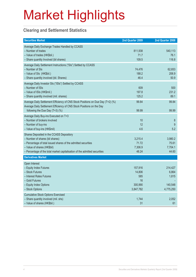### **Clearing and Settlement Statistics**

| <b>Securities Market</b>                                                                                                                                                                                                                                   | 2nd Quarter 2009                                       | 2nd Quarter 2008                                  |
|------------------------------------------------------------------------------------------------------------------------------------------------------------------------------------------------------------------------------------------------------------|--------------------------------------------------------|---------------------------------------------------|
| Average Daily Exchange Trades Handled by CCASS<br>- Number of trades<br>- Value of trades (HK\$bil.)<br>- Share quantity Involved (bil shares)                                                                                                             | 811,938<br>71.7<br>109.5                               | 540,113<br>76.1<br>116.8                          |
| Average Daily Settlement Instructions ("SIs") Settled by CCASS<br>- Number of SIs<br>- Value of SIs (HK\$bil.)<br>- Share quantity involved (bil. Shares)                                                                                                  | 74,476<br>188.2<br>46.4                                | 62,653<br>206.9<br>50.9                           |
| Average Daily Investor SIs ("ISIs") Settled by CCASS<br>- Number of ISIs<br>- Value of ISIs (HK\$mil.)<br>- Share quantity involved (mil. shares)                                                                                                          | 609<br>197.8<br>125.2                                  | 500<br>231.2<br>89.1                              |
| Average Daily Settlement Efficiency of CNS Stock Positions on Due Day (T+2) (%)<br>Average Daily Settlement Efficiency of CNS Stock Positions on the Day<br>following the Due Day (T+3) (%)                                                                | 99.84<br>99.99                                         | 99.84<br>99.99                                    |
| Average Daily Buy-ins Executed on T+3<br>- Number of brokers involved<br>- Number of buy-ins<br>- Value of buy-ins (HK\$mil)                                                                                                                               | 10<br>12<br>4.6                                        | 8<br>9<br>5.2                                     |
| Shares Deposited in the CCASS Depository<br>- Number of shares (bil shares)<br>- Percentage of total issued shares of the admitted securities<br>- Value of shares (HK\$bil)<br>- Percentage of the total market capitalisation of the admitted securities | 3,215.4<br>71.72<br>7,306.9<br>48.24                   | 3,980.2<br>75.61<br>7,704.1<br>44.60              |
| <b>Derivatives Market</b>                                                                                                                                                                                                                                  |                                                        |                                                   |
| Open Interest<br>- Equity Index Futures<br>- Stock Futures<br>- Interest Rates Futures<br>- Gold Futures<br>- Equity Index Options<br>- Stock Options                                                                                                      | 157,916<br>14,806<br>585<br>16<br>300,990<br>3,847,782 | 214,427<br>6,864<br>1,815<br>140,548<br>4,775,250 |
| <b>Cumulative Stock Options Exercised</b><br>- Share quantity involved (mil. shs)<br>- Value of shares (HK\$bil.)                                                                                                                                          | 1,744<br>31                                            | 2,052<br>61                                       |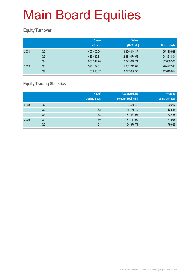### **Equity Turnover**

|      |                | <b>Share</b> | <b>Value</b> |              |
|------|----------------|--------------|--------------|--------------|
|      |                | (Mil. shs)   | (HK\$ mil.)  | No. of deals |
| 2008 | Q <sub>2</sub> | 497,409.06   | 3,329,344.37 | 25,180,928   |
|      | Q3             | 413,439.81   | 2,838,074.56 | 24,351,804   |
|      | Q4             | 608,044.76   | 2,322,640.74 | 32,068,396   |
| 2009 | Q1             | 595,122.61   | 1,902,713.82 | 26,427,341   |
|      | Q <sub>2</sub> | 1,188,910.37 | 3,347,606.37 | 42,040,614   |

### **Equity Trading Statistics**

|      |                | No. of<br>trading days | <b>Average daily</b><br>turnover (HK\$ mil.) | Average<br>value per deal |
|------|----------------|------------------------|----------------------------------------------|---------------------------|
| 2008 | Q2             | 61                     | 54,579.42                                    | 132,217                   |
|      | Q3             | 62                     | 45,775.40                                    | 116,545                   |
|      | Q4             | 62                     | 37,461.95                                    | 72,428                    |
| 2009 | Q <sub>1</sub> | 60                     | 31,711.90                                    | 71,998                    |
|      | Q2             | 61                     | 54,878.79                                    | 79,628                    |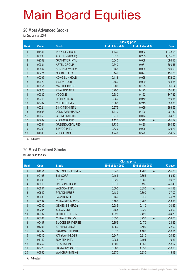#### **20 Most Advanced Stocks**

for 2nd quarter 2009

|       |                        |                 | <b>Closing price</b> |                          |
|-------|------------------------|-----------------|----------------------|--------------------------|
| Code  | <b>Stock</b>           | End of Jun 2009 | End of Mar 2009      | % up                     |
| 01141 | POLY DEV HOLD          | 1.130           | 0.082                | 1,278.05                 |
| 00030 | ABC COM (HOLD)         | 3.010           | 0.265                | 1,035.85                 |
| 02309 | <b>GRANDTOP INT'L</b>  | 0.540           | 0.068                | 694.12                   |
| 00931 | <b>ARTEL GROUP</b>     | 0.540           | 0.071                | 660.56                   |
| 00547 | <b>SUN INNOVATION</b>  | 0.165           | 0.025                | 560.00                   |
| 00471 | <b>GLOBAL FLEX</b>     | 0.149           | 0.027                | 451.85                   |
| 00295 | KONG SUN HOLD          | 0.118           | 0.025                | 372.00                   |
| 00922 | <b>VISION TECH</b>     | 0.460           | 0.099                | 364.65                   |
| 00851 | <b>MAE HOLDINGS</b>    | 0.900           | 0.195                | 361.54                   |
| 00925 | PEAKTOP INT'L          | 0.790           | 0.175                | 351.43                   |
| 00082 | <b>VODONE</b>          | 0.680           | 0.152                | 347.37                   |
| 00313 | <b>RICHLY FIELD</b>    | 0.260           | 0.059                | 340.68                   |
| 00462 | CH JIN HUI MIN         | 0.880           | 0.215                | 309.30                   |
| 00724 | SINO-TECH INT'L        | 0.275           | 0.069                | 298.55                   |
| 02898 | <b>LONG FAR PHARMA</b> | 1.470           | 0.400                | 267.50                   |
| 00055 | <b>CHUNG TAI PRINT</b> | 0.270           | 0.074                | 264.86                   |
| 00909 | <b>ZHONGDA INT'L</b>   | 1.120           | 0.310                | $\overline{A}$<br>261.29 |
| 00061 | <b>GREENGLOBAL RES</b> | 1.730           | 0.480                | 260.42                   |
| 00209 | <b>SEWCO INT'L</b>     | 0.330           | 0.098                | 236.73                   |
| 01003 | 21 HOLDINGS            | 1.740           | 0.520                | 234.62                   |
|       |                        |                 |                      |                          |

A Adjusted

#### **20 Most Declined Stocks**

for 2nd quarter 2009

|                 |       |                        | <b>Closing price</b> |                         |          |
|-----------------|-------|------------------------|----------------------|-------------------------|----------|
| <b>Rank</b>     | Code  | <b>Stock</b>           | End of Jun 2009      | End of Mar 2009         | % down   |
|                 | 01051 | <b>G-RESOURCES-NEW</b> | 0.540                | 1.200<br>$\overline{A}$ | $-55.00$ |
| $\overline{2}$  | 00198 | <b>SMI CORP</b>        | 0.164                | 0.355                   | $-53.80$ |
| 3               | 00008 | <b>PCCW</b>            | 2.020                | 3.980                   | $-49.25$ |
| 4               | 00913 | <b>UNITY INV HOLD</b>  | 0.079                | 0.135                   | $-41.48$ |
| 5               | 00651 | <b>WONSON INT'L</b>    | 0.500                | 0.850<br>$\overline{A}$ | $-41.18$ |
| $6\phantom{.}6$ | 00642 | <b>PALADIN PREF</b>    | 0.189                | 0.300                   | $-37.00$ |
| 7               | 00630 | <b>JACKIN INT'L</b>    | 0.160                | 0.249                   | $-35.74$ |
| 8               | 00597 | <b>CHINA RES MICRO</b> | 0.187                | 0.280                   | $-33.21$ |
| 9               | 00702 | <b>GENESIS ENERGY</b>  | 0.285                | 0.410                   | $-30.49$ |
| 10              | 00205 | <b>SEEC MEDIA</b>      | 0.165                | 0.220                   | $-25.00$ |
| 11              | 02332 | <b>HUTCH TELECOM</b>   | 1.820                | 2.420                   | $-24.79$ |
| 12              | 00764 | <b>CHINA STAR INV</b>  | 0.550                | 0.730<br>$\overline{A}$ | $-24.66$ |
| 13              | 00487 | <b>SUCCESSUNIVERSE</b> | 0.355                | 0.470                   | $-24.47$ |
| 14              | 01201 | <b>KITH HOLDINGS</b>   | 1.950                | 2.500                   | $-22.00$ |
| 15              | 00482 | <b>SANDMARTIN INTL</b> | 0.870                | 1.100                   | $-20.91$ |
| 16              | 01215 | <b>KAI YUAN HLDGS</b>  | 0.247                | 0.310                   | $-20.32$ |
| 17              | 01142 | <b>RONTEX INT'L</b>    | 0.084                | 0.104                   | $-19.23$ |
| 18              | 00252 | SE ASIA PPT            | 1.500                | 1.850                   | $-18.92$ |
| 19              | 00428 | <b>HARMONY ASSET</b>   | 3.800                | 4.650                   | $-18.28$ |
| 20              | 00660 | <b>WAI CHUN MINING</b> | 0.270                | 0.330                   | $-18.18$ |
|                 |       |                        |                      |                         |          |

A Adjusted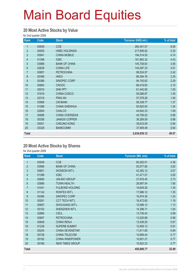#### **20 Most Active Stocks by Value**

for 2nd quarter 2009

| Rank           | Code  | <b>Stock</b>          | Turnover (HK\$ mil.) | % of total |
|----------------|-------|-----------------------|----------------------|------------|
| 1              | 00939 | <b>CCB</b>            | 285,451.07           | 6.95       |
| $\overline{2}$ | 00005 | <b>HSBC HOLDINGS</b>  | 217,606.82           | 5.30       |
| $\mathfrak{S}$ | 00941 | <b>CHINA MOBILE</b>   | 194,514.50           | 4.74       |
| $\overline{4}$ | 01398 | <b>ICBC</b>           | 181,883.32           | 4.43       |
| 5              | 03988 | <b>BANK OF CHINA</b>  | 145,708.63           | 3.55       |
| $6\phantom{a}$ | 02628 | <b>CHINA LIFE</b>     | 144,087.33           | 3.51       |
| $\overline{7}$ | 00857 | <b>PETROCHINA</b>     | 99,524.97            | 2.42       |
| 8              | 00388 | <b>HKEX</b>           | 96,294.76            | 2.35       |
| 9              | 00386 | SINOPEC CORP          | 94,150.82            | 2.29       |
| 10             | 00883 | <b>CNOOC</b>          | 88,419.60            | 2.15       |
| 11             | 00016 | SHK PPT               | 61,442.85            | 1.50       |
| 12             | 01919 | CHINA COSCO           | 59,586.87            | 1.45       |
| 13             | 02318 | <b>PING AN</b>        | 57,578.26            | 1.40       |
| 14             | 03968 | <b>CM BANK</b>        | 56,338.77            | 1.37       |
| 15             | 01088 | <b>CHINA SHENHUA</b>  | 50,820.00            | 1.24       |
| 16             | 02600 | <b>CHALCO</b>         | 44,642.33            | 1.09       |
| 17             | 00688 | CHINA OVERSEAS        | 40,756.02            | 0.99       |
| 18             | 00358 | <b>JIANGXI COPPER</b> | 39,289.59            | 0.96       |
| 19             | 00001 | <b>CHEUNG KONG</b>    | 38,633.09            | 0.94       |
| 20             | 03328 | <b>BANKCOMM</b>       | 37,909.48            | 0.92       |
| <b>Total</b>   |       |                       | 2,034,639.12         | 49.57      |

#### **20 Most Active Stocks by Shares**

| Rank           | Code  | <b>Stock</b>           | <b>Turnover (Mil. shs)</b> | % of total |
|----------------|-------|------------------------|----------------------------|------------|
| 1              | 00939 | <b>CCB</b>             | 60,262.91                  | 4.36       |
| $\overline{2}$ | 03988 | <b>BANK OF CHINA</b>   | 50,077.60                  | 3.63       |
| 3              | 00651 | <b>WONSON INT'L</b>    | 42,362.12                  | 3.07       |
| $\overline{4}$ | 01398 | <b>ICBC</b>            | 41,471.57                  | 3.00       |
| 5              | 00690 | <b>UNI-BIO GROUP</b>   | 37,676.45                  | 2.73       |
| 6              | 03886 | <b>TOWN HEALTH</b>     | 26,897.54                  | 1.95       |
| $\overline{7}$ | 01041 | <b>FULBOND HOLDING</b> | 18,649.26                  | 1.35       |
| 8              | 01142 | RONTEX INT'L           | 17,986.12                  | 1.30       |
| 9              | 00386 | SINOPEC CORP           | 16,974.36                  | 1.23       |
| 10             | 00261 | <b>CCT TECH INT'L</b>  | 16,472.60                  | 1.19       |
| 11             | 00697 | SHOUGANG INT'L         | 15,596.13                  | 1.13       |
| 12             | 00152 | SHENZHEN INT'L         | 14,398.71                  | 1.04       |
| 13             | 02866 | <b>CSCL</b>            | 13,736.43                  | 0.99       |
| 14             | 00857 | <b>PETROCHINA</b>      | 13,525.88                  | 0.98       |
| 15             | 00648 | <b>CHINA RENJI</b>     | 13,439.25                  | 0.97       |
| 16             | 01228 | <b>SUPERB SUMMIT</b>   | 12,609.12                  | 0.91       |
| 17             | 00245 | <b>CHINA SEVENSTAR</b> | 11,611.80                  | 0.84       |
| 18             | 00728 | <b>CHINA TELECOM</b>   | 10,669.44                  | 0.77       |
| 19             | 00182 | <b>CHINA WINDPOWER</b> | 10,651.27                  | 0.77       |
| 20             | 00166 | <b>NEW TIMES GROUP</b> | 10,622.23                  | 0.77       |
| <b>Total</b>   |       |                        | 455,690.77                 | 32.99      |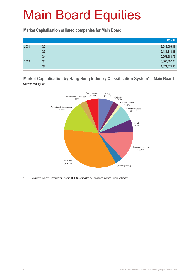#### **Market Capitalisation of listed companies for Main Board**

|      |    | HK\$ mil.     |
|------|----|---------------|
| 2008 | Q2 | 16,246,996.96 |
|      | Q3 | 12,481,118.88 |
|      | Q4 | 10,253,588.75 |
| 2009 | Q1 | 10,080,762.91 |
|      | Q2 | 14,074,574.48 |

#### **Market Capitalisation by Hang Seng Industry Classification System\* – Main Board** Quarter-end figures



Hang Seng Industry Classification System (HSICS) is provided by Hang Seng Indexes Company Limited.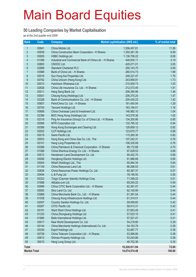#### **50 Leading Companies by Market Capitalisation**

as at the 2nd quarter end 2009

| <b>Rank</b>         | <b>Code</b> | <b>Company</b>                                          | <b>Market capitalisation (HK\$ mil.)</b> | % of market total |
|---------------------|-------------|---------------------------------------------------------|------------------------------------------|-------------------|
| $\mathbf{1}$        | 00941       | China Mobile Ltd.                                       | 1,556,457.81                             | 11.06             |
| $\overline{2}$      | 00939       | China Construction Bank Corporation - H Shares          | 1,350,381.39                             | 9.59              |
| 3                   | 00005       | <b>HSBC Holdings plc</b>                                | 1,136,706.22                             | 8.08              |
| 4                   | 01398       | Industrial and Commercial Bank of China Ltd. - H Shares | 448,505.11                               | 3.19              |
| 5                   | 00883       | CNOOC Ltd.                                              | 429,271.01                               | 3.05              |
| $6\phantom{a}$      | 02888       | <b>Standard Chartered PLC</b>                           | 290,143.70                               | 2.06              |
| $\overline{7}$      | 03988       | Bank of China Ltd. - H Shares                           | 280,514.73                               | 1.99              |
| 8                   | 00016       | Sun Hung Kai Properties Ltd.                            | 248,227.47                               | 1.76              |
| 9                   | 00762       | China Unicom (Hong Kong) Ltd.                           | 243,858.91                               | 1.73              |
| 10                  | 00013       | Hutchison Whampoa Ltd.                                  | 215,939.73                               | 1.53              |
| 11                  | 02628       | China Life Insurance Co. Ltd. - H Shares                | 212,073.49                               | 1.51              |
| 12                  | 00011       | Hang Seng Bank Ltd.                                     | 208,390.86                               | 1.48              |
| 13                  | 00001       | Cheung Kong (Holdings) Ltd.                             | 206,370.24                               | 1.47              |
| 14                  | 03328       | Bank of Communications Co., Ltd. - H Shares             | 200,430.23                               | 1.42              |
| 15                  | 00857       | PetroChina Co. Ltd. - H Shares                          | 181,450.54                               | 1.29              |
| 16                  | 00700       | Tencent Holdings Ltd.                                   | 163,194.01                               | 1.16              |
| 17                  | 00688       | China Overseas Land & Investment Ltd.                   | 146,982.10                               | 1.04              |
| 18                  | 02388       | BOC Hong Kong (Holdings) Ltd.                           | 143,578.36                               | 1.02              |
| 19                  | 02318       | Ping An Insurance (Group) Co. of China Ltd. - H Shares  | 134,200.86                               | 0.95              |
| 20                  | 00066       | MTR Corporation Ltd.                                    | 132,795.32                               | 0.94              |
| 21                  | 00388       | Hong Kong Exchanges and Clearing Ltd.                   | 129,859.12                               | 0.92              |
| 22                  | 00002       | CLP Holdings Ltd.                                       | 123,675.77                               | 0.88              |
| 23                  | 00019       | Swire Pacific Ltd.                                      | 115,265.30                               | 0.82              |
| 24                  | 00003       | Hong Kong and China Gas Co. Ltd., The                   | 107,242.31                               | 0.76              |
| 25                  | 00101       | Hang Lung Properties Ltd.                               | 106,335.09                               | 0.76              |
| 26                  | 00386       | China Petroleum & Chemical Corporation - H Shares       | 99,172.68                                | 0.70              |
| 27                  | 01088       | China Shenhua Energy Co. Ltd. - H Shares                | 97,029.53                                | 0.69              |
| 28                  | 00012       | Henderson Land Development Co. Ltd.                     | 95,422.70                                | 0.68              |
| 29                  | 00006       | Hongkong Electric Holdings Ltd.                         | 91,986.68                                | 0.65              |
| 30                  | 00004       | Wharf (Holdings) Ltd., The                              | 90,464.34                                | 0.64              |
| 31                  | 01109       | China Resources Land Ltd.                               | 86,296.53                                | 0.61              |
| 32                  | 00836       | China Resources Power Holdings Co. Ltd.                 | 80,367.37                                | 0.57              |
| 33                  | 00494       | Li & Fung Ltd.                                          | 78,195.00                                | 0.56              |
| 34                  | 00322       | Tingyi (Cayman Islands) Holdings Corp.                  | 71,399.22                                | 0.51              |
| 35                  | 01688       | Alibaba.com Ltd.                                        | 69,240.22                                | 0.49              |
| 36                  | 00998       | China CITIC Bank Corporation Ltd. - H Shares            | 62,381.07                                | 0.44              |
| 37                  | 00083       | Sino Land Co. Ltd.                                      | 62,145.95                                | 0.44              |
| 38                  | 03968       | China Merchants Bank Co., Ltd. - H Shares               | 61,391.04                                | 0.44              |
| 39                  | 01038       | Cheung Kong Infrastructure Holdings Ltd.                | 61,314.51                                | 0.44              |
| 40                  | 02007       | Country Garden Holdings Co. Ltd.                        | 59,059.60                                | 0.42              |
| 41                  | 00267       | CITIC Pacific Ltd.                                      | 58,413.31                                | 0.42              |
| 42                  | 00151       | Want Want China Holdings Ltd.                           | 57,853.45                                | 0.41              |
| 43                  | 01333       | China Zhongwang Holdings Ltd.                           | 57,523.10                                | 0.41              |
| 44                  | 01880       | Belle International Holdings Ltd.                       | 57,521.47                                | 0.41              |
| 45                  | 00017       | New World Development Co. Ltd.                          | 54,219.80                                | 0.39              |
| 46                  | 00144       | China Merchants Holdings (International) Co. Ltd.       | 54, 163. 79                              | 0.38              |
| 47                  | 00330       | Esprit Holdings Ltd.                                    | 53,887.77                                | 0.38              |
| 48                  | 00728       | China Telecom Corporation Ltd. - H Shares               | 53,566.80                                | 0.38              |
| 49                  | 00813       | Shimao Property Holdings Ltd.                           | 53,243.86                                | 0.38              |
| 50                  | 00010       | Hang Lung Group Ltd.                                    | 48,702.36                                | 0.35              |
|                     |             |                                                         |                                          |                   |
| <b>Total</b>        |             |                                                         | 10,226,811.84                            | 72.66             |
| <b>Market Total</b> |             |                                                         | 14,074,574.48                            | 100.00            |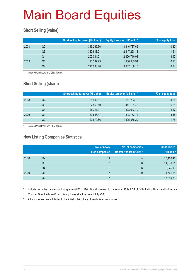### **Short Selling (value)**

|      |    | Short selling turnover (HK\$ mil.) | Equity turnover (HK\$ mil.) * | % of equity total |
|------|----|------------------------------------|-------------------------------|-------------------|
| 2008 | Q2 | 345,265.36                         | 3,346,787.65                  | 10.32             |
|      | Q3 | 327,618.01                         | 2,847,263.13                  | 11.51             |
|      | Q4 | 207,081.01                         | 2,326,710.98                  | 8.90              |
| 2009 | O1 | 193,237.79                         | 1,906,905.94                  | 10.13             |
|      | Q2 | 210,086.20                         | 3,367,168.10                  | 6.24              |

include Main Board and GEM figures

### **Short Selling (share)**

|      |    | <b>Short selling turnover (Mil. shs)</b> | Equity turnover (Mil. shs) * | % of equity total |
|------|----|------------------------------------------|------------------------------|-------------------|
| 2008 | Q2 | 25.402.17                                | 551,233.73                   | 4.61              |
|      | Q3 | 27,563.50                                | 441,101.48                   | 6.25              |
|      | Q4 | 26,217.91                                | 628,043.79                   | 4.17              |
| 2009 | Q1 | 23,846.47                                | 618,173.72                   | 3.86              |
|      | Q2 | 22,870.86                                | 1,305,366.29                 | 1.75              |

include Main Board and GEM figures

#### **New Listing Companies Statistics**

|      |                | No. of newly<br>listed companies | No. of companies<br>transferred from GEM * | <b>Funds raised</b><br>(HK\$ mil.) $#$ |
|------|----------------|----------------------------------|--------------------------------------------|----------------------------------------|
| 2008 | Q <sub>2</sub> | 11                               | -                                          | 17,153.41                              |
|      | Q <sub>3</sub> |                                  | 8                                          | 11,970.91                              |
|      | Q4             | 5                                | 6                                          | 3,645.19                               |
| 2009 | Q <sub>1</sub> |                                  | 0                                          | 1,561.65                               |
|      | Q <sub>2</sub> |                                  | 4                                          | 15,849.80                              |

Included only the transfers of listing from GEM to Main Board pursuant to the revised Rule 9.24 of GEM Listing Rules and to the new Chapter 9A of the Main Board Listing Rules effective from 1 July 2008

# All funds raised are attributed to the initial public offers of newly listed companies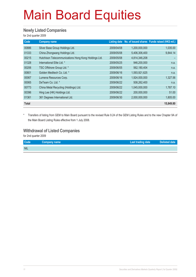#### **Newly Listed Companies**

for 2nd quarter 2009

| Code         | <b>Company name</b>                                  |            |               | Listing date No. of issued shares Funds raised (HK\$ mil.) |
|--------------|------------------------------------------------------|------------|---------------|------------------------------------------------------------|
| 00886        | Silver Base Group Holdings Ltd.                      | 2009/04/08 | 1,200,000,000 | 1,035.00                                                   |
| 01333        | China Zhongwang Holdings Ltd.                        | 2009/05/08 | 5,406,306,400 | 9,844.14                                                   |
| 00215        | Hutchison Telecommunications Hong Kong Holdings Ltd. | 2009/05/08 | 4,814,346,208 |                                                            |
| 01328        | International Elite Ltd. *                           | 2009/05/25 | 946,200,000   | n.a.                                                       |
| 00206        | TSC Offshore Group Ltd. *                            | 2009/06/05 | 562,180,404   | n.a.                                                       |
| 00801        | Golden Meditech Co. Ltd. *                           | 2009/06/16 | 1,593,921,625 | n.a.                                                       |
| 00067        | Lumena Resources Corp.                               | 2009/06/16 | 1,924,000,000 | 1,327.56                                                   |
| 00065        | DeTeam Co. Ltd. *                                    | 2009/06/22 | 508,262,400   | n.a.                                                       |
| 00773        | China Metal Recycling (Holdings) Ltd.                | 2009/06/22 | 1,045,000,000 | 1,787.10                                                   |
| 00396        | Hing Lee (HK) Holdings Ltd.                          | 2009/06/22 | 200,000,000   | 51.00                                                      |
| 01361        | 361 Degrees International Ltd.                       | 2009/06/30 | 2,000,000,000 | 1,805.00                                                   |
| <b>Total</b> |                                                      |            |               | 15,849.80                                                  |

\* Transfers of listing from GEM to Main Board pursuant to the revised Rule 9.24 of the GEM Listing Rules and to the new Chapter 9A of the Main Board Listing Rules effective from 1 July 2008.

#### **Withdrawal of Listed Companies**

| Code       | Company name | <b>Last trading date</b> | Delisted date |
|------------|--------------|--------------------------|---------------|
| <b>NIL</b> |              |                          |               |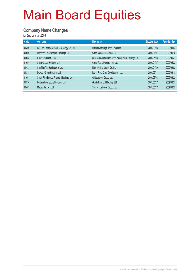### **Company Name Changes**

| Code  | Old name                                    | New name                                             | <b>Effective date</b> | <b>Adoption date</b> |
|-------|---------------------------------------------|------------------------------------------------------|-----------------------|----------------------|
| 00399 | Far East Pharmaceutical Technology Co. Ltd. | United Gene High-Tech Group Ltd.                     | 2009/03/03            | 2009/04/02           |
| 00009 | Mandarin Entertainment (Holdings) Ltd.      | China Mandarin Holdings Ltd.                         | 2009/04/01            | 2009/05/15           |
| 00988 | Sun's Group Ltd., The                       | Loudong General Nice Resources (China) Holdings Ltd. | 2009/05/08            | 2009/05/21           |
| 01094 | Sunny Global Holdings Ltd.                  | China Public Procurement Ltd.                        | 2009/04/27            | 2009/05/22           |
| 00433 | Sun Man Tai Holdings Co. Ltd.               | North Mining Shares Co. Ltd.                         | 2009/04/29            | 2009/06/02           |
| 00313 | Dickson Group Holdings Ltd.                 | Richly Field China Development Ltd.                  | 2009/05/11            | 2009/06/18           |
| 01051 | Smart Rich Energy Finance (Holdings) Ltd.   | G-Resources Group Ltd.                               | 2009/06/03            | 2009/06/22           |
| 00530 | Fortuna International Holdings Ltd.         | Goldin Financial Holdings Ltd.                       | 2009/05/27            | 2009/06/25           |
| 00487 | Macau Success Ltd.                          | Success Universe Group Ltd.                          | 2009/05/27            | 2009/06/29           |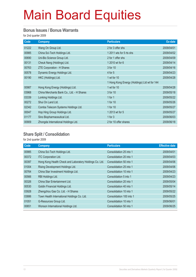#### **Bonus Issues / Bonus Warrants**

for 2nd quarter 2009

| Code  | <b>Company</b>                            | <b>Particulars</b>                           | Ex-date    |
|-------|-------------------------------------------|----------------------------------------------|------------|
| 01222 | Wang On Group Ltd.                        | 2 for 3 offer shs                            | 2009/04/01 |
| 00985 | China Sci-Tech Holdings Ltd.              | 1 2011 wts for 5 rts shs                     | 2009/04/02 |
| 00690 | Uni-Bio Science Group Ltd.                | 2 for 1 offer shs                            | 2009/04/09 |
| 00131 | Cheuk Nang (Holdings) Ltd.                | 1 2010 wt for 6                              | 2009/04/14 |
| 00763 | <b>ZTE Corporation - H Shares</b>         | 3 for 10                                     | 2009/04/16 |
| 00578 | Dynamic Energy Holdings Ltd.              | 4 for 5                                      | 2009/04/23 |
| 00190 | HKC (Holdings) Ltd.                       | 1 wt for 10                                  | 2009/04/28 |
|       |                                           | 1 Hong Kong Energy (Holdings) Ltd wt for 144 |            |
| 00987 | Hong Kong Energy (Holdings) Ltd.          | 1 wt for 10                                  | 2009/04/28 |
| 03968 | China Merchants Bank Co., Ltd. - H Shares | 3 for 10                                     | 2009/05/18 |
| 03339 | Lonking Holdings Ltd.                     | 1 for $1$                                    | 2009/05/22 |
| 00272 | Shui On Land Ltd.                         | 1 for 10                                     | 2009/05/26 |
| 02342 | Comba Telecom Systems Holdings Ltd.       | 1 for 10                                     | 2009/05/27 |
| 00047 | Hop Hing Group Holdings Ltd.              | 1 2013 wt for 5                              | 2009/05/27 |
| 01177 | Sino Biopharmaceutical Ltd.               | 1 for $3$                                    | 2009/06/03 |
| 00909 | Zhongda International Holdings Ltd.       | 2 for 10 offer shares                        | 2009/06/18 |

#### **Share Split / Consolidation**

| Code  | Company                                                 | <b>Particulars</b>       | <b>Effective date</b> |
|-------|---------------------------------------------------------|--------------------------|-----------------------|
| 00985 | China Sci-Tech Holdings Ltd.                            | Consolidation 25 into 1  | 2009/04/01            |
| 00372 | <b>ITC Corporation Ltd.</b>                             | Consolidation 20 into 1  | 2009/04/03            |
| 00397 | Hong Kong Health Check and Laboratory Holdings Co. Ltd. | Consolidation 50 into 1  | 2009/04/06            |
| 01004 | Rising Development Holdings Ltd.                        | Consolidation 25 into 1  | 2009/04/06            |
| 00764 | China Star Investment Holdings Ltd.                     | Consolidation 10 into 1  | 2009/04/23            |
| 00566 | RBI Holdings Ltd.                                       | Consolidation 5 into 1   | 2009/04/23            |
| 00326 | China Star Entertainment Ltd.                           | Consolidation 20 into 1  | 2009/05/04            |
| 00530 | Goldin Financial Holdings Ltd.                          | Consolidation 40 into 1  | 2009/05/14            |
| 03928 | Zhengzhou Gas Co. Ltd. - H Shares                       | Consolidation 10 into 1  | 2009/05/22            |
| 03886 | Town Health International Holdings Co. Ltd.             | Consolidation 100 into 1 | 2009/05/25            |
| 01051 | G-Resources Group Ltd.                                  | Consolidation 10 into 1  | 2009/06/01            |
| 00651 | Wonson International Holdings Ltd.                      | Consolidation 50 into 1  | 2009/06/25            |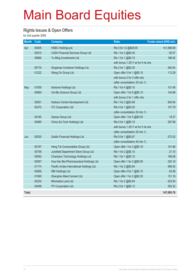#### **Rights Issues & Open Offers**

| <b>Month</b> | Code  | <b>Company</b>                            | <b>Ratio</b>                       | Funds raised (HK\$ mil.) |
|--------------|-------|-------------------------------------------|------------------------------------|--------------------------|
| Apr          | 00005 | <b>HSBC Holdings plc</b>                  | Rts 5 for 12 @\$28.00              | 141,686.69               |
|              | 00510 | CASH Financial Services Group Ltd.        | Rts 1 for 2 @\$0.45                | 92.57                    |
|              | 00666 | Yu Ming Investments Ltd.                  | Rts 1 for 1 @\$0.10                | 186.92                   |
|              |       |                                           | with bonus 1 2011 wt for 5 rts shs |                          |
|              | 00716 | Singamas Container Holdings Ltd.          | Rts 2 for 1 @\$0.35                | 492.04                   |
|              | 01222 | Wang On Group Ltd.                        | Open offer 3 for 1 @\$0.10         | 113.29                   |
|              |       |                                           | with bonus 2 for 3 offer shs       |                          |
|              |       |                                           | (after consolidation 25 into 1)    |                          |
| May          | 01059 | Kantone Holdings Ltd.                     | Rts 1 for 4 @\$0.10                | 101.48                   |
|              | 00690 | Uni-Bio Science Group Ltd.                | Open offer 1 for 6 @\$0.10         | 144.98                   |
|              |       |                                           | with bonus 2 for 1 offer shs       |                          |
|              | 00051 | Harbour Centre Development Ltd.           | Rts 1 for 2 @\$3.99                | 942.64                   |
|              | 00372 | <b>ITC Corporation Ltd.</b>               | Rts 4 for 1 @\$0.20                | 107.79                   |
|              |       |                                           | (after consolidation 20 into 1)    |                          |
|              | 00185 | Xpress Group Ltd.                         | Open offer 1 for 5 @\$0.05         | 18.37                    |
|              | 00985 | China Sci-Tech Holdings Ltd.              | Rts 5 for 1 @\$0.15                | 397.99                   |
|              |       |                                           | with bonus 1 2011 wt for 5 rts shs |                          |
|              |       |                                           | (after consolidation 25 into 1)    |                          |
| Jun          | 00530 | Goldin Financial Holdings Ltd.            | Rts 9 for 1 @\$0.67                | 572.02                   |
|              |       |                                           | (after consolidation 40 into 1)    |                          |
|              | 00197 | Heng Tai Consumables Group Ltd.           | Open offer 1 for 2 @\$0.18         | 151.66                   |
|              | 00758 | Junefield Department Store Group Ltd.     | Rts 1 for 2 @\$0.10                | 21.10                    |
|              | 00092 | Champion Technology Holdings Ltd.         | Rts 1 for 1 @\$0.10                | 199.08                   |
|              | 00587 | Hua Han Bio-Pharmaceutical Holdings Ltd.  | Open offer 1 for 2 @\$0.50         | 220.18                   |
|              | 01174 | Pacific Andes International Holdings Ltd. | Rts 1 for 2 @\$0.60                | 566.42                   |
|              | 00566 | RBI Holdings Ltd.                         | Open offer 4 for 1 @\$0.10         | 63.56                    |
|              | 01060 | Shanghai Allied Cement Ltd.               | Open offer 1 for 2 @\$0.30         | 131.16                   |
|              | 00230 | Minmetals Land Ltd.                       | Rts 1 for 2 @\$0.94                | 523.50                   |
|              | 00498 | PYI Corporation Ltd.                      | Rts 2 for 1 @\$0.12                | 362.32                   |
| <b>Total</b> |       |                                           |                                    | 147,095.76               |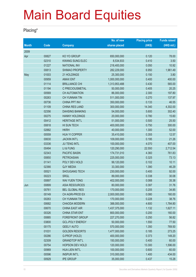### **Placing\***

|              |       |                        | No. of new    | <b>Placing price</b> | <b>Funds raised</b> |
|--------------|-------|------------------------|---------------|----------------------|---------------------|
| <b>Month</b> | Code  | <b>Company</b>         | shares placed | (HK\$)               | (HK\$ mil.)         |
| 2009         |       |                        |               |                      |                     |
| Apr          | 00827 | KO YO GROUP            | 650,000,000   | 0.120                | 78.00               |
|              | 02310 | <b>KWANG SUNG ELEC</b> | 8,534,933     | 0.410                | 3.50                |
|              | 01227 | <b>NATIONAL INV</b>    | 218,400,000   | 0.050                | 10.92               |
|              | 00813 | <b>SHIMAO PROPERTY</b> | 282,229,000   | 6.950                | 1,961.49            |
| May          | 01003 | 21 HOLDINGS            | 25,300,000    | 0.150                | 3.80                |
|              | 00959 | <b>AMAX ENT</b>        | 1,000,000,000 | 0.400                | 400.00              |
|              | 01114 | <b>BRILLIANCE CHI</b>  | 1,313,953,488 | 0.430                | 565.00              |
|              | 01194 | C PRECIOUSMETAL        | 50,000,000    | 0.405                | 20.25               |
|              | 00569 | <b>CH AUTOMATION</b>   | 86,000,000    | 2.300                | 197.80              |
|              | 00263 | CH YUNNAN TIN          | 511,000,000   | 0.270                | 137.97              |
|              | 00736 | CHINA PPT INV          | 350,000,000   | 0.133                | 46.55               |
|              | 01109 | <b>CHINA RES LAND</b>  | 300,000,000   | 14.340               | 4,302.00            |
|              | 02356 | <b>DAHSING BANKING</b> | 54,000,000    | 5.600                | 302.40              |
|              | 00275 | <b>HANNY HOLDINGS</b>  | 20,000,000    | 0.780                | 15.60               |
|              | 00412 | <b>HERITAGE INT'L</b>  | 51,000,000    | 0.500                | 25.50               |
|              | 00818 | HI SUN TECH            | 400,000,000   | 0.750                | 300.00              |
|              | 02882 | <b>HKRH</b>            | 40,000,000    | 1.300                | 52.00               |
|              | 00559 | <b>HUA YI COPPER</b>   | 35,410,000    | 0.355                | 12.57               |
|              | 00630 | <b>JACKIN INT'L</b>    | 109,000,000   | 0.195                | 21.26               |
|              | 03336 | <b>JU TENG INTL</b>    | 100,000,000   | 4.070                | 407.00              |
|              | 00494 | LI & FUNG              | 120,290,000   | 22.550               | 2,712.54            |
|              | 02343 | <b>PACIFIC BASIN</b>   | 174,731,010   | 4.360                | 761.83              |
|              | 00850 | <b>PETROASIAN</b>      | 225,000,000   | 0.325                | 73.13               |
|              | 01141 | POLY DEV HOLD          | 99,120,000    | 0.102                | 10.11               |
|              | 02366 | <b>QJY MEDIA</b>       | 33,300,000    | 1.390                | 46.29               |
|              | 00521 | SHOUGANG TECH          | 230,000,000   | 0.400                | 92.00               |
|              | 00223 | <b>SRGL</b>            | 89,000,000    | 0.338                | 30.08               |
|              | 00897 | <b>WAI YUEN TONG</b>   | 402,000,000   | 0.088                | 35.38               |
| Jun          | 00899 | <b>ASIA RESOURCES</b>  | 80,000,000    | 0.397                | 31.76               |
|              | 00761 | <b>BEL GLOBAL RES</b>  | 170,000,000   | 0.205                | 34.85               |
|              | 00149 | CH AGRI-PROD EX        | 2,000,000,000 | 0.080                | 160.00              |
|              | 00263 | <b>CH YUNNAN TIN</b>   | 170,000,000   | 0.228                | 38.76               |
|              | 00682 | <b>CHAODA MODERN</b>   | 388,000,000   | 4.600                | 1,784.80            |
|              | 00670 | <b>CHINA EAST AIR</b>  | 1,437,375,000 | 1.132                | 1,627.11            |
|              | 00326 | <b>CHINA STAR ENT</b>  | 800,000,000   | 0.200                | 160.00              |
|              | 00885 | <b>FOREFRONT GROUP</b> | 227,270,000   | 0.250                | 56.82               |
|              | 03800 | <b>GCL-POLY ENERGY</b> | 50,000,000    | 1.550                | 77.50               |
|              | 00175 | <b>GEELY AUTO</b>      | 570,000,000   | 1.350                | 769.50              |
|              | 01031 | <b>GOLDEN RESORTS</b>  | 1,477,000,000 | 0.185                | 273.25              |
|              | 00286 | G-PROP (HOLD)          | 400,000,000   | 0.373                | 149.20              |
|              | 02309 | <b>GRANDTOP INT'L</b>  | 150,000,000   | 0.400                | 60.00               |
|              | 00754 | HOPSON DEV HOLD        | 120,000,000   | 13.300               | 1,596.00            |
|              | 00969 | HUA LIEN INT'L         | 100,000,000   | 0.600                | 60.00               |
|              | 00596 | <b>INSPUR INT'L</b>    | 310,000,000   | 1.400                | 434.00              |
|              | 00929 | <b>IPE GROUP</b>       | 35,000,000    | 0.437                | 15.28               |
|              |       |                        |               |                      |                     |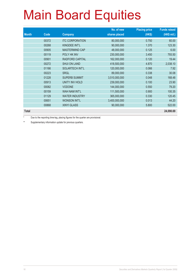|              |       |                        | No. of new    | <b>Placing price</b> | <b>Funds raised</b> |
|--------------|-------|------------------------|---------------|----------------------|---------------------|
| <b>Month</b> | Code  | <b>Company</b>         | shares placed | (HK\$)               | (HK\$ mil.)         |
|              | 00372 | <b>ITC CORPORATION</b> | 80,000,000    | 0.750                | 60.00               |
|              | 00268 | KINGDEE INT'L          | 90,000,000    | 1.370                | 123.30              |
|              | 00905 | <b>MASTERMIND CAP</b>  | 48,000,000    | 0.125                | 6.00                |
|              | 00119 | POLY HK INV            | 230,000,000   | 3.450                | 793.50              |
|              | 00901 | RADFORD CAPITAL        | 162,000,000   | 0.120                | 19.44               |
|              | 00272 | <b>SHUI ON LAND</b>    | 418,500,000   | 4.870                | 2,038.10            |
|              | 01166 | <b>SOLARTECH INT'L</b> | 120,000,000   | 0.066                | 7.92                |
|              | 00223 | <b>SRGL</b>            | 89,000,000    | 0.338                | 30.08               |
|              | 01228 | <b>SUPERB SUMMIT</b>   | 3,510,000,000 | 0.048                | 168.48              |
|              | 00913 | UNITY INV HOLD         | 239,000,000   | 0.100                | 23.90               |
|              | 00082 | <b>VODONE</b>          | 144,000,000   | 0.550                | 79.20               |
|              | 00159 | <b>WAH NAM INT'L</b>   | 111,500,000   | 0.900                | 100.35              |
|              | 01129 | <b>WATER INDUSTRY</b>  | 365,000,000   | 0.330                | 120.45              |
|              | 00651 | <b>WONSON INT'L</b>    | 3,400,000,000 | 0.013                | 44.20               |
|              | 00868 | <b>XINYI GLASS</b>     | 90,000,000    | 5.800                | 522.00              |
| <b>Total</b> |       |                        |               |                      | 24,090.69           |

Due to the reporting time-lag, placing figures for the quarter are provisional.

\*\* Supplementary information update for previous quarters.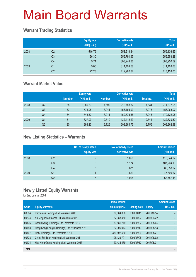### **Warrant Trading Statistics**

|      |                | <b>Equity wts</b><br>(HK\$ mil.) | <b>Derivative wts</b><br>(HK\$ mil.) | <b>Total</b><br>(HK\$ mil.) |
|------|----------------|----------------------------------|--------------------------------------|-----------------------------|
| 2008 | Q <sub>2</sub> | 516.79                           | 958,619.84                           | 959,136.63                  |
|      | Q <sub>3</sub> | 166.30                           | 555,791.97                           | 555,958.28                  |
|      | Q4             | 5.74                             | 308,244.86                           | 308,250.59                  |
| 2009 | Q1             | 5.00                             | 314,404.68                           | 314,409.68                  |
|      | Q2             | 172.23                           | 412,980.82                           | 413,153.05                  |

### **Warrant Market Value**

|      |                |               | <b>Equity wts</b> |               | <b>Derivative wts</b> |           | <b>Total</b> |
|------|----------------|---------------|-------------------|---------------|-----------------------|-----------|--------------|
|      |                | <b>Number</b> | (HK\$ mil.)       | <b>Number</b> | (HK\$ mil.)           | Total no. | (HK\$ mil.)  |
| 2008 | Q2             | 35            | 2,089.63          | 4,599         | 212,788.32            | 4,634     | 214,877.95   |
|      | Q <sub>3</sub> | 37            | 776.08            | 3.941         | 156,186.99            | 3.978     | 156,963.07   |
|      | Q4             | 34            | 548.52            | 3.011         | 169,573.55            | 3.045     | 170,122.08   |
| 2009 | Q1             | 31            | 327.03            | 2.510         | 132.412.29            | 2.541     | 132,739.32   |
|      | Q2             | 30            | 998.23            | 2,726         | 208,964.75            | 2,756     | 209,962.98   |

### **New Listing Statistics – Warrants**

|      |                | No. of newly listed<br>equity wts | No. of newly listed<br>derivative wts | <b>Amount raised</b><br>(HK\$ mil.) |
|------|----------------|-----------------------------------|---------------------------------------|-------------------------------------|
| 2008 | Q2             | 2                                 | 1,058                                 | 110,344.97                          |
|      | Q <sub>3</sub> | 6                                 | 1,174                                 | 107,224.10                          |
|      | Q4             | 3                                 | 871                                   | 80,858.92                           |
| 2009 | Q1             |                                   | 569                                   | 47,600.67                           |
|      | Q2             |                                   | 1,005                                 | 68,757.45                           |

### **Newly Listed Equity Warrants**

|              |                                                | <b>Initial issued</b> |                     |               | <b>Amount raised</b> |
|--------------|------------------------------------------------|-----------------------|---------------------|---------------|----------------------|
| Code         | <b>Equity warrants</b>                         | amount (HK\$)         | <b>Listing date</b> | <b>Expiry</b> | (HK\$ mil.)          |
| 00594        | Playmates Holdings Ltd. Warrants 2010          | 39,384,000            | 2009/04/15          | 2010/10/14    |                      |
| 00534        | Yu Ming Investments Ltd. Warrants 2011         | 37,383,450            | 2009/04/27          | 2011/04/22    |                      |
| 00436        | Cheuk Nang (Holdings) Ltd. Warrants 2010       | 33,881,749            | 2009/05/07          | 2010/05/04    |                      |
| 00748        | Hong Kong Energy (Holdings) Ltd. Warrants 2011 | 22,906,043            | 2009/05/19          | 2011/05/13    |                      |
| 00407        | HKC (Holdings) Ltd. Warrants 2011              | 330, 192, 580         | 2009/05/26          | 2011/05/21    |                      |
| 00523        | China Sci-Tech Holdings Ltd. Warrants 2011     | 106,129,701           | 2009/06/05          | 2011/06/02    |                      |
| 00134        | Hop Hing Group Holdings Ltd. Warrants 2013     | 20,435,469            | 2009/06/10          | 2013/05/31    |                      |
| <b>Total</b> |                                                |                       |                     |               |                      |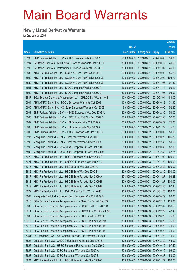### **Newly Listed Derivative Warrants**

|          |                                                              |               |                            |                       | <b>Amount</b> |
|----------|--------------------------------------------------------------|---------------|----------------------------|-----------------------|---------------|
|          |                                                              | No. of        |                            |                       | raised        |
| Code     | <b>Derivative warrants</b>                                   | issue (units) | <b>Listing date Expiry</b> |                       | (HK\$ mil.)   |
| 16595    | BNP Paribas Arbit Issu B.V. - ICBC European Wts Aug 2009     | 200,000,000   | 2009/04/01                 | 2009/08/03            | 34.00         |
| 16594    | Deutsche Bank AG - A50 China European Warrants Oct 2009 A    | 300,000,000   | 2009/04/01                 | 2009/10/12            | 49.50         |
| 16593    | Deutsche Bank AG - PetroChina European Warrants Nov 2009     | 300,000,000   | 2009/04/01                 | 2009/11/02            | 45.00         |
| 16588    | KBC Fin Products Int'l Ltd. - CC Bank Euro Put Wts Oct 2009  | 208,000,000   | 2009/04/01                 | 2009/10/05            | 85.28         |
| 16590    | KBC Fin Products Int'l Ltd. - CC Bank Euro Put Wts Dec 2009E | 138,000,000   | 2009/04/01                 | 2009/12/04            | 198.72        |
| 16589    | KBC Fin Products Int'l Ltd. - CC Bank Euro Put Wts Nov 2009B | 108,000,000   | 2009/04/01                 | 2009/11/06            | 91.80         |
| 16591    | KBC Fin Products Int'l Ltd. - ICBC European Wts Nov 2009 A   | 168,000,000   | 2009/04/01                 | 2009/11/18            | 99.12         |
| 16592    | KBC Fin Products Int'l Ltd. - ICBC European Wts Nov 2009 B   | 338,000,000   | 2009/04/01                 | 2009/11/05            | 98.02         |
| 16587    | SGA Societe Generale Acceptance N.V. - CP&CC Eur Wt Jan 10 B | 100,000,000   | 2009/04/01                 | 2010/01/04            | 84.00         |
| 16604    | ABN AMRO Bank N.V. - BOCL European Warrants Oct 2009         | 100,000,000   |                            | 2009/04/02 2009/10/19 | 31.90         |
| 16606    | ABN AMRO Bank N.V. - CC Bank European Warrants Oct 2009      | 88,000,000    |                            | 2009/04/02 2009/10/05 | 52.80         |
| 16601    | BNP Paribas Arbit Issu B.V. - HSCEI European Wts Dec 2009 A  | 200,000,000   |                            | 2009/04/02 2009/12/30 | 54.00         |
| 16605    | BNP Paribas Arbit Issu B.V. - HSCEI Euro Put Wts Dec 2009 C  | 200,000,000   |                            | 2009/04/02 2009/12/30 | 52.00         |
| 16602    | BNP Paribas Arbit Issu B.V. - HSI European Wts Oct 2009 A    | 300,000,000   |                            | 2009/04/02 2009/10/29 | 75.00         |
| 16603    | BNP Paribas Arbit Issu B.V. - HSI Euro Put Wts Nov 2009 A    | 300,000,000   |                            | 2009/04/02 2009/11/27 | 75.00         |
| 16600    | BNP Paribas Arbit Issu B.V. - ICBC European Wts Oct 2009 C   | 200,000,000   |                            | 2009/04/02 2009/10/05 | 50.00         |
| 16597    | Macquarie Bank Ltd. - HKEx European Warrants Oct 2009        | 100,000,000   |                            | 2009/04/02 2009/10/29 | 105.80        |
| 16596    | Macquarie Bank Ltd. - HKEx European Warrants Dec 2009 A      | 200,000,000   |                            | 2009/04/02 2009/12/30 | 50.60         |
| 16598    | Macquarie Bank Ltd. - PetroChina European Put Wts Oct 2009   | 88,000,000    |                            | 2009/04/02 2009/10/30 | 82.19         |
| 16599    | Macquarie Bank Ltd. - PetroChina European Put Wts Dec 2010   | 250,000,000   |                            | 2009/04/02 2010/12/30 | 62.75         |
| 16620    | KBC Fin Products Int'l Ltd. - BOCL European Wts Nov 2009 C   | 400,000,000   | 2009/04/03                 | 2009/11/02            | 100.00        |
| 16621    | KBC Fin Products Int'l Ltd. - CNOOC European Wts Jan 2010    | 400,000,000   |                            | 2009/04/03 2010/01/20 | 100.00        |
| 16615    | KBC Fin Products Int'l Ltd. - HSCEI Euro Wts Dec 2009 A      | 400,000,000   | 2009/04/03                 | 2009/12/30            | 100.00        |
| 16616    | KBC Fin Products Int'l Ltd. - HSCEI Euro Wts Dec 2009 B      | 400,000,000   |                            | 2009/04/03 2009/12/30 | 100.00        |
| 16617    | KBC Fin Products Int'l Ltd. - HSCEI Euro Put Wts Nov 2009 A  | 378,000,000   | 2009/04/03                 | 2009/11/27            | 98.28         |
| 16618    | KBC Fin Products Int'l Ltd. - HSCEI Euro Put Wts Nov 2009 B  | 400,000,000   |                            | 2009/04/03 2009/11/27 | 100.00        |
| 16619    | KBC Fin Products Int'l Ltd. - HSCEI Euro Put Wts Dec 2009 E  | 348,000,000   |                            | 2009/04/03 2009/12/30 | 97.44         |
| 16622    | KBC Fin Products Int'l Ltd. - PetroChina Eur Put Wt Jan 2010 | 400,000,000   | 2009/04/03                 | 2010/01/25            | 100.00        |
| 16607    | Macquarie Bank Ltd. - Sinopec Corp European Wts Oct 2009 B   | 100,000,000   | 2009/04/03                 | 2009/10/29            | 69.30         |
| 16610    | SGA Societe Generale Acceptance N.V. - CMob Eu Put Wt Dec 09 | 800,000,000   | 2009/04/03                 | 2009/12/14            | 124.00        |
| 16609    | SGA Societe Generale Acceptance N.V. - CCB Eur Wt Dec 2009 B | 150,000,000   | 2009/04/03                 | 2009/12/07            | 136.50        |
| 16611    | SGA Societe Generale Acceptance N.V. - CNOOC Eu Wt Dec 2009B | 300,000,000   | 2009/04/03                 | 2009/12/22            | 47.40         |
| 16608    | SGA Societe Generale Acceptance N.V. - HSI Eur Wt Oct 2009 D | 300,000,000   | 2009/04/03                 | 2009/10/29            | 75.00         |
| 16612    | SGA Societe Generale Acceptance N.V. - HSI Eu Put Wt Oct 09A | 300,000,000   | 2009/04/03                 | 2009/10/29            | 75.00         |
| 16613    | SGA Societe Generale Acceptance N.V. - HSI Eu Put Wt Oct 09B | 300,000,000   | 2009/04/03                 | 2009/10/29            | 75.00         |
| 16614    | SGA Societe Generale Acceptance N.V. - HSI Eu Put Wt Oct 09C | 300,000,000   | 2009/04/03                 | 2009/10/29            | 75.00         |
| $15351*$ | CC Rabobank B.A. - A50 China European Put Warrants Jul 2009  | 150,000,000   | 2009/04/03                 | 2009/07/29            | 15.90         |
| 16625    | Deutsche Bank AG - CNOOC European Warrants Dec 2009 B        | 300,000,000   | 2009/04/06                 | 2009/12/30            | 45.00         |
| 16626    | Deutsche Bank AG - HSBC European Put Warrants Oct 2009 D     | 150,000,000   | 2009/04/06                 | 2009/10/12            | 97.50         |
| 16627    | Deutsche Bank AG - ICBC European Warrants Oct 2009 A         | 200,000,000   | 2009/04/06                 | 2009/10/12            | 92.00         |
| 16628    | Deutsche Bank AG - ICBC European Warrants Oct 2009 B         | 200,000,000   | 2009/04/06                 | 2009/10/27            | 58.00         |
| 16624    | KBC Fin Products Int'l Ltd. - HSCEI Euro Put Wts Nov 2009 C  | 400,000,000   | 2009/04/06                 | 2009/11/27            | 100.00        |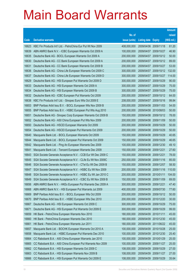|       |                                                              |               |                            |                       | <b>Amount</b> |
|-------|--------------------------------------------------------------|---------------|----------------------------|-----------------------|---------------|
|       |                                                              | No. of        |                            |                       | raised        |
| Code  | <b>Derivative warrants</b>                                   | issue (units) | <b>Listing date Expiry</b> |                       | (HK\$ mil.)   |
| 16623 | KBC Fin Products Int'l Ltd. - PetroChina Eur Put Wt Nov 2009 | 408,000,000   | 2009/04/06 2009/11/18      |                       | 61.20         |
| 16639 | ABN AMRO Bank N.V. - ICBC European Warrants Oct 2009 A       | 100,000,000   | 2009/04/07 2009/10/27      |                       | 46.90         |
| 16635 | Deutsche Bank AG - BOCL European Warrants Oct 2009 A         | 200,000,000   | 2009/04/07                 | 2009/10/12            | 50.00         |
| 16630 | Deutsche Bank AG - CC Bank European Warrants Oct 2009 A      | 200,000,000   |                            | 2009/04/07 2009/10/12 | 89.00         |
| 16631 | Deutsche Bank AG - CC Bank European Warrants Oct 2009 B      | 200,000,000   |                            | 2009/04/07 2009/10/27 | 53.00         |
| 16636 | Deutsche Bank AG - China Life European Warrants Oct 2009 C   | 300,000,000   |                            | 2009/04/07 2009/10/12 | 132.00        |
| 16637 | Deutsche Bank AG - China Life European Warrants Oct 2009 D   | 300,000,000   | 2009/04/07                 | 2009/10/27            | 114.00        |
| 16629 | Deutsche Bank AG - HSI European Put Warrants Oct 2009 D      | 300,000,000   | 2009/04/07 2009/10/29      |                       | 90.00         |
| 16633 | Deutsche Bank AG - HSI European Warrants Oct 2009 A          | 300,000,000   |                            | 2009/04/07 2009/10/29 | 75.00         |
| 16634 | Deutsche Bank AG - HSI European Warrants Oct 2009 B          | 300,000,000   |                            | 2009/04/07 2009/10/29 | 75.00         |
| 16632 | Deutsche Bank AG - ICBC European Put Warrants Oct 2009       | 200,000,000   | 2009/04/07                 | 2009/10/12            | 64.00         |
| 16638 | KBC Fin Products Int'l Ltd. - Sinopec Euro Wts Oct 2009 E    | 208,000,000   |                            | 2009/04/07 2009/10/16 | 99.84         |
| 16653 | BNP Paribas Arbit Issu B.V. - BOCL European Wts Nov 2009 B   | 200,000,000   |                            | 2009/04/08 2009/11/03 | 54.00         |
| 16655 | BNP Paribas Arbit Issu B.V. - HSBC European Put Wts Aug 2010 | 200,000,000   |                            | 2009/04/08 2010/08/03 | 50.00         |
| 16651 | Deutsche Bank AG - Sinopec Corp European Warrants Oct 2009 B | 150,000,000   | 2009/04/08                 | 2009/10/12            | 78.00         |
| 16652 | Deutsche Bank AG - A50 China European Put Wts Nov 2009       | 200,000,000   | 2009/04/08 2009/11/09      |                       | 50.00         |
| 16650 | Deutsche Bank AG - HSCEI European Warrants Oct 2009          | 200,000,000   |                            | 2009/04/08 2009/10/29 | 50.00         |
| 16654 | Deutsche Bank AG - HSCEI European Put Warrants Oct 2009      | 200,000,000   |                            | 2009/04/08 2009/10/29 | 50.00         |
| 16640 | Macquarie Bank Ltd. - BOCL European Warrants Oct 2009        | 150,000,000   | 2009/04/08                 | 2009/10/29            | 40.65         |
| 16644 | Macquarie Bank Ltd. - BOCL European Put Warrants Oct 2009    | 150,000,000   |                            | 2009/04/08 2009/10/29 | 46.65         |
| 16642 | Macquarie Bank Ltd. - Ping An European Warrants Dec 2009     | 100,000,000   |                            | 2009/04/08 2009/12/30 | 49.10         |
| 16641 | Macquarie Bank Ltd. - Tencent European Warrants Dec 2009     | 150,000,000   | 2009/04/08 2009/12/21      |                       | 27.60         |
| 16643 | SGA Societe Generale Acceptance N.V. - CCB Eur Wt Dec 2009 C | 150,000,000   | 2009/04/08                 | 2009/12/21            | 78.00         |
| 16645 | SGA Societe Generale Acceptance N.V. - CLife Eu Wt Nov 2009C | 250,000,000   |                            | 2009/04/08 2009/11/16 | 85.00         |
| 16646 | SGA Societe Generale Acceptance N.V. - CTel Eu Wt Dec 2009 B | 150,000,000   | 2009/04/08 2009/12/07      |                       | 58.50         |
| 16647 | SGA Societe Generale Acceptance N.V. - HSBC Eu Wt Nov 2009   | 200,000,000   | 2009/04/08 2009/11/16      |                       | 110.00        |
| 16648 | SGA Societe Generale Acceptance N.V. - HSBC Eu Wt Jan 2010 C | 200,000,000   | 2009/04/08 2010/01/11      |                       | 104.00        |
| 16649 | SGA Societe Generale Acceptance N.V. - ICBC Eu Wt Nov 2009 B | 150,000,000   | 2009/04/08 2009/11/09      |                       | 69.00         |
| 16656 | ABN AMRO Bank N.V. - HKEx European Put Warrants Dec 2009 A   | 300,000,000   | 2009/04/09                 | 2009/12/21            | 47.40         |
| 16668 | ABN AMRO Bank N.V. - HSI European Put Warrants Jul 2009      | 400,000,000   | 2009/04/09                 | 2009/07/30            | 77.60         |
| 16669 | BNP Paribas Arbit Issu B.V. - BOCL European Wts Oct 2009     | 200,000,000   | 2009/04/09                 | 2009/10/12            | 50.00         |
| 16670 | BNP Paribas Arbit Issu B.V. - HSBC European Wts Dec 2010     | 200,000,000   | 2009/04/09                 | 2010/12/20            | 30.00         |
| 16667 | Deutsche Bank AG - HSI European Warrants Oct 2009 C          | 300,000,000   | 2009/04/09                 | 2009/10/29            | 75.00         |
| 16671 | Deutsche Bank AG - HSI European Put Warrants Oct 2009 E      | 300,000,000   | 2009/04/09                 | 2009/10/29            | 99.00         |
| 16659 | HK Bank - PetroChina European Warrants Nov 2010              | 180,000,000   | 2009/04/09                 | 2010/11/11            | 45.00         |
| 16660 | HK Bank - PetroChina European Warrants Dec 2010              | 180,000,000   | 2009/04/09 2010/12/30      |                       | 45.00         |
| 16661 | HK Bank - PetroChina European Warrants Jun 2011              | 180,000,000   | 2009/04/09                 | 2011/06/22            | 45.00         |
| 16657 | Macquarie Bank Ltd. - BOCHK European Warrants Oct 2010 A     | 100,000,000   | 2009/04/09                 | 2010/10/28            | 25.00         |
| 16658 | Macquarie Bank Ltd. - HSBC European Put Warrants Dec 2010    | 100,000,000   | 2009/04/09                 | 2010/12/30            | 25.40         |
| 16664 | CC Rabobank B.A. - A50 China European Warrants Jan 2010      | 100,000,000   | 2009/04/09                 | 2010/01/29            | 25.00         |
| 16665 | CC Rabobank B.A. - A50 China European Put Warrants Nov 2009  | 100,000,000   | 2009/04/09                 | 2009/11/27            | 25.00         |
| 16662 | CC Rabobank B.A. - HSI European Warrants Oct 2009 C          | 108,000,000   | 2009/04/09                 | 2009/10/29            | 27.00         |
| 16663 | CC Rabobank B.A. - HSI European Warrants Nov 2009 B          | 108,000,000   | 2009/04/09                 | 2009/11/27            | 27.00         |
| 16666 | CC Rabobank B.A. - HSI European Put Warrants Oct 2009 E      | 108,000,000   | 2009/04/09 2009/10/29      |                       | 35.64         |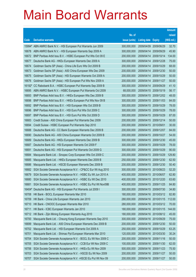|        |                                                                |               |                            |                       | <b>Amount</b> |
|--------|----------------------------------------------------------------|---------------|----------------------------|-----------------------|---------------|
|        |                                                                | No. of        |                            |                       | raised        |
| Code   | <b>Derivative warrants</b>                                     | issue (units) | <b>Listing date Expiry</b> |                       | (HK\$ mil.)   |
|        | 15994# ABN AMRO Bank N.V. - HSI European Put Warrants Jun 2009 | 300,000,000   | 2009/04/09                 | 2009/06/29            | 32.70         |
| 16678  | ABN AMRO Bank N.V. - HSI European Warrants Sep 2009 A          | 300,000,000   | 2009/04/14                 | 2009/09/29            | 45.90         |
| 16672  | BNP Paribas Arbit Issu B.V. - HSBC European Put Wts Oct 09 E   | 200,000,000   | 2009/04/14                 | 2009/10/14            | 134.00        |
| 16677  | Deutsche Bank AG - HKEx European Warrants Dec 2009 A           | 300,000,000   | 2009/04/14                 | 2009/12/28            | 75.00         |
| 16674  | Goldman Sachs SP (Asia) - China Life Euro Wts Oct 2009 B       | 200,000,000   |                            | 2009/04/14 2009/10/29 | 68.00         |
| 16673  | Goldman Sachs SP (Asia) - A50 China European Wts Dec 2009      | 200,000,000   | 2009/04/14                 | 2009/12/30            | 50.00         |
| 16675  | Goldman Sachs SP (Asia) - HSI European Warrants Oct 2009 A     | 200,000,000   | 2009/04/14                 | 2009/10/29            | 50.00         |
| 16676  | Goldman Sachs SP (Asia) - HSI European Put Wts Nov 2009 A      | 200,000,000   | 2009/04/14                 | 2009/11/27            | 50.00         |
| 16192# | CC Rabobank B.A. - HSBC European Put Warrants Sep 2009 B       | 300,000,000   |                            | 2009/04/14 2009/09/29 | 41.10         |
| 16695  | ABN AMRO Bank N.V. - HSBC European Put Warrants Oct 2009       | 68,000,000    | 2009/04/15                 | 2009/10/19            | 56.17         |
| 16693  | BNP Paribas Arbit Issu B.V. - HKEx European Wts Dec 2009 B     | 300,000,000   | 2009/04/15                 | 2009/12/02            | 48.00         |
| 16698  | BNP Paribas Arbit Issu B.V. - HKEx European Put Wts Nov 09 B   | 300,000,000   | 2009/04/15                 | 2009/11/03            | 84.00         |
| 16692  | BNP Paribas Arbit Issu B.V. - HSI European Wts Oct 2009 B      | 300,000,000   | 2009/04/15                 | 2009/10/29            | 78.00         |
| 16696  | BNP Paribas Arbit Issu B.V. - HSI Euro Put Wts Oct 2009 C      | 300,000,000   | 2009/04/15                 | 2009/10/29            | 78.00         |
| 16697  | BNP Paribas Arbit Issu B.V. - HSI Euro Put Wts Oct 2009 D      | 300,000,000   | 2009/04/15                 | 2009/10/29            | 87.00         |
| 16683  | Credit Suisse - A50 China European Put Warrants Dec 2009       | 200,000,000   | 2009/04/15                 | 2009/12/14            | 50.00         |
| 16694  | Credit Suisse - HSBC European Put Warrants Sep 2010            | 200,000,000   | 2009/04/15                 | 2010/09/01            | 30.00         |
| 16688  | Deutsche Bank AG - CC Bank European Warrants Dec 2009 B        | 200,000,000   | 2009/04/15                 | 2009/12/07            | 84.00         |
| 16690  | Deutsche Bank AG - A50 China European Warrants Oct 2009 B      | 200,000,000   | 2009/04/15                 | 2009/10/27            | 54.00         |
| 16689  | Deutsche Bank AG - HKEx European Warrants Dec 2009 B           | 300,000,000   | 2009/04/15                 | 2009/12/30            | 45.00         |
| 16687  | Deutsche Bank AG - HSI European Warrants Oct 2009 F            | 300,000,000   | 2009/04/15                 | 2009/10/29            | 78.00         |
| 16691  | Deutsche Bank AG - HSI European Put Warrants Oct 2009 G        | 300,000,000   | 2009/04/15                 | 2009/10/29            | 90.00         |
| 16684  | Macquarie Bank Ltd. - Sinopec Corp European Wts Oct 2009 C     | 200,000,000   | 2009/04/15                 | 2009/10/29            | 129.80        |
| 16685  | Macquarie Bank Ltd. - HKEx European Warrants Dec 2009 B        | 250,000,000   | 2009/04/15                 | 2009/12/30            | 62.50         |
| 16686  | Macquarie Bank Ltd. - HSCEI European Warrants Dec 2009 B       | 200,000,000   | 2009/04/15                 | 2009/12/30            | 50.40         |
| 16682  | SGA Societe Generale Acceptance N.V. - CP&CC Eur Wt Aug 2010   | 300,000,000   | 2009/04/15                 | 2010/08/23            | 52.20         |
| 16679  | SGA Societe Generale Acceptance N.V. - HSBC Eu Wt Jun 2010 A   | 400,000,000   | 2009/04/15                 | 2010/06/07            | 62.80         |
| 16680  | SGA Societe Generale Acceptance N.V. - HSBC Eu Wt Dec 2010     | 400,000,000   |                            | 2009/04/15 2010/12/20 | 63.60         |
| 16681  | SGA Societe Generale Acceptance N.V. - HSBC Eu Put Wt Nov09B   | 400,000,000   | 2009/04/15                 | 2009/11/25            | 84.80         |
| 16404# | Deutsche Bank AG - HSI European Put Warrants Jul 2009 I        | 300,000,000   | 2009/04/15                 | 2009/07/30            | 34.80         |
| 16708  | HK Bank - BOCL European Warrants Mar 2010                      | 180,000,000   | 2009/04/16                 | 2010/03/12            | 82.80         |
| 16709  | HK Bank - China Life European Warrants Jan 2010                | 280,000,000   | 2009/04/16                 | 2010/01/15            | 112.00        |
| 16710  | HK Bank - CNOOC European Warrants Mar 2010                     | 280,000,000   | 2009/04/16                 | 2010/03/12            | 70.00         |
| 16711  | HK Bank - ICBC European Warrants Jan 2010                      | 180,000,000   | 2009/04/16                 | 2010/01/15            | 144.00        |
| 16712  | HK Bank - Zijin Mining European Warrants Aug 2010              | 180,000,000   | 2009/04/16                 | 2010/08/12            | 45.00         |
| 16700  | Macquarie Bank Ltd. - Cheung Kong European Warrants Sep 2010   | 300,000,000   | 2009/04/16                 | 2010/09/29            | 75.00         |
| 16699  | Macquarie Bank Ltd. - A50 China European Warrants Dec 2009 B   | 200,000,000   | 2009/04/16                 | 2009/12/30            | 50.00         |
| 16702  | Macquarie Bank Ltd. - HSI European Warrants Oct 2009 A         | 250,000,000   | 2009/04/16                 | 2009/10/29            | 63.25         |
| 16701  | Macquarie Bank Ltd. - Shimao Ppt European Warrants Mar 2010    | 120,000,000   | 2009/04/16                 | 2010/03/30            | 30.24         |
| 16704  | SGA Societe Generale Acceptance N.V. - BOCL Eu Wt Nov 2009 C   | 200,000,000   | 2009/04/16                 | 2009/11/16            | 50.00         |
| 16705  | SGA Societe Generale Acceptance N.V. - CCB Eur Wt Nov 2009 C   | 100,000,000   | 2009/04/16                 | 2009/11/30            | 62.00         |
| 16706  | SGA Societe Generale Acceptance N.V. - HKEx Eu Wt Nov 2009     | 500,000,000   | 2009/04/16                 | 2009/11/23            | 75.50         |
| 16703  | SGA Societe Generale Acceptance N.V. - HSCEI Eu Wt Nov 2009    | 200,000,000   | 2009/04/16                 | 2009/11/27            | 50.00         |
| 16707  | SGA Societe Generale Acceptance N.V. - HSCEI Eu Put Wt Nov 09  | 200,000,000   | 2009/04/16                 | 2009/11/27            | 50.00         |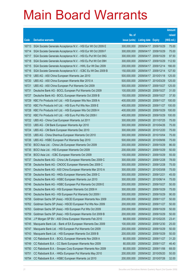|                |                                                                                                                |                            |                            |                          | <b>Amount</b>  |
|----------------|----------------------------------------------------------------------------------------------------------------|----------------------------|----------------------------|--------------------------|----------------|
|                |                                                                                                                | No. of                     |                            |                          | raised         |
| Code           | <b>Derivative warrants</b>                                                                                     | issue (units)              | <b>Listing date Expiry</b> |                          | (HK\$ mil.)    |
| 16713          | SGA Societe Generale Acceptance N.V. - HSI Eur Wt Oct 2009 E                                                   | 300,000,000                | 2009/04/17                 | 2009/10/29               | 75.00          |
| 16714          | SGA Societe Generale Acceptance N.V. - HSI Eur Wt Oct 2009 F                                                   | 300,000,000                | 2009/04/17                 | 2009/10/29               | 75.00          |
| 16717          | SGA Societe Generale Acceptance N.V. - HSI Eu Put Wt Oct 09G                                                   | 300,000,000                | 2009/04/17                 | 2009/10/29               | 97.50          |
| 16718          | SGA Societe Generale Acceptance N.V. - HSI Eu Put Wt Oct 09H                                                   | 300,000,000                | 2009/04/17                 | 2009/10/29               | 112.50         |
| 16715          | SGA Societe Generale Acceptance N.V. - HWL Eur Wt Dec 2009                                                     | 200,000,000                | 2009/04/17                 | 2009/12/14               | 166.00         |
| 16716          | SGA Societe Generale Acceptance N.V. - ICBC Eu Wt Dec 2009 B                                                   | 150,000,000                | 2009/04/17                 | 2009/12/14               | 127.50         |
| 16719          | UBS AG - A50 China European Warrants Jan 2010                                                                  | 500,000,000                | 2009/04/17                 | 2010/01/18               | 125.00         |
| 16720          | UBS AG - A50 China European Warrants Mar 2010 A                                                                | 500,000,000                |                            | 2009/04/17 2010/03/29    | 125.00         |
| 16721          | UBS AG - A50 China European Put Warrants Oct 2009                                                              | 500,000,000                | 2009/04/17                 | 2009/10/27               | 125.00         |
| 16731          | Deutsche Bank AG - BOCL European Put Warrants Oct 2009                                                         | 100,000,000                | 2009/04/20 2009/10/27      |                          | 31.00          |
| 16727          | Deutsche Bank AG - BOCL European Warrants Oct 2009 B                                                           | 150,000,000                | 2009/04/20 2009/10/27      |                          | 37.50          |
| 16729          | KBC Fin Products Int'l Ltd. - HSI European Wts Nov 2009 A                                                      | 400,000,000                |                            | 2009/04/20 2009/11/27    | 100.00         |
| 16733          | KBC Fin Products Int'l Ltd. - HSI Euro Put Wts Nov 2009 E                                                      | 400,000,000                | 2009/04/20 2009/11/27      |                          | 100.00         |
| 16728          | KBC Fin Products Int'l Ltd. - HSI European Wts Oct 2009 H                                                      | 400,000,000                |                            | 2009/04/20 2009/10/29    | 100.00         |
| 16732          | KBC Fin Products Int'l Ltd. - HSI Euro Put Wts Oct 2009 I                                                      | 400,000,000                | 2009/04/20                 | 2009/10/29               | 100.00         |
| 16722          | UBS AG - China Coal European Warrants Jul 2011                                                                 | 300,000,000                |                            | 2009/04/20 2011/07/25    | 75.00          |
| 16723          | UBS AG - CM Bank European Warrants Apr 2010                                                                    | 300,000,000                |                            | 2009/04/20 2010/04/26    | 75.00          |
| 16724          | UBS AG - CM Bank European Warrants Dec 2010                                                                    | 300,000,000                |                            | 2009/04/20 2010/12/20    | 75.00          |
| 16725          | UBS AG - China Shenhua European Warrants Oct 2010                                                              | 300,000,000                | 2009/04/20                 | 2010/10/04               | 75.00          |
| 16726          | UBS AG - HSBC European Put Warrants Sep 2010                                                                   | 500,000,000                |                            | 2009/04/20 2010/09/06    | 75.00          |
| 16730          | BOCI Asia Ltd. - China Life European Warrants Oct 2009                                                         | 200,000,000                | 2009/04/21                 | 2009/10/29               | 86.00          |
| 16735          | BOCI Asia Ltd. - HSI European Warrants Oct 2009                                                                | 200,000,000                | 2009/04/21                 | 2009/10/29               | 50.00<br>55.00 |
| 16734<br>16737 | BOCI Asia Ltd. - ICBC European Warrants Oct 2009<br>Deutsche Bank AG - China Life European Warrants Dec 2009 C | 100,000,000<br>300,000,000 | 2009/04/21<br>2009/04/21   | 2009/10/29<br>2009/12/28 | 78.00          |
| 16738          | Deutsche Bank AG - CNOOC European Warrants Dec 2009 C                                                          | 300,000,000                | 2009/04/21                 | 2009/12/28               | 75.00          |
| 16741          | Deutsche Bank AG - A50 China European Warrants Mar 2010 A                                                      | 300,000,000                | 2009/04/21                 | 2010/03/08               | 75.00          |
| 16739          | Deutsche Bank AG - HKEx European Warrants Dec 2009 C                                                           | 300,000,000                | 2009/04/21                 | 2009/12/21               | 45.00          |
| 16742          | Deutsche Bank AG - HSBC European Warrants Jun 2010                                                             | 300,000,000                | 2009/04/21                 | 2010/06/14               | 75.00          |
| 16746          | Deutsche Bank AG - HSBC European Put Warrants Oct 2009 E                                                       | 200,000,000                | 2009/04/21                 | 2009/10/27               | 50.00          |
| 16736          | Deutsche Bank AG - HSI European Warrants Oct 2009 H                                                            | 300,000,000                | 2009/04/21                 | 2009/10/29               | 75.00          |
| 16740          | Deutsche Bank AG - HSI European Put Warrants Oct 2009 I                                                        | 300,000,000                | 2009/04/21                 | 2009/10/29               | 90.00          |
| 16758          | Goldman Sachs SP (Asia) - HSCEI European Warrants Nov 2009                                                     | 200,000,000                | 2009/04/22 2009/11/27      |                          | 50.00          |
| 16762          | Goldman Sachs SP (Asia) - HSCEI European Put Wts Nov 2009                                                      | 200,000,000                | 2009/04/22 2009/11/27      |                          | 50.00          |
| 16763          | Goldman Sachs SP (Asia) - HSI European Put Wts Oct 2009                                                        | 200,000,000                | 2009/04/22 2009/10/29      |                          | 50.00          |
| 16759          | Goldman Sachs SP (Asia) - HSI European Warrants Oct 2009 B                                                     | 200,000,000                | 2009/04/22 2009/10/29      |                          | 50.00          |
| 16744          | J P Morgan SP BV - A50 China European Warrants Feb 2010                                                        | 88,000,000                 | 2009/04/22 2010/02/25      |                          | 23.41          |
| 16745          | Macquarie Bank Ltd. - Bank of EA European Warrants Dec 2009                                                    | 100,000,000                | 2009/04/22 2009/12/30      |                          | 25.00          |
| 16747          | Macquarie Bank Ltd. - HSI European Put Warrants Oct 2009                                                       | 200,000,000                | 2009/04/22 2009/10/29      |                          | 50.00          |
| 16743          | Macquarie Bank Ltd. - HSI European Warrants Oct 2009 B                                                         | 200,000,000                | 2009/04/22 2009/10/29      |                          | 50.00          |
| 16748          | CC Rabobank B.A. - BOCL European Warrants Nov 2009 A                                                           | 80,000,000                 | 2009/04/22 2009/11/27      |                          | 31.20          |
| 16749          | CC Rabobank B.A. - CC Bank European Warrants Nov 2009                                                          | 80,000,000                 | 2009/04/22 2009/11/27      |                          | 46.40          |
| 16750          | CC Rabobank B.A. - Sinopec Corp European Warrants Nov 2009                                                     | 80,000,000                 | 2009/04/22 2009/11/06      |                          | 68.00          |
| 16751          | CC Rabobank B.A. - HKEx European Put Warrants May 2010                                                         | 200,000,000                | 2009/04/22 2010/05/20      |                          | 50.00          |
| 16754          | CC Rabobank B.A. - HSBC European Warrants Jul 2010                                                             | 200,000,000                | 2009/04/22 2010/07/26      |                          | 32.00          |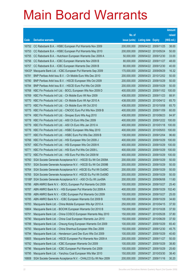|        |                                                                   |               |                            |                       | <b>Amount</b> |
|--------|-------------------------------------------------------------------|---------------|----------------------------|-----------------------|---------------|
|        |                                                                   | No. of        |                            |                       | raised        |
| Code   | <b>Derivative warrants</b>                                        | issue (units) | <b>Listing date Expiry</b> |                       | (HK\$ mil.)   |
| 16752  | CC Rabobank B.A. - HSBC European Put Warrants Nov 2009            | 200,000,000   | 2009/04/22 2009/11/25      |                       | 38.00         |
| 16753  | CC Rabobank B.A. - HSBC European Put Warrants May 2010            | 200,000,000   | 2009/04/22 2010/05/24      |                       | 50.00         |
| 16755  | CC Rabobank B.A. - Hutchison European Warrants Dec 2009 A         | 50,000,000    |                            | 2009/04/22 2009/12/30 | 33.00         |
| 16756  | CC Rabobank B.A. - ICBC European Warrants Nov 2009 B              | 80,000,000    |                            | 2009/04/22 2009/11/27 | 48.00         |
| 16757  | CC Rabobank B.A. - ICBC European Warrants Dec 2009 B              | 80,000,000    |                            | 2009/04/22 2009/12/30 | 40.00         |
| 16433# | Macquarie Bank Ltd. - ICBC European Put Warrants Sep 2009         | 170,000,000   |                            | 2009/04/22 2009/09/29 | 16.32         |
| 16781  | BNP Paribas Arbit Issu B.V. - Ch Mobile Euro Wts Dec 2010         | 200,000,000   | 2009/04/23                 | 2010/12/02            | 50.00         |
| 16780  | BNP Paribas Arbit Issu B.V. - HSCEI European Wts Oct 2009         | 200,000,000   | 2009/04/23 2009/10/29      |                       | 50.00         |
| 16784  | BNP Paribas Arbit Issu B.V. - HSCEI Euro Put Wts Oct 2009         | 200,000,000   |                            | 2009/04/23 2009/10/29 | 50.00         |
| 16768  | KBC Fin Products Int'l Ltd. - BOCL European Wts Nov 2009 D        | 400,000,000   |                            | 2009/04/23 2009/11/02 | 100.00        |
| 16769  | KBC Fin Products Int'l Ltd. - Ch Mobile Euro Wt Nov 2009          | 438,000,000   | 2009/04/23 2009/11/23      |                       | 88.91         |
| 16770  | KBC Fin Products Int'l Ltd. - Ch Mobile Euro Wt Apr 2010 A        | 438,000,000   |                            | 2009/04/23 2010/04/12 | 65.70         |
| 16773  | KBC Fin Products Int'l Ltd. - Ch Mobile Euro Wt Oct 2010          | 438,000,000   |                            | 2009/04/23 2010/10/08 | 65.70         |
| 16775  | KBC Fin Products Int'l Ltd. - CNOOC Euro Put Wts Nov 2009 B       | 400,000,000   |                            | 2009/04/23 2009/11/09 | 60.00         |
| 16774  | KBC Fin Products Int'l Ltd. - Sinopec Euro Wts Aug 2010           | 438,000,000   | 2009/04/23                 | 2010/08/23            | 84.97         |
| 16778  | KBC Fin Products Int'l Ltd. - A50 Ch Euro Wts Dec 2009            | 400,000,000   |                            | 2009/04/23 2009/12/22 | 100.00        |
| 16779  | KBC Fin Products Int'l Ltd. - A50 Ch Euro Wts Jan 2010 A          | 400,000,000   |                            | 2009/04/23 2010/01/18 | 100.00        |
| 16776  | KBC Fin Products Int'l Ltd. - HSBC European Wts May 2010          | 400,000,000   |                            | 2009/04/23 2010/05/03 | 100.00        |
| 16777  | KBC Fin Products Int'l Ltd. - HSBC Euro Put Wts Dec 2009 B        | 138,000,000   | 2009/04/23                 | 2009/12/04            | 96.60         |
| 16766  | KBC Fin Products Int'l Ltd. - HSI European Wts Oct 2009 J         | 400,000,000   |                            | 2009/04/23 2009/10/29 | 100.00        |
| 16767  | KBC Fin Products Int'l Ltd. - HSI European Wts Oct 2009 K         | 400,000,000   | 2009/04/23                 | 2009/10/29            | 100.00        |
| 16771  | KBC Fin Products Int'l Ltd. - HSI Euro Put Wts Oct 2009 L         | 400,000,000   |                            | 2009/04/23 2009/10/29 | 100.00        |
| 16772  | KBC Fin Products Int'l Ltd. - HSI Euro Put Wts Oct 2009 M         | 400,000,000   | 2009/04/23                 | 2009/10/29            | 100.00        |
| 16760  | SGA Societe Generale Acceptance N.V. - HSCEI Eu Wt Oct 2009A      | 200,000,000   | 2009/04/23 2009/10/29      |                       | 50.00         |
| 16761  | SGA Societe Generale Acceptance N.V. - HSCEI Eu Wt Oct 2009B      | 200,000,000   | 2009/04/23 2009/10/29      |                       | 50.00         |
| 16764  | SGA Societe Generale Acceptance N.V. - HSCEI Eu Put Wt Oct09C     | 200,000,000   | 2009/04/23 2009/10/29      |                       | 50.00         |
| 16765  | SGA Societe Generale Acceptance N.V. - HSCEI Eu Put Wt Oct09D     | 200,000,000   | 2009/04/23                 | 2009/10/29            | 50.00         |
|        | 15188# SGA Societe Generale Acceptance N.V. - A50 Ch Eu Wt Jun09A | 200,000,000   | 2009/04/23 2009/06/08      |                       | 11.60         |
| 16786  | ABN AMRO Bank N.V. - BOCL European Put Warrants Oct 2009          | 100,000,000   | 2009/04/24                 | 2009/10/27            | 25.40         |
| 16787  | ABN AMRO Bank N.V. - HSI European Put Warrants Oct 2009 A         | 400,000,000   | 2009/04/24                 | 2009/10/29            | 102.40        |
| 16789  | ABN AMRO Bank N.V. - ICBC European Put Warrants Oct 2009          | 100,000,000   | 2009/04/24                 | 2009/10/27            | 25.00         |
| 16785  | ABN AMRO Bank N.V. - ICBC European Warrants Oct 2009 B            | 100,000,000   | 2009/04/24                 | 2009/10/29            | 34.60         |
| 16783  | Macquarie Bank Ltd. - China Mobile European Wts Apr 2010 A        | 250,000,000   | 2009/04/24                 | 2010/04/15            | 37.50         |
| 16804  | Macquarie Bank Ltd. - BOCHK European Warrants Oct 2010 B          | 150,000,000   | 2009/04/27                 | 2010/10/28            | 37.50         |
| 16791  | Macquarie Bank Ltd. - China COSCO European Warrants May 2010      | 150,000,000   | 2009/04/27                 | 2010/05/28            | 37.80         |
| 16790  | Macquarie Bank Ltd. - China Coal European Warrants Jun 2010       | 150,000,000   | 2009/04/27                 | 2010/06/29            | 37.50         |
| 16788  | Macquarie Bank Ltd. - Cheung Kong European Warrants Oct 2009      | 100,000,000   | 2009/04/27                 | 2009/10/29            | 65.40         |
| 16793  | Macquarie Bank Ltd. - China Shenhua European Wts Dec 2009         | 150,000,000   | 2009/04/27                 | 2009/12/30            | 45.75         |
| 16794  | Macquarie Bank Ltd. - Henderson Land Dev Euro Wts Oct 2009        | 100,000,000   | 2009/04/27                 | 2009/10/29            | 40.60         |
| 16805  | Macquarie Bank Ltd. - HSCEI European Put Warrants Nov 2009 A      | 200,000,000   | 2009/04/27                 | 2009/11/27            | 50.00         |
| 16792  | Macquarie Bank Ltd. - ICBC European Warrants Oct 2009             | 100,000,000   | 2009/04/27                 | 2009/10/29            | 38.80         |
| 16796  | Macquarie Bank Ltd. - ICBC European Put Warrants Oct 2009         | 100,000,000   | 2009/04/27                 | 2009/10/29            | 25.60         |
| 16795  | Macquarie Bank Ltd. - Yanzhou Coal European Wts Mar 2010          | 150,000,000   | 2009/04/27                 | 2010/03/30            | 38.40         |
| 16808  | SGA Societe Generale Acceptance N.V. - CHALCO Eu Wt Nov 2009      | 200,000,000   | 2009/04/27                 | 2009/11/16            | 30.20         |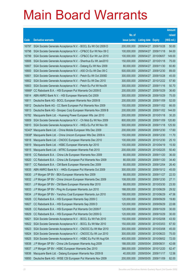|        |                                                              |               |                       |               | <b>Amount</b> |
|--------|--------------------------------------------------------------|---------------|-----------------------|---------------|---------------|
|        |                                                              | No. of        |                       |               | raised        |
| Code   | <b>Derivative warrants</b>                                   | issue (units) | <b>Listing date</b>   | <b>Expiry</b> | (HK\$ mil.)   |
| 16797  | SGA Societe Generale Acceptance N.V. - BOCL Eu Wt Oct 2009 D | 200,000,000   | 2009/04/27 2009/10/28 |               | 50.00         |
| 16798  | SGA Societe Generale Acceptance N.V. - CP&CC Eur Wt Nov 09 C | 100,000,000   | 2009/04/27 2009/11/18 |               | 84.00         |
| 16799  | SGA Societe Generale Acceptance N.V. - CP&CC Eur Wt Jun 2010 | 100,000,000   | 2009/04/27            | 2010/06/07    | 149.00        |
| 16806  | SGA Societe Generale Acceptance N.V. - Shenhua Eu Wt Jan2010 | 150,000,000   | 2009/04/27 2010/01/18 |               | 75.00         |
| 16807  | SGA Societe Generale Acceptance N.V. - Datang Eu Wt Nov 2009 | 80,000,000    | 2009/04/27            | 2009/11/30    | 60.80         |
| 16800  | SGA Societe Generale Acceptance N.V. - A50 Ch Eu Wt Dec 09 C | 500,000,000   | 2009/04/27            | 2009/12/30    | 89.00         |
| 16801  | SGA Societe Generale Acceptance N.V. - Petch Eu Wt Oct 2009D | 300,000,000   | 2009/04/27            | 2009/10/28    | 45.00         |
| 16802  | SGA Societe Generale Acceptance N.V. - Petch Eu Wt Dec 2010  | 300,000,000   | 2009/04/27            | 2010/12/22    | 57.90         |
| 16803  | SGA Societe Generale Acceptance N.V. - Petch Eu Put Wt Nov09 | 300,000,000   | 2009/04/27            | 2009/11/16    | 50.70         |
| 16666# | CC Rabobank B.A. - HSI European Put Warrants Oct 2009 E      | 200,000,000   | 2009/04/27            | 2009/10/29    | 36.60         |
| 16814  | ABN AMRO Bank N.V. - HSI European Warrants Oct 2009          | 300,000,000   | 2009/04/28            | 2009/10/29    | 75.00         |
| 16811  | Deutsche Bank AG - BOCL European Warrants Nov 2009 B         | 200,000,000   | 2009/04/28            | 2009/11/09    | 52.00         |
| 16812  | Deutsche Bank AG - CC Bank European Put Warrants Nov 2009    | 150,000,000   | 2009/04/28            | 2009/11/02    | 66.00         |
| 16813  | Deutsche Bank AG - Sinopec Corp European Warrants Nov 2009 B | 200,000,000   | 2009/04/28            | 2009/11/02    | 144.00        |
| 16782  | Macquarie Bank Ltd. - Huaneng Power European Wts Jan 2010    | 200,000,000   | 2009/04/28            | 2010/01/18    | 30.20         |
| 16809  | SGA Societe Generale Acceptance N.V. - Ch Mob Eu Wt Nov 2009 | 800,000,000   | 2009/04/28            | 2009/11/09    | 120.80        |
| 16810  | SGA Societe Generale Acceptance N.V. - HKEx Eu Put Wt Nov 09 | 500,000,000   | 2009/04/28            | 2009/11/18    | 125.50        |
| 16343# | Macquarie Bank Ltd. - China Mobile European Wts Dec 2009     | 200,000,000   | 2009/04/28            | 2009/12/30    | 17.60         |
| 15838# | Macquarie Bank Ltd. - China Unicom European Wts Dec 2009 A   | 150,000,000   | 2009/04/28            | 2009/12/30    | 11.70         |
| 16818  | Macquarie Bank Ltd. - CNOOC European Warrants Dec 2010       | 100,000,000   | 2009/04/29            | 2010/12/30    | 25.10         |
| 16819  | Macquarie Bank Ltd. - HSBC European Warrants Apr 2010        | 100,000,000   | 2009/04/29            | 2010/04/19    | 15.50         |
| 16815  | Macquarie Bank Ltd. - MTRC European Warrants Feb 2010        | 200,000,000   | 2009/04/29            | 2010/02/25    | 50.40         |
| 16816  | CC Rabobank B.A. - China Life European Warrants Nov 2009     | 80,000,000    | 2009/04/29            | 2009/11/20    | 36.00         |
| 16820  | CC Rabobank B.A. - China Life European Put Warrants Nov 2009 | 80,000,000    | 2009/04/29            | 2009/11/20    | 34.40         |
| 16817  | CC Rabobank B.A. - CM Bank European Warrants Dec 2009        | 80,000,000    | 2009/04/29            | 2009/12/04    | 26.40         |
| 16835  | ABN AMRO Bank N.V. - HKEx European Put Warrants Oct 2009     | 300,000,000   | 2009/04/30            | 2009/10/12    | 45.00         |
| 16830  | J P Morgan SP BV - BEA European Warrants Nov 2009            | 88,000,000    | 2009/04/30            | 2009/11/27    | 22.53         |
| 16832  | J P Morgan SP BV - China Unicom European Warrants Dec 2009   | 108,000,000   | 2009/04/30 2009/12/30 |               | 27.11         |
| 16831  | J P Morgan SP BV - CM Bank European Warrants Mar 2010        | 88,000,000    | 2009/04/30 2010/03/30 |               | 23.50         |
| 16833  | J P Morgan SP BV - Ping An European Warrants Jun 2010        | 188,000,000   | 2009/04/30 2010/06/29 |               | 29.52         |
| 16834  | J P Morgan SP BV - Yanzhou Coal European Warrants Jun 2010   | 188,000,000   | 2009/04/30 2010/06/29 |               | 47.56         |
| 16826  | CC Rabobank B.A. - HSI European Warrants Sep 2009 C          | 120,000,000   | 2009/04/30            | 2009/09/29    | 19.80         |
| 16827  | CC Rabobank B.A. - HSI European Warrants Sep 2009 D          | 120,000,000   | 2009/04/30            | 2009/09/29    | 22.68         |
| 16828  | CC Rabobank B.A. - HSI European Put Warrants Oct 2009 F      | 120,000,000   | 2009/04/30            | 2009/10/29    | 30.00         |
| 16829  | CC Rabobank B.A. - HSI European Put Warrants Oct 2009 G      | 120,000,000   | 2009/04/30            | 2009/10/29    | 30.00         |
| 16821  | SGA Societe Generale Acceptance N.V. - BOCL Eu Wt Feb 2010   | 150,000,000   | 2009/04/30 2010/02/08 |               | 43.50         |
| 16822  | SGA Societe Generale Acceptance N.V. - BOCL Eu Wt Mar 2010   | 150,000,000   | 2009/04/30 2010/03/03 |               | 67.50         |
| 16823  | SGA Societe Generale Acceptance N.V. - CNOOC Eu Wt Mar 2010  | 300,000,000   | 2009/04/30 2010/03/08 |               | 45.00         |
| 16824  | SGA Societe Generale Acceptance N.V. - CNOOC Eu Wt Jun 2010  | 300,000,000   | 2009/04/30 2010/06/23 |               | 75.00         |
| 16825  | SGA Societe Generale Acceptance N.V. - HSBC Eu Put Wt Aug10A | 400,000,000   | 2009/04/30 2010/08/02 |               | 72.00         |
| 16838  | J P Morgan SP BV - China Life European Warrants Aug 2009     | 188,000,000   | 2009/05/04            | 2009/08/31    | 42.68         |
| 16837  | J P Morgan SP BV - HSBC European Warrants Dec 2010           | 388,000,000   | 2009/05/04 2010/12/20 |               | 62.47         |
| 16836  | Macquarie Bank Ltd. - Datang European Warrants Nov 2009 B    | 40,000,000    | 2009/05/04 2009/11/17 |               | 12.56         |
| 16850  | Deutsche Bank AG - WISE CSI European Put Warrants Nov 2009   | 200,000,000   | 2009/05/05 2009/11/09 |               | 82.00         |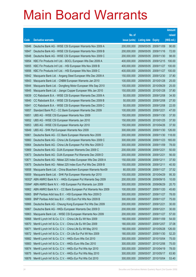|       |                                                                 |               |                       |            | <b>Amount</b> |
|-------|-----------------------------------------------------------------|---------------|-----------------------|------------|---------------|
|       |                                                                 | No. of        |                       |            | raised        |
| Code  | <b>Derivative warrants</b>                                      | issue (units) | Listing date Expiry   |            | (HK\$ mil.)   |
| 16846 | Deutsche Bank AG - WISE CSI European Warrants Nov 2009 A        | 200,000,000   | 2009/05/05            | 2009/11/09 | 90.00         |
| 16847 | Deutsche Bank AG - WISE CSI European Warrants Nov 2009 B        | 200,000,000   | 2009/05/05            | 2009/11/16 | 72.00         |
| 16848 | Deutsche Bank AG - WISE CSI European Warrants Nov 2009 C        | 200,000,000   | 2009/05/05            | 2009/11/30 | 98.00         |
| 16854 | KBC Fin Products Int'l Ltd. - BOCL European Wts Dec 2009 A      | 400,000,000   | 2009/05/05            | 2009/12/15 | 100.00        |
| 16855 | KBC Fin Products Int'l Ltd. - HSI European Wts Nov 2009 B       | 400,000,000   | 2009/05/05            | 2009/11/27 | 100.00        |
| 16856 | KBC Fin Products Int'l Ltd. - HSI European Wts Nov 2009 C       | 400,000,000   | 2009/05/05            | 2009/11/27 | 100.00        |
| 16842 | Macquarie Bank Ltd. - Angang Steel European Wts Dec 2009 A      | 150,000,000   | 2009/05/05            | 2009/12/30 | 37.80         |
| 16843 | Macquarie Bank Ltd. - CNBM European Warrants Jan 2010           | 100,000,000   | 2009/05/05            | 2010/01/28 | 25.00         |
| 16844 | Macquarie Bank Ltd. - Dongfeng Motor European Wts Sep 2010      | 100,000,000   | 2009/05/05            | 2010/09/29 | 25.00         |
| 16845 | Macquarie Bank Ltd. - Jiangxi Copper European Wts Jan 2010      | 150,000,000   | 2009/05/05 2010/01/28 |            | 37.80         |
| 16839 | CC Rabobank B.A. - WISE CSI European Warrants Dec 2009 A        | 50,000,000    | 2009/05/05            | 2009/12/08 | 34.50         |
| 16840 | CC Rabobank B.A. - WISE CSI European Warrants Dec 2009 B        | 50,000,000    | 2009/05/05            | 2009/12/08 | 27.50         |
| 16841 | CC Rabobank B.A. - WISE CSI European Warrants Dec 2009 C        | 50,000,000    | 2009/05/05            | 2009/12/08 | 22.00         |
| 16857 | Standard Bank PLC - CC Bank European Warrants Dec 2009          | 100,000,000   | 2009/05/05            | 2009/12/21 | 47.00         |
| 16851 | UBS AG - WISE CSI European Warrants Nov 2009                    | 150,000,000   | 2009/05/05            | 2009/11/30 | 37.50         |
| 16852 | UBS AG - WISE CSI European Warrants Jan 2010                    | 150,000,000   | 2009/05/05            | 2010/01/25 | 37.50         |
| 16853 | UBS AG - WISE CSI European Warrants Apr 2010                    | 150,000,000   | 2009/05/05            | 2010/04/26 | 37.50         |
| 16849 | UBS AG - SHK Ppt European Warrants Nov 2009                     | 300,000,000   | 2009/05/05            | 2009/11/30 | 126.00        |
| 16861 | Deutsche Bank AG - CC Bank European Warrants Nov 2009           | 200,000,000   | 2009/05/06            | 2009/11/30 | 118.00        |
| 16860 | Deutsche Bank AG - China Life European Warrants Nov 2009 C      | 300,000,000   | 2009/05/06            | 2009/11/23 | 165.00        |
| 16864 | Deutsche Bank AG - China Life European Put Wts Nov 2009 D       | 300,000,000   | 2009/05/06            | 2009/11/09 | 78.00         |
| 10869 | Deutsche Bank AG - DJIA European Warrants Dec 2009 C            | 200,000,000   | 2009/05/06 2009/12/21 |            | 50.00         |
| 10873 | Deutsche Bank AG - DJIA European Put Warrants Dec 2009 D        | 200,000,000   | 2009/05/06            | 2009/12/21 | 56.00         |
| 10871 | Deutsche Bank AG - Nikkei 225 Index European Wts Dec 2009 A     | 150,000,000   | 2009/05/06            | 2009/12/11 | 37.50         |
| 10875 | Deutsche Bank AG - Nikkei 225 Index Euro Put Wts Dec 2009 B     | 150,000,000   | 2009/05/06 2009/12/11 |            | 40.50         |
| 16858 | Macquarie Bank Ltd. - China Bluechem European Warrants Nov09    | 80,000,000    | 2009/05/06            | 2009/11/27 | 37.52         |
| 16859 | Macquarie Bank Ltd. - SHK Ppt European Warrants Apr 2010        | 100,000,000   | 2009/05/06            | 2010/04/29 | 95.30         |
|       | 16002# ABN AMRO Bank N.V. - HKEx European Put Warrants Sep 2009 | 200,000,000   | 2009/05/06 2009/09/15 |            | 10.00         |
|       | 15994# ABN AMRO Bank N.V. - HSI European Put Warrants Jun 2009  | 300,000,000   | 2009/05/06            | 2009/06/29 | 20.70         |
| 16862 | ABN AMRO Bank N.V. - CC Bank European Put Warrants Nov 2009     | 100,000,000   | 2009/05/07            | 2009/11/20 | 45.60         |
| 16865 | BNP Paribas Arbit Issu B.V. - HSI European Wts Nov 2009 D       | 300,000,000   | 2009/05/07            | 2009/11/27 | 78.00         |
| 16869 | BNP Paribas Arbit Issu B.V. - HSI Euro Put Wts Nov 2009 B       | 300,000,000   | 2009/05/07            | 2009/11/27 | 75.00         |
| 16866 | Deutsche Bank AG - Cheung Kong European Put Wts Dec 2009        | 200,000,000   | 2009/05/07            | 2009/12/21 | 30.00         |
| 16867 | Deutsche Bank AG - HKEx European Warrants Dec 2009 D            | 200,000,000   | 2009/05/07            | 2009/12/21 | 30.00         |
| 16863 | Macquarie Bank Ltd. - WISE CSI European Warrants Nov 2009       | 200,000,000   | 2009/05/07            | 2009/11/27 | 57.00         |
| 16868 | Merrill Lynch Int'l & Co. C.V. - China Life Eu Wt Nov 2009      | 180,000,000   | 2009/05/07            | 2009/11/09 | 54.00         |
| 16870 | Merrill Lynch Int'l & Co. C.V. - China Life Eu Wt Dec 2009      | 180,000,000   | 2009/05/07            | 2009/12/07 | 37.08         |
| 16871 | Merrill Lynch Int'l & Co. C.V. - China Life Eu Wt May 2010      | 180,000,000   | 2009/05/07            | 2010/05/28 | 126.00        |
| 16872 | Merrill Lynch Int'l & Co. C.V. - Ch Life Eur Put Wt Nov 2009    | 180,000,000   | 2009/05/07            | 2009/11/30 | 52.20         |
| 16882 | Merrill Lynch Int'l & Co. C.V. - HKEx Euro Wts Oct 2010         | 300,000,000   | 2009/05/07            | 2010/10/04 | 75.00         |
| 16883 | Merrill Lynch Int'l & Co. C.V. - HKEx Euro Wts Dec 2010         | 300,000,000   | 2009/05/07            | 2010/12/06 | 75.00         |
| 16874 | Merrill Lynch Int'l & Co. C.V. - HKEx Eur Put Wts Apr 2010      | 300,000,000   | 2009/05/07            | 2010/04/19 | 78.00         |
| 16875 | Merrill Lynch Int'l & Co. C.V. - HKEx Eur Put Wts May 2010      | 300,000,000   | 2009/05/07 2010/05/17 |            | 63.90         |
| 16876 | Merrill Lynch Int'l & Co. C.V. - HKEx Eur Put Wts Oct 2010      | 300,000,000   | 2009/05/07 2010/10/04 |            | 53.40         |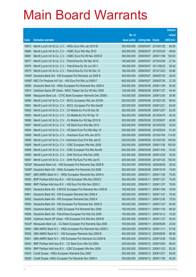|                |                                                                                                                             |                            |                       |                       | <b>Amount</b>   |
|----------------|-----------------------------------------------------------------------------------------------------------------------------|----------------------------|-----------------------|-----------------------|-----------------|
|                |                                                                                                                             | No. of                     |                       |                       | raised          |
| Code           | <b>Derivative warrants</b>                                                                                                  | issue (units)              | <b>Listing date</b>   | <b>Expiry</b>         | (HK\$ mil.)     |
| 16873          | Merrill Lynch Int'l & Co. C.V. - HKEx Euro Wts Jan 2010 B                                                                   | 300,000,000                | 2009/05/07 2010/01/25 |                       | 84.00           |
| 16880          | Merrill Lynch Int'l & Co. C.V. - HSBC Euro Wts Mar 2010                                                                     | 300,000,000                | 2009/05/07 2010/03/29 |                       | 48.60           |
| 16881          | Merrill Lynch Int'l & Co. C.V. - HSBC Euro Put Wt Nov 2009 B                                                                | 300,000,000                | 2009/05/07            | 2009/11/09            | 126.00          |
| 16877          | Merrill Lynch Int'l & Co. C.V. - PetroChina Eu Wt Mar 2010                                                                  | 180,000,000                | 2009/05/07 2010/03/29 |                       | 27.54           |
| 16878          | Merrill Lynch Int'l & Co. C.V. - PetroChina Eu Wt Jun 2011                                                                  | 180,000,000                | 2009/05/07 2011/06/20 |                       | 28.26           |
| 16879          | Merrill Lynch Int'l & Co. C.V. - PetroChina Eu Put Wt Dec 10                                                                | 180,000,000                | 2009/05/07 2010/12/23 |                       | 40.86           |
| 15936#         | Deutsche Bank AG - HSI European Put Warrants Jul 2009 E                                                                     | 300,000,000                | 2009/05/07            | 2009/07/30            | 28.50           |
| 16080#         | KBC Fin Products Int'l Ltd. - HSI Euro Put Wts Jul 2009 F                                                                   | 600,000,000                | 2009/05/07 2009/07/30 |                       | 37.20           |
| 16898          | Deutsche Bank AG - HKEx European Put Warrants Nov 2009 A                                                                    | 200,000,000                | 2009/05/08 2009/11/09 |                       | 50.00           |
| 10874          | Goldman Sachs SP (Asia) - MSCI Taiwan Idx Eur Wt Nov 2009                                                                   | 120,000,000                | 2009/05/08 2009/11/27 |                       | 44.40           |
| 16884          | Macquarie Bank Ltd. - CITIC Bank European Warrants Dec 2009C                                                                | 100,000,000                | 2009/05/08 2009/12/30 |                       | 38.90           |
| 16885          | Merrill Lynch Int'l & Co. C.V. - BOCL European Wts Jan 2010A                                                                | 200,000,000                | 2009/05/08 2010/01/25 |                       | 66.00           |
| 16891          | Merrill Lynch Int'l & Co. C.V. - BOCL European Put Wts Dec09                                                                | 200,000,000                | 2009/05/08 2009/12/21 |                       | 64.00           |
| 16892          | Merrill Lynch Int'l & Co. C.V. - Ch Mobile Eu Put Wt Dec 09                                                                 | 300,000,000                | 2009/05/08 2009/12/07 |                       | 52.20           |
| 16893          | Merrill Lynch Int'l & Co. C.V. - Ch Mobile Eu Put Wt Apr 10                                                                 | 300,000,000                | 2009/05/08 2010/04/19 |                       | 45.30           |
| 16886          | Merrill Lynch Int'l & Co. C.V. - Ch Mobile Eur Wt Sep 2010 B                                                                | 300,000,000                | 2009/05/08 2010/09/27 |                       | 45.90           |
| 16887          | Merrill Lynch Int'l & Co. C.V. - HS Bank Euro Wts Mar 2010                                                                  | 200,000,000                | 2009/05/08 2010/03/29 |                       | 30.00           |
| 16894          | Merrill Lynch Int'l & Co. C.V. - HS Bank Euro Put Wts May 10                                                                | 200,000,000                | 2009/05/08 2010/05/24 |                       | 51.00           |
| 16888          | Merrill Lynch Int'l & Co. C.V. - Hutchison Euro Wts Jan 2010                                                                | 200,000,000                | 2009/05/08 2010/01/04 |                       | 114.00          |
| 16895          | Merrill Lynch Int'l & Co. C.V. - Hutchison Euro Put Wts Jan10                                                               | 200,000,000                | 2009/05/08 2010/01/25 |                       | 146.00          |
| 16889<br>16896 | Merrill Lynch Int'l & Co. C.V. - ICBC European Wts Nov 2009<br>Merrill Lynch Int'l & Co. C.V. - ICBC European Put Wts Nov09 | 200,000,000<br>200,000,000 | 2009/05/08 2009/11/02 | 2009/05/08 2009/11/30 | 100.00<br>43.20 |
| 16890          | Merrill Lynch Int'l & Co. C.V. - SHK Ppt Euro Wts Dec 2009                                                                  | 200,000,000                | 2009/05/08 2009/12/28 |                       | 30.00           |
| 16897          | Merrill Lynch Int'l & Co. C.V. - SHK Ppt Euro Put Wts Jan10                                                                 | 200,000,000                | 2009/05/08 2010/01/25 |                       | 136.00          |
| 16520#         | Macquarie Bank Ltd. - HSI European Put Warrants Sep 2009 B                                                                  | 300,000,000                | 2009/05/08 2009/09/29 |                       | 28.20           |
| 15090#         | Deutsche Bank AG - HKEx European Put Warrants Oct 2009                                                                      | 200,000,000                | 2009/05/08 2009/10/19 |                       | 19.00           |
| 16907          | ABN AMRO Bank N.V. - HKEx European Warrants Nov 2009 A                                                                      | 300,000,000                | 2009/05/11            | 2009/11/30            | 75.00           |
| 16900          | BNP Paribas Arbit Issu B.V. - HSI European Wts Nov 2009 E                                                                   | 300,000,000                | 2009/05/11            | 2009/11/27            | 75.00           |
| 16899          | BNP Paribas Arbit Issu B.V. - HSI Euro Put Wts Nov 2009 C                                                                   | 300,000,000                | 2009/05/11            | 2009/11/27            | 78.00           |
| 16903          | Deutsche Bank AG - CNOOC European Put Warrants Nov 2009 B                                                                   | 100,000,000                | 2009/05/11            | 2009/11/09            | 16.00           |
| 16901          | Deutsche Bank AG - HSI European Warrants Nov 2009 A                                                                         | 300,000,000                | 2009/05/11            | 2009/11/27            | 75.00           |
| 16902          | Deutsche Bank AG - HSI European Warrants Dec 2009 A                                                                         | 300,000,000                | 2009/05/11            | 2009/12/30            | 75.00           |
| 16905          | Deutsche Bank AG - HSI European Put Warrants Nov 2009 D                                                                     | 300,000,000                | 2009/05/11            | 2009/11/27            | 93.00           |
| 16904          | Deutsche Bank AG - ICBC European Put Warrants Nov 2009                                                                      | 100,000,000                | 2009/05/11            | 2009/11/16            | 68.00           |
| 16906          | Deutsche Bank AG - PetroChina European Put Wts Oct 2009                                                                     | 100,000,000                | 2009/05/11            | 2009/10/12            | 15.00           |
| 16908          | Goldman Sachs SP (Asia) - HSI European Put Wts Nov 2009 B                                                                   | 200,000,000                | 2009/05/11            | 2009/11/27            | 50.00           |
| 16333#         | Macquarie Bank Ltd. - CC Bank European Put Warrants Sep 2009                                                                | 100,000,000                | 2009/05/11            | 2009/09/29            | 23.00           |
| 16940          | ABN AMRO Bank N.V. - HKEx European Put Warrants Nov 2009 C                                                                  | 300,000,000                | 2009/05/12 2009/11/11 |                       | 57.00           |
| 16920          | ABN AMRO Bank N.V. - HSI European Warrants Sep 2009 B                                                                       | 400,000,000                | 2009/05/12 2009/09/29 |                       | 66.80           |
| 16921          | ABN AMRO Bank N.V. - HSI European Put Warrants Oct 2009 B                                                                   | 400,000,000                | 2009/05/12 2009/10/29 |                       | 76.80           |
| 16933          | BNP Paribas Arbit Issu B.V. - CC Bank Euro Wts Oct 2009                                                                     | 200,000,000                | 2009/05/12            | 2009/10/05            | 96.00           |
| 16934          | BNP Paribas Arbit Issu B.V. - ICBC European Wts Nov 2009                                                                    | 200,000,000                | 2009/05/12 2009/11/23 |                       | 82.00           |
| 16930          | Credit Suisse - HKEx European Warrants Dec 2009                                                                             | 300,000,000                | 2009/05/12 2009/12/21 |                       | 69.00           |
| 16929          | Credit Suisse - HKEx European Put Warrants Nov 2009 A                                                                       | 300,000,000                | 2009/05/12 2009/11/30 |                       | 45.00           |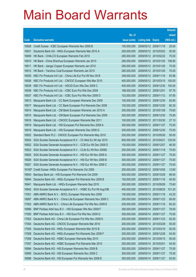|       |                                                              |               |                            |                       | <b>Amount</b> |
|-------|--------------------------------------------------------------|---------------|----------------------------|-----------------------|---------------|
|       |                                                              | No. of        |                            |                       | raised        |
| Code  | <b>Derivative warrants</b>                                   | issue (units) | <b>Listing date Expiry</b> |                       | (HK\$ mil.)   |
| 16928 | Credit Suisse - ICBC European Warrants Nov 2009 B            | 100,000,000   | 2009/05/12 2009/11/16      |                       | 25.00         |
| 16931 | Deutsche Bank AG - HKEx European Warrants Mar 2010 A         | 200,000,000   |                            | 2009/05/12 2010/03/02 | 50.00         |
| 16909 | HK Bank - CHALCO European Warrants Feb 2010                  | 280,000,000   |                            | 2009/05/12 2010/02/22 | 70.00         |
| 16910 | HK Bank - China Shenhua European Warrants Jan 2010           | 280,000,000   |                            | 2009/05/12 2010/01/20 | 156.80        |
| 16911 | HK Bank - Jiangxi Copper European Warrants Jan 2010          | 280,000,000   |                            | 2009/05/12 2010/01/20 | 70.00         |
| 16912 | HK Bank - Yanzhou Coal European Warrants Jan 2010            | 280,000,000   |                            | 2009/05/12 2010/01/20 | 70.00         |
| 16935 | KBC Fin Products Int'l Ltd. - China Life Eur Put Wt Nov 09 B | 348,000,000   | 2009/05/12 2009/11/16      |                       | 93.96         |
| 16936 | KBC Fin Products Int'l Ltd. - CNOOC European Wts Mar 2010    | 400,000,000   |                            | 2009/05/12 2010/03/15 | 100.00        |
| 16939 | KBC Fin Products Int'l Ltd. - HSCEI Euro Wts Dec 2009 C      | 400,000,000   |                            | 2009/05/12 2009/12/30 | 100.00        |
| 16938 | KBC Fin Products Int'l Ltd. - ICBC Euro Put Wts Dec 2009     | 188,000,000   | 2009/05/12 2009/12/01      |                       | 97.76         |
| 16937 | KBC Fin Products Int'l Ltd. - ICBC Euro Put Wts Nov 2009 D   | 103,000,000   |                            | 2009/05/12 2009/11/12 | 97.85         |
| 16913 | Macquarie Bank Ltd. - CC Bank European Warrants Dec 2009     | 100,000,000   |                            | 2009/05/12 2009/12/30 | 82.60         |
| 16917 | Macquarie Bank Ltd. - CC Bank European Put Warrants Dec 2009 | 100,000,000   |                            | 2009/05/12 2009/12/30 | 60.30         |
| 16914 | Macquarie Bank Ltd. - CM Bank European Warrants Jan 2010 A   | 300,000,000   |                            | 2009/05/12 2010/01/28 | 75.60         |
| 16915 | Macquarie Bank Ltd. - CM Bank European Put Warrants Dec 2009 | 300,000,000   |                            | 2009/05/12 2009/12/30 | 75.90         |
| 16916 | Macquarie Bank Ltd. - CNOOC European Warrants Mar 2011       | 100,000,000   |                            | 2009/05/12 2011/03/30 | 27.10         |
| 16919 | Macquarie Bank Ltd. - HSI European Put Warrants Nov 2009 A   | 300,000,000   |                            | 2009/05/12 2009/11/27 | 75.00         |
| 16918 | Macquarie Bank Ltd. - HSI European Warrants Dec 2009 G       | 300,000,000   |                            | 2009/05/12 2009/12/30 | 75.00         |
| 16932 | Standard Bank PLC - CNOOC European Put Warrants May 2010     | 200,000,000   | 2009/05/12 2010/05/26      |                       | 50.00         |
| 16924 | SGA Societe Generale Acceptance N.V. - Ch Mob Eu Wt Apr 2010 | 800,000,000   | 2009/05/12 2010/04/21      |                       | 120.00        |
| 16922 | SGA Societe Generale Acceptance N.V. - CCB Eur Wt Dec 2009 D | 100,000,000   | 2009/05/12 2009/12/07      |                       | 46.50         |
| 16923 | SGA Societe Generale Acceptance N.V. - CLife Eu Wt Nov 2009D | 250,000,000   |                            | 2009/05/12 2009/11/18 | 75.00         |
| 16925 | SGA Societe Generale Acceptance N.V. - HSI Eur Wt Nov 2009 A | 300,000,000   | 2009/05/12 2009/11/27      |                       | 75.00         |
| 16926 | SGA Societe Generale Acceptance N.V. - HSI Eur Wt Nov 2009 B | 300,000,000   |                            | 2009/05/12 2009/11/27 | 75.00         |
| 16927 | SGA Societe Generale Acceptance N.V. - HSI Eur Wt Nov 2009 C | 300,000,000   | 2009/05/12 2009/11/27      |                       | 75.00         |
|       | 16165# Credit Suisse - HKEx European Put Warrants Oct 2009   | 200,000,000   | 2009/05/12 2009/10/05      |                       | 12.60         |
| 16943 | Barclays Bank plc - HSI European Put Warrants Oct 2009       | 500,000,000   | 2009/05/13 2009/10/29      |                       | 89.00         |
| 16944 | Deutsche Bank AG - HKEx European Put Warrants Nov 2009 B     | 150,000,000   | 2009/05/13 2009/11/16      |                       | 40.50         |
| 16941 | Macquarie Bank Ltd. - HKEx European Warrants Sep 2010        | 300,000,000   | 2009/05/13                 | 2010/09/29            | 75.60         |
| 16942 | SGA Societe Generale Acceptance N.V. - HSBC Eu Put Wt Aug10B | 400,000,000   |                            | 2009/05/13 2010/08/25 | 101.20        |
| 17001 | ABN AMRO Bank N.V. - BOCL European Warrants Nov 2009         | 150,000,000   | 2009/05/14                 | 2009/11/16            | 43.20         |
| 16997 | ABN AMRO Bank N.V. - China Life European Warrants Nov 2009 C | 200,000,000   | 2009/05/14                 | 2009/11/23            | 69.00         |
| 17002 | ABN AMRO Bank N.V. - China Life European Put Wts Nov 2009 E  | 200,000,000   | 2009/05/14                 | 2009/11/16            | 60.20         |
| 16996 | BNP Paribas Arbit Issu B.V. - HSI European Wts Nov 2009 F    | 300,000,000   | 2009/05/14                 | 2009/11/27            | 78.00         |
| 17000 | BNP Paribas Arbit Issu B.V. - HSI Euro Put Wts Nov 2009 G    | 300,000,000   | 2009/05/14                 | 2009/11/27            | 75.00         |
| 17003 | Deutsche Bank AG - China Life European Put Wts Nov 2009 E    | 200,000,000   | 2009/05/14                 | 2009/11/23            | 92.00         |
| 17004 | Deutsche Bank AG - CNOOC European Warrants Mar 2010          | 200,000,000   | 2009/05/14                 | 2010/03/29            | 50.00         |
| 17005 | Deutsche Bank AG - HKEx European Warrants Mar 2010 B         | 200,000,000   | 2009/05/14                 | 2010/03/16            | 50.00         |
| 17008 | Deutsche Bank AG - HKEx European Put Warrants Dec 2009 F     | 200,000,000   | 2009/05/14                 | 2009/12/28            | 54.00         |
| 17006 | Deutsche Bank AG - HSBC European Warrants May 2010           | 200,000,000   | 2009/05/14                 | 2010/05/10            | 50.00         |
| 17007 | Deutsche Bank AG - HSBC European Put Warrants Mar 2010       | 200,000,000   | 2009/05/14                 | 2010/03/01            | 54.00         |
| 16994 | Deutsche Bank AG - HSI European Warrants Nov 2009 B          | 300,000,000   | 2009/05/14                 | 2009/11/27            | 75.00         |
| 16995 | Deutsche Bank AG - HSI European Warrants Nov 2009 C          | 300,000,000   | 2009/05/14                 | 2009/11/27            | 75.00         |
| 16998 | Deutsche Bank AG - HSI European Put Warrants Nov 2009 E      | 300,000,000   | 2009/05/14 2009/11/27      |                       | 93.00         |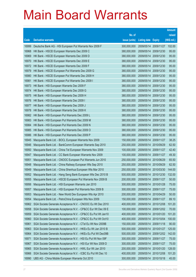|                |                                                                                                                    |                            |                            |                          | <b>Amount</b>  |
|----------------|--------------------------------------------------------------------------------------------------------------------|----------------------------|----------------------------|--------------------------|----------------|
|                |                                                                                                                    | No. of                     |                            |                          | raised         |
| Code           | <b>Derivative warrants</b>                                                                                         | issue (units)              | <b>Listing date Expiry</b> |                          | $(HK$$ mil.)   |
| 16999          | Deutsche Bank AG - HSI European Put Warrants Nov 2009 F                                                            | 300,000,000                |                            | 2009/05/14 2009/11/27    | 102.00         |
| 16968          | HK Bank - HSCEI European Warrants Dec 2009 C                                                                       | 380,000,000                | 2009/05/14                 | 2009/12/30               | 95.00          |
| 16969          | HK Bank - HSCEI European Warrants Dec 2009 D                                                                       | 380,000,000                | 2009/05/14                 | 2009/12/30               | 95.00          |
| 16970          | HK Bank - HSCEI European Warrants Dec 2009 E                                                                       | 380,000,000                | 2009/05/14                 | 2009/12/30               | 95.00          |
| 16972          | HK Bank - HSCEI European Warrants Dec 2009 F                                                                       | 380,000,000                |                            | 2009/05/14 2009/12/30    | 95.00          |
| 16979          | HK Bank - HSCEI European Put Warrants Dec 2009 G                                                                   | 380,000,000                | 2009/05/14                 | 2009/12/30               | 95.00          |
| 16980          | HK Bank - HSCEI European Put Warrants Dec 2009 H                                                                   | 380,000,000                | 2009/05/14                 | 2009/12/30               | 95.00          |
| 16981          | HK Bank - HSCEI European Put Warrants Dec 2009 I                                                                   | 380,000,000                | 2009/05/14                 | 2009/12/30               | 95.00          |
| 16973          | HK Bank - HSI European Warrants Dec 2009 F                                                                         | 380,000,000                |                            | 2009/05/14 2009/12/30    | 95.00          |
| 16974          | HK Bank - HSI European Warrants Dec 2009 G                                                                         | 380,000,000                | 2009/05/14                 | 2009/12/30               | 95.00          |
| 16975          | HK Bank - HSI European Warrants Dec 2009 H                                                                         | 380,000,000                | 2009/05/14                 | 2009/12/30               | 95.00          |
| 16976          | HK Bank - HSI European Warrants Dec 2009 I                                                                         | 380,000,000                | 2009/05/14                 | 2009/12/30               | 95.00          |
| 16977          | HK Bank - HSI European Warrants Dec 2009 J                                                                         | 380,000,000                |                            | 2009/05/14 2009/12/30    | 95.00          |
| 16978          | HK Bank - HSI European Warrants Dec 2009 K                                                                         | 380,000,000                | 2009/05/14                 | 2009/12/30               | 95.00          |
| 16982          | HK Bank - HSI European Put Warrants Dec 2009 L                                                                     | 380,000,000                | 2009/05/14                 | 2009/12/30               | 95.00          |
| 16983          | HK Bank - HSI European Put Warrants Dec 2009 M                                                                     | 380,000,000                | 2009/05/14                 | 2009/12/30               | 95.00          |
| 16984          | HK Bank - HSI European Put Warrants Dec 2009 N                                                                     | 380,000,000                |                            | 2009/05/14 2009/12/30    | 95.00          |
| 16985          | HK Bank - HSI European Put Warrants Dec 2009 O                                                                     | 380,000,000                | 2009/05/14                 | 2009/12/30               | 95.00          |
| 16986          | HK Bank - HSI European Put Warrants Dec 2009 P                                                                     | 380,000,000                | 2009/05/14                 | 2009/12/30               | 95.00          |
| 16945          | Macquarie Bank Ltd. - BOCL European Warrants Nov 2009                                                              | 150,000,000                | 2009/05/14                 | 2009/11/27               | 38.25          |
| 16946          | Macquarie Bank Ltd. - BankComm European Warrants Sep 2010                                                          | 250,000,000                |                            | 2009/05/14 2010/09/29    | 62.50          |
| 16950          | Macquarie Bank Ltd. - China Tel European Warrants Nov 2009                                                         | 100,000,000                | 2009/05/14                 | 2009/11/27               | 42.40          |
| 16947          | Macquarie Bank Ltd. - CC Bank European Warrants Nov 2009                                                           | 100,000,000                | 2009/05/14                 | 2009/11/27               | 49.30          |
| 16951          | Macquarie Bank Ltd. - CNOOC European Put Warrants Jun 2010                                                         | 250,000,000                | 2009/05/14                 | 2010/06/29               | 65.50          |
| 16948          | Macquarie Bank Ltd. - China Railway European Wts Sep 2010                                                          | 250,000,000                |                            | 2009/05/14 2010/09/29    | 62.50          |
| 16949<br>16952 | Macquarie Bank Ltd. - China Shenhua European Wts Mar 2010                                                          | 250,000,000                |                            | 2009/05/14 2010/03/30    | 144.00         |
|                | Macquarie Bank Ltd. - Hang Seng Bank European Wts Dec 2010 B                                                       | 500,000,000                |                            | 2009/05/14 2010/12/30    | 132.00         |
| 16955          | Macquarie Bank Ltd. - HSCEI European Put Warrants Nov 2009 B                                                       | 200,000,000                | 2009/05/14                 | 2009/11/27               | 50.00          |
| 16956<br>16957 | Macquarie Bank Ltd. - HSI European Warrants Jan 2010<br>Macquarie Bank Ltd. - HSI European Put Warrants Nov 2009 B | 300,000,000<br>300,000,000 | 2009/05/14<br>2009/05/14   | 2010/01/28<br>2009/11/27 | 75.00<br>75.00 |
| 16953          | Macquarie Bank Ltd. - New World Dev European Wts Apr 2010                                                          | 200,000,000                | 2009/05/14                 | 2010/04/29               | 50.00          |
| 16954          | Macquarie Bank Ltd. - PetroChina European Wts Nov 2009                                                             | 150,000,000                | 2009/05/14                 | 2009/11/27               | 89.10          |
| 16962          | SGA Societe Generale Acceptance N.V. - CNOOC Eu Wt Dec 2010                                                        | 400,000,000                | 2009/05/14                 | 2010/12/08               | 101.20         |
| 16958          | SGA Societe Generale Acceptance N.V. - CP&CC Eur Wt Dec 09 E                                                       | 100,000,000                | 2009/05/14                 | 2009/12/02               | 70.00          |
| 16959          | SGA Societe Generale Acceptance N.V. - CP&CC Eu Put Wt Jan10                                                       | 400,000,000                | 2009/05/14                 | 2010/01/20               | 101.20         |
| 16960          | SGA Societe Generale Acceptance N.V. - CP&CC Eu Put Wt Oct10                                                       | 400,000,000                | 2009/05/14                 | 2010/10/04               | 100.00         |
| 16961          | SGA Societe Generale Acceptance N.V. - CTel Eu Wt Nov 2009B                                                        | 150,000,000                | 2009/05/14                 | 2009/11/18               | 90.00          |
| 16963          | SGA Societe Generale Acceptance N.V. - HKEx Eu Wt Jan 2010 B                                                       | 500,000,000                | 2009/05/14                 | 2010/01/27               | 125.00         |
| 16964          | SGA Societe Generale Acceptance N.V. - HKEx Eu Put Wt Dec09B                                                       | 500,000,000                | 2009/05/14                 | 2009/12/02               | 142.00         |
| 16971          | SGA Societe Generale Acceptance N.V. - HSI Eu Put Wt Nov 09F                                                       | 300,000,000                | 2009/05/14                 | 2009/11/27               | 75.00          |
| 16967          | SGA Societe Generale Acceptance N.V. - HSI Eur Wt Nov 2009 D                                                       | 300,000,000                | 2009/05/14                 | 2009/11/27               | 75.00          |
| 16965          | SGA Societe Generale Acceptance N.V. - HWL Eur Wt Jan 2010                                                         | 200,000,000                | 2009/05/14                 | 2010/01/20               | 128.00         |
| 16966          | SGA Societe Generale Acceptance N.V. - ICBC Eu Put Wt Dec 10                                                       | 400,000,000                | 2009/05/14                 | 2010/12/08               | 101.20         |
| 16990          | UBS AG - China Mobile European Warrants Oct 2010                                                                   | 300,000,000                |                            | 2009/05/14 2010/10/18    | 45.00          |
|                |                                                                                                                    |                            |                            |                          |                |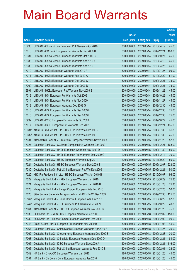|                  |                                                                                                                        |                            |                            |                          | <b>Amount</b>  |
|------------------|------------------------------------------------------------------------------------------------------------------------|----------------------------|----------------------------|--------------------------|----------------|
|                  |                                                                                                                        | No. of                     |                            |                          | raised         |
| Code             | <b>Derivative warrants</b>                                                                                             | issue (units)              | <b>Listing date Expiry</b> |                          | (HK\$ mil.)    |
| 16993            | UBS AG - China Mobile European Put Warrants Apr 2010                                                                   | 300,000,000                | 2009/05/14                 | 2010/04/19               | 45.00          |
| 17018            | UBS AG - CC Bank European Put Warrants Dec 2009 B                                                                      | 300,000,000                | 2009/05/14 2009/12/21      |                          | 108.00         |
| 16987            | UBS AG - China Mobile European Warrants Oct 2009 C                                                                     | 300,000,000                | 2009/05/14                 | 2009/10/27               | 45.00          |
| 16988            | UBS AG - China Mobile European Warrants Apr 2010 A                                                                     | 300,000,000                | 2009/05/14                 | 2010/04/19               | 45.00          |
| 16989            | UBS AG - China Mobile European Warrants Apr 2010 B                                                                     | 300,000,000                | 2009/05/14                 | 2010/04/26               | 45.00          |
| 17010            | UBS AG - HKEx European Warrants Jan 2010 A                                                                             | 300,000,000                | 2009/05/14                 | 2010/01/25               | 99.00          |
| 17011            | UBS AG - HKEx European Warrants Feb 2010 A                                                                             | 300,000,000                | 2009/05/14                 | 2010/02/22               | 81.00          |
| 17019            | UBS AG - HKEx European Warrants Dec 2009 C                                                                             | 300,000,000                | 2009/05/14                 | 2009/12/21               | 75.00          |
| 17009            | UBS AG - HKEx European Warrants Dec 2009 D                                                                             | 300,000,000                | 2009/05/14                 | 2009/12/21               | 75.00          |
| 16991            | UBS AG - HKEx European Put Warrants Nov 2009 B                                                                         | 300,000,000                | 2009/05/14                 | 2009/11/23               | 45.00          |
| 17013            | UBS AG - HSI European Put Warrants Oct 2009                                                                            | 300,000,000                | 2009/05/14                 | 2009/10/29               | 45.00          |
| 17014            | UBS AG - HSI European Put Warrants Nov 2009                                                                            | 300,000,000                | 2009/05/14                 | 2009/11/27               | 45.00          |
| 17012            | UBS AG - HSI European Warrants Dec 2009 G                                                                              | 300,000,000                | 2009/05/14                 | 2009/12/30               | 45.00          |
| 17015            | UBS AG - HSI European Put Warrants Dec 2009 H                                                                          | 300,000,000                | 2009/05/14                 | 2009/12/30               | 75.00          |
| 17016            | UBS AG - HSI European Put Warrants Dec 2009 I                                                                          | 300,000,000                | 2009/05/14                 | 2009/12/30               | 75.00          |
| 16992            | UBS AG - ICBC European Put Warrants Oct 2009                                                                           | 300,000,000                | 2009/05/14                 | 2009/10/27               | 45.00          |
| 17017            | UBS AG - ICBC European Put Warrants Dec 2009                                                                           | 300,000,000                | 2009/05/14                 | 2009/12/21               | 135.00         |
| 16081#<br>16082# | KBC Fin Products Int'l Ltd. - HSI Euro Put Wts Jul 2009 G<br>KBC Fin Products Int'l Ltd. - HSI Euro Put Wts Jul 2009 H | 600,000,000<br>600,000,000 | 2009/05/14<br>2009/05/14   | 2009/07/30<br>2009/07/30 | 31.80<br>45.00 |
| 17031            | ABN AMRO Bank N.V. - CC Bank European Warrants Nov 2009 A                                                              | 100,000,000                | 2009/05/15                 | 2009/11/23               | 57.30          |
| 17027            | Deutsche Bank AG - CC Bank European Put Warrants Dec 2009                                                              | 200,000,000                | 2009/05/15                 | 2009/12/21               | 168.00         |
| 17028            | Deutsche Bank AG - HKEx European Warrants Nov 2009 D                                                                   | 200,000,000                | 2009/05/15                 | 2009/11/30               | 50.00          |
| 17029            | Deutsche Bank AG - HKEx European Put Warrants Dec 2009 G                                                               | 200,000,000                | 2009/05/15                 | 2009/12/14               | 70.00          |
| 17025            | Deutsche Bank AG - HSBC European Warrants Sep 2011                                                                     | 200,000,000                | 2009/05/15                 | 2011/09/29               | 50.00          |
| 17024            | Deutsche Bank AG - HSBC European Warrants Dec 2009 B                                                                   | 200,000,000                | 2009/05/15                 | 2009/12/07               | 228.00         |
| 17030            | Deutsche Bank AG - PetroChina European Put Wts Dec 2009                                                                | 200,000,000                | 2009/05/15                 | 2009/12/21               | 50.00          |
| 17020            | KBC Fin Products Int'l Ltd. - HSBC European Wts Jun 2010 B                                                             | 600,000,000                | 2009/05/15                 | 2010/06/07               | 96.00          |
| 17022            | Macquarie Bank Ltd. - HKEx European Warrants Jun 2010                                                                  | 300,000,000                | 2009/05/15 2010/06/29      |                          | 75.30          |
| 17021            | Macquarie Bank Ltd. - HKEx European Warrants Jan 2010 B                                                                | 300,000,000                | 2009/05/15                 | 2010/01/28               | 75.30          |
| 17023            | Macquarie Bank Ltd. - Jiangxi Copper European Wts Feb 2010                                                             | 200,000,000                | 2009/05/15                 | 2010/02/25               | 50.00          |
| 17026            | SGA Societe Generale Acceptance N.V. - HKEx Eu Wt Dec 2009                                                             | 500,000,000                | 2009/05/15                 | 2009/12/30               | 125.50         |
| 16567#           | Macquarie Bank Ltd. - China Unicom European Wts Jun 2010                                                               | 300,000,000                | 2009/05/15                 | 2010/06/29               | 67.80          |
| 16747#           | Macquarie Bank Ltd. - HSI European Put Warrants Oct 2009                                                               | 300,000,000                | 2009/05/15                 | 2009/10/29               | 40.80          |
| 17061            | ABN AMRO Bank N.V. - HKEx European Warrants Nov 2009 B                                                                 | 300,000,000                | 2009/05/18                 | 2009/11/23               | 75.00          |
| 17033            | BOCI Asia Ltd. - WISE CSI European Warrants Dec 2009                                                                   | 300,000,000                | 2009/05/18                 | 2009/12/02               | 150.00         |
| 17032            | BOCI Asia Ltd. - Renhe Comm European Warrants Dec 2009                                                                 | 300,000,000                | 2009/05/18                 | 2009/12/02               | 90.00          |
| 17048            | Credit Suisse - HKEx European Put Warrants Nov 2009 B                                                                  | 300,000,000                | 2009/05/18                 | 2009/11/03               | 45.00          |
| 17064            | Deutsche Bank AG - China Mobile European Warrants Apr 2010 A                                                           | 200,000,000                | 2009/05/18                 | 2010/04/26               | 30.00          |
| 17062            | Deutsche Bank AG - Cheung Kong European Warrants Dec 2009 B                                                            | 200,000,000                | 2009/05/18                 | 2009/12/28               | 30.00          |
| 17063            | Deutsche Bank AG - China Life European Warrants Dec 2009 D                                                             | 200,000,000                | 2009/05/18                 | 2009/12/21               | 84.00          |
| 17065            | Deutsche Bank AG - ICBC European Warrants Dec 2009 A                                                                   | 200,000,000                | 2009/05/18                 | 2009/12/21               | 116.00         |
| 17066            | Deutsche Bank AG - PetroChina European Warrants Feb 2010 B                                                             | 200,000,000                | 2009/05/18                 | 2010/02/01               | 32.00          |
| 17049            | HK Bank - CHALCO European Warrants Jan 2010                                                                            | 180,000,000                | 2009/05/18                 | 2010/01/20               | 45.00          |
| 17051            | HK Bank - Ch Comm Cons European Warrants Jan 2010                                                                      | 180,000,000                | 2009/05/18                 | 2010/01/20               | 45.00          |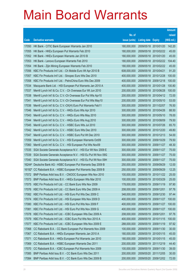|       |                                                                 |               |                            |                       | <b>Amount</b> |
|-------|-----------------------------------------------------------------|---------------|----------------------------|-----------------------|---------------|
|       |                                                                 | No. of        |                            |                       | raised        |
| Code  | <b>Derivative warrants</b>                                      | issue (units) | <b>Listing date Expiry</b> |                       | (HK\$ mil.)   |
| 17050 | HK Bank - CITIC Bank European Warrants Jan 2010                 | 180,000,000   |                            | 2009/05/18 2010/01/20 | 142.20        |
| 17055 | HK Bank - HKEx European Put Warrants Feb 2010                   | 180,000,000   |                            | 2009/05/18 2010/02/22 | 45.00         |
| 17052 | HK Bank - HKEx European Warrants Jan 2010 B                     | 180,000,000   | 2009/05/18 2010/01/20      |                       | 45.00         |
| 17053 | HK Bank - Lenovo European Warrants Feb 2010                     | 180,000,000   |                            | 2009/05/18 2010/02/22 | 104.40        |
| 17054 | HK Bank - Zijin Mining European Warrants Feb 2010               | 180,000,000   |                            | 2009/05/18 2010/02/22 | 45.00         |
| 17056 | KBC Fin Products Int'l Ltd. - Ch Mobile Euro Wt Apr 2010 B      | 608,000,000   | 2009/05/18 2010/04/21      |                       | 91.20         |
| 17057 | KBC Fin Products Int'l Ltd. - Sinopec Euro Wts Dec 2010         | 400,000,000   | 2009/05/18 2010/12/28      |                       | 100.00        |
| 17058 | KBC Fin Products Int'l Ltd. - PetroChina Euro Wts Dec 2009      | 400,000,000   |                            | 2009/05/18 2009/12/18 | 100.00        |
| 17034 | Macquarie Bank Ltd. - HSI European Put Warrants Jan 2010 A      | 400,000,000   |                            | 2009/05/18 2010/01/28 | 100.80        |
| 17037 | Merrill Lynch Int'l & Co. C.V. - Ch Overseas Eur Wt Jun 2010    | 200,000,000   |                            | 2009/05/18 2010/06/28 | 100.00        |
| 17038 | Merrill Lynch Int'l & Co. C.V.-Ch Overseas Eur Put Wts Apr10    | 200,000,000   | 2009/05/18 2010/04/12      |                       | 72.00         |
| 17041 | Merrill Lynch Int'l & Co. C.V.-Ch Overseas Eur Put Wts May10    | 200,000,000   |                            | 2009/05/18 2010/05/10 | 53.00         |
| 17036 | Merrill Lynch Int'l & Co. C.V.-CK(H) Euro Put Warrants Feb11    | 300,000,000   | 2009/05/18 2011/02/07      |                       | 76.50         |
| 17046 | Merrill Lynch Int'l & Co. C.V. - HKEx Euro Wts Apr 2010         | 300,000,000   |                            | 2009/05/18 2010/04/26 | 88.50         |
| 17043 | Merrill Lynch Int'l & Co. C.V. - HKEx Euro Wts May 2010         | 300,000,000   | 2009/05/18 2010/05/10      |                       | 78.00         |
| 17044 | Merrill Lynch Int'l & Co. C.V. - HKEx Euro Wts Aug 2010         | 300,000,000   |                            | 2009/05/18 2010/08/09 | 79.50         |
| 17045 | Merrill Lynch Int'l & Co. C.V. - HSBC Euro Wts Jul 2010         | 300,000,000   |                            | 2009/05/18 2010/07/26 | 65.70         |
| 17042 | Merrill Lynch Int'l & Co. C.V. - HSBC Euro Wts Dec 2010         | 300,000,000   |                            | 2009/05/18 2010/12/20 | 49.80         |
| 17047 | Merrill Lynch Int'l & Co. C.V. - HSBC Euro Put Wt Dec 2010      | 300,000,000   | 2009/05/18 2010/12/13      |                       | 54.00         |
| 17059 | Merrill Lynch Int'l & Co. C.V. - HSI European Warrants Oct09    | 300,000,000   |                            | 2009/05/18 2009/10/29 | 79.50         |
| 17060 | Merrill Lynch Int'l & Co. C.V. - HSI European Put Wts Nov09     | 300,000,000   |                            | 2009/05/18 2009/11/27 | 48.30         |
| 17035 | SGA Societe Generale Acceptance N.V. - HSI Eur Wt Nov 2009 E    | 300,000,000   |                            | 2009/05/18 2009/11/27 | 75.00         |
| 17039 | SGA Societe Generale Acceptance N.V. - HSI Eu Put Wt Nov 09G    | 300,000,000   | 2009/05/18 2009/11/27      |                       | 75.00         |
| 17040 | SGA Societe Generale Acceptance N.V. - HSI Eu Put Wt Nov 09H    | 300,000,000   | 2009/05/18 2009/11/27      |                       | 75.00         |
|       | 16244# Deutsche Bank AG - HSBC European Put Warrants Sep 2009 B | 250,000,000   | 2009/05/18 2009/09/29      |                       | 12.00         |
|       | 16192# CC Rabobank B.A. - HSBC European Put Warrants Sep 2009 B | 250,000,000   | 2009/05/18 2009/09/29      |                       | 12.25         |
| 17072 | BNP Paribas Arbit Issu B.V. - CNOOC European Wts Nov 2010       | 100,000,000   |                            | 2009/05/19 2010/11/22 | 25.00         |
| 17073 | BNP Paribas Arbit Issu B.V. - HKEx European Wts Mar 2010        | 100,000,000   | 2009/05/19 2010/03/29      |                       | 25.00         |
| 17075 | KBC Fin Products Int'l Ltd. - CC Bank Euro Wts Nov 2009         | 178,000,000   | 2009/05/19                 | 2009/11/19            | 97.90         |
| 17076 | KBC Fin Products Int'l Ltd. - CC Bank Euro Wts Dec 2009 A       | 208,000,000   | 2009/05/19 2009/12/01      |                       | 97.76         |
| 17082 | KBC Fin Products Int'l Ltd. - HSI Euro Put Wts Dec 2009 C       | 348,000,000   | 2009/05/19                 | 2009/12/30            | 97.44         |
| 17074 | KBC Fin Products Int'l Ltd. - HSI European Wts Nov 2009 D       | 400,000,000   | 2009/05/19                 | 2009/11/27            | 100.00        |
| 17080 | KBC Fin Products Int'l Ltd. - HSI Euro Put Wts Nov 2009 F       | 400,000,000   | 2009/05/19                 | 2009/11/27            | 100.00        |
| 17081 | KBC Fin Products Int'l Ltd. - HSI Euro Put Wts Nov 2009 G       | 400,000,000   | 2009/05/19                 | 2009/11/27            | 100.00        |
| 17078 | KBC Fin Products Int'l Ltd. - ICBC European Wts Dec 2009 A      | 208,000,000   | 2009/05/19                 | 2009/12/01            | 97.76         |
| 17079 | KBC Fin Products Int'l Ltd. - ICBC Euro Put Wts Nov 2010 A      | 400,000,000   |                            | 2009/05/19 2010/11/15 | 100.00        |
| 17077 | KBC Fin Products Int'l Ltd. - ICBC European Wts Nov 2009 E      | 288,000,000   | 2009/05/19                 | 2009/11/19            | 97.92         |
| 17068 | CC Rabobank B.A. - CC Bank European Put Warrants Nov 2009       | 100,000,000   | 2009/05/19                 | 2009/11/30            | 30.00         |
| 17067 | CC Rabobank B.A. - HKEx European Warrants Jan 2010 A            | 180,000,000   | 2009/05/19                 | 2010/01/15            | 45.00         |
| 17071 | CC Rabobank B.A. - HKEx European Put Warrants Jan 2010          | 180,000,000   | 2009/05/19                 | 2010/01/15            | 45.00         |
| 17069 | CC Rabobank B.A. - HSBC European Warrants Dec 2011              | 200,000,000   | 2009/05/19                 | 2011/12/19            | 44.40         |
| 17070 | CC Rabobank B.A. - ICBC European Put Warrants Nov 2009          | 100,000,000   | 2009/05/19 2009/11/30      |                       | 39.00         |
| 17085 | BNP Paribas Arbit Issu B.V. - CC Bank Euro Wts Dec 2011         | 200,000,000   |                            | 2009/05/20 2011/12/05 | 30.00         |
| 17084 | BNP Paribas Arbit Issu B.V. - CC Bank Euro Wts Dec 2009 B       | 200,000,000   | 2009/05/20 2009/12/02      |                       | 72.00         |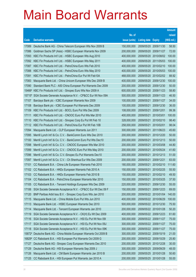|        |                                                              |               |                            |            | <b>Amount</b> |
|--------|--------------------------------------------------------------|---------------|----------------------------|------------|---------------|
|        |                                                              | No. of        |                            |            | raised        |
| Code   | <b>Derivative warrants</b>                                   | issue (units) | <b>Listing date Expiry</b> |            | (HK\$ mil.)   |
| 17089  | Deutsche Bank AG - China Telecom European Wts Nov 2009 B     | 150,000,000   | 2009/05/20 2009/11/30      |            | 58.50         |
| 17086  | Goldman Sachs SP (Asia) - HSBC European Warrants Nov 2009    | 200,000,000   | 2009/05/20 2009/11/27      |            | 72.00         |
| 17093  | KBC Fin Products Int'l Ltd. - HSBC European Wts Aug 2010     | 400,000,000   | 2009/05/20 2010/08/02      |            | 100.00        |
| 17092  | KBC Fin Products Int'l Ltd. - HSBC European Wts May 2011     | 400,000,000   | 2009/05/20 2011/05/03      |            | 100.00        |
| 17087  | KBC Fin Products Int'l Ltd. - PetroChina Euro Wts Feb 2010   | 400,000,000   | 2009/05/20 2010/02/10      |            | 100.00        |
| 17088  | KBC Fin Products Int'l Ltd. - PetroChina Euro Wts May 2010   | 400,000,000   | 2009/05/20 2010/05/03      |            | 100.00        |
| 17091  | KBC Fin Products Int'l Ltd. - PetroChina Eur Put Wt Feb10A   | 468,000,000   | 2009/05/20                 | 2010/02/02 | 88.92         |
| 17083  | Macquarie Bank Ltd. - China Unicom European Wts Dec 2009 B   | 400,000,000   | 2009/05/20 2009/12/30      |            | 100.00        |
| 17090  | Standard Bank PLC - A50 China European Put Warrants Dec 2009 | 200,000,000   | 2009/05/20 2009/12/30      |            | 50.00         |
| 15466# | KBC Fin Products Int'l Ltd. - Sinopec Euro Wts Nov 2009 A    | 600,000,000   | 2009/05/20 2009/11/23      |            | 58.80         |
| 15715# | SGA Societe Generale Acceptance N.V. - CP&CC Eur Wt Nov 09A  | 500,000,000   | 2009/05/20                 | 2009/11/23 | 46.50         |
| 17107  | Barclays Bank plc - ICBC European Warrants Nov 2009          | 100,000,000   | 2009/05/21                 | 2009/11/27 | 34.00         |
| 17108  | Barclays Bank plc - ICBC European Put Warrants Dec 2009      | 100,000,000   | 2009/05/21                 | 2009/12/30 | 36.00         |
| 17109  | KBC Fin Products Int'l Ltd. - BOCL Euro Put Wts Dec 2009     | 108,000,000   | 2009/05/21                 | 2009/12/01 | 99.36         |
| 17111  | KBC Fin Products Int'l Ltd. - CNOOC Euro Put Wts Mar 2010    | 400,000,000   | 2009/05/21                 | 2010/03/01 | 100.00        |
| 17110  | KBC Fin Products Int'l Ltd. - Sinopec Corp Eu Put Wt Feb 10  | 328,000,000   | 2009/05/21                 | 2010/02/10 | 98.40         |
| 17112  | KBC Fin Products Int'l Ltd. - PetroChina Eur Put Wt Feb 10B  | 258,000,000   | 2009/05/21                 | 2010/02/01 | 98.04         |
| 17094  | Macquarie Bank Ltd. - CLP European Warrants Jun 2011         | 300,000,000   | 2009/05/21                 | 2011/06/23 | 45.60         |
| 17095  | Merrill Lynch Int'l & Co. C.V. - BankComm Euro Wts Dec 2010  | 200,000,000   | 2009/05/21                 | 2010/12/20 | 50.00         |
| 17100  | Merrill Lynch Int'l & Co. C.V. - BankComm Euro Put Wts Dec10 | 200,000,000   | 2009/05/21                 | 2010/12/13 | 50.00         |
| 17098  | Merrill Lynch Int'l & Co. C.V. - CNOOC European Wts Mar 2010 | 200,000,000   | 2009/05/21                 | 2010/03/08 | 44.80         |
| 17099  | Merrill Lynch Int'l & Co. C.V. - CNOOC Euro Put Wts May 2010 | 200,000,000   | 2009/05/21                 | 2010/05/24 | 41.60         |
| 17096  | Merrill Lynch Int'l & Co. C.V.-Sinopec Eu Put Warrants Dec10 | 200,000,000   | 2009/05/21                 | 2010/12/13 | 51.00         |
| 17097  | Merrill Lynch Int'l & Co. C.V. - Ch Shenhua Eur Wts Dec 2009 | 200,000,000   | 2009/05/21                 | 2009/12/21 | 83.00         |
| 17101  | CC Rabobank B.A. - China Life European Warrants Feb 2010     | 180,000,000   | 2009/05/21                 | 2010/02/10 | 111.60        |
| 17102  | CC Rabobank B.A. - HKEx European Warrants Feb 2010 A         | 150,000,000   | 2009/05/21                 | 2010/02/25 | 55.50         |
| 17103  | CC Rabobank B.A. - HKEx European Warrants Feb 2010 B         | 150,000,000   | 2009/05/21                 | 2010/02/10 | 49.50         |
| 17104  | CC Rabobank B.A. - PetroChina European Warrants Mar 2010     | 150,000,000   | 2009/05/21 2010/03/25      |            | 37.50         |
| 17105  | CC Rabobank B.A. - Tencent Holdings European Wts Dec 2009    | 220,000,000   | 2009/05/21                 | 2009/12/30 | 55.00         |
| 17106  | SGA Societe Generale Acceptance N.V. - CP&CC Eur Wt Dec 09 F | 150,000,000   | 2009/05/21                 | 2009/12/23 | 69.00         |
| 17120  | BNP Paribas Arbit Issu B.V. - Sinopec Corp Euro Wts Jan 2010 | 200,000,000   | 2009/05/22 2010/01/04      |            | 140.00        |
| 17115  | Macquarie Bank Ltd. - China Mobile Euro Put Wts Jun 2010     | 400,000,000   | 2009/05/22 2010/06/29      |            | 100.00        |
| 17113  | Macquarie Bank Ltd. - HSBC European Warrants Dec 2010        | 500,000,000   | 2009/05/22 2010/12/30      |            | 75.50         |
| 17114  | Macquarie Bank Ltd. - Tencent European Warrants Jan 2010     | 200,000,000   | 2009/05/22 2010/01/28      |            | 50.20         |
| 17119  | SGA Societe Generale Acceptance N.V. - CK(H) Eu Wt Dec 2009  | 400,000,000   | 2009/05/22 2009/12/23      |            | 61.60         |
| 17116  | SGA Societe Generale Acceptance N.V. - HSI Eu Put Wt Nov 091 | 300,000,000   | 2009/05/22 2009/11/27      |            | 75.00         |
| 17117  | SGA Societe Generale Acceptance N.V. - HSI Eu Put Wt Nov 09J | 300,000,000   | 2009/05/22 2009/11/27      |            | 75.00         |
| 17118  | SGA Societe Generale Acceptance N.V. - HSI Eu Put Wt Nov 09K | 300,000,000   | 2009/05/22 2009/11/27      |            | 75.00         |
| 15872# | Deutsche Bank AG - China Mobile European Warrants Oct 2009 B | 300,000,000   | 2009/05/22 2009/10/19      |            | 21.00         |
| 16829# | CC Rabobank B.A. - HSI European Put Warrants Oct 2009 G      | 200,000,000   | 2009/05/22 2009/10/29      |            | 25.80         |
| 17127  | Deutsche Bank AG - Sinopec Corp European Warrants Dec 2010   | 200,000,000   | 2009/05/25                 | 2010/12/28 | 30.00         |
| 17129  | Deutsche Bank AG - HSI European Warrants Sep 2009 J          | 300,000,000   | 2009/05/25 2009/09/29      |            | 48.00         |
| 17126  | Macquarie Bank Ltd. - CM Bank European Warrants Jan 2010 B   | 200,000,000   | 2009/05/25                 | 2010/01/28 | 50.60         |
| 17125  | CC Rabobank B.A. - HSI European Put Warrants Jan 2010 A      | 200,000,000   | 2009/05/25 2010/01/28      |            | 55.00         |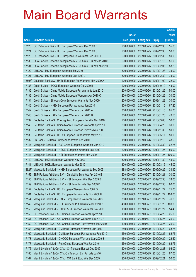|        |                                                                 |               |                            |            | <b>Amount</b> |
|--------|-----------------------------------------------------------------|---------------|----------------------------|------------|---------------|
|        |                                                                 | No. of        |                            |            | raised        |
| Code   | <b>Derivative warrants</b>                                      | issue (units) | <b>Listing date Expiry</b> |            | (HK\$ mil.)   |
| 17123  | CC Rabobank B.A. - HSI European Warrants Dec 2009 B             | 200,000,000   | 2009/05/25 2009/12/30      |            | 55.00         |
| 17124  | CC Rabobank B.A. - HSI European Warrants Dec 2009 C             | 200,000,000   | 2009/05/25 2009/12/30      |            | 50.00         |
| 17128  | CC Rabobank B.A. - HSI European Put Warrants Dec 2009 E         | 200,000,000   | 2009/05/25                 | 2009/12/30 | 50.00         |
| 17130  | SGA Societe Generale Acceptance N.V. - CCCCL Eu Wt Jan 2010     | 200,000,000   | 2009/05/25 2010/01/18      |            | 51.00         |
| 17131  | SGA Societe Generale Acceptance N.V. - CCCCL Eu Wt Feb 2010     | 200,000,000   | 2009/05/25 2010/02/08      |            | 58.20         |
| 17122  | UBS AG - HSI European Warrants Jan 2010                         | 300,000,000   | 2009/05/25 2010/01/28      |            | 75.00         |
| 17121  | UBS AG - HSI European Warrants Dec 2009 J                       | 300,000,000   | 2009/05/25                 | 2009/12/30 | 75.00         |
|        | 16898# Deutsche Bank AG - HKEx European Put Warrants Nov 2009 A | 200,000,000   | 2009/05/25 2009/11/09      |            | 22.00         |
| 17133  | Credit Suisse - BOCL European Warrants Oct 2009 B               | 200,000,000   | 2009/05/26 2009/10/19      |            | 43.00         |
| 17135  | Credit Suisse - China Mobile European Put Warrants Jan 2010     | 200,000,000   | 2009/05/26 2010/01/25      |            | 50.00         |
| 17136  | Credit Suisse - China Mobile European Warrants Apr 2010 C       | 200,000,000   | 2009/05/26 2010/04/26      |            | 30.00         |
| 17134  | Credit Suisse - Sinopec Corp European Warrants Nov 2009         | 200,000,000   | 2009/05/26 2009/11/23      |            | 30.00         |
| 17146  | Credit Suisse - HKEx European Put Warrants Jan 2010             | 300,000,000   | 2009/05/26 2010/01/15      |            | 67.20         |
| 17142  | Credit Suisse - HKEx European Warrants Jan 2010 A               | 300,000,000   | 2009/05/26 2010/01/15      |            | 65.70         |
| 17143  | Credit Suisse - HKEx European Warrants Jan 2010 B               | 300,000,000   | 2009/05/26 2010/01/20      |            | 49.50         |
| 17137  | Deutsche Bank AG - Cheung Kong European Put Wts Mar 2010        | 200,000,000   | 2009/05/26 2010/03/08      |            | 50.00         |
| 17148  | Deutsche Bank AG - China Mobile European Warrants Apr 2010 B    | 200,000,000   | 2009/05/26 2010/04/28      |            | 30.00         |
| 17138  | Deutsche Bank AG - China Mobile European Put Wts Nov 2009 D     | 200,000,000   | 2009/05/26 2009/11/30      |            | 50.00         |
| 17139  | Deutsche Bank AG - HKEx European Put Warrants May 2010          | 200,000,000   | 2009/05/26 2010/05/17      |            | 50.00         |
| 17132  | HK Bank - CM Bank European Warrants Feb 2010                    | 180,000,000   | 2009/05/26 2010/02/19      |            | 48.60         |
| 17147  | Macquarie Bank Ltd. - A50 China European Warrants Mar 2010      | 250,000,000   | 2009/05/26 2010/03/30      |            | 62.75         |
| 17145  | Macquarie Bank Ltd. - HSCEI European Warrants Nov 2009          | 200,000,000   | 2009/05/26 2009/11/27      |            | 50.00         |
| 17144  | Macquarie Bank Ltd. - HSI European Warrants Nov 2009            | 400,000,000   | 2009/05/26 2009/11/27      |            | 100.00        |
| 17140  | UBS AG - HKEx European Warrants Nov 2009                        | 300,000,000   | 2009/05/26 2009/11/30      |            | 45.00         |
| 17141  | UBS AG - HKEx European Warrants Mar 2010                        | 300,000,000   | 2009/05/26 2010/03/15      |            | 45.00         |
| 14627# | Macquarie Bank Ltd. - HKEx European Put Warrants Sep 2009       | 388,000,000   | 2009/05/26 2009/09/29      |            | 34.92         |
| 17156  | BNP Paribas Arbit Issu B.V. - Ch Mobile Euro Wts Apr 2010 B     | 200,000,000   | 2009/05/27 2010/04/21      |            | 30.00         |
| 17155  | BNP Paribas Arbit Issu B.V. - HSI European Wts Dec 2009 B       | 300,000,000   | 2009/05/27                 | 2009/12/30 | 78.00         |
| 17159  | BNP Paribas Arbit Issu B.V. - HSI Euro Put Wts Dec 2009 D       | 300,000,000   | 2009/05/27                 | 2009/12/30 | 90.00         |
| 17157  | Deutsche Bank AG - HSI European Warrants Nov 2009 G             | 300,000,000   | 2009/05/27                 | 2009/11/27 | 75.00         |
| 17161  | Deutsche Bank AG - HSI European Put Warrants Nov 2009 H         | 300,000,000   | 2009/05/27                 | 2009/11/27 | 108.00        |
| 17154  | Macquarie Bank Ltd. - HKEx European Put Warrants Nov 2009       | 300,000,000   | 2009/05/27                 | 2009/11/27 | 76.20         |
| 17149  | Macquarie Bank Ltd. - HSI European Put Warrants Jan 2010 B      | 400,000,000   | 2009/05/27                 | 2010/01/28 | 100.00        |
| 17153  | Macquarie Bank Ltd. - PICC P&C European Warrants Nov 2009       | 100,000,000   | 2009/05/27                 | 2009/11/27 | 54.40         |
| 17150  | CC Rabobank B.A. - A50 China European Warrants Apr 2010         | 100,000,000   | 2009/05/27                 | 2010/04/23 | 25.00         |
| 17151  | CC Rabobank B.A. - A50 China European Warrants Jun 2010 A       | 100,000,000   | 2009/05/27 2010/06/25      |            | 25.00         |
| 17152  | CC Rabobank B.A. - A50 China European Put Warrants Mar 2010     | 100,000,000   | 2009/05/27                 | 2010/03/26 | 25.00         |
| 17158  | Macquarie Bank Ltd. - CM Bank European Warrants Jun 2010        | 250,000,000   | 2009/05/29 2010/06/29      |            | 68.75         |
| 17160  | Macquarie Bank Ltd. - CM Bank European Put Warrants Feb 2010    | 250,000,000   | 2009/05/29                 | 2010/02/25 | 62.75         |
| 17178  | Macquarie Bank Ltd. - CNOOC European Warrants Sep 2009 B        | 150,000,000   | 2009/05/29                 | 2009/09/29 | 22.50         |
| 17177  | Macquarie Bank Ltd. - PetroChina European Wts Jun 2010          | 250,000,000   | 2009/05/29                 | 2010/06/29 | 62.75         |
| 17176  | Merrill Lynch Int'l & Co. C.V. - Ch Telecom Eur Wt Dec 2009     | 200,000,000   | 2009/05/29                 | 2009/12/28 | 86.00         |
| 17180  | Merrill Lynch Int'l & Co. C.V.-Ch Telecom Eur Put Wts Jan10     | 200,000,000   | 2009/05/29                 | 2010/01/25 | 67.00         |
| 17167  | Merrill Lynch Int'l & Co. C.V. - CM Bank Euro Wts Dec 2009      | 200,000,000   | 2009/05/29                 | 2009/12/21 | 50.00         |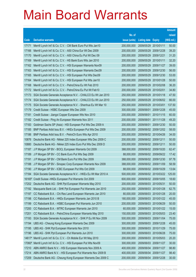|                      |                                                              |               |                            |            | <b>Amount</b> |
|----------------------|--------------------------------------------------------------|---------------|----------------------------|------------|---------------|
|                      |                                                              | No. of        |                            |            | raised        |
| Code                 | <b>Derivative warrants</b>                                   | issue (units) | <b>Listing date Expiry</b> |            | (HK\$ mil.)   |
| 17171                | Merrill Lynch Int'l & Co. C.V. - CM Bank Euro Put Wts Jan10  | 200,000,000   | 2009/05/29 2010/01/11      |            | 50.00         |
| 17166                | Merrill Lynch Int'l & Co. C.V. - A50 China Eur Wt Dec 2009   | 200,000,000   | 2009/05/29 2009/12/28      |            | 39.20         |
| 17170                | Merrill Lynch Int'l & Co. C.V. - A50 China Eu Put Wt Dec 09  | 200,000,000   | 2009/05/29 2009/12/21      |            | 31.20         |
| 17169                | Merrill Lynch Int'l & Co. C.V. - HS Bank Euro Wts Jan 2010   | 200,000,000   | 2009/05/29                 | 2010/01/11 | 32.20         |
| 17162                | Merrill Lynch Int'l & Co. C.V. - HSI European Warrants Nov09 | 200,000,000   | 2009/05/29 2009/11/27      |            | 39.00         |
| 17163                | Merrill Lynch Int'l & Co. C.V. - HSI European Warrants Dec09 | 200,000,000   | 2009/05/29                 | 2009/12/30 | 56.00         |
| 17165                | Merrill Lynch Int'l & Co. C.V. - HSI European Put Wts Dec09  | 200,000,000   | 2009/05/29                 | 2009/12/30 | 53.00         |
| 17164                | Merrill Lynch Int'l & Co. C.V. - HSI European Put Wts Jan10  | 200,000,000   | 2009/05/29                 | 2010/01/28 | 50.00         |
| 17168                | Merrill Lynch Int'l & Co. C.V. - PetroChina Eu Wt Feb 2010   | 200,000,000   | 2009/05/29 2010/02/08      |            | 36.20         |
| 17172                | Merrill Lynch Int'l & Co. C.V. - PetroChina Eu Put Wt Feb10  | 200,000,000   | 2009/05/29                 | 2010/02/01 | 34.80         |
| 17173                | SGA Societe Generale Acceptance N.V. - CHALCO Eu Wt Jan 2010 | 250,000,000   | 2009/05/29                 | 2010/01/18 | 47.50         |
| 17174                | SGA Societe Generale Acceptance N.V. - CHALCO Eu Wt Jun 2010 | 250,000,000   | 2009/05/29                 | 2010/06/02 | 66.00         |
| 17175                | SGA Societe Generale Acceptance N.V. - Shenhua Eu Wt Mar 10  | 250,000,000   | 2009/05/29 2010/03/01      |            | 137.50        |
| 17179                | Credit Suisse - HSBC European Wts Dec 2009                   | 300,000,000   | 2009/06/01                 | 2009/12/28 | 45.00         |
| 17181                | Credit Suisse - Jiangxi Copper European Wts Nov 2010         | 200,000,000   | 2009/06/01                 | 2010/11/15 | 60.00         |
| 17182                | Credit Suisse - Ping An European Warrants Nov 2011           | 200,000,000   | 2009/06/01                 | 2011/11/28 | 49.20         |
| 17183                | Goldman Sachs SP (Asia) - HSI European Put Wts Dec 2009 A    | 200,000,000   | 2009/06/01                 | 2009/12/30 | 50.00         |
| 17185                | BNP Paribas Arbit Issu B.V. - HKEx European Put Wts Dec 2009 | 200,000,000   | 2009/06/02 2009/12/02      |            | 58.00         |
| 17186                | BNP Paribas Arbit Issu B.V. - PetroCh Euro Wts Apr 2010      | 200,000,000   | 2009/06/02 2010/04/26      |            | 34.00         |
| 10876                | Deutsche Bank AG - Nikkei 225 Index European Wts Dec 2009 C  | 200,000,000   | 2009/06/02 2009/12/11      |            | 50.00         |
| 10880                | Deutsche Bank AG - Nikkei 225 Index Euro Put Wts Dec 2009 D  | 200,000,000   | 2009/06/02 2009/12/11      |            | 50.00         |
| 17187                | J P Morgan SP BV - BOCL European Warrants Oct 2009           | 388,000,000   | 2009/06/02 2009/10/20      |            | 62.47         |
| 17189                | J P Morgan SP BV - CC Bank Euro Put Wts Sep 2009             | 88,000,000    | 2009/06/02 2009/09/22      |            | 17.42         |
| 17191                | J P Morgan SP BV - CM Bank Euro Put Wts Dec 2009             | 388,000,000   | 2009/06/02 2009/12/30      |            | 97.78         |
| 17188                | J P Morgan SP BV - Sinopec Corp European Warrants Nov 2009   | 388,000,000   | 2009/06/02 2009/11/09      |            | 58.59         |
| 17190                | J P Morgan SP BV - ICBC European Put Wts Oct 2009            | 88,000,000    | 2009/06/02 2009/10/29      |            | 13.64         |
| 17184                | SGA Societe Generale Acceptance N.V. - HKEx Eu Wt Mar 2010 A | 500,000,000   | 2009/06/02 2010/03/22      |            | 125.00        |
| $16165$ <sup>#</sup> | Credit Suisse - HKEx European Put Warrants Oct 2009          | 600,000,000   | 2009/06/02 2009/10/05      |            | 18.60         |
| 17202                | Deutsche Bank AG - SHK Ppt European Warrants May 2010        | 200,000,000   | 2009/06/03                 | 2010/05/31 | 50.00         |
| 17192                | Macquarie Bank Ltd. - SHK Ppt European Put Warrants Jan 2010 | 250,000,000   | 2009/06/03                 | 2010/01/28 | 62.75         |
| 17197                | CC Rabobank B.A. - Chi Res Land European Warrants Jan 2010   | 80,000,000    | 2009/06/03 2010/01/28      |            | 20.00         |
| 17198                | CC Rabobank B.A. - HKEx European Warrants Jan 2010 B         | 180,000,000   | 2009/06/03                 | 2010/01/22 | 45.00         |
| 17199                | CC Rabobank B.A. - HSBC European Put Warrants Jun 2010       | 200,000,000   | 2009/06/03                 | 2010/06/29 | 50.00         |
| 17200                | CC Rabobank B.A. - MTRC European Warrants Jan 2010           | 60,000,000    | 2009/06/03                 | 2010/01/22 | 15.00         |
| 17201                | CC Rabobank B.A. - PetroChina European Warrants May 2010     | 150,000,000   | 2009/06/03 2010/05/03      |            | 23.40         |
| 17193                | SGA Societe Generale Acceptance N.V. - SHK P Eu Wt Nov 2009  | 500,000,000   | 2009/06/03                 | 2009/11/04 | 75.00         |
| 17194                | UBS AG - Cheung Kong European Warrants Dec 2009              | 300,000,000   | 2009/06/03                 | 2009/12/28 | 45.00         |
| 17195                | UBS AG - SHK Ppt European Warrants Nov 2010                  | 300,000,000   | 2009/06/03                 | 2010/11/29 | 75.00         |
| 17196                | UBS AG - SHK Ppt European Put Warrants Jun 2010              | 300,000,000   | 2009/06/03                 | 2010/06/28 | 75.00         |
| 14617#               | Merrill Lynch Int'l & Co. C.V. - Ch Mobile Eur Wt May 2010   | 200,000,000   | 2009/06/03                 | 2010/05/03 | 20.20         |
| 17060#               | Merrill Lynch Int'l & Co. C.V. - HSI European Put Wts Nov09  | 300,000,000   | 2009/06/03                 | 2009/11/27 | 30.00         |
| 17210                | ABN AMRO Bank N.V. - HSI European Warrants Nov 2009 A        | 400,000,000   | 2009/06/04                 | 2009/11/27 | 98.80         |
| 17214                | ABN AMRO Bank N.V. - HSI European Put Warrants Nov 2009 B    | 400,000,000   | 2009/06/04                 | 2009/11/27 | 98.40         |
| 17209                | Deutsche Bank AG - Cheung Kong European Warrants Dec 2009 C  | 200,000,000   | 2009/06/04                 | 2009/12/28 | 30.00         |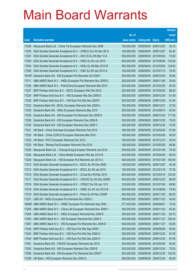|        |                                                              |               |                            |                       | <b>Amount</b> |
|--------|--------------------------------------------------------------|---------------|----------------------------|-----------------------|---------------|
|        |                                                              | No. of        |                            |                       | raised        |
| Code   | <b>Derivative warrants</b>                                   | issue (units) | <b>Listing date Expiry</b> |                       | (HK\$ mil.)   |
| 17208  | Macquarie Bank Ltd. - China Tel European Warrants Dec 2009   | 100,000,000   | 2009/06/04                 | 2009/12/30            | 35.10         |
| 17203  | SGA Societe Generale Acceptance N.V. - CP&CC Eur Wt Dec 09 G | 120,000,000   | 2009/06/04                 | 2009/12/07            | 62.40         |
| 17207  | SGA Societe Generale Acceptance N.V. - A50 Ch Eu Wt Mar 10 A | 500,000,000   | 2009/06/04                 | 2010/03/24            | 75.00         |
| 17205  | SGA Societe Generale Acceptance N.V. - HKEx Eu Wt Jun 2010   | 500,000,000   | 2009/06/04                 | 2010/06/28            | 125.50        |
| 17204  | SGA Societe Generale Acceptance N.V. - HKEx Eu Wt Mar 2010 B | 500,000,000   | 2009/06/04                 | 2010/03/29            | 129.50        |
| 17206  | SGA Societe Generale Acceptance N.V. - ICBC Eu Wt Jan 2010 A | 150,000,000   | 2009/06/04                 | 2010/01/13            | 76.50         |
| 16740# | Deutsche Bank AG - HSI European Put Warrants Oct 2009 I      | 300,000,000   | 2009/06/04                 | 2009/10/29            | 30.60         |
| 17211  | ABN AMRO Bank N.V. - HKEx European Put Warrants Nov 2009 D   | 200,000,000   | 2009/06/05                 | 2009/11/09            | 35.40         |
| 17235  | ABN AMRO Bank N.V. - PetroChina European Warrants Mar 2010   | 200,000,000   | 2009/06/05                 | 2010/03/30            | 50.00         |
| 17227  | BNP Paribas Arbit Issu B.V. - BOCL European Wts Feb 2010     | 200,000,000   | 2009/06/05                 | 2010/02/26            | 88.00         |
| 17234  | BNP Paribas Arbit Issu B.V. - HSI European Wts Dec 2009 E    | 300,000,000   | 2009/06/05                 | 2009/12/30            | 81.00         |
| 17238  | BNP Paribas Arbit Issu B.V. - HSI Euro Put Wts Dec 2009 F    | 300,000,000   | 2009/06/05                 | 2009/12/30            | 81.00         |
| 17233  | Deutsche Bank AG - BOCL European Warrants Dec 2009 A         | 150,000,000   | 2009/06/05                 | 2009/12/21            | 37.50         |
| 17230  | Deutsche Bank AG - HKEx European Warrants May 2010           | 200,000,000   | 2009/06/05                 | 2010/05/10            | 50.00         |
| 17232  | Deutsche Bank AG - HSI European Put Warrants Dec 2009 D      | 300,000,000   | 2009/06/05                 | 2009/12/30            | 117.00        |
| 17228  | Deutsche Bank AG - HSI European Warrants Dec 2009 B          | 300,000,000   | 2009/06/05                 | 2009/12/30            | 75.00         |
| 17229  | Deutsche Bank AG - HSI European Warrants Dec 2009 C          | 300,000,000   | 2009/06/05                 | 2009/12/30            | 75.00         |
| 17221  | HK Bank - China Overseas European Warrants Feb 2010          | 180,000,000   |                            | 2009/06/05 2010/02/26 | 57.60         |
| 17220  | HK Bank - China COSCO European Warrants Mar 2010             | 180,000,000   | 2009/06/05                 | 2010/03/26            | 45.00         |
| 17222  | HK Bank - PICC European Warrants Dec 2010                    | 180,000,000   |                            | 2009/06/05 2010/12/10 | 45.00         |
| 17223  | HK Bank - Shimao Ppt European Warrants Feb 2010              | 180,000,000   | 2009/06/05                 | 2010/02/26            | 46.80         |
| 17225  | Macquarie Bank Ltd. - Cheung Kong European Warrants Jan 2010 | 300,000,000   | 2009/06/05                 | 2010/01/28            | 75.30         |
| 17224  | Macquarie Bank Ltd. - China Mobile European Wts Apr 2010 B   | 400,000,000   | 2009/06/05                 | 2010/04/29            | 60.00         |
| 17226  | Macquarie Bank Ltd. - HSI European Put Warrants Jan 2010 C   | 400,000,000   |                            | 2009/06/05 2010/01/28 | 100.00        |
| 17212  | SGA Societe Generale Acceptance N.V. - BOCL Eu Wt Dec 2009   | 150,000,000   | 2009/06/05                 | 2009/12/07            | 44.25         |
| 17213  | SGA Societe Generale Acceptance N.V. - BOCL Eu Wt Jan 2010   | 150,000,000   |                            | 2009/06/05 2010/01/18 | 37.50         |
| 17215  | SGA Societe Generale Acceptance N.V. - CCoal Eur Wt Mar 2010 | 500,000,000   |                            | 2009/06/05 2010/03/10 | 125.00        |
| 17217  | SGA Societe Generale Acceptance N.V. - CNOOC Eu Wt Dec 2009C | 400,000,000   |                            | 2009/06/05 2009/12/23 | 68.00         |
| 17216  | SGA Societe Generale Acceptance N.V. - CP&CC Eur Wt Jan 10 C | 120,000,000   | 2009/06/05                 | 2010/01/04            | 69.60         |
| 17218  | SGA Societe Generale Acceptance N.V. - HSBC Eu Wt Jun 2010 B | 500,000,000   | 2009/06/05                 | 2010/06/09            | 79.50         |
| 17219  | SGA Societe Generale Acceptance N.V. - Petch Eu Wt Nov 2009F | 400,000,000   | 2009/06/05                 | 2009/11/02            | 66.00         |
| 17231  | UBS AG - HKEx European Put Warrants Nov 2009 C               | 300,000,000   | 2009/06/05                 | 2009/11/23            | 45.00         |
| 16508# | ABN AMRO Bank N.V. - HSBC European Put Warrants Sep 2009     | 271,000,000   | 2009/06/05                 | 2009/09/21            | 10.03         |
| 17265  | ABN AMRO Bank N.V. - China Life European Warrants Nov 2009 F | 300,000,000   | 2009/06/08                 | 2009/11/03            | 65.40         |
| 17264  | ABN AMRO Bank N.V. - HKEx European Warrants Nov 2009 E       | 300,000,000   | 2009/06/08                 | 2009/11/23            | 65.70         |
| 17263  | ABN AMRO Bank N.V. - HSI European Warrants Nov 2009 C        | 400,000,000   | 2009/06/08                 | 2009/11/27            | 106.40        |
| 17267  | ABN AMRO Bank N.V. - HSI European Put Warrants Nov 2009 D    | 400,000,000   | 2009/06/08                 | 2009/11/27            | 93.60         |
| 17242  | BNP Paribas Arbit Issu B.V. - HSI Euro Put Wts Sep 2009 I    | 300,000,000   | 2009/06/08                 | 2009/09/29            | 45.00         |
| 17243  | BNP Paribas Arbit Issu B.V. - HSI Euro Put Wts Dec 2009 G    | 300,000,000   | 2009/06/08                 | 2009/12/30            | 81.00         |
| 17244  | BNP Paribas Arbit Issu B.V. - HSI Euro Put Wts Dec 2009 H    | 300,000,000   | 2009/06/08                 | 2009/12/30            | 87.00         |
| 17261  | Deutsche Bank AG - CNOOC European Warrants Apr 2010          | 200,000,000   | 2009/06/08                 | 2010/04/26            | 50.00         |
| 17262  | Deutsche Bank AG - HSI European Warrants Dec 2009 E          | 300,000,000   | 2009/06/08                 | 2009/12/30            | 75.00         |
| 17266  | Deutsche Bank AG - HSI European Put Warrants Dec 2009 F      | 300,000,000   | 2009/06/08                 | 2009/12/30            | 102.00        |
| 17236  | HK Bank - HSI European Warrants Dec 2009 Q                   | 380,000,000   |                            | 2009/06/08 2009/12/30 | 95.00         |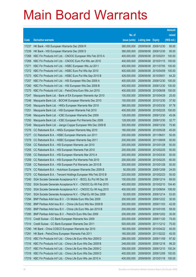|       |                                                              |               |                            |                       | <b>Amount</b> |
|-------|--------------------------------------------------------------|---------------|----------------------------|-----------------------|---------------|
|       |                                                              | No. of        |                            |                       | raised        |
| Code  | <b>Derivative warrants</b>                                   | issue (units) | <b>Listing date Expiry</b> |                       | (HK\$ mil.)   |
| 17237 | HK Bank - HSI European Warrants Dec 2009 R                   | 380,000,000   | 2009/06/08 2009/12/30      |                       | 95.00         |
| 17239 | HK Bank - HSI European Warrants Dec 2009 S                   | 380,000,000   |                            | 2009/06/08 2009/12/30 | 95.00         |
| 17268 | KBC Fin Products Int'l Ltd. - CNOOC European Wts Feb 2010 A  | 400,000,000   | 2009/06/08 2010/02/01      |                       | 100.00        |
| 17269 | KBC Fin Products Int'l Ltd. - CNOOC Euro Put Wts Jan 2010    | 400,000,000   |                            | 2009/06/08 2010/01/15 | 100.00        |
| 17271 | KBC Fin Products Int'l Ltd. - HSBC European Wts Jul 2011     | 400,000,000   |                            | 2009/06/08 2011/07/05 | 100.00        |
| 17272 | KBC Fin Products Int'l Ltd. - HSBC Euro Put Wts Apr 2010     | 400,000,000   |                            | 2009/06/08 2010/04/09 | 100.00        |
| 17273 | KBC Fin Products Int'l Ltd. - HSBC Euro Put Wts Sep 2010 B   | 428,000,000   | 2009/06/08 2010/09/01      |                       | 64.20         |
| 17257 | KBC Fin Products Int'l Ltd. - HSI European Wts Dec 2009 A    | 400,000,000   |                            | 2009/06/08 2009/12/30 | 100.00        |
| 17260 | KBC Fin Products Int'l Ltd. - HSI European Wts Dec 2009 B    | 400,000,000   |                            | 2009/06/08 2009/12/30 | 100.00        |
| 17270 | KBC Fin Products Int'l Ltd. - PetroChina Euro Wts Jun 2010   | 400,000,000   |                            | 2009/06/08 2010/06/08 | 100.00        |
| 17247 | Macquarie Bank Ltd. - Bank of EA European Warrants Apr 2010  | 100,000,000   | 2009/06/08 2010/04/29      |                       | 25.00         |
| 17248 | Macquarie Bank Ltd. - BOCHK European Warrants Dec 2010       | 150,000,000   |                            | 2009/06/08 2010/12/30 | 37.50         |
| 17245 | Macquarie Bank Ltd. - HKEx European Warrants Mar 2010        | 388,000,000   |                            | 2009/06/08 2010/03/30 | 97.78         |
| 17251 | Macquarie Bank Ltd. - HSI European Warrants Feb 2010         | 400,000,000   |                            | 2009/06/08 2010/02/25 | 100.00        |
| 17246 | Macquarie Bank Ltd. - ICBC European Warrants Dec 2009        | 128,000,000   | 2009/06/08                 | 2009/12/30            | 45.06         |
| 17250 | Macquarie Bank Ltd. - ICBC European Put Warrants Dec 2009    | 128,000,000   |                            | 2009/06/08 2009/12/30 | 32.77         |
| 17249 | Macquarie Bank Ltd. - Jiangxi Copper European Wts Dec 2009 B | 300,000,000   |                            | 2009/06/08 2009/12/30 | 75.90         |
| 17276 | CC Rabobank B.A. - HKEx European Warrants May 2010           | 180,000,000   |                            | 2009/06/08 2010/05/28 | 45.00         |
| 17277 | CC Rabobank B.A. - HSBC European Warrants Jun 2011           | 200,000,000   | 2009/06/08                 | 2011/06/01            | 50.00         |
| 17278 | CC Rabobank B.A. - HSBC European Warrants Sep 2011           | 200,000,000   | 2009/06/08 2011/09/09      |                       | 50.00         |
| 17254 | CC Rabobank B.A. - HSI European Warrants Jan 2010            | 200,000,000   | 2009/06/08 2010/01/28      |                       | 50.00         |
| 17255 | CC Rabobank B.A. - HSI European Warrants Feb 2010            | 200,000,000   |                            | 2009/06/08 2010/02/25 | 50.00         |
| 17256 | CC Rabobank B.A. - HSI European Warrants Mar 2010 A          | 200,000,000   | 2009/06/08                 | 2010/03/30            | 50.00         |
| 17259 | CC Rabobank B.A. - HSI European Put Warrants Feb 2010        | 200,000,000   |                            | 2009/06/08 2010/02/25 | 60.00         |
| 17258 | CC Rabobank B.A. - HSI European Put Warrants Jan 2010 B      | 200,000,000   | 2009/06/08 2010/01/28      |                       | 50.00         |
| 17274 | CC Rabobank B.A. - Hutchison European Warrants Dec 2009 B    | 50,000,000    | 2009/06/08 2009/12/08      |                       | 24.00         |
| 17275 | CC Rabobank B.A. - Tencent Holdings European Wts Feb 2010 B  | 220,000,000   | 2009/06/08 2010/02/23      |                       | 55.00         |
| 17240 | SGA Societe Generale Acceptance N.V. - BOCL Eu Put Wt Dec 09 | 150,000,000   | 2009/06/08 2009/12/14      |                       | 69.00         |
| 17252 | SGA Societe Generale Acceptance N.V. - CNOOC Eu Wt Feb 2010  | 400,000,000   | 2009/06/08 2010/02/10      |                       | 104.40        |
| 17253 | SGA Societe Generale Acceptance N.V. - CNOOC Eu Wt Aug 2010  | 400,000,000   | 2009/06/08 2010/08/04      |                       | 108.00        |
| 17241 | SGA Societe Generale Acceptance N.V. - CRail Eu Wt Dec 2009  | 50,000,000    | 2009/06/08 2009/12/14      |                       | 53.00         |
| 17294 | BNP Paribas Arbit Issu B.V. - Ch Mobile Euro Wts Dec 2009    | 200,000,000   |                            | 2009/06/09 2009/12/22 | 30.00         |
| 17292 | BNP Paribas Arbit Issu B.V. - China Life Euro Wts Nov 2009 B | 200,000,000   | 2009/06/09                 | 2009/11/03            | 42.00         |
| 17293 | BNP Paribas Arbit Issu B.V. - China Life Euro Wts Jan 2010 B | 200,000,000   | 2009/06/09                 | 2010/01/05            | 58.00         |
| 17295 | BNP Paribas Arbit Issu B.V. - PetroCh Euro Wts Dec 2009      | 200,000,000   | 2009/06/09                 | 2009/12/02            | 30.00         |
| 17313 | Credit Suisse - CC Bank European Warrants Nov 2009           | 200,000,000   | 2009/06/09 2009/11/20      |                       | 74.00         |
| 17314 | Credit Suisse - CC Bank European Warrants Dec 2011           | 500,000,000   | 2009/06/09 2011/12/12      |                       | 75.00         |
| 17290 | HK Bank - China COSCO European Warrants Apr 2010             | 180,000,000   |                            | 2009/06/09 2010/04/22 | 45.00         |
| 17291 | HK Bank - PetroChina European Warrants Feb 2011              | 180,000,000   | 2009/06/09 2011/02/22      |                       | 45.00         |
| 17315 | KBC Fin Products Int'l Ltd. - China Life Euro Wts Nov 2009 D | 288,000,000   | 2009/06/09                 | 2009/11/09            | 97.92         |
| 17316 | KBC Fin Products Int'l Ltd. - China Life Euro Wts Dec 2009 B | 248,000,000   | 2009/06/09                 | 2009/12/18            | 99.20         |
| 17317 | KBC Fin Products Int'l Ltd. - China Life Euro Wts Dec 2009 C | 358,000,000   | 2009/06/09                 | 2009/12/10            | 100.24        |
| 17318 | KBC Fin Products Int'l Ltd. - China Life Euro Wts Dec 2009 D | 400,000,000   | 2009/06/09                 | 2009/12/09            | 100.00        |
| 17319 | KBC Fin Products Int'l Ltd. - China Life Euro Wts Jan 2010 A | 400,000,000   | 2009/06/09 2010/01/18      |                       | 100.00        |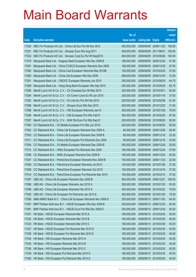|       |                                                              |               |                       |            | <b>Amount</b> |
|-------|--------------------------------------------------------------|---------------|-----------------------|------------|---------------|
|       |                                                              | No. of        |                       |            | raised        |
| Code  | <b>Derivative warrants</b>                                   | issue (units) | Listing date Expiry   |            | (HK\$ mil.)   |
| 17320 | KBC Fin Products Int'l Ltd. - China Life Eur Put Wt Nov 09 E | 400,000,000   | 2009/06/09            | 2009/11/20 | 100.00        |
| 17321 | KBC Fin Products Int'l Ltd. - Sinopec Euro Wts Aug 2011      | 400,000,000   | 2009/06/09 2011/08/01 |            | 100.00        |
| 17322 | KBC Fin Products Int'l Ltd. - Sinopec Corp Eu Put Wt Sep2010 | 400,000,000   | 2009/06/09            | 2010/09/28 | 100.00        |
| 17279 | Macquarie Bank Ltd. - Angang Steel European Wts Dec 2009 B   | 188,000,000   | 2009/06/09            | 2009/12/30 | 47.56         |
| 17281 | Macquarie Bank Ltd. - China COSCO European Warrants Dec 2009 | 188,000,000   | 2009/06/09            | 2009/12/30 | 47.00         |
| 17280 | Macquarie Bank Ltd. - China Coal European Warrants Mar 2010B | 150,000,000   | 2009/06/09 2010/03/30 |            | 37.65         |
| 17282 | Macquarie Bank Ltd. - China Life European Wts Dec 2009       | 288,000,000   | 2009/06/09            | 2009/12/30 | 72.29         |
| 17301 | Macquarie Bank Ltd. - CNOOC European Warrants Jun 2010       | 250,000,000   | 2009/06/09 2010/06/29 |            | 64.75         |
| 17299 | Macquarie Bank Ltd. - Hang Seng Bank European Wts Sep 2010   | 250,000,000   | 2009/06/09            | 2010/09/29 | 62.75         |
| 17285 | Merrill Lynch Int'l & Co. C.V. - Ch Overseas Eur Wt Mar 2010 | 200,000,000   | 2009/06/09 2010/03/01 |            | 62.00         |
| 17284 | Merrill Lynch Int'l & Co. C.V. - Ch Comm Cons Eu Wt Jan 2010 | 200,000,000   | 2009/06/09            | 2010/01/18 | 37.00         |
| 17283 | Merrill Lynch Int'l & Co. C.V. - Ch Life Eur Put Wt Feb 2010 | 200,000,000   | 2009/06/09 2010/02/08 |            | 81.00         |
| 17286 | Merrill Lynch Int'l & Co. C.V. - Sinopec Euro Wts Dec 2010   | 200,000,000   | 2009/06/09            | 2010/12/20 | 31.60         |
| 17288 | Merrill Lynch Int'l & Co. C.V. - HSI European Warrants Jan10 | 300,000,000   | 2009/06/09 2010/01/28 |            | 79.50         |
| 17289 | Merrill Lynch Int'l & Co. C.V. - HSI European Put Wts Feb10  | 300,000,000   | 2009/06/09            | 2010/02/25 | 87.00         |
| 17287 | Merrill Lynch Int'l & Co. C.V. - SHK Ppt Euro Put Wts Sep10  | 200,000,000   | 2009/06/09 2010/09/20 |            | 50.00         |
| 17305 | CC Rabobank B.A. - Ch Mobile European Put Wts Jun 2010       | 200,000,000   | 2009/06/09            | 2010/06/25 | 50.00         |
| 17302 | CC Rabobank B.A. - China Life European Warrants Dec 2009 A   | 80,000,000    | 2009/06/09 2009/12/09 |            | 26.40         |
| 17303 | CC Rabobank B.A. - China Life European Warrants Dec 2009 B   | 80,000,000    | 2009/06/09            | 2009/12/18 | 23.20         |
| 17311 | CC Rabobank B.A. - China Life European Put Warrants Dec 2009 | 80,000,000    | 2009/06/09 2009/12/18 |            | 33.60         |
| 17304 | CC Rabobank B.A. - Ch Mobile European Warrants Dec 2009 B    | 200,000,000   | 2009/06/09            | 2009/12/29 | 30.00         |
| 17312 | CC Rabobank B.A. - HKEx European Put Warrants Dec 2009       | 180,000,000   | 2009/06/09 2009/12/24 |            | 57.60         |
| 17306 | CC Rabobank B.A. - HKEx European Warrants Dec 2009 B         | 180,000,000   | 2009/06/09            | 2009/12/24 | 45.00         |
| 17307 | CC Rabobank B.A. - PetroChina European Warrants Nov 2009 B   | 150,000,000   | 2009/06/09 2009/11/23 |            | 22.50         |
| 17308 | CC Rabobank B.A. - PetroChina European Warrants Jul 2010     | 150,000,000   | 2009/06/09 2010/07/28 |            | 37.50         |
| 17309 | CC Rabobank B.A. - PetroChina European Warrants Oct 2010     | 150,000,000   | 2009/06/09 2010/10/18 |            | 37.50         |
| 17310 | CC Rabobank B.A. - PetroChina European Put Warrants Mar 2010 | 150,000,000   | 2009/06/09 2010/03/10 |            | 37.50         |
| 17297 | UBS AG - China Life European Warrants Dec 2009 B             | 300,000,000   | 2009/06/09 2009/12/21 |            | 165.00        |
| 17296 | UBS AG - China Life European Warrants Jan 2010 A             | 300,000,000   | 2009/06/09            | 2010/01/25 | 93.00         |
| 17298 | UBS AG - China Life European Warrants Feb 2010 A             | 300,000,000   | 2009/06/09 2010/02/22 |            | 75.00         |
| 17300 | UBS AG - China Life European Put Warrants Jan 2010 E         | 300,000,000   | 2009/06/09 2010/01/25 |            | 75.00         |
| 17356 | ABN AMRO Bank N.V. - China Life European Warrants Nov 2009 G | 250,000,000   | 2009/06/10 2009/11/02 |            | 84.50         |
| 17357 | BNP Paribas Arbit Issu B.V. - HSCEI European Wts Dec 2009 B  | 200,000,000   | 2009/06/10            | 2009/12/30 | 50.00         |
| 17361 | BNP Paribas Arbit Issu B.V. - HSCEI Euro Put Wts Dec 2009 D  | 200,000,000   | 2009/06/10            | 2009/12/30 | 50.00         |
| 17331 | HK Bank - HSCEI European Warrants Mar 2010 A                 | 180,000,000   | 2009/06/10 2010/03/30 |            | 45.00         |
| 17332 | HK Bank - HSCEI European Warrants Mar 2010 B                 | 180,000,000   | 2009/06/10 2010/03/30 |            | 45.00         |
| 17333 | HK Bank - HSCEI European Warrants Mar 2010 C                 | 180,000,000   | 2009/06/10 2010/03/30 |            | 45.00         |
| 17337 | HK Bank - HSCEI European Put Warrants Mar 2010 D             | 180,000,000   | 2009/06/10 2010/03/30 |            | 45.00         |
| 17338 | HK Bank - HSCEI European Put Warrants Mar 2010 E             | 180,000,000   | 2009/06/10 2010/03/30 |            | 45.00         |
| 17334 | HK Bank - HSI European Warrants Mar 2010 A                   | 180,000,000   | 2009/06/10 2010/03/30 |            | 45.00         |
| 17335 | HK Bank - HSI European Warrants Mar 2010 B                   | 180,000,000   | 2009/06/10            | 2010/03/30 | 45.00         |
| 17336 | HK Bank - HSI European Warrants Mar 2010 C                   | 180,000,000   | 2009/06/10 2010/03/30 |            | 45.00         |
| 17339 | HK Bank - HSI European Put Warrants Mar 2010 D               | 180,000,000   | 2009/06/10 2010/03/30 |            | 45.00         |
| 17340 | HK Bank - HSI European Put Warrants Mar 2010 E               | 180,000,000   | 2009/06/10 2010/03/30 |            | 45.00         |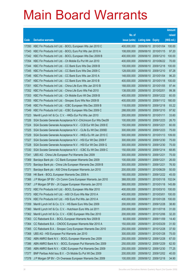|       |                                                              |               |                            |            | <b>Amount</b> |
|-------|--------------------------------------------------------------|---------------|----------------------------|------------|---------------|
|       |                                                              | No. of        |                            |            | raised        |
| Code  | <b>Derivative warrants</b>                                   | issue (units) | <b>Listing date Expiry</b> |            | (HK\$ mil.)   |
| 17350 | KBC Fin Products Int'l Ltd. - BOCL European Wts Jan 2010 C   | 400,000,000   | 2009/06/10 2010/01/04      |            | 100.00        |
| 17343 | KBC Fin Products Int'l Ltd. - BOCL Euro Put Wts Jan 2010 A   | 108,000,000   | 2009/06/10 2010/01/15      |            | 97.20         |
| 17342 | KBC Fin Products Int'l Ltd. - BOCL European Wts Dec 2009 B   | 400,000,000   | 2009/06/10 2009/12/10      |            | 100.00        |
| 17354 | KBC Fin Products Int'l Ltd. - Ch Mobile Eu Put Wt Jun 2010   | 400,000,000   | 2009/06/10 2010/06/22      |            | 70.00         |
| 17344 | KBC Fin Products Int'l Ltd. - CC Bank Euro Wts Dec 2009 B    | 100,000,000   | 2009/06/10 2009/12/18      |            | 100.00        |
| 17345 | KBC Fin Products Int'l Ltd. - CC Bank Euro Wts Dec 2009 C    | 128,000,000   | 2009/06/10 2009/12/10      |            | 97.28         |
| 17346 | KBC Fin Products Int'l Ltd. - CC Bank Euro Wts Jan 2010 A    | 148,000,000   | 2009/06/10 2010/01/04      |            | 96.20         |
| 17347 | KBC Fin Products Int'l Ltd. - CC Bank Euro Wts Jan 2010 B    | 400,000,000   | 2009/06/10 2010/01/18      |            | 100.00        |
| 17351 | KBC Fin Products Int'l Ltd. - China Life Euro Wts Jan 2010 B | 168,000,000   | 2009/06/10 2010/01/05      |            | 97.44         |
| 17352 | KBC Fin Products Int'l Ltd. - China Life Euro Wts Feb 2010   | 138,000,000   | 2009/06/10 2010/02/01      |            | 99.36         |
| 17353 | KBC Fin Products Int'l Ltd. - Ch Mobile Euro Wt Dec 2009 B   | 400,000,000   | 2009/06/10 2009/12/22      |            | 60.00         |
| 17355 | KBC Fin Products Int'l Ltd. - Sinopec Euro Wts Nov 2009 B    | 400,000,000   | 2009/06/10 2009/11/12      |            | 180.00        |
| 17348 | KBC Fin Products Int'l Ltd. - ICBC European Wts Dec 2009 B   | 118,000,000   | 2009/06/10 2009/12/18      |            | 93.22         |
| 17349 | KBC Fin Products Int'l Ltd. - ICBC European Wts Dec 2009 C   | 288,000,000   | 2009/06/10 2009/12/10      |            | 97.92         |
| 17323 | Merrill Lynch Int'l & Co. C.V. - HKEx Eur Put Wts Jan 2010   | 200,000,000   | 2009/06/10 2010/01/11      |            | 33.60         |
| 17326 | SGA Societe Generale Acceptance N.V.-ChiUnicom Eur Wts Dec09 | 100,000,000   | 2009/06/10 2009/12/23      |            | 26.70         |
| 17324 | SGA Societe Generale Acceptance N.V. - CCB Eur Wt Dec 2009 E | 150,000,000   | 2009/06/10 2009/12/21      |            | 60.00         |
| 17325 | SGA Societe Generale Acceptance N.V. - CLife Eu Wt Dec 2009D | 300,000,000   | 2009/06/10 2009/12/23      |            | 75.00         |
| 17329 | SGA Societe Generale Acceptance N.V. - HKEx Eu Wt Jan 2010 C | 500,000,000   | 2009/06/10                 | 2010/01/13 | 109.00        |
| 17327 | SGA Societe Generale Acceptance N.V. - HSI Eur Wt Dec 2009 F | 300,000,000   | 2009/06/10 2009/12/30      |            | 75.00         |
| 17328 | SGA Societe Generale Acceptance N.V. - HSI Eur Wt Dec 2009 G | 300,000,000   | 2009/06/10 2009/12/30      |            | 75.00         |
| 17330 | SGA Societe Generale Acceptance N.V. - ICBC Eu Wt Dec 2009 C | 150,000,000   | 2009/06/10 2009/12/14      |            | 68.85         |
| 17341 | UBS AG - China Life European Put Warrants Dec 2009           | 300,000,000   | 2009/06/10 2009/12/21      |            | 75.00         |
| 17369 | Barclays Bank plc - CC Bank European Warrants Dec 2009       | 100,000,000   | 2009/06/11                 | 2009/12/21 | 26.00         |
| 17370 | Barclays Bank plc - China Life European Warrants Dec 2009 B  | 300,000,000   | 2009/06/11                 | 2009/12/21 | 76.50         |
| 17371 | Barclays Bank plc - A50 China European Warrants Jun 2010     | 200,000,000   | 2009/06/11                 | 2010/06/29 | 50.00         |
| 17358 | HK Bank - BOCL European Warrants Dec 2009 A                  | 180,000,000   | 2009/06/11                 | 2009/12/22 | 45.00         |
| 17366 | J P Morgan SP BV - Ch Comm Cons European Warrants Jan 2010   | 388,000,000   | 2009/06/11                 | 2010/01/18 | 102.04        |
| 17367 | J P Morgan SP BV - JX Copper European Warrants Jan 2010      | 388,000,000   | 2009/06/11                 | 2010/01/18 | 145.89        |
| 17372 | KBC Fin Products Int'l Ltd. - BOCL European Wts Mar 2010     | 400,000,000   | 2009/06/11                 | 2010/03/10 | 100.00        |
| 17373 | KBC Fin Products Int'l Ltd. - A50 Ch Euro Wts Mar 2010 A     | 400,000,000   | 2009/06/11                 | 2010/03/01 | 100.00        |
| 17374 | KBC Fin Products Int'l Ltd. - HSI Euro Put Wts Jan 2010 A    | 400,000,000   | 2009/06/11                 | 2010/01/28 | 100.00        |
| 17359 | Merrill Lynch Int'l & Co. C.V. - HS Bank Euro Wts Dec 2009   | 200,000,000   | 2009/06/11                 | 2009/12/28 | 38.80         |
| 17360 | Merrill Lynch Int'l & Co. C.V. - Hutchison Euro Wts Jul 2011 | 200,000,000   | 2009/06/11                 | 2011/07/18 | 31.00         |
| 17362 | Merrill Lynch Int'l & Co. C.V. - ICBC European Wts Dec 2010  | 200,000,000   | 2009/06/11                 | 2010/12/06 | 32.20         |
| 17363 | CC Rabobank B.A. - BOCL European Warrants Nov 2009 B         | 60,000,000    | 2009/06/11                 | 2009/11/09 | 14.40         |
| 17364 | CC Rabobank B.A. - CNOOC European Warrants Mar 2010 A        | 150,000,000   | 2009/06/11                 | 2010/03/29 | 31.50         |
| 17365 | CC Rabobank B.A. - Sinopec Corp European Warrants Dec 2010   | 250,000,000   | 2009/06/11                 | 2010/12/28 | 37.50         |
| 17368 | UBS AG - HSI European Put Warrants Jan 2010                  | 300,000,000   | 2009/06/11                 | 2010/01/28 | 75.00         |
| 17382 | ABN AMRO Bank N.V. - BOCL European Warrants Dec 2009         | 250,000,000   | 2009/06/12 2009/12/28      |            | 67.00         |
| 17386 | ABN AMRO Bank N.V. - BOCL European Put Warrants Dec 2009     | 250,000,000   | 2009/06/12                 | 2009/12/29 | 62.50         |
| 17385 | ABN AMRO Bank N.V. - ICBC European Put Warrants Dec 2009     | 250,000,000   | 2009/06/12 2009/12/30      |            | 77.25         |
| 17377 | BNP Paribas Arbit Issu B.V. - Ch Mobile Eu Put Wt Dec 2009   | 200,000,000   | 2009/06/12 2009/12/02      |            | 40.00         |
| 17378 | J P Morgan SP BV - Ch Overseas European Warrants Dec 2009    | 100,000,000   | 2009/06/12 2009/12/18      |            | 34.90         |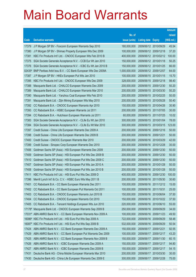|                    |                                                                  |               |                            |                       | <b>Amount</b> |
|--------------------|------------------------------------------------------------------|---------------|----------------------------|-----------------------|---------------|
|                    |                                                                  | No. of        |                            |                       | raised        |
| Code               | <b>Derivative warrants</b>                                       | issue (units) | <b>Listing date Expiry</b> |                       | (HK\$ mil.)   |
| 17379              | J P Morgan SP BV - Foxconn European Warrants Sep 2010            | 180,000,000   | 2009/06/12 2010/09/29      |                       | 45.54         |
| 17380              | J P Morgan SP BV - Shimao Property European Wts Dec 2009         | 100,000,000   |                            | 2009/06/12 2009/12/18 | 37.20         |
| 17381              | KBC Fin Products Int'l Ltd. - CNOOC European Wts Feb 2010 B      | 400,000,000   |                            | 2009/06/12 2010/02/12 | 100.00        |
| 17375              | SGA Societe Generale Acceptance N.V. - CCB Eur Wt Jan 2010       | 150,000,000   | 2009/06/12 2010/01/18      |                       | 50.25         |
| 17376              | SGA Societe Generale Acceptance N.V. - ICBC Eu Wt Jan 2010 B     | 150,000,000   |                            | 2009/06/12 2010/01/25 | 66.00         |
| $02435^{\text{*}}$ | BNP Paribas Arbit Issu B.V. - CC Bank European Wts Dec 2009A     | 1,000,000,000 |                            | 2009/06/12 2009/12/07 | 64.00         |
| 17387              | J P Morgan SP BV - HKEx European Put Wts Jan 2010                | 100,000,000   |                            | 2009/06/15 2010/01/15 | 15.70         |
| 17395              | KBC Fin Products Int'l Ltd. - CNOOC European Wts Dec 2009        | 328,000,000   | 2009/06/15 2009/12/18      |                       | 98.40         |
| 17388              | Macquarie Bank Ltd. - CHALCO European Warrants Dec 2009          | 200,000,000   |                            | 2009/06/15 2009/12/30 | 50.20         |
| 17389              | Macquarie Bank Ltd. - CHALCO European Warrants Mar 2010          | 200,000,000   |                            | 2009/06/15 2010/03/30 | 50.20         |
| 17390              | Macquarie Bank Ltd. - Yanzhou Coal European Wts Feb 2010         | 200,000,000   | 2009/06/15 2010/02/25      |                       | 50.00         |
| 17391              | Macquarie Bank Ltd. - Zijin Mining European Wts May 2010         | 200,000,000   |                            | 2009/06/15 2010/05/28 | 50.40         |
| 17392              | CC Rabobank B.A. - CNOOC European Warrants Apr 2010              | 150,000,000   |                            | 2009/06/15 2010/04/26 | 30.90         |
| 17393              | CC Rabobank B.A. - HSBC European Warrants Jul 2011               | 200,000,000   |                            | 2009/06/15 2011/07/05 | 30.00         |
| 17394              | CC Rabobank B.A. - Hutchison European Warrants Jul 2011          | 60,000,000    | 2009/06/15 2011/07/25      |                       | 10.02         |
| 17383              | SGA Societe Generale Acceptance N.V. - CLife Eu Wt Jan 2010      | 300,000,000   |                            | 2009/06/15 2010/01/04 | 78.00         |
| 17384              | SGA Societe Generale Acceptance N.V. - CLife Eu Wt Mar 2010      | 300,000,000   |                            | 2009/06/15 2010/03/15 | 123.00        |
| 17397              | Credit Suisse - China Life European Warrants Dec 2009 A          | 200,000,000   | 2009/06/16 2009/12/16      |                       | 50.00         |
| 17398              | Credit Suisse - China Life European Warrants Dec 2009 B          | 200,000,000   | 2009/06/16 2009/12/21      |                       | 50.00         |
| 17400              | Credit Suisse - CNOOC European Warrants Mar 2010                 | 200,000,000   | 2009/06/16 2010/03/29      |                       | 42.00         |
| 17399              | Credit Suisse - Sinopec Corp European Warrants Dec 2010          | 200,000,000   |                            | 2009/06/16 2010/12/28 | 30.00         |
| 17406              | Goldman Sachs SP (Asia) - HSI European Warrants Dec 2009         | 200,000,000   |                            | 2009/06/16 2009/12/30 | 50.00         |
| 17409              | Goldman Sachs SP (Asia) - HSI European Put Wts Dec 2009 B        | 200,000,000   |                            | 2009/06/16 2009/12/30 | 50.00         |
| 17410              | Goldman Sachs SP (Asia) - HSI European Put Wts Dec 2009 C        | 200,000,000   |                            | 2009/06/16 2009/12/30 | 50.00         |
| 17407              | Goldman Sachs SP (Asia) - HSI European Put Wts Jan 2010 A        | 200,000,000   | 2009/06/16 2010/01/28      |                       | 50.00         |
| 17408              | Goldman Sachs SP (Asia) - HSI European Put Wts Jan 2010 B        | 200,000,000   | 2009/06/16 2010/01/28      |                       | 50.00         |
| 17411              | KBC Fin Products Int'l Ltd. - HSI Euro Put Wts Dec 2009 D        | 400,000,000   |                            | 2009/06/16 2009/12/30 | 100.00        |
| 17396              | Merrill Lynch Int'l & Co. C.V. - HSBC Euro Wts May 2011 B        | 200,000,000   |                            | 2009/06/16 2011/05/30 | 30.60         |
| 17401              | CC Rabobank B.A. - CC Bank European Warrants Dec 2011            | 100,000,000   |                            | 2009/06/16 2011/12/12 | 15.00         |
| 17402              | CC Rabobank B.A. - CC Bank European Put Warrants Oct 2011        | 100,000,000   | 2009/06/16 2011/10/31      |                       | 25.00         |
| 17403              | CC Rabobank B.A. - CNOOC European Warrants Jun 2010 B            | 150,000,000   |                            | 2009/06/16 2010/06/04 | 37.50         |
| 17404              | CC Rabobank B.A. - CNOOC European Warrants Oct 2010              | 150,000,000   |                            | 2009/06/16 2010/10/22 | 37.50         |
| 17405              | CC Rabobank B.A. - Tencent Holdings European Wts Jun 2010        | 220,000,000   |                            | 2009/06/16 2010/06/10 | 55.00         |
|                    | 17178# Macquarie Bank Ltd. - CNOOC European Warrants Sep 2009 B  | 250,000,000   |                            | 2009/06/16 2009/09/29 | 34.00         |
|                    | 17031# ABN AMRO Bank N.V. - CC Bank European Warrants Nov 2009 A | 100,000,000   |                            | 2009/06/16 2009/11/23 | 49.50         |
|                    | 16086# KBC Fin Products Int'l Ltd. - HSI Euro Put Wts Sep 2009 A | 722,000,000   | 2009/06/16 2009/09/29      |                       | 58.48         |
| 16087#             | KBC Fin Products Int'l Ltd. - HSI Euro Put Wts Sep 2009 B        | 532,000,000   | 2009/06/16 2009/09/29      |                       | 50.54         |
| 17424              | ABN AMRO Bank N.V. - CC Bank European Warrants Dec 2009 A        | 150,000,000   | 2009/06/17                 | 2009/12/21            | 92.55         |
| 17429              | ABN AMRO Bank N.V. - CC Bank European Put Warrants Dec 2009      | 100,000,000   | 2009/06/17                 | 2009/12/17            | 43.20         |
| 17425              | ABN AMRO Bank N.V. - CC Bank European Warrants Nov 2009 B        | 150,000,000   | 2009/06/17                 | 2009/11/30            | 60.15         |
| 17426              | ABN AMRO Bank N.V. - ICBC European Warrants Dec 2009 A           | 150,000,000   | 2009/06/17                 | 2009/12/17            | 94.80         |
| 17427              | ABN AMRO Bank N.V. - ICBC European Warrants Dec 2009 B           | 150,000,000   | 2009/06/17                 | 2009/12/17            | 54.15         |
| 17431              | Deutsche Bank AG - China Mobile European Warrants Mar 2010       | 200,000,000   | 2009/06/17                 | 2010/03/30            | 30.00         |
| 17430              | Deutsche Bank AG - China Life European Warrants Dec 2009 E       | 300,000,000   | 2009/06/17                 | 2009/12/28            | 75.00         |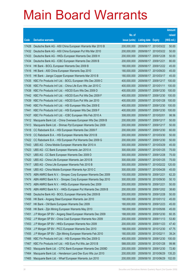|                |                                                                                                                    |                            |                                     |                                     | <b>Amount</b>  |
|----------------|--------------------------------------------------------------------------------------------------------------------|----------------------------|-------------------------------------|-------------------------------------|----------------|
|                |                                                                                                                    | No. of                     |                                     |                                     | raised         |
| Code           | <b>Derivative warrants</b>                                                                                         | issue (units)              | <b>Listing date Expiry</b>          |                                     | (HK\$ mil.)    |
| 17428          | Deutsche Bank AG - A50 China European Warrants Mar 2010 B                                                          | 200,000,000                |                                     | 2009/06/17 2010/03/22               | 50.00          |
| 17432          | Deutsche Bank AG - A50 China European Put Wts Mar 2010                                                             | 200,000,000                |                                     | 2009/06/17 2010/03/22               | 50.00          |
| 17433          | Deutsche Bank AG - HKEx European Warrants Dec 2009 H                                                               | 200,000,000                | 2009/06/17                          | 2009/12/28                          | 50.00          |
| 17434          | Deutsche Bank AG - ICBC European Warrants Dec 2009 B                                                               | 200,000,000                | 2009/06/17                          | 2009/12/21                          | 80.00          |
| 17414          | HK Bank - BOCL European Warrants Dec 2009 B                                                                        | 180,000,000                |                                     | 2009/06/17 2009/12/22               | 45.00          |
| 17416          | HK Bank - A50 China European Warrants Sep 2010                                                                     | 180,000,000                |                                     | 2009/06/17 2010/09/20               | 45.00          |
| 17415          | HK Bank - Jiangxi Copper European Warrants Mar 2010 B                                                              | 180,000,000                | 2009/06/17 2010/03/17               |                                     | 45.00          |
| 17435          | KBC Fin Products Int'l Ltd. - BOCL European Wts Dec 2009 C                                                         | 400,000,000                | 2009/06/17                          | 2009/12/17                          | 100.00         |
| 17436          | KBC Fin Products Int'l Ltd. - China Life Euro Wts Jan 2010 C                                                       | 400,000,000                | 2009/06/17 2010/01/11               |                                     | 100.00         |
| 17438          | KBC Fin Products Int'l Ltd. - HSCEI Euro Wts Dec 2009 D                                                            | 400,000,000                |                                     | 2009/06/17 2009/12/30               | 100.00         |
| 17442          | KBC Fin Products Int'l Ltd. - HSCEI Euro Put Wts Dec 2009 F                                                        | 400,000,000                | 2009/06/17                          | 2009/12/30                          | 100.00         |
| 17439          | KBC Fin Products Int'l Ltd. - HSCEI Euro Put Wts Jan 2010                                                          | 400,000,000                | 2009/06/17                          | 2010/01/28                          | 100.00         |
| 17440          | KBC Fin Products Int'l Ltd. - HSI European Wts Dec 2009 E                                                          | 400,000,000                |                                     | 2009/06/17 2009/12/30               | 100.00         |
| 17441          | KBC Fin Products Int'l Ltd. - HSI European Wts Dec 2009 F                                                          | 400,000,000                |                                     | 2009/06/17 2009/12/30               | 100.00         |
| 17437          | KBC Fin Products Int'l Ltd. - ICBC European Wts Feb 2010 A                                                         | 308,000,000                | 2009/06/17                          | 2010/02/01                          | 98.56          |
| 17412          | Macquarie Bank Ltd. - China Overseas European Wts Dec 2009 B                                                       | 200,000,000                | 2009/06/17 2009/12/17               |                                     | 50.00          |
| 17413          | Macquarie Bank Ltd. - Shimao Ppt European Warrants Dec 2009                                                        | 200,000,000                | 2009/06/17 2009/12/17               |                                     | 50.00          |
| 17418          | CC Rabobank B.A. - HSI European Warrants Dec 2009 F                                                                | 200,000,000                |                                     | 2009/06/17 2009/12/30               | 60.00          |
| 17419          | CC Rabobank B.A. - HSI European Warrants Mar 2010 B                                                                | 200,000,000                | 2009/06/17                          | 2010/03/30                          | 50.00          |
| 17422          | CC Rabobank B.A. - HSI European Put Warrants Dec 2009 G                                                            | 200,000,000                |                                     | 2009/06/17 2009/12/30               | 50.00          |
| 17443          | UBS AG - China Mobile European Warrants Mar 2010 A                                                                 | 300,000,000                |                                     | 2009/06/17 2010/03/29               | 45.00          |
| 17423          | UBS AG - CC Bank European Warrants Jan 2010 A                                                                      | 300,000,000                |                                     | 2009/06/17 2010/01/25               | 75.00          |
| 17421          | UBS AG - CC Bank European Warrants Dec 2009 D                                                                      | 300,000,000                | 2009/06/17                          | 2009/12/28                          | 75.00          |
| 17420          | UBS AG - China Life European Warrants Jan 2010 B                                                                   | 300,000,000                |                                     | 2009/06/17 2010/01/25               | 75.00          |
| 17417          | UBS AG - China Life European Warrants Feb 2010 B                                                                   | 300,000,000                |                                     | 2009/06/17 2010/02/22               | 120.00         |
| 17444          | UBS AG - China Mobile European Warrants Apr 2010 C                                                                 | 300,000,000                | 2009/06/17 2010/04/26               |                                     | 45.00          |
| 17475          | ABN AMRO Bank N.V. - Sinopec Corp European Warrants Dec 2009                                                       | 100,000,000<br>300,000,000 | 2009/06/18                          | 2009/12/21                          | 62.20          |
| 17474<br>17473 | ABN AMRO Bank N.V. - Sinopec Corp European Warrants Sep 2010                                                       | 200,000,000                | 2009/06/18 2010/09/30<br>2009/06/18 |                                     | 50.10<br>50.00 |
| 17476          | ABN AMRO Bank N.V. - HKEx European Warrants Dec 2009<br>ABN AMRO Bank N.V. - HKEx European Put Warrants Dec 2009 B | 200,000,000                |                                     | 2009/12/21<br>2009/06/18 2009/12/02 | 38.60          |
| 17468          | Deutsche Bank AG - BOCL European Warrants Dec 2009 B                                                               | 200,000,000                | 2009/06/18 2009/12/28               |                                     | 50.00          |
| 17456          | HK Bank - Angang Steel European Warrants Jan 2010                                                                  | 180,000,000                | 2009/06/18                          | 2010/01/12                          | 45.00          |
| 17457          | HK Bank - CM Bank European Warrants Dec 2009                                                                       | 180,000,000                | 2009/06/18                          | 2009/12/23                          | 45.00          |
| 17458          | HK Bank - Zijin Mining European Warrants May 2010                                                                  | 180,000,000                | 2009/06/18                          | 2010/05/06                          | 45.00          |
| 17451          | J P Morgan SP BV - Angang Steel European Warrants Dec 2009                                                         | 188,000,000                | 2009/06/18                          | 2009/12/30                          | 60.35          |
| 17452          | J P Morgan SP BV - China Coal European Warrants Nov 2009                                                           | 200,000,000                |                                     | 2009/06/18 2009/11/13               | 53.80          |
| 17453          | J P Morgan SP BV - HKEx European Warrants Nov 2009                                                                 | 200,000,000                | 2009/06/18                          | 2009/11/23                          | 47.40          |
| 17454          | J P Morgan SP BV - PICC European Warrants Dec 2010                                                                 | 188,000,000                | 2009/06/18                          | 2010/12/30                          | 47.75          |
| 17455          | J P Morgan SP BV - Zijin Mining European Warrants Feb 2010                                                         | 180,000,000                | 2009/06/18                          | 2010/02/11                          | 39.24          |
| 17466          | KBC Fin Products Int'l Ltd. - HSI European Wts Dec 2009 G                                                          | 400,000,000                | 2009/06/18                          | 2009/12/30                          | 100.00         |
| 17467          | KBC Fin Products Int'l Ltd. - HSI Euro Put Wts Jan 2010 B                                                          | 588,000,000                | 2009/06/18                          | 2010/01/28                          | 99.96          |
| 17463          | Macquarie Bank Ltd. - CITIC Bank European Warrants Dec 2009D                                                       | 200,000,000                | 2009/06/18                          | 2009/12/30                          | 72.80          |
| 17464          | Macquarie Bank Ltd. - Henderson Land Dev Euro Wts Jun 2010                                                         | 200,000,000                | 2009/06/18 2010/06/29               |                                     | 135.20         |
|                |                                                                                                                    |                            |                                     |                                     |                |
| 17465          | Macquarie Bank Ltd. - Wharf European Warrants Jun 2010                                                             | 200,000,000                | 2009/06/18 2010/06/29               |                                     | 102.00         |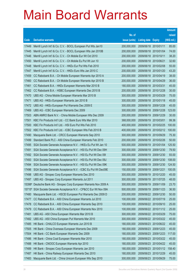|       |                                                                     |               |                            |                       | <b>Amount</b> |
|-------|---------------------------------------------------------------------|---------------|----------------------------|-----------------------|---------------|
|       |                                                                     | No. of        |                            |                       | raised        |
| Code  | <b>Derivative warrants</b>                                          | issue (units) | <b>Listing date Expiry</b> |                       | (HK\$ mil.)   |
| 17449 | Merrill Lynch Int'l & Co. C.V. - BOCL European Put Wts Jan10        | 200,000,000   | 2009/06/18 2010/01/11      |                       | 85.00         |
| 17445 | Merrill Lynch Int'l & Co. C.V. - BOCL European Wts Jan 2010B        | 200,000,000   | 2009/06/18 2010/01/04      |                       | 74.00         |
| 17446 | Merrill Lynch Int'l & Co. C.V. - Ch Mobile Eur Wt Oct 2010          | 200,000,000   | 2009/06/18 2010/10/11      |                       | 38.20         |
| 17450 | Merrill Lynch Int'l & Co. C.V. - Ch Mobile Eu Put Wt Jun 10         | 200,000,000   | 2009/06/18 2010/06/21      |                       | 32.60         |
| 17448 | Merrill Lynch Int'l & Co. C.V. - HKEx Eur Put Wts Feb 2010          | 200,000,000   | 2009/06/18 2010/02/08      |                       | 55.00         |
| 17447 | Merrill Lynch Int'l & Co. C.V. - HKEx Euro Wts Jan 2010 C           | 200,000,000   |                            | 2009/06/18 2010/01/20 | 43.20         |
| 17459 | CC Rabobank B.A. - Ch Mobile European Warrants Apr 2010 A           | 200,000,000   | 2009/06/18 2010/04/19      |                       | 38.00         |
| 17460 | CC Rabobank B.A. - Ch Mobile European Warrants Apr 2010 B           | 200,000,000   |                            | 2009/06/18 2010/04/29 | 36.00         |
| 17461 | CC Rabobank B.A. - HKEx European Warrants Mar 2010 B                | 180,000,000   | 2009/06/18 2010/03/31      |                       | 45.00         |
| 17462 | CC Rabobank B.A. - HSBC European Warrants Dec 2010 B                | 200,000,000   |                            | 2009/06/18 2010/12/28 | 30.00         |
| 17470 | UBS AG - China Mobile European Warrants Mar 2010 B                  | 300,000,000   | 2009/06/18 2010/03/29      |                       | 75.00         |
| 17471 | UBS AG - HKEx European Warrants Jan 2010 B                          | 300,000,000   | 2009/06/18 2010/01/18      |                       | 45.00         |
| 17472 | UBS AG - HKEx European Put Warrants Dec 2009 E                      | 300,000,000   |                            | 2009/06/18 2009/12/28 | 45.00         |
| 17469 | UBS AG - ICBC European Warrants Dec 2009                            | 300,000,000   |                            | 2009/06/18 2009/12/28 | 123.00        |
| 17503 | ABN AMRO Bank N.V. - China Mobile European Wts Dec 2009             | 200,000,000   | 2009/06/19                 | 2009/12/29            | 30.00         |
| 17501 | KBC Fin Products Int'l Ltd. - CC Bank Euro Wts Mar 2010             | 368,000,000   | 2009/06/19 2010/03/01      |                       | 99.36         |
| 17500 | KBC Fin Products Int'l Ltd. - HSI Euro Put Wts Feb 2010             | 400,000,000   |                            | 2009/06/19 2010/02/25 | 100.00        |
| 17502 | KBC Fin Products Int'l Ltd. - ICBC European Wts Feb 2010 B          | 400,000,000   |                            | 2009/06/19 2010/02/12 | 100.00        |
| 17490 | Macquarie Bank Ltd. - CRCC European Warrants Sep 2010               | 300,000,000   | 2009/06/19 2010/09/29      |                       | 75.30         |
| 17499 | Standard Bank PLC - A50 China European Warrants Feb 2010            | 200,000,000   |                            | 2009/06/19 2010/02/26 | 50.00         |
| 17495 | SGA Societe Generale Acceptance N.V. - HKEx Eu Put Wt Jan 10        | 500,000,000   | 2009/06/19                 | 2010/01/04            | 125.50        |
| 17491 | SGA Societe Generale Acceptance N.V. - HSI Eu Put Wt Dec 09H        | 300,000,000   |                            | 2009/06/19 2009/12/30 | 79.50         |
| 17492 | SGA Societe Generale Acceptance N.V. - HSI Eu Put Wt Dec 091        | 300,000,000   | 2009/06/19                 | 2009/12/30            | 93.00         |
| 17493 | SGA Societe Generale Acceptance N.V. - HSI Eu Put Wt Dec 09J        | 300,000,000   |                            | 2009/06/19 2009/12/30 | 108.00        |
| 17494 | SGA Societe Generale Acceptance N.V. - HSI Eu Put Wt Dec 09K        | 300,000,000   | 2009/06/19                 | 2009/12/30            | 124.50        |
| 17496 | SGA Societe Generale Acceptance N.V. - ICBC Eu Put Wt Dec09E        | 150,000,000   | 2009/06/19 2009/12/21      |                       | 100.05        |
| 17498 | UBS AG - Sinopec Corp European Warrants Dec 2010                    | 300,000,000   | 2009/06/19 2010/12/20      |                       | 45.00         |
|       | 17497 UBS AG - Sinopec Corp European Warrants Jul 2011              | 300,000,000   | 2009/06/19 2011/07/25      |                       | 48.00         |
|       | 15398# Deutsche Bank AG - Sinopec Corp European Warrants Nov 2009 A | 300,000,000   | 2009/06/19                 | 2009/11/09            | 23.70         |
|       | 15715# SGA Societe Generale Acceptance N.V. - CP&CC Eur Wt Nov 09A  | 500,000,000   | 2009/06/19 2009/11/23      |                       | 36.50         |
| 17480 | Macquarie Bank Ltd. - HSCEI European Put Warrants Dec 2009 D        | 200,000,000   | 2009/06/22 2009/12/30      |                       | 50.00         |
| 17477 | CC Rabobank B.A. - A50 China European Warrants Jul 2010             | 100,000,000   | 2009/06/22 2010/07/19      |                       | 25.00         |
| 17478 | CC Rabobank B.A. - A50 China European Warrants Sep 2010             | 100,000,000   | 2009/06/22 2010/09/10      |                       | 25.00         |
| 17479 | CC Rabobank B.A. - A50 China European Warrants Nov 2010             | 100,000,000   |                            | 2009/06/22 2010/11/12 | 25.00         |
| 17481 | UBS AG - A50 China European Warrants Mar 2010 B                     | 300,000,000   | 2009/06/22 2010/03/29      |                       | 75.00         |
| 17482 | UBS AG - A50 China European Put Warrants Mar 2010                   | 300,000,000   |                            | 2009/06/22 2010/03/22 | 45.00         |
| 17485 | HK Bank - CHALCO European Warrants Jun 2010 B                       | 180,000,000   | 2009/06/23 2010/06/22      |                       | 45.00         |
| 17505 | HK Bank - China Overseas European Warrants Dec 2009                 | 180,000,000   | 2009/06/23 2009/12/23      |                       | 45.00         |
| 17504 | HK Bank - CC Bank European Warrants Dec 2009                        | 180,000,000   | 2009/06/23 2009/12/23      |                       | 117.00        |
| 17486 | HK Bank - China Coal European Warrants Mar 2010                     | 180,000,000   | 2009/06/23 2010/03/22      |                       | 45.00         |
| 17488 | HK Bank - CNOOC European Warrants Apr 2010                          | 180,000,000   | 2009/06/23                 | 2010/04/22            | 45.00         |
| 17489 | HK Bank - Sinopec Corp European Warrants Jan 2010                   | 180,000,000   |                            | 2009/06/23 2010/01/12 | 158.40        |
| 17487 | HK Bank - China Railway European Warrants Dec 2010                  | 180,000,000   | 2009/06/23 2010/12/29      |                       | 45.00         |
| 17483 | Macquarie Bank Ltd. - China Unicom European Wts Sep 2010            | 300,000,000   | 2009/06/23 2010/09/29      |                       | 75.00         |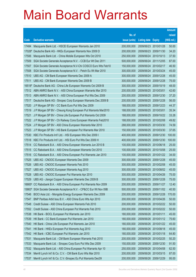|        |                                                                    |               |                            |            | <b>Amount</b> |
|--------|--------------------------------------------------------------------|---------------|----------------------------|------------|---------------|
|        |                                                                    | No. of        |                            |            | raised        |
| Code   | <b>Derivative warrants</b>                                         | issue (units) | <b>Listing date Expiry</b> |            | (HK\$ mil.)   |
| 17484  | Macquarie Bank Ltd. - HSCEI European Warrants Jan 2010             | 200,000,000   | 2009/06/23 2010/01/28      |            | 50.00         |
| 17028# | Deutsche Bank AG - HKEx European Warrants Nov 2009 D               | 200,000,000   | 2009/06/23 2009/11/30      |            | 34.20         |
| 17506  | Macquarie Bank Ltd. - China Mobile European Wts Oct 2010           | 250,000,000   | 2009/06/24 2010/10/13      |            | 37.50         |
| 17509  | SGA Societe Generale Acceptance N.V. - CCB Eur Wt Dec 2011         | 500,000,000   | 2009/06/24 2011/12/05      |            | 87.00         |
| 17507  | SGA Societe Generale Acceptance N.V-Chi COSCO Euro Wts Feb10       | 150,000,000   | 2009/06/24 2010/02/17      |            | 46.50         |
| 17508  | SGA Societe Generale Acceptance N.V. - Petch Eu Wt Mar 2010        | 300,000,000   | 2009/06/24 2010/03/24      |            | 45.00         |
| 17510  | UBS AG - CM Bank European Warrants Dec 2009 A                      | 300,000,000   | 2009/06/24 2009/12/28      |            | 45.00         |
| 17511  | UBS AG - CM Bank European Warrants Dec 2009 B                      | 300,000,000   | 2009/06/24 2009/12/28      |            | 75.00         |
|        | 16518# Deutsche Bank AG - China Life European Warrants Oct 2009 B  | 300,000,000   | 2009/06/24 2009/10/19      |            | 48.00         |
| 17512  | ABN AMRO Bank N.V. - A50 China European Warrants Mar 2010          | 200,000,000   | 2009/06/25 2010/03/01      |            | 42.60         |
| 17513  | ABN AMRO Bank N.V. - A50 China European Put Wts Dec 2009           | 200,000,000   | 2009/06/25                 | 2009/12/30 | 37.20         |
| 17517  | Deutsche Bank AG - Sinopec Corp European Warrants Dec 2009 B       | 200,000,000   | 2009/06/25 2009/12/28      |            | 56.00         |
| 17520  | J P Morgan SP BV - CC Bank Euro Put Wts Dec 2009                   | 188,000,000   | 2009/06/25 2009/12/23      |            | 44.37         |
| 17519  | J P Morgan SP BV - Cheung Kong European Put Warrants Mar2010       | 188,000,000   | 2009/06/25 2010/03/01      |            | 35.34         |
| 17521  | J P Morgan SP BV - China Life European Put Warrants Oct 2009       | 188,000,000   | 2009/06/25 2009/10/22      |            | 33.28         |
| 17522  | J P Morgan SP BV - Ch Railway Cons European Warrants Feb2010       | 188,000,000   | 2009/06/25 2010/02/08      |            | 49.82         |
| 17524  | J P Morgan SP BV - A50 China European Warrants Mar 2010            | 288,000,000   | 2009/06/25 2010/03/30      |            | 74.59         |
| 17523  | J P Morgan SP BV - HS Bank European Put Warrants Mar 2010          | 150,000,000   | 2009/06/25 2010/03/30      |            | 37.65         |
| 17530  | KBC Fin Products Int'l Ltd. - HSI European Wts Dec 2009 I          | 400,000,000   | 2009/06/25 2009/12/30      |            | 100.00        |
| 17518  | KBC Fin Products Int'l Ltd. - HSI Euro Put Wts Dec 2009 H          | 400,000,000   | 2009/06/25 2009/12/30      |            | 100.00        |
| 17514  | CC Rabobank B.A. - A50 China European Warrants Jun 2010 B          | 100,000,000   | 2009/06/25 2010/06/18      |            | 25.00         |
| 17515  | CC Rabobank B.A. - A50 China European Warrants Oct 2010            | 100,000,000   | 2009/06/25 2010/10/08      |            | 25.00         |
| 17516  | CC Rabobank B.A. - A50 China European Put Warrants Jan 2010        | 100,000,000   | 2009/06/25 2010/01/22      |            | 34.00         |
| 17525  | UBS AG - CNOOC European Warrants Dec 2009                          | 300,000,000   | 2009/06/25 2009/12/28      |            | 45.00         |
| 17526  | UBS AG - CNOOC European Warrants Feb 2010                          | 300,000,000   | 2009/06/25 2010/02/08      |            | 45.00         |
| 17527  | UBS AG - CNOOC European Warrants Aug 2010                          | 300,000,000   | 2009/06/25 2010/08/02      |            | 45.00         |
| 17528  | UBS AG - CNOOC European Put Warrants Apr 2010                      | 300,000,000   | 2009/06/25                 | 2010/04/26 | 75.00         |
|        | 17529 UBS AG - Jiangxi Copper European Warrants Dec 2009 B         | 300,000,000   | 2009/06/25 2009/12/28      |            | 75.00         |
|        | 16665# CC Rabobank B.A. - A50 China European Put Warrants Nov 2009 | 200,000,000   | 2009/06/25 2009/11/27      |            | 12.40         |
|        | 15863# SGA Societe Generale Acceptance N.V. - CP&CC Eur Wt Nov 09B | 500,000,000   | 2009/06/25 2009/11/02      |            | 40.50         |
| 17546  | BOCI Asia Ltd. - Mongolia Energy European Warrants Dec 2009        | 200,000,000   | 2009/06/26 2009/12/28      |            | 170.00        |
| 17547  | BNP Paribas Arbit Issu B.V. - A50 China Euro Wts Apr 2010          | 200,000,000   | 2009/06/26 2010/04/26      |            | 50.00         |
| 17548  | Credit Suisse - A50 China European Warrants Feb 2010               | 200,000,000   | 2009/06/26 2010/02/22      |            | 50.00         |
| 17552  | Credit Suisse - A50 China European Put Warrants Feb 2010           | 200,000,000   | 2009/06/26 2010/02/22      |            | 50.00         |
| 17538  | HK Bank - BOCL European Put Warrants Jan 2010                      | 180,000,000   | 2009/06/26 2010/01/11      |            | 45.00         |
| 17539  | HK Bank - CC Bank European Put Warrants Jan 2010                   | 180,000,000   | 2009/06/26 2010/01/12      |            | 75.60         |
| 17540  | HK Bank - China Life European Put Warrants Jan 2010                | 180,000,000   | 2009/06/26 2010/01/22      |            | 45.00         |
| 17541  | HK Bank - HKEx European Put Warrants Aug 2010                      | 180,000,000   | 2009/06/26 2010/08/18      |            | 45.00         |
| 17542  | HK Bank - ICBC European Put Warrants Jan 2010                      | 180,000,000   | 2009/06/26 2010/01/18      |            | 64.80         |
| 17531  | Macquarie Bank Ltd. - CM Bank European Warrants Feb 2010           | 200,000,000   | 2009/06/26 2010/02/25      |            | 50.20         |
| 17533  | Macquarie Bank Ltd. - Sinopec Corp Euro Put Wts Dec 2009           | 150,000,000   | 2009/06/26                 | 2009/12/30 | 91.50         |
| 17532  | Macquarie Bank Ltd. - A50 China European Put Warrants Apr 10       | 250,000,000   | 2009/06/26 2010/04/08      |            | 62.50         |
| 17534  | Merrill Lynch Int'l & Co. C.V. - CM Bank Euro Wts Mar 2010         | 200,000,000   | 2009/06/26                 | 2010/03/15 | 87.00         |
| 17537  | Merrill Lynch Int'l & Co. C.V.-Sinopec Eu Put Warrants Dec09       | 200,000,000   | 2009/06/26 2009/12/29      |            | 95.00         |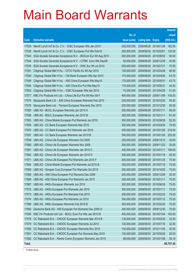|              |                                                              |               |                            |            | <b>Amount</b> |
|--------------|--------------------------------------------------------------|---------------|----------------------------|------------|---------------|
|              |                                                              | No. of        |                            |            | raised        |
| Code         | <b>Derivative warrants</b>                                   | issue (units) | <b>Listing date Expiry</b> |            | (HK\$ mil.)   |
| 17535        | Merrill Lynch Int'l & Co. C.V. - ICBC European Wts Jan 2010  | 200,000,000   | 2009/06/26 2010/01/28      |            | 162.00        |
| 17536        | Merrill Lynch Int'l & Co. C.V. - ICBC European Put Wts Feb10 | 200,000,000   | 2009/06/26 2010/02/01      |            | 120.00        |
| 17543        | SGA Societe Generale Acceptance N.V. - BOCom Eur Wt Aug 2010 | 200,000,000   | 2009/06/26                 | 2010/08/02 | 50.00         |
| 17544        | SGA Societe Generale Acceptance N.V. - CITBK Euro Wts Dec09  | 50,000,000    | 2009/06/26 2009/12/28      |            | 35.80         |
| 17545        | SGA Societe Generale Acceptance N.V. - HWL Eur Wt Jul 2010   | 500,000,000   | 2009/06/26 2010/07/21      |            | 75.50         |
| 17551        | Citigroup Global Mkt H Inc. - CITIC Pacific Eu Wt Apr 2010   | 150,000,000   | 2009/06/29                 | 2010/04/26 | 46.50         |
| 17550        | Citigroup Global Mkt H Inc. - CM Bank European Wts Apr 2010  | 175,000,000   | 2009/06/29                 | 2010/04/26 | 43.75         |
| 17549        | Citigroup Global Mkt H Inc. - A50 China European Wts May10   | 175,000,000   | 2009/06/29                 | 2010/05/31 | 43.75         |
| 17554        | Citigroup Global Mkt H Inc. - A50 China Eur Put Wts May10    | 175,000,000   | 2009/06/29                 | 2010/05/31 | 45.50         |
| 17553        | Citigroup Global Mkt H Inc. - ICBC European Wts Apr 2010     | 75,000,000    | 2009/06/29                 | 2010/04/26 | 51.00         |
| 17577        | KBC Fin Products Int'l Ltd. - China Life Eur Put Wt Nov 09 F | 400,000,000   | 2009/06/29                 | 2009/11/09 | 100.00        |
| 17575        | Macquarie Bank Ltd. - A50 China European Warrants Feb 2010   | 200,000,000   | 2009/06/29                 | 2010/02/25 | 50.20         |
| 17576        | Macquarie Bank Ltd. - Tencent European Warrants Dec 2010     | 200,000,000   | 2009/06/29                 | 2010/12/30 | 50.00         |
| 17555        | UBS AG - BOCL European Warrants Jan 2010 A                   | 300,000,000   | 2009/06/29                 | 2010/01/11 | 99.00         |
| 17556        | UBS AG - BOCL European Warrants Jan 2010 B                   | 300,000,000   | 2009/06/29                 | 2010/01/11 | 81.00         |
| 17563        | UBS AG - China Mobile European Put Warrants Jun 2010         | 300,000,000   | 2009/06/29                 | 2010/06/28 | 52.50         |
| 17558        | UBS AG - CC Bank European Warrants Mar 2010                  | 300,000,000   | 2009/06/29                 | 2010/03/29 | 75.00         |
| 17570        | UBS AG - CC Bank European Put Warrants Jan 2010              | 300,000,000   | 2009/06/29                 | 2010/01/25 | 219.00        |
| 17557        | UBS AG - CC Bank European Warrants Jan 2010 B                | 300,000,000   | 2009/06/29                 | 2010/01/25 | 225.00        |
| 17559        | UBS AG - China Life European Warrants Oct 2009               | 200,000,000   | 2009/06/29                 | 2009/10/12 | 30.00         |
| 17560        | UBS AG - China Life European Warrants Nov 2009               | 200,000,000   | 2009/06/29                 | 2009/11/23 | 30.00         |
| 17561        | UBS AG - China Life European Warrants Jan 2010 C             | 300,000,000   | 2009/06/29                 | 2010/01/11 | 108.00        |
| 17562        | UBS AG - China Life European Warrants Jan 2010 D             | 300,000,000   | 2009/06/29                 | 2010/01/18 | 45.00         |
| 17571        | UBS AG - China Life European Put Warrants Jan 2010 F         | 300,000,000   | 2009/06/29                 | 2010/01/25 | 75.00         |
| 17564        | UBS AG - China Mobile European Put Warrants Jul 2010 B       | 300,000,000   | 2009/06/29                 | 2010/07/19 | 75.00         |
| 17565        | UBS AG - Sinopec Corp European Put Warrants Oct 2010         | 300,000,000   | 2009/06/29                 | 2010/10/25 | 75.00         |
| 17568        | UBS AG - A50 China European Put Warrants Dec 2009            | 200,000,000   | 2009/06/29                 | 2009/12/28 | 30.00         |
| 17569        | UBS AG - A50 China European Put Warrants Jan 2010            | 300,000,000   | 2009/06/29 2010/01/11      |            | 75.00         |
| 17567        | UBS AG - HKEx European Warrants Jun 2010                     | 300,000,000   | 2009/06/29                 | 2010/06/28 | 75.00         |
| 17572        | UBS AG - HKEx European Put Warrants Jan 2010                 | 300,000,000   | 2009/06/29                 | 2010/01/11 | 75.00         |
| 17573        | UBS AG - HKEx European Put Warrants Feb 2010                 | 300,000,000   | 2009/06/29                 | 2010/02/22 | 75.00         |
| 17574        | UBS AG - HKEx European Put Warrants Jul 2010                 | 300,000,000   | 2009/06/29                 | 2010/07/12 | 75.00         |
| 17566        | UBS AG - HKEx European Warrants Feb 2010 B                   | 300,000,000   | 2009/06/29                 | 2010/02/22 | 75.00         |
| 17583        | Deutsche Bank AG - HSI European Put Warrants Dec 2009 G      | 300,000,000   | 2009/06/30                 | 2009/12/30 | 75.00         |
| 17584        | KBC Fin Products Int'l Ltd. - BOCL Euro Put Wts Jan 2010 B   | 400,000,000   | 2009/06/30                 | 2010/01/04 | 100.00        |
| 17578        | CC Rabobank B.A. - CNOOC European Warrants Mar 2010 B        | 130,000,000   | 2009/06/30 2010/03/30      |            | 32.50         |
| 17579        | CC Rabobank B.A. - CNOOC European Warrants Jul 2010          | 130,000,000   | 2009/06/30                 | 2010/07/16 | 32.50         |
| 17580        | CC Rabobank B.A. - CNOOC European Warrants Nov 2010          | 130,000,000   | 2009/06/30                 | 2010/11/05 | 32.50         |
| 17581        | CC Rabobank B.A. - CNOOC European Put Warrants May 2010      | 130,000,000   | 2009/06/30                 | 2010/05/26 | 26.00         |
| 17582        | CC Rabobank B.A. - Renhe Comm European Warrants Jan 2010     | 88,000,000    | 2009/06/30 2010/01/08      |            | 28.16         |
| <b>Total</b> |                                                              |               |                            |            | 68,757.45     |

# Further issue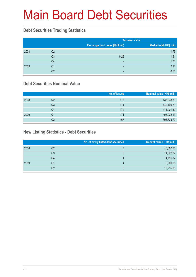# Main Board Debt Securities

#### **Debt Securities Trading Statistics**

|      |                |                                | <b>Turnover value</b>   |  |  |
|------|----------------|--------------------------------|-------------------------|--|--|
|      |                | Exchange fund notes (HK\$ mil) | Market total (HK\$ mil) |  |  |
| 2008 | Q2             | -                              | 1.75                    |  |  |
|      | Q <sub>3</sub> | 0.26                           | 1.51                    |  |  |
|      | Q4             | -                              | 1.71                    |  |  |
| 2009 | Q1             | -                              | 2.93                    |  |  |
|      | Q2             | -                              | 0.51                    |  |  |

#### **Debt Securities Nominal Value**

|      |    | No. of issues | Nominal value (HK\$ mil.) |
|------|----|---------------|---------------------------|
| 2008 | Q2 | 175           | 435,938.30                |
|      | Q3 | 174           | 440,409.79                |
|      | Q4 | 172           | 414,001.69                |
| 2009 | Q1 | 171           | 406,932.13                |
|      | Q2 | 167           | 395,723.72                |

#### **New Listing Statistics - Debt Securities**

|      |    | No. of newly listed debt securities | Amount raised (HK\$ mil.) |
|------|----|-------------------------------------|---------------------------|
| 2008 | Q2 |                                     | 16,607.66                 |
|      | Q3 | 5                                   | 11,822.87                 |
|      | Q4 | 4                                   | 4,791.32                  |
| 2009 | Q1 | 4                                   | 5,309.25                  |
|      | Q2 | 5                                   | 12,295.05                 |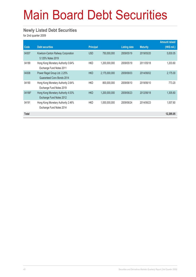# Main Board Debt Securities

#### **Newly Listed Debt Securities**

for 2nd quarter 2009

|              |                                                                |                  |               |                     |                 | <b>Amount raised</b> |
|--------------|----------------------------------------------------------------|------------------|---------------|---------------------|-----------------|----------------------|
| Code         | <b>Debt securities</b>                                         | <b>Principal</b> |               | <b>Listing date</b> | <b>Maturity</b> | $(HK$$ mil.)         |
| 04307        | Kowloon-Canton Railway Corporation<br>5.125% Notes 2019        | <b>USD</b>       | 750,000,000   | 2009/05/19          | 2019/05/20      | 5,830.05             |
| 04189        | Hong Kong Monetary Authority 0.64%<br>Exchange Fund Notes 2011 | <b>HKD</b>       | 1,200,000,000 | 2009/05/19          | 2011/05/18      | 1,203.60             |
| 04308        | Power Regal Group Ltd. 2.25%<br>Guaranteed Conv Bonds 2014     | <b>HKD</b>       | 2,175,000,000 | 2009/06/03          | 2014/06/02      | 2,175.00             |
| 04190        | Hong Kong Monetary Authority 2.64%<br>Exchange Fund Notes 2019 | <b>HKD</b>       | 800,000,000   | 2009/06/10          | 2019/06/10      | 773.20               |
| 04166#       | Hong Kong Monetary Authority 4.53%<br>Exchange Fund Notes 2012 | <b>HKD</b>       | 1,200,000,000 | 2009/06/23          | 2012/06/18      | 1,305.60             |
| 04191        | Hong Kong Monetary Authority 2.46%<br>Exchange Fund Notes 2014 | <b>HKD</b>       | 1,000,000,000 | 2009/06/24          | 2014/06/23      | 1,007.60             |
| <b>Total</b> |                                                                |                  |               |                     |                 | 12,295.05            |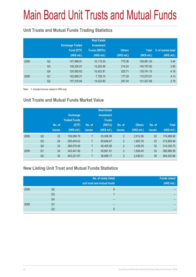# Main Board Unit Trusts and Mutual Funds

#### **Unit Trusts and Mutual Funds Trading Statistics**

|      |                | <b>Exchange Traded</b><br>Fund (ETF)<br>(HK\$ mil.) | <b>Real Estate</b><br><b>Investment</b><br><b>Trusts (REITs)</b><br>(HK\$ mil.) | <b>Others</b><br>(HK\$ mil.) | <b>Total</b><br>(HK\$ mil.) | % of market total<br>(HK\$ mil.) |
|------|----------------|-----------------------------------------------------|---------------------------------------------------------------------------------|------------------------------|-----------------------------|----------------------------------|
| 2008 | Q <sub>2</sub> | 147,996.81                                          | 10,119.33                                                                       | 775.06                       | 158,891.20                  | 3.44                             |
|      | Q <sub>3</sub> | 128,330.01                                          | 12,253.56                                                                       | 214.24                       | 140,797.82                  | 3.58                             |
|      | Q4             | 120,092.63                                          | 10.422.81                                                                       | 225.71                       | 130,741.15                  | 4.16                             |
| 2009 | Q <sub>1</sub> | 102,668.21                                          | 7,728.10                                                                        | 177.20                       | 110,573.51                  | 4.13                             |
|      | Q <sub>2</sub> | 107,216.84                                          | 14,023.80                                                                       | 297.04                       | 121,537.68                  | 2.79                             |

Note: 1. Include turnover values in HKD only.

#### **Unit Trusts and Mutual Funds Market Value**

|      |                | No. of<br><b>issues</b> | <b>Exchange</b><br><b>Traded Funds</b><br>(ETF)<br>(HK\$ mil.) | No. of<br><b>issues</b> | <b>Real Estate</b><br><b>Investment</b><br><b>Trusts</b><br>(REITs)<br>(HK\$ mil.) | No. of<br><b>issues</b> | <b>Others</b><br>(HK\$ mil.) | No. of<br><b>issues</b> | <b>Total</b><br>(HK\$ mil.) |
|------|----------------|-------------------------|----------------------------------------------------------------|-------------------------|------------------------------------------------------------------------------------|-------------------------|------------------------------|-------------------------|-----------------------------|
| 2008 | Q <sub>2</sub> | 23                      | 109,069.79                                                     | 7                       | 63,006.95                                                                          | $\overline{2}$          | 2.912.06                     | 32                      | 174,988.80                  |
|      | Q <sub>3</sub> | 24                      | 250,445.02                                                     | 7                       | 60,646.67                                                                          | $\overline{2}$          | 1,803.76                     | 33                      | 312,895.46                  |
|      | Q4             | 24                      | 266,475.46                                                     | 7                       | 46,405.95                                                                          | $\overline{2}$          | 1,439.29                     | 33                      | 314,320.70                  |
| 2009 | Q <sub>1</sub> | 24                      | 343,441.56                                                     |                         | 50,891.61                                                                          | $\overline{2}$          | 1,636.40                     | 33                      | 395,969.58                  |
|      | Q <sub>2</sub> | 30                      | 403,231.67                                                     |                         | 58,858.17                                                                          | $\overline{2}$          | 2,436.01                     | 39                      | 464,525.86                  |

#### **New Listing Unit Trust and Mutual Funds Statistics**

|      |    | No. of newly listed<br>unit trust and mutual funds | <b>Funds raised</b><br>(HK\$ mil.) |
|------|----|----------------------------------------------------|------------------------------------|
| 2008 | Q2 | 6                                                  |                                    |
|      | Q3 |                                                    |                                    |
|      | Q4 |                                                    |                                    |
| 2009 | Q1 | -                                                  |                                    |
|      | Q2 | 6                                                  |                                    |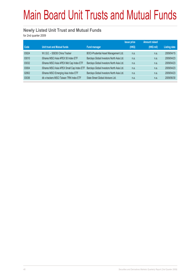# Main Board Unit Trusts and Mutual Funds

#### **Newly Listed Unit Trust and Mutual Funds**

for 2nd quarter 2009

|       |                                            |                                           | <b>Issue price</b> | <b>Amount raised</b> |                     |
|-------|--------------------------------------------|-------------------------------------------|--------------------|----------------------|---------------------|
| Code  | <b>Unit trust and Mutual funds</b>         | <b>Fund manager</b>                       | (HKS)              | (HK\$ mil)           | <b>Listing date</b> |
| 03024 | W.I.S.E. - SSE50 China Tracker             | BOCI-Prudential Asset Management Ltd.     | n.a.               | n.a.                 | 2009/04/15          |
| 03010 | iShares MSCI Asia APEX 50 Index ETF        | Barclays Global Investors North Asia Ltd. | n.a.               | n.a.                 | 2009/04/23          |
| 03032 | iShares MSCI Asia APEX Mid Cap Index ETF   | Barclays Global Investors North Asia Ltd. | n.a.               | n.a.                 | 2009/04/23          |
| 03004 | iShares MSCI Asia APEX Small Cap Index ETF | Barclays Global Investors North Asia Ltd. | n.a.               | n.a.                 | 2009/04/23          |
| 02802 | iShares MSCI Emerging Asia Index ETF       | Barclays Global Investors North Asia Ltd. | n.a.               | n.a.                 | 2009/04/23          |
| 03036 | db x-trackers MSCI Taiwan TRN Index ETF    | State Street Global Advisors Ltd.         | n.a.               | n.a.                 | 2009/06/30          |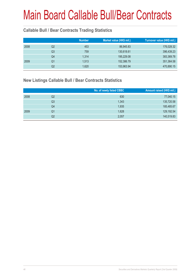#### **Callable Bull / Bear Contracts Trading Statistics**

|      |    | <b>Number</b> | Market value (HK\$ mil.) | Turnover value (HK\$ mil.) |
|------|----|---------------|--------------------------|----------------------------|
| 2008 | Q2 | 453           | 86,945.83                | 176,028.32                 |
|      | Q3 | 759           | 130,618.61               | 396,439.23                 |
|      | Q4 | 1,314         | 195,229.08               | 383,369.78                 |
| 2009 | Q1 | 1,513         | 152,386.79               | 351,364.58                 |
|      | Q2 | 1,620         | 153,963.94               | 470,890.15                 |

#### **New Listings Callable Bull / Bear Contracts Statistics**

|      |    | No. of newly listed CBBC | Amount raised (HK\$ mil.) |
|------|----|--------------------------|---------------------------|
| 2008 | Q2 | 630                      | 77,040.15                 |
|      | Q3 | 1,343                    | 135,720.58                |
|      | Q4 | 1,935                    | 185,485.67                |
| 2009 | Q1 | 1,628                    | 129,192.54                |
|      | Q2 | 2,057                    | 140,519.83                |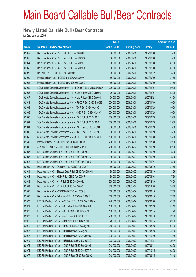#### **Newly Listed Callable Bull / Bear Contracts**

for 2nd quarter 2009

|       |                                                                | No. of        |                     |               | <b>Amount raised</b> |
|-------|----------------------------------------------------------------|---------------|---------------------|---------------|----------------------|
| Code  | <b>Callable Bull/Bear Contracts</b>                            | issue (units) | <b>Listing date</b> | <b>Expiry</b> | (HK\$ mil.)          |
| 62942 | Deutsche Bank AG - HSI R Bull CBBC Dec 2009 N                  | 300,000,000   | 2009/04/01          | 2009/12/30    | 75.00                |
| 62943 | Deutsche Bank AG - HSI R Bear CBBC Dec 2009 O                  | 300,000,000   | 2009/04/01          | 2009/12/30    | 75.00                |
| 62944 | Deutsche Bank AG - HSI R Bear CBBC Dec 2009 P                  | 300,000,000   | 2009/04/01          | 2009/12/30    | 81.00                |
| 62945 | Deutsche Bank AG - HSI R Bear CBBC Dec 2009 Q                  | 300,000,000   | 2009/04/01          | 2009/12/30    | 81.00                |
| 62928 | HK Bank - A50 R Bull CBBC Aug 2009 D                           | 300,000,000   | 2009/04/01          | 2009/08/12    | 75.00                |
| 62929 | Macquarie Bank Ltd. - HSI R Bull CBBC Oct 2009 A               | 150,000,000   | 2009/04/01          | 2009/10/29    | 37.50                |
| 62933 | Macquarie Bank Ltd. - HSI R Bear CBBC Oct 2009 B               | 150,000,000   | 2009/04/01          | 2009/10/29    | 37.50                |
| 62932 | SGA Societe Generale Acceptance N.V - BOCom R Bear CBBC Dec09A | 200,000,000   | 2009/04/01          | 2009/12/21    | 50.00                |
| 62936 | SGA Societe Generale Acceptance N.V - CLife R Bear CBBC Dec09A | 100,000,000   | 2009/04/01          | 2009/12/21    | 53.00                |
| 62937 | SGA Societe Generale Acceptance N.V - CLife R Bear CBBC Dec09B | 100,000,000   | 2009/04/01          | 2009/12/21    | 63.00                |
| 62941 | SGA Societe Generale Acceptance N.V - CP&CC R Bull CBBC Nov09B | 200,000,000   | 2009/04/01          | 2009/11/30    | 50.00                |
| 62939 | SGA Societe Generale Acceptance N.V. - A50 R Bull CBBC Oct09C  | 200,000,000   | 2009/04/01          | 2009/10/23    | 50.00                |
| 62938 | SGA Societe Generale Acceptance N.V. - HSBC R Bull CBBC Oct09K | 200,000,000   | 2009/04/01          | 2009/10/23    | 50.00                |
| 62930 | SGA Societe Generale Acceptance N.V. - HSI R Bull CBBC Oct09F  | 300,000,000   | 2009/04/01          | 2009/10/29    | 75.00                |
| 62931 | SGA Societe Generale Acceptance N.V. - HSI R Bull CBBC Oct09G  | 300,000,000   | 2009/04/01          | 2009/10/29    | 75.00                |
| 62934 | SGA Societe Generale Acceptance N.V. - HSI R Bear CBBC Oct09H  | 300,000,000   | 2009/04/01          | 2009/10/29    | 75.00                |
| 62935 | SGA Societe Generale Acceptance N.V. - HSI R Bear CBBC Oct091  | 300,000,000   | 2009/04/01          | 2009/10/29    | 75.00                |
| 62940 | SGA Societe Generale Acceptance N.V - SHK P R Bull CBBC Sep09A | 100,000,000   | 2009/04/01          | 2009/09/30    | 25.00                |
| 61633 | Macquarie Bank Ltd. - HSI R Bear CBBC Jul 2009 B               | 200,000,000   | 2009/04/01          | 2009/07/30    | 32.00                |
| 62989 | ABN AMRO Bank N.V. - HSI R Bull CBBC Oct 2009 D                | 250,000,000   | 2009/04/02          | 2009/10/29    | 62.50                |
| 62987 | BNP Paribas Arbit Issu B.V. - HSI R Bull CBBC Oct 2009 L       | 300,000,000   | 2009/04/02          | 2009/10/29    | 75.00                |
| 62988 | BNP Paribas Arbit Issu B.V. - HSI R Bull CBBC Oct 2009 M       | 300,000,000   | 2009/04/02          | 2009/10/29    | 75.00                |
| 62946 | BNP Paribas Arbit Issu B.V. - HSI R Bull CBBC Nov 2009 X       | 300,000,000   | 2009/04/02          | 2009/11/27    | 75.00                |
| 62980 | Deutsche Bank AG - CC Bank R Bull CBBC Aug 2009 F              | 150,000,000   | 2009/04/02          | 2009/08/10    | 37.50                |
| 62981 | Deutsche Bank AG - Sinopec Corp R Bull CBBC Aug 2009 G         | 150,000,000   | 2009/04/02          | 2009/08/10    | 38.25                |
| 62984 | Deutsche Bank AG - HKEx R Bull CBBC Aug 2009 F                 | 150,000,000   | 2009/04/02          | 2009/08/03    | 37.50                |
| 62982 | Deutsche Bank AG - HSI R Bull CBBC Dec 2009 R                  | 300,000,000   | 2009/04/02          | 2009/12/30    | 75.00                |
| 62983 | Deutsche Bank AG - HSI R Bull CBBC Dec 2009 S                  | 300,000,000   | 2009/04/02          | 2009/12/30    | 75.00                |
| 62985 | Deutsche Bank AG - ICBC R Bull CBBC Aug 2009 G                 | 150,000,000   | 2009/04/02          | 2009/08/10    | 37.50                |
| 62986 | Deutsche Bank AG - Petrochina R Bull CBBC Aug 2009 E           | 150,000,000   | 2009/04/02          | 2009/08/10    | 37.50                |
| 62970 | KBC Fin Products Int'l Ltd. - CC Bank R Bull CBBC Sep 2009 A   | 248,000,000   | 2009/04/02          | 2009/09/09    | 62.00                |
| 62971 | KBC Fin Products Int'l Ltd. - China Life R Bull CBBC Jul 09G   | 168,000,000   | 2009/04/02          | 2009/07/20    | 57.12                |
| 62976 | KBC Fin Products Int'l Ltd. - Ch Life R Bear CBBC Jul 2009 H   | 168,000,000   | 2009/04/02          | 2009/07/15    | 77.28                |
| 62978 | KBC Fin Products Int'l Ltd. - A50 China R Bull CBBC Sep 09 C   | 208,000,000   | 2009/04/02          | 2009/09/18    | 52.00                |
| 62972 | KBC Fin Products Int'l Ltd. - HKEx R Bull CBBC Sep 2009 D      | 328,000,000   | 2009/04/02          | 2009/09/15    | 82.00                |
| 62979 | KBC Fin Products Int'l Ltd. - HSCEI R Bull CBBC Aug 2009 D     | 268,000,000   | 2009/04/02          | 2009/08/28    | 67.00                |
| 62947 | KBC Fin Products Int'l Ltd. - HSI R Bear CBBC Aug 2009 U       | 168,000,000   | 2009/04/02          | 2009/08/28    | 42.00                |
| 62948 | KBC Fin Products Int'l Ltd. - HSI R Bear CBBC Oct 2009 Q       | 208,000,000   | 2009/04/02          | 2009/10/29    | 74.88                |
| 62949 | KBC Fin Products Int'l Ltd. - HSI R Bear CBBC Nov 2009 O       | 208,000,000   | 2009/04/02          | 2009/11/27    | 89.44                |
| 62973 | KBC Fin Products Int'l Ltd. - ICBC R Bull CBBC Sep 2009 B      | 248,000,000   | 2009/04/02          | 2009/09/14    | 62.00                |
| 62974 | KBC Fin Products Int'l Ltd. - ICBC R Bull CBBC Oct 2009 A      | 248,000,000   | 2009/04/02          | 2009/10/15    | 62.00                |
| 62977 | KBC Fin Products Int'l Ltd. - ICBC R Bear CBBC Sep 2009 C      | 248,000,000   | 2009/04/02          | 2009/09/15    | 74.40                |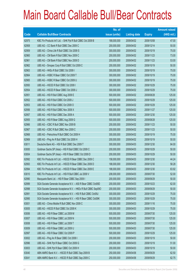|       |                                                                | No. of        |                     |               | <b>Amount raised</b> |
|-------|----------------------------------------------------------------|---------------|---------------------|---------------|----------------------|
| Code  | <b>Callable Bull/Bear Contracts</b>                            | issue (units) | <b>Listing date</b> | <b>Expiry</b> | (HK\$ mil.)          |
| 62975 | KBC Fin Products Int'l Ltd. - SHK Ppt R Bull CBBC Oct 2009 B   | 188,000,000   | 2009/04/02          | 2009/10/08    | 47.00                |
| 62958 | UBS AG - CC Bank R Bull CBBC Dec 2009 C                        | 200,000,000   | 2009/04/02          | 2009/12/14    | 50.00                |
| 62959 | UBS AG - China Life R Bull CBBC Oct 2009 S                     | 300,000,000   | 2009/04/02          | 2009/10/19    | 75.00                |
| 62960 | UBS AG - CM Bank R Bull CBBC Nov 2009 C                        | 200,000,000   | 2009/04/02          | 2009/11/23    | 73.00                |
| 62961 | UBS AG - CM Bank R Bull CBBC Nov 2009 D                        | 200,000,000   | 2009/04/02          | 2009/11/23    | 53.00                |
| 62962 | UBS AG - Sinopec Corp R Bull CBBC Oct 2009 C                   | 200,000,000   | 2009/04/02          | 2009/10/19    | 50.00                |
| 62963 | UBS AG - HKEx R Bull CBBC Oct 2009 I                           | 300,000,000   | 2009/04/02          | 2009/10/19    | 75.00                |
| 62964 | UBS AG - HSBC R Bear CBBC Oct 2009 T                           | 300,000,000   | 2009/04/02          | 2009/10/19    | 75.00                |
| 62965 | UBS AG - HSBC R Bear CBBC Oct 2009 U                           | 300,000,000   | 2009/04/02          | 2009/10/19    | 75.00                |
| 62950 | UBS AG - HSCEI R Bull CBBC Oct 2009 I                          | 300,000,000   | 2009/04/02          | 2009/10/29    | 75.00                |
| 62954 | UBS AG - HSCEI R Bear CBBC Oct 2009 J                          | 300,000,000   | 2009/04/02          | 2009/10/29    | 75.00                |
| 62951 | UBS AG - HSI R Bull CBBC Aug 2009 E                            | 500,000,000   | 2009/04/02          | 2009/08/28    | 125.00               |
| 62952 | UBS AG - HSI R Bull CBBC Oct 2009 J                            | 500,000,000   | 2009/04/02          | 2009/10/29    | 125.00               |
| 62953 | UBS AG - HSI R Bull CBBC Oct 2009 O                            | 500,000,000   | 2009/04/02          | 2009/10/29    | 125.00               |
| 62956 | UBS AG - HSI R Bull CBBC Nov 2009 X                            | 500,000,000   | 2009/04/02          | 2009/11/27    | 125.00               |
| 62957 | UBS AG - HSI R Bull CBBC Dec 2009 A                            | 500,000,000   | 2009/04/02          | 2009/12/30    | 125.00               |
| 62955 | UBS AG - HSI R Bear CBBC Aug 2009 G                            | 500,000,000   | 2009/04/02          | 2009/08/28    | 125.00               |
| 62966 | UBS AG - ICBC R Bull CBBC Nov 2009 B                           | 200,000,000   | 2009/04/02          | 2009/11/23    | 50.00                |
| 62967 | UBS AG - ICBC R Bull CBBC Nov 2009 C                           | 200,000,000   | 2009/04/02          | 2009/11/23    | 50.00                |
| 62968 | UBS AG - Petrochina R Bull CBBC Oct 2009 H                     | 300,000,000   | 2009/04/02          | 2009/10/19    | 75.00                |
| 62969 | UBS AG - Ping An R Bull CBBC Oct 2009 H                        | 200,000,000   | 2009/04/02          | 2009/10/19    | 50.00                |
| 63011 | Deutsche Bank AG - HSI R Bull CBBC Dec 2009 T                  | 300,000,000   | 2009/04/03          | 2009/12/30    | 84.00                |
| 63000 | Goldman Sachs SP (Asia) - HSI R Bull CBBC Oct 2009 C           | 200,000,000   | 2009/04/03          | 2009/10/29    | 50.00                |
| 63004 | Goldman Sachs SP (Asia) - HSI R Bear CBBC Oct 2009 D           | 200,000,000   | 2009/04/03          | 2009/10/29    | 50.00                |
| 62992 | KBC Fin Products Int'l Ltd. - HSCEI R Bear CBBC Dec 2009 C     | 158,000,000   | 2009/04/03          | 2009/12/30    | 44.24                |
| 62993 | KBC Fin Products Int'l Ltd. - HSCEI R Bear CBBC Dec 2009 D     | 188,000,000   | 2009/04/03          | 2009/12/30    | 58.28                |
| 62994 | KBC Fin Products Int'l Ltd. - HSCEI R Bear CBBC Dec 2009 E     | 188,000,000   | 2009/04/03          | 2009/12/30    | 63.92                |
| 63010 | KBC Fin Products Int'l Ltd. - HSI R Bull CBBC Jul 2009 V       | 208,000,000   | 2009/04/03          | 2009/07/30    | 52.00                |
| 62990 | Macquarie Bank Ltd. - HSI R Bear CBBC Sep 2009 I               | 200,000,000   | 2009/04/03          | 2009/09/29    | 50.00                |
| 62999 | SGA Societe Generale Acceptance N.V. - A50 R Bear CBBC Oct09D  | 200,000,000   | 2009/04/03          | 2009/10/23    | 62.00                |
| 62998 | SGA Societe Generale Acceptance N.V. - HKEx R Bull CBBC Sep090 | 200,000,000   | 2009/04/03          | 2009/09/29    | 50.00                |
| 62991 | SGA Societe Generale Acceptance N.V. - HSI R Bull CBBC Oct09J  | 300,000,000   | 2009/04/03          | 2009/10/29    | 75.00                |
| 62995 | SGA Societe Generale Acceptance N.V. - HSI R Bear CBBC Oct09K  | 300,000,000   | 2009/04/03          | 2009/10/29    | 75.00                |
| 63001 | UBS AG - China Mobile R Bull CBBC Nov 2009 C                   | 300,000,000   | 2009/04/03          | 2009/11/16    | 75.00                |
| 63005 | UBS AG - HSCEI R Bull CBBC Oct 2009 K                          | 300,000,000   | 2009/04/03          | 2009/10/29    | 75.00                |
| 63006 | UBS AG - HSI R Bear CBBC Jul 2009 M                            | 500,000,000   | 2009/04/03          | 2009/07/30    | 125.00               |
| 63007 | UBS AG - HSI R Bear CBBC Jul 2009 N                            | 500,000,000   | 2009/04/03          | 2009/07/30    | 125.00               |
| 63008 | UBS AG - HSI R Bear CBBC Jul 2009 T                            | 500,000,000   | 2009/04/03          | 2009/07/30    | 125.00               |
| 63009 | UBS AG - HSI R Bear CBBC Jul 2009 U                            | 500,000,000   | 2009/04/03          | 2009/07/30    | 125.00               |
| 62997 | UBS AG - HSI R Bear CBBC Oct 2009 P                            | 500,000,000   | 2009/04/03          | 2009/10/29    | 125.00               |
| 63002 | UBS AG - Ping An R Bear CBBC Oct 2009 I                        | 200,000,000   | 2009/04/03          | 2009/10/19    | 50.00                |
| 62996 | UBS AG - SHK Ppt R Bear CBBC Oct 2009 G                        | 200,000,000   | 2009/04/03          | 2009/10/19    | 51.00                |
| 63003 | UBS AG - SHK Ppt R Bear CBBC Oct 2009 H                        | 200,000,000   | 2009/04/03          | 2009/10/19    | 50.00                |
| 63040 | ABN AMRO Bank N.V. - HSCEI R Bull CBBC Sep 2009 B              | 250,000,000   | 2009/04/06          | 2009/09/29    | 62.50                |
| 63041 | ABN AMRO Bank N.V. - HSCEI R Bull CBBC Sep 2009 C              | 250,000,000   | 2009/04/06          | 2009/09/29    | 62.75                |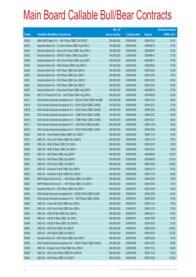|       |                                                                | No. of        |                     |               | <b>Amount raised</b> |
|-------|----------------------------------------------------------------|---------------|---------------------|---------------|----------------------|
| Code  | <b>Callable Bull/Bear Contracts</b>                            | issue (units) | <b>Listing date</b> | <b>Expiry</b> | (HK\$ mil.)          |
| 63039 | ABN AMRO Bank N.V. - HSI R Bear CBBC Oct 2009 E                | 250,000,000   | 2009/04/06          | 2009/10/29    | 62.75                |
| 63033 | Deutsche Bank AG - CC Bank R Bear CBBC Aug 2009 G              | 150,000,000   | 2009/04/06          | 2009/08/10    | 37.50                |
| 63034 | Deutsche Bank AG - China Life R Bear CBBC Sep 2009 A           | 150,000,000   | 2009/04/06          | 2009/09/07    | 37.50                |
| 63035 | Deutsche Bank AG - CNOOC R Bear CBBC Aug 2009 F                | 150,000,000   | 2009/04/06          | 2009/08/10    | 37.50                |
| 63038 | Deutsche Bank AG - A50 China R Bear CBBC Aug 2009 I            | 150,000,000   | 2009/04/06          | 2009/08/17    | 37.50                |
| 63036 | Deutsche Bank AG - HKEx R Bear CBBC Aug 2009 G                 | 150,000,000   | 2009/04/06          | 2009/08/03    | 37.50                |
| 63029 | Deutsche Bank AG - HSI R Bear CBBC Dec 2009 U                  | 300,000,000   | 2009/04/06          | 2009/12/30    | 75.00                |
| 63030 | Deutsche Bank AG - HSI R Bear CBBC Dec 2009 V                  | 300,000,000   | 2009/04/06          | 2009/12/30    | 75.00                |
| 63031 | Deutsche Bank AG - HSI R Bear CBBC Dec 2009 W                  | 300,000,000   | 2009/04/06          | 2009/12/30    | 90.00                |
| 63032 | Deutsche Bank AG - HSI R Bear CBBC Dec 2009 X                  | 300,000,000   | 2009/04/06          | 2009/12/30    | 90.00                |
| 63037 | Deutsche Bank AG - Petrochina R Bear CBBC Aug 2009 F           | 150,000,000   | 2009/04/06          | 2009/08/10    | 37.50                |
| 63028 | KBC Fin Products Int'l Ltd. - HSI R Bear CBBC Aug 2009 L       | 208,000,000   | 2009/04/06          | 2009/08/28    | 52.00                |
| 63013 | SGA Societe Generale Acceptance N.V - BOCom R Bull CBBC Nov09B | 200,000,000   | 2009/04/06          | 2009/11/30    | 50.00                |
| 63014 | SGA Societe Generale Acceptance N.V - CK(H) R Bull CBBC Oct09E | 150,000,000   | 2009/04/06          | 2009/10/27    | 37.50                |
| 63018 | SGA Societe Generale Acceptance N.V - CLife R Bear CBBC Dec09C | 100,000,000   | 2009/04/06          | 2009/12/21    | 26.00                |
| 63012 | SGA Societe Generale Acceptance N.V. - CMB R Bull CBBC Oct09B  | 100,000,000   | 2009/04/06          | 2009/10/27    | 45.00                |
| 63016 | SGA Societe Generale Acceptance N.V. - CMB R Bear CBBC Oct09C  | 100,000,000   | 2009/04/06          | 2009/10/27    | 38.00                |
| 63017 | SGA Societe Generale Acceptance N.V. - A50 R Bull CBBC Nov09A  | 200,000,000   | 2009/04/06          | 2009/11/30    | 50.00                |
| 63015 | SGA Societe Generale Acceptance N.V - PetCh R Bull CBBC Oct09J | 200,000,000   | 2009/04/06          | 2009/10/05    | 50.00                |
| 63025 | UBS AG - China Mobile R Bear CBBC Nov 2009 D                   | 300,000,000   | 2009/04/06          | 2009/11/16    | 75.00                |
| 63019 | UBS AG - China Life R Bear CBBC Nov 2009 G                     | 300,000,000   | 2009/04/06          | 2009/11/16    | 75.00                |
| 63020 | UBS AG - HKEx R Bear CBBC Oct 2009 J                           | 300,000,000   | 2009/04/06          | 2009/10/19    | 75.00                |
| 63026 | UBS AG - HKEx R Bear CBBC Oct 2009 K                           | 300,000,000   | 2009/04/06          | 2009/10/27    | 75.00                |
| 63023 | UBS AG - HSI R Bear CBBC Aug 2009 F                            | 500,000,000   | 2009/04/06          | 2009/08/28    | 125.00               |
| 63024 | UBS AG - HSI R Bear CBBC Sep 2009 R                            | 500,000,000   | 2009/04/06          | 2009/09/29    | 125.00               |
| 63027 | UBS AG - HSI R Bear CBBC Oct 2009 S                            | 500,000,000   | 2009/04/06          | 2009/10/29    | 125.00               |
| 63021 | UBS AG - Hutchison R Bull CBBC Dec 2009 A                      | 200,000,000   | 2009/04/06          | 2009/12/14    | 50.00                |
| 63022 | UBS AG - Hutchison R Bear CBBC Nov 2009 B                      | 200,000,000   | 2009/04/06          | 2009/11/16    | 50.00                |
| 63051 | BNP Paribas Arbit Issu B.V. - HSI R Bear CBBC Oct 2009 N       | 300,000,000   | 2009/04/07          | 2009/10/29    | 75.00                |
| 63052 | BNP Paribas Arbit Issu B.V. - HSI R Bear CBBC Oct 2009 O       | 300,000,000   | 2009/04/07          | 2009/10/29    | 75.00                |
| 63044 | Deutsche Bank AG - HSI R Bear CBBC Dec 2009 Y                  | 300,000,000   | 2009/04/07          | 2009/12/30    | 75.00                |
| 63043 | SGA Societe Generale Acceptance NV - HSCEI R Bull CBBC Oct091  | 200,000,000   | 2009/04/07          | 2009/10/29    | 50.00                |
| 63042 | SGA Societe Generale Acceptance N.V. - HSI R Bear CBBC Oct09L  | 300,000,000   | 2009/04/07          | 2009/10/29    | 75.00                |
| 63045 | UBS AG - China Life R Bull CBBC Nov 2009 H                     | 300,000,000   | 2009/04/07          | 2009/11/16    | 75.00                |
| 63047 | UBS AG - A50 China R Bull CBBC Nov 2009 L                      | 300,000,000   | 2009/04/07          | 2009/11/23    | 75.00                |
| 63046 | UBS AG - HSBC R Bull CBBC Dec 2009 B                           | 300,000,000   | 2009/04/07          | 2009/12/14    | 75.00                |
| 63048 | UBS AG - HSCEI R Bear CBBC Oct 2009 L                          | 300,000,000   | 2009/04/07          | 2009/10/29    | 75.00                |
| 63049 | UBS AG - HSCEI R Bear CBBC Oct 2009 M                          | 300,000,000   | 2009/04/07          | 2009/10/29    | 75.00                |
| 63053 | UBS AG - HSI R Bull CBBC Oct 2009 R                            | 500,000,000   | 2009/04/07          | 2009/10/29    | 125.00               |
| 63050 | UBS AG - HSI R Bear CBBC Oct 2009 H                            | 500,000,000   | 2009/04/07          | 2009/10/29    | 125.00               |
| 63059 | Deutsche Bank AG - HSI R Bear CBBC Dec 2009 Z                  | 300,000,000   | 2009/04/08          | 2009/12/30    | 75.00                |
| 63055 | SGA Societe Generale Acceptance NV - HSCEI R Bear CBBC Oct09J  | 200,000,000   | 2009/04/08          | 2009/10/29    | 50.00                |
| 63056 | UBS AG - Sinopec Corp R Bull CBBC Nov 2009 A                   | 200,000,000   | 2009/04/08          | 2009/11/23    | 50.00                |
| 63058 | UBS AG - A50 China R Bear CBBC Nov 2009 M                      | 300,000,000   | 2009/04/08          | 2009/11/23    | 75.00                |
| 63054 | UBS AG - HSI R Bear CBBC Oct 2009 F                            | 500,000,000   | 2009/04/08          | 2009/10/29    | 125.00               |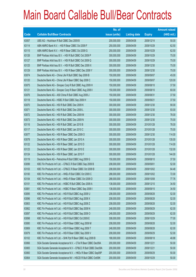|       |                                                                | No. of        |                     |               | <b>Amount raised</b> |
|-------|----------------------------------------------------------------|---------------|---------------------|---------------|----------------------|
| Code  | <b>Callable Bull/Bear Contracts</b>                            | issue (units) | <b>Listing date</b> | <b>Expiry</b> | $(HK$$ mil.)         |
| 63057 | UBS AG - Hutchison R Bull CBBC Dec 2009 B                      | 200,000,000   | 2009/04/08          | 2009/12/14    | 50.00                |
| 63114 | ABN AMRO Bank N.V. - HSI R Bear CBBC Oct 2009 F                | 250,000,000   | 2009/04/09          | 2009/10/29    | 62.50                |
| 63115 | ABN AMRO Bank N.V. - HSI R Bear CBBC Oct 2009 G                | 250,000,000   | 2009/04/09          | 2009/10/29    | 62.50                |
| 63126 | BNP Paribas Arbit Issu B.V. - HSI R Bull CBBC Oct 2009 P       | 300,000,000   | 2009/04/09          | 2009/10/29    | 75.00                |
| 63127 | BNP Paribas Arbit Issu B.V. - HSI R Bull CBBC Oct 2009 Q       | 300,000,000   | 2009/04/09          | 2009/10/29    | 75.00                |
| 63125 | BNP Paribas Arbit Issu B.V. - HSI R Bull CBBC Dec 2009 X       | 300,000,000   | 2009/04/09          | 2009/12/30    | 75.00                |
| 63129 | BNP Paribas Arbit Issu B.V. - HSI R Bear CBBC Dec 2009 Y       | 300,000,000   | 2009/04/09          | 2009/12/30    | 75.00                |
| 63074 | Deutsche Bank AG - China Life R Bull CBBC Sep 2009 B           | 150,000,000   | 2009/04/09          | 2009/09/07    | 45.00                |
| 63120 | Deutsche Bank AG - China Life R Bear CBBC Sep 2009 C           | 150,000,000   | 2009/04/09          | 2009/09/07    | 120.00               |
| 63075 | Deutsche Bank AG - Sinopec Corp R Bull CBBC Aug 2009 H         | 150,000,000   | 2009/04/09          | 2009/08/10    | 37.50                |
| 63121 | Deutsche Bank AG - Sinopec Corp R Bear CBBC Aug 2009 I         | 150,000,000   | 2009/04/09          | 2009/08/10    | 60.00                |
| 63076 | Deutsche Bank AG - A50 China R Bull CBBC Aug 2009 J            | 150,000,000   | 2009/04/09          | 2009/08/31    | 37.50                |
| 63118 | Deutsche Bank AG - HSBC R Bull CBBC Sep 2009 H                 | 150,000,000   | 2009/04/09          | 2009/09/21    | 37.50                |
| 63070 | Deutsche Bank AG - HSI R Bull CBBC Dec 2009 K                  | 300,000,000   | 2009/04/09          | 2009/12/30    | 90.00                |
| 63071 | Deutsche Bank AG - HSI R Bull CBBC Dec 2009 L                  | 300,000,000   | 2009/04/09          | 2009/12/30    | 93.00                |
| 63072 | Deutsche Bank AG - HSI R Bull CBBC Dec 2009 M                  | 300,000,000   | 2009/04/09          | 2009/12/30    | 78.00                |
| 63073 | Deutsche Bank AG - HSI R Bull CBBC Dec 2009 N                  | 300,000,000   | 2009/04/09          | 2009/12/30    | 75.00                |
| 63116 | Deutsche Bank AG - HSI R Bull CBBC Jan 2010 B                  | 300,000,000   | 2009/04/09          | 2010/01/28    | 78.00                |
| 63117 | Deutsche Bank AG - HSI R Bull CBBC Jan 2010 C                  | 300,000,000   | 2009/04/09          | 2010/01/28    | 75.00                |
| 63077 | Deutsche Bank AG - HSI R Bear CBBC Dec 2009 O                  | 300,000,000   | 2009/04/09          | 2009/12/30    | 114.00               |
| 63078 | Deutsche Bank AG - HSI R Bear CBBC Jan 2010 A                  | 300,000,000   | 2009/04/09          | 2010/01/28    | 135.00               |
| 63122 | Deutsche Bank AG - HSI R Bear CBBC Jan 2010 D                  | 300,000,000   | 2009/04/09          | 2010/01/28    | 114.00               |
| 63123 | Deutsche Bank AG - HSI R Bear CBBC Jan 2010 E                  | 300,000,000   | 2009/04/09          | 2010/01/28    | 132.00               |
| 63124 | Deutsche Bank AG - HSI R Bear CBBC Jan 2010 F                  | 300,000,000   | 2009/04/09          | 2010/01/28    | 144.00               |
| 63119 | Deutsche Bank AG - Petrochina R Bull CBBC Aug 2009 G           | 150,000,000   | 2009/04/09          | 2009/08/10    | 37.50                |
| 63099 | KBC Fin Products Int'l Ltd. - CP&CC R Bull CBBC Sep 2009 B     | 208,000,000   | 2009/04/09          | 2009/09/01    | 52.00                |
| 63103 | KBC Fin Products Int'l Ltd. - CP&CC R Bear CBBC Oct 2009 B     | 208,000,000   | 2009/04/09          | 2009/10/02    | 64.48                |
| 63100 | KBC Fin Products Int'l Ltd. - HKEx R Bull CBBC Oct 2009 C      | 288,000,000   | 2009/04/09          | 2009/10/02    | 72.00                |
| 63104 | KBC Fin Products Int'l Ltd. - HKEx R Bear CBBC Oct 2009 D      | 288,000,000   | 2009/04/09          | 2009/10/08    | 77.76                |
| 63101 | KBC Fin Products Int'l Ltd. - HSBC R Bull CBBC Dec 2009 A      | 138,000,000   | 2009/04/09          | 2009/12/10    | 34.50                |
| 63081 | KBC Fin Products Int'l Ltd. - HSBC R Bear CBBC Sep 2009 I      | 138,000,000   | 2009/04/09          | 2009/09/15    | 34.50                |
| 63095 | KBC Fin Products Int'l Ltd. - HSI R Bull CBBC Aug 2009 U       | 208,000,000   | 2009/04/09          | 2009/08/28    | 52.00                |
| 63096 | KBC Fin Products Int'l Ltd. - HSI R Bull CBBC Aug 2009 X       | 208,000,000   | 2009/04/09          | 2009/08/28    | 52.00                |
| 63063 | KBC Fin Products Int'l Ltd. - HSI R Bull CBBC Aug 2009 Z       | 208,000,000   | 2009/04/09          | 2009/08/28    | 52.00                |
| 63062 | KBC Fin Products Int'l Ltd. - HSI R Bull CBBC Sep 2009 N       | 248,000,000   | 2009/04/09          | 2009/09/29    | 62.00                |
| 63097 | KBC Fin Products Int'l Ltd. - HSI R Bull CBBC Sep 2009 O       | 248,000,000   | 2009/04/09          | 2009/09/29    | 62.00                |
| 63098 | KBC Fin Products Int'l Ltd. - HSI R Bull CBBC Oct 2009 E       | 308,000,000   | 2009/04/09          | 2009/10/29    | 77.00                |
| 63080 | KBC Fin Products Int'l Ltd. - HSI R Bear CBBC Aug 2009 M       | 208,000,000   | 2009/04/09          | 2009/08/28    | 52.00                |
| 63069 | KBC Fin Products Int'l Ltd. - HSI R Bear CBBC Aug 2009 T       | 248,000,000   | 2009/04/09          | 2009/08/28    | 62.00                |
| 63079 | KBC Fin Products Int'l Ltd. - HSI R Bear CBBC Sep 2009 V       | 208,000,000   | 2009/04/09          | 2009/09/29    | 52.00                |
| 63102 | KBC Fin Products Int'l Ltd. - SHK Ppt R Bear CBBC Aug 2009 B   | 188,000,000   | 2009/04/09          | 2009/08/18    | 48.88                |
| 63066 | SGA Societe Generale Acceptance N.V. - CTel R Bear CBBC Dec09A | 200,000,000   | 2009/04/09          | 2009/12/21    | 50.00                |
| 63065 | SGA Societe Generale Acceptance N.V - CP&CC R Bull CBBC Dec09A | 200,000,000   | 2009/04/09          | 2009/12/21    | 50.00                |
| 63060 | SGA Societe Generale Acceptance N.V. - HKEx R Bear CBBC Sep09P | 200,000,000   | 2009/04/09          | 2009/09/29    | 50.00                |
| 63064 | SGA Societe Generale Acceptance NV - HSCEI R Bull CBBC Oct09K  | 200,000,000   | 2009/04/09          | 2009/10/29    | 50.00                |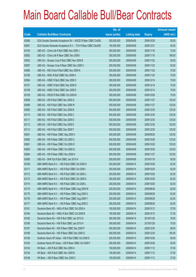|       |                                                               | No. of        |                     |               | <b>Amount raised</b> |
|-------|---------------------------------------------------------------|---------------|---------------------|---------------|----------------------|
| Code  | <b>Callable Bull/Bear Contracts</b>                           | issue (units) | <b>Listing date</b> | <b>Expiry</b> | $(HK$$ mil.)         |
| 63068 | SGA Societe Generale Acceptance NV - HSCEI R Bear CBBC Oct09L | 200,000,000   | 2009/04/09          | 2009/10/29    | 50.00                |
| 63067 | SGA Societe Generale Acceptance N.V. - TCH R Bear CBBC Dec09C | 150,000,000   | 2009/04/09          | 2009/12/21    | 45.00                |
| 63105 | UBS AG - China Life R Bull CBBC Nov 2009 J                    | 300,000,000   | 2009/04/09          | 2009/11/16    | 75.00                |
| 63082 | UBS AG - China Life R Bear CBBC Nov 2009 I                    | 300,000,000   | 2009/04/09          | 2009/11/16    | 189.00               |
| 63083 | UBS AG - Sinopec Corp R Bull CBBC Nov 2009 B                  | 200,000,000   | 2009/04/09          | 2009/11/23    | 50.00                |
| 63087 | UBS AG - Sinopec Corp R Bear CBBC Nov 2009 C                  | 200,000,000   | 2009/04/09          | 2009/11/23    | 50.00                |
| 63086 | UBS AG - A50 China R Bull CBBC Nov 2009 N                     | 300,000,000   | 2009/04/09          | 2009/11/23    | 75.00                |
| 63106 | UBS AG - HKEx R Bull CBBC Nov 2009 A                          | 300,000,000   | 2009/04/09          | 2009/11/23    | 75.00                |
| 63084 | UBS AG - HSBC R Bull CBBC Dec 2009 C                          | 300,000,000   | 2009/04/09          | 2009/12/14    | 75.00                |
| 63107 | UBS AG - HSBC R Bull CBBC Dec 2009 D                          | 300,000,000   | 2009/04/09          | 2009/12/14    | 75.00                |
| 63108 | UBS AG - HSBC R Bull CBBC Dec 2009 E                          | 300,000,000   | 2009/04/09          | 2009/12/14    | 75.00                |
| 63109 | UBS AG - HSCEI R Bull CBBC Oct 2009 N                         | 300,000,000   | 2009/04/09          | 2009/10/29    | 75.00                |
| 63088 | UBS AG - HSI R Bull CBBC Nov 2009 G                           | 500,000,000   | 2009/04/09          | 2009/11/27    | 125.00               |
| 63089 | UBS AG - HSI R Bull CBBC Nov 2009 W                           | 500,000,000   | 2009/04/09          | 2009/11/27    | 125.00               |
| 63090 | UBS AG - HSI R Bull CBBC Dec 2009 B                           | 500,000,000   | 2009/04/09          | 2009/12/30    | 125.00               |
| 63110 | UBS AG - HSI R Bull CBBC Dec 2009 C                           | 500,000,000   | 2009/04/09          | 2009/12/30    | 125.00               |
| 63111 | UBS AG - HSI R Bull CBBC Dec 2009 D                           | 500,000,000   | 2009/04/09          | 2009/12/30    | 125.00               |
| 63112 | UBS AG - HSI R Bull CBBC Dec 2009 E                           | 500,000,000   | 2009/04/09          | 2009/12/30    | 125.00               |
| 63113 | UBS AG - HSI R Bull CBBC Dec 2009 F                           | 500,000,000   | 2009/04/09          | 2009/12/30    | 125.00               |
| 63091 | UBS AG - HSI R Bear CBBC Sep 2009 X                           | 500,000,000   | 2009/04/09          | 2009/09/29    | 125.00               |
| 63092 | UBS AG - HSI R Bear CBBC Oct 2009 C                           | 500,000,000   | 2009/04/09          | 2009/10/29    | 125.00               |
| 63061 | UBS AG - HSI R Bear CBBC Oct 2009 O                           | 500,000,000   | 2009/04/09          | 2009/10/29    | 125.00               |
| 63093 | UBS AG - HSI R Bear CBBC Oct 2009 Q                           | 500,000,000   | 2009/04/09          | 2009/10/29    | 125.00               |
| 63094 | UBS AG - HSI R Bear CBBC Nov 2009 H                           | 500,000,000   | 2009/04/09          | 2009/11/27    | 125.00               |
| 63085 | UBS AG - SHK Ppt R Bull CBBC Jan 2010 A                       | 200,000,000   | 2009/04/09          | 2010/01/18    | 50.00                |
| 63169 | ABN AMRO Bank N.V. - HSI R Bull CBBC Oct 2009 H               | 250,000,000   | 2009/04/14          | 2009/10/29    | 62.50                |
| 63171 | ABN AMRO Bank N.V. - HSI R Bull CBBC Oct 2009 I               | 250,000,000   | 2009/04/14          | 2009/10/29    | 62.50                |
| 63172 | ABN AMRO Bank N.V. - HSI R Bull CBBC Oct 2009 J               | 250,000,000   | 2009/04/14          | 2009/10/29    | 62.50                |
| 63173 | ABN AMRO Bank N.V. - HSI R Bull CBBC Oct 2009 K               | 250,000,000   | 2009/04/14          | 2009/10/29    | 62.50                |
| 63174 | ABN AMRO Bank N.V. - HSI R Bull CBBC Oct 2009 L               | 250,000,000   | 2009/04/14          | 2009/10/29    | 62.50                |
| 63170 | ABN AMRO Bank N.V. - HSI R Bear CBBC Aug 2009 W               | 250,000,000   | 2009/04/14          | 2009/08/28    | 62.50                |
| 63175 | ABN AMRO Bank N.V. - HSI R Bear CBBC Aug 2009 X               | 250,000,000   | 2009/04/14          | 2009/08/28    | 62.50                |
| 63176 | ABN AMRO Bank N.V. - HSI R Bear CBBC Aug 2009 Y               | 250,000,000   | 2009/04/14          | 2009/08/28    | 62.50                |
| 63177 | ABN AMRO Bank N.V. - HSI R Bear CBBC Aug 2009 Z               | 250,000,000   | 2009/04/14          | 2009/08/28    | 62.50                |
| 63161 | Deutsche Bank AG - HKEx R Bull CBBC Oct 2009 A                | 150,000,000   | 2009/04/14          | 2009/10/12    | 37.50                |
| 63164 | Deutsche Bank AG - HKEx R Bull CBBC Oct 2009 B                | 150,000,000   | 2009/04/14          | 2009/10/12    | 37.50                |
| 63165 | Deutsche Bank AG - HSI R Bull CBBC Jan 2010 G                 | 300,000,000   | 2009/04/14          | 2010/01/28    | 78.00                |
| 63166 | Deutsche Bank AG - HSI R Bull CBBC Jan 2010 H                 | 300,000,000   | 2009/04/14          | 2010/01/28    | 75.00                |
| 63167 | Deutsche Bank AG - HSI R Bear CBBC Dec 2009 P                 | 300,000,000   | 2009/04/14          | 2009/12/30    | 99.00                |
| 63168 | Deutsche Bank AG - HSI R Bear CBBC Dec 2009 Q                 | 300,000,000   | 2009/04/14          | 2009/12/30    | 105.00               |
| 63158 | Goldman Sachs SP (Asia) - HSI R Bull CBBC Oct 2009 E          | 200,000,000   | 2009/04/14          | 2009/10/29    | 50.00                |
| 63162 | Goldman Sachs SP (Asia) - HSI R Bear CBBC Oct 2009 F          | 200,000,000   | 2009/04/14          | 2009/10/29    | 50.00                |
| 63143 | HK Bank - A50 R Bull CBBC Nov 2009 A                          | 150,000,000   | 2009/04/14          | 2009/11/12    | 37.50                |
| 63144 | HK Bank - A50 R Bull CBBC Nov 2009 B                          | 150,000,000   | 2009/04/14          | 2009/11/12    | 37.50                |
| 63148 | HK Bank - A50 R Bear CBBC Nov 2009 C                          | 150,000,000   | 2009/04/14          | 2009/11/12    | 37.50                |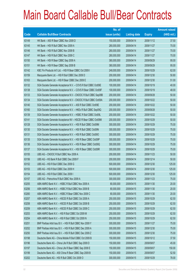|       |                                                                | No. of        |                     |               | <b>Amount raised</b> |
|-------|----------------------------------------------------------------|---------------|---------------------|---------------|----------------------|
| Code  | <b>Callable Bull/Bear Contracts</b>                            | issue (units) | <b>Listing date</b> | <b>Expiry</b> | $(HK$$ mil.)         |
| 63149 | HK Bank - A50 R Bear CBBC Nov 2009 D                           | 150,000,000   | 2009/04/14          | 2009/11/12    | 37.50                |
| 63145 | HK Bank - HSI R Bull CBBC Nov 2009 A                           | 280,000,000   | 2009/04/14          | 2009/11/27    | 70.00                |
| 63146 | HK Bank - HSI R Bull CBBC Nov 2009 B                           | 280,000,000   | 2009/04/14          | 2009/11/27    | 70.00                |
| 63147 | HK Bank - HSI R Bull CBBC Nov 2009 C                           | 280,000,000   | 2009/04/14          | 2009/11/27    | 70.00                |
| 63150 | HK Bank - HSI R Bear CBBC Sep 2009 A                           | 380,000,000   | 2009/04/14          | 2009/09/29    | 95.00                |
| 63151 | HK Bank - HSI R Bear CBBC Sep 2009 B                           | 380,000,000   | 2009/04/14          | 2009/09/29    | 95.00                |
| 63142 | KBC Fin Products Int'l Ltd. - HSI R Bear CBBC Oct 2009 I       | 248,000,000   | 2009/04/14          | 2009/10/29    | 62.00                |
| 63159 | Macquarie Bank Ltd. - HSI R Bull CBBC Dec 2009 D               | 200,000,000   | 2009/04/14          | 2009/12/30    | 50.80                |
| 63163 | Macquarie Bank Ltd. - HSI R Bear CBBC Dec 2009 E               | 200,000,000   | 2009/04/14          | 2009/12/30    | 51.00                |
| 63132 | SGA Societe Generale Acceptance N.V. - COVS R Bull CBBC Oct09E | 100,000,000   | 2009/04/14          | 2009/10/19    | 40.00                |
| 63138 | SGA Societe Generale Acceptance N.V. - COVS R Bear CBBC Oct09F | 100,000,000   | 2009/04/14          | 2009/10/19    | 48.00                |
| 63133 | SGA Societe Generale Acceptance N.V - CNOOC R Bull CBBC Sep09B | 200,000,000   | 2009/04/14          | 2009/09/28    | 50.00                |
| 63134 | SGA Societe Generale Acceptance N.V - CNOOC R Bull CBBC Oct09A | 200,000,000   | 2009/04/14          | 2009/10/22    | 50.00                |
| 63140 | SGA Societe Generale Acceptance N.V. - A50 R Bull CBBC Oct09E  | 200,000,000   | 2009/04/14          | 2009/10/22    | 50.00                |
| 63160 | SGA Societe Generale Acceptance N.V. - HKEx R Bull CBBC Sep09Q | 200,000,000   | 2009/04/14          | 2009/09/28    | 50.00                |
| 63139 | SGA Societe Generale Acceptance N.V. - HSBC R Bull CBBC Oct09L | 200,000,000   | 2009/04/14          | 2009/10/22    | 50.00                |
| 63141 | SGA Societe Generale Acceptance NV - HSCEI R Bear CBBC Oct09M  | 200,000,000   | 2009/04/14          | 2009/10/29    | 50.00                |
| 63128 | SGA Societe Generale Acceptance N.V. - HSI R Bull CBBC Oct09M  | 300,000,000   | 2009/04/14          | 2009/10/29    | 75.00                |
| 63130 | SGA Societe Generale Acceptance N.V. - HSI R Bull CBBC Oct09N  | 300,000,000   | 2009/04/14          | 2009/10/29    | 75.00                |
| 63131 | SGA Societe Generale Acceptance N.V. - HSI R Bull CBBC Oct090  | 300,000,000   | 2009/04/14          | 2009/10/29    | 75.00                |
| 63135 | SGA Societe Generale Acceptance N.V. - HSI R Bear CBBC Oct09P  | 300,000,000   | 2009/04/14          | 2009/10/29    | 75.00                |
| 63136 | SGA Societe Generale Acceptance N.V. - HSI R Bear CBBC Oct09Q  | 300,000,000   | 2009/04/14          | 2009/10/29    | 75.00                |
| 63137 | SGA Societe Generale Acceptance N.V. - HSI R Bear CBBC Oct09R  | 300,000,000   | 2009/04/14          | 2009/10/29    | 75.00                |
| 63155 | UBS AG - CNOOC R Bull CBBC Nov 2009 A                          | 200,000,000   | 2009/04/14          | 2009/11/23    | 50.00                |
| 63156 | UBS AG - HS Bank R Bull CBBC Dec 2009 F                        | 200,000,000   | 2009/04/14          | 2009/12/14    | 50.00                |
| 63152 | UBS AG - HSI R Bull CBBC Dec 2009 G                            | 500,000,000   | 2009/04/14          | 2009/12/30    | 125.00               |
| 63153 | UBS AG - HSI R Bull CBBC Dec 2009 H                            | 500,000,000   | 2009/04/14          | 2009/12/30    | 125.00               |
| 63154 | UBS AG - HSI R Bull CBBC Dec 2009 I                            | 500,000,000   | 2009/04/14          | 2009/12/30    | 125.00               |
| 63157 | UBS AG - Petrochina R Bull CBBC Nov 2009 A                     | 300,000,000   | 2009/04/14          | 2009/11/23    | 75.00                |
| 63255 | ABN AMRO Bank N.V. - HSBC R Bull CBBC Nov 2009 A               | 80,000,000    | 2009/04/15          | 2009/11/30    | 20.00                |
| 63256 | ABN AMRO Bank N.V. - HSBC R Bull CBBC Nov 2009 B               | 80,000,000    | 2009/04/15          | 2009/11/30    | 20.00                |
| 63260 | ABN AMRO Bank N.V. - HSBC R Bear CBBC Nov 2009 C               | 80,000,000    | 2009/04/15          | 2009/11/30    | 20.00                |
| 63257 | ABN AMRO Bank N.V. - HSCEI R Bull CBBC Oct 2009 A              | 250,000,000   | 2009/04/15          | 2009/10/29    | 62.50                |
| 63258 | ABN AMRO Bank N.V. - HSCEI R Bull CBBC Oct 2009 B              | 250,000,000   | 2009/04/15          | 2009/10/29    | 62.50                |
| 63259 | ABN AMRO Bank N.V. - HSCEI R Bull CBBC Oct 2009 C              | 250,000,000   | 2009/04/15          | 2009/10/29    | 62.50                |
| 63253 | ABN AMRO Bank N.V. - HSI R Bull CBBC Oct 2009 M                | 250,000,000   | 2009/04/15          | 2009/10/29    | 62.50                |
| 63254 | ABN AMRO Bank N.V. - HSI R Bull CBBC Oct 2009 N                | 250,000,000   | 2009/04/15          | 2009/10/29    | 62.50                |
| 63251 | BNP Paribas Arbit Issu B.V. - HSI R Bull CBBC Nov 2009 Y       | 300,000,000   | 2009/04/15          | 2009/11/27    | 75.00                |
| 63252 | BNP Paribas Arbit Issu B.V. - HSI R Bull CBBC Dec 2009 A       | 300,000,000   | 2009/04/15          | 2009/12/30    | 75.00                |
| 63250 | BNP Paribas Arbit Issu B.V. - HSI R Bull CBBC Dec 2009 Z       | 300,000,000   | 2009/04/15          | 2009/12/30    | 75.00                |
| 63198 | Deutsche Bank AG - China Mobile R Bull CBBC Oct 2009 B         | 150,000,000   | 2009/04/15          | 2009/10/12    | 37.50                |
| 63196 | Deutsche Bank AG - China Life R Bull CBBC Sep 2009 D           | 150,000,000   | 2009/04/15          | 2009/09/07    | 45.00                |
| 63197 | Deutsche Bank AG - China Life R Bear CBBC Sep 2009 E           | 150,000,000   | 2009/04/15          | 2009/09/07    | 150.00               |
| 63199 | Deutsche Bank AG - A50 China R Bear CBBC Sep 2009 B            | 150,000,000   | 2009/04/15          | 2009/09/07    | 52.50                |
| 63202 | Deutsche Bank AG - HSI R Bull CBBC Oct 2009 O                  | 300,000,000   | 2009/04/15          | 2009/10/29    | 78.00                |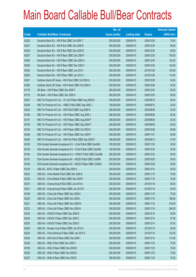|       |                                                                | No. of        |                     |               | <b>Amount raised</b> |
|-------|----------------------------------------------------------------|---------------|---------------------|---------------|----------------------|
| Code  | <b>Callable Bull/Bear Contracts</b>                            | issue (units) | <b>Listing date</b> | <b>Expiry</b> | $(HK$$ mil.)         |
| 63203 | Deutsche Bank AG - HSI R Bull CBBC Oct 2009 T                  | 300,000,000   | 2009/04/15          | 2009/10/29    | 75.00                |
| 63201 | Deutsche Bank AG - HSI R Bull CBBC Dec 2009 E                  | 300,000,000   | 2009/04/15          | 2009/12/30    | 99.00                |
| 63200 | Deutsche Bank AG - HSI R Bull CBBC Dec 2009 R                  | 300,000,000   | 2009/04/15          | 2009/12/30    | 90.00                |
| 63207 | Deutsche Bank AG - HSI R Bear CBBC Dec 2009 F                  | 300,000,000   | 2009/04/15          | 2009/12/30    | 105.00               |
| 63208 | Deutsche Bank AG - HSI R Bear CBBC Dec 2009 U                  | 300,000,000   | 2009/04/15          | 2009/12/30    | 120.00               |
| 63206 | Deutsche Bank AG - HSI R Bear CBBC Dec 2009 V                  | 300,000,000   | 2009/04/15          | 2009/12/30    | 144.00               |
| 63204 | Deutsche Bank AG - HSI R Bear CBBC Jan 2010 I                  | 300,000,000   | 2009/04/15          | 2010/01/28    | 105.00               |
| 63205 | Deutsche Bank AG - HSI R Bear CBBC Jan 2010 J                  | 300,000,000   | 2009/04/15          | 2010/01/28    | 114.00               |
| 63261 | Goldman Sachs SP (Asia) - HSI R Bull CBBC Oct 2009 G           | 200,000,000   | 2009/04/15          | 2009/10/29    | 50.00                |
| 63265 | Goldman Sachs SP (Asia) - HSI R Bear CBBC Oct 2009 H           | 200,000,000   | 2009/04/15          | 2009/10/29    | 50.00                |
| 63178 | HK Bank - HSI R Bear CBBC Dec 2009 F                           | 380,000,000   | 2009/04/15          | 2009/12/30    | 95.00                |
| 63179 | HK Bank - HSI R Bear CBBC Dec 2009 G                           | 380,000,000   | 2009/04/15          | 2009/12/30    | 95.00                |
| 63247 | KBC Fin Products Int'l Ltd. - Ch Life R Bear CBBC Aug 2009 G   | 248,000,000   | 2009/04/15          | 2009/08/10    | 69.44                |
| 63248 | KBC Fin Products Int'l Ltd. - HSBC R Bull CBBC Sep 2009 J      | 138,000,000   | 2009/04/15          | 2009/09/15    | 34.50                |
| 63245 | KBC Fin Products Int'l Ltd. - HSI R Bull CBBC Aug 2009 R       | 208,000,000   | 2009/04/15          | 2009/08/28    | 52.00                |
| 63180 | KBC Fin Products Int'l Ltd. - HSI R Bear CBBC Aug 2009 L       | 208,000,000   | 2009/04/15          | 2009/08/28    | 52.00                |
| 63181 | KBC Fin Products Int'l Ltd. - HSI R Bear CBBC Aug 2009 P       | 208,000,000   | 2009/04/15          | 2009/08/28    | 52.00                |
| 63182 | KBC Fin Products Int'l Ltd. - HSI R Bear CBBC Sep 2009 P       | 248,000,000   | 2009/04/15          | 2009/09/29    | 62.00                |
| 63183 | KBC Fin Products Int'l Ltd. - HSI R Bear CBBC Oct 2009 K       | 248,000,000   | 2009/04/15          | 2009/10/29    | 66.96                |
| 63246 | KBC Fin Products Int'l Ltd. - HSI R Bear CBBC Nov 2009 P       | 208,000,000   | 2009/04/15          | 2009/11/27    | 95.68                |
| 63249 | KBC Fin Products Int'l Ltd. - SHK Ppt R Bull CBBC Sep 2009 D   | 188,000,000   | 2009/04/15          | 2009/09/10    | 47.00                |
| 63192 | SGA Societe Generale Acceptance N.V - CLife R Bull CBBC Nov09H | 100,000,000   | 2009/04/15          | 2009/11/30    | 30.00                |
| 63193 | SGA Societe Generale Acceptance N.V - CLife R Bear CBBC Dec09D | 100,000,000   | 2009/04/15          | 2009/12/23    | 55.00                |
| 63194 | SGA Societe Generale Acceptance N.V - CP&CC R Bull CBBC Dec09B | 200,000,000   | 2009/04/15          | 2009/12/23    | 50.00                |
| 63191 | SGA Societe Generale Acceptance NV - HSCEI R Bull CBBC Oct09N  | 200,000,000   | 2009/04/15          | 2009/10/29    | 50.00                |
| 63195 | SGA Societe Generale Acceptance NV - HSCEI R Bear CBBC Oct090  | 200,000,000   | 2009/04/15          | 2009/10/29    | 50.00                |
| 63218 | UBS AG - BOCL R Bear CBBC Dec 2009 A                           | 200,000,000   | 2009/04/15          | 2009/12/14    | 50.00                |
| 63223 | UBS AG - China Mobile R Bull CBBC Nov 2009 E                   | 300,000,000   | 2009/04/15          | 2009/11/16    | 75.00                |
| 63232 | UBS AG - China Mobile R Bear CBBC Nov 2009 F                   | 300,000,000   | 2009/04/15          | 2009/11/16    | 75.00                |
| 63219 | UBS AG - Cheung Kong R Bull CBBC Jan 2010 A                    | 200,000,000   | 2009/04/15          | 2010/01/18    | 50.00                |
| 63231 | UBS AG - Cheung Kong R Bear CBBC Jan 2010 B                    | 200,000,000   | 2009/04/15          | 2010/01/18    | 50.00                |
| 63189 | UBS AG - China Life R Bear CBBC Nov 2009 K                     | 300,000,000   | 2009/04/15          | 2009/11/16    | 75.00                |
| 63220 | UBS AG - China Life R Bear CBBC Nov 2009 L                     | 300,000,000   | 2009/04/15          | 2009/11/16    | 186.00               |
| 63221 | UBS AG - China Life R Bear CBBC Nov 2009 M                     | 300,000,000   | 2009/04/15          | 2009/11/16    | 216.00               |
| 63222 | UBS AG - China Life R Bear CBBC Nov 2009 N                     | 300,000,000   | 2009/04/15          | 2009/11/16    | 246.00               |
| 63233 | UBS AG - CNOOC R Bear CBBC Dec 2009 B                          | 200,000,000   | 2009/04/15          | 2009/12/14    | 50.00                |
| 63234 | UBS AG - CNOOC R Bear CBBC Dec 2009 C                          | 200,000,000   | 2009/04/15          | 2009/12/14    | 57.00                |
| 63235 | UBS AG - CNOOC R Bear CBBC Dec 2009 D                          | 200,000,000   | 2009/04/15          | 2009/12/14    | 67.00                |
| 63224 | UBS AG - Sinopec Corp R Bear CBBC Jan 2010 A                   | 200,000,000   | 2009/04/15          | 2010/01/18    | 52.00                |
| 63225 | UBS AG - China Shenhua R Bear CBBC Jan 2010 A                  | 200,000,000   | 2009/04/15          | 2010/01/18    | 122.00               |
| 63244 | UBS AG - A50 China R Bear CBBC Dec 2009 I                      | 300,000,000   | 2009/04/15          | 2009/12/14    | 114.00               |
| 63226 | UBS AG - HKEx R Bull CBBC Nov 2009 C                           | 300,000,000   | 2009/04/15          | 2009/11/23    | 75.00                |
| 63190 | UBS AG - HKEx R Bear CBBC Nov 2009 B                           | 300,000,000   | 2009/04/15          | 2009/11/23    | 75.00                |
| 63236 | UBS AG - HKEx R Bear CBBC Nov 2009 D                           | 300,000,000   | 2009/04/15          | 2009/11/23    | 75.00                |
| 63237 | UBS AG - HKEx R Bear CBBC Nov 2009 E                           | 300,000,000   | 2009/04/15          | 2009/11/23    | 75.00                |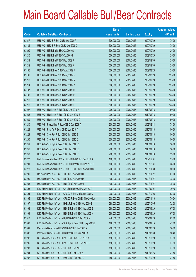|       |                                                              | No. of        |                     |               | <b>Amount raised</b> |
|-------|--------------------------------------------------------------|---------------|---------------------|---------------|----------------------|
| Code  | <b>Callable Bull/Bear Contracts</b>                          | issue (units) | <b>Listing date</b> | <b>Expiry</b> | $(HK$$ mil.)         |
| 63217 | UBS AG - HSCEI R Bull CBBC Oct 2009 P                        | 300,000,000   | 2009/04/15          | 2009/10/29    | 75.00                |
| 63184 | UBS AG - HSCEI R Bear CBBC Oct 2009 O                        | 300,000,000   | 2009/04/15          | 2009/10/29    | 75.00                |
| 63209 | UBS AG - HSI R Bull CBBC Oct 2009 G                          | 500,000,000   | 2009/04/15          | 2009/10/29    | 125.00               |
| 63210 | UBS AG - HSI R Bull CBBC Oct 2009 I                          | 500,000,000   | 2009/04/15          | 2009/10/29    | 125.00               |
| 63211 | UBS AG - HSI R Bull CBBC Dec 2009 J                          | 500,000,000   | 2009/04/15          | 2009/12/30    | 125.00               |
| 63212 | UBS AG - HSI R Bull CBBC Dec 2009 K                          | 500,000,000   | 2009/04/15          | 2009/12/30    | 125.00               |
| 63185 | UBS AG - HSI R Bear CBBC Aug 2009 F                          | 500,000,000   | 2009/04/15          | 2009/08/28    | 125.00               |
| 63186 | UBS AG - HSI R Bear CBBC Aug 2009 G                          | 500,000,000   | 2009/04/15          | 2009/08/28    | 125.00               |
| 63213 | UBS AG - HSI R Bear CBBC Sep 2009 R                          | 500,000,000   | 2009/04/15          | 2009/09/29    | 125.00               |
| 63214 | UBS AG - HSI R Bear CBBC Sep 2009 Y                          | 500,000,000   | 2009/04/15          | 2009/09/29    | 125.00               |
| 63187 | UBS AG - HSI R Bear CBBC Oct 2009 D                          | 500,000,000   | 2009/04/15          | 2009/10/29    | 125.00               |
| 63188 | UBS AG - HSI R Bear CBBC Oct 2009 P                          | 500,000,000   | 2009/04/15          | 2009/10/29    | 125.00               |
| 63215 | UBS AG - HSI R Bear CBBC Oct 2009 S                          | 500,000,000   | 2009/04/15          | 2009/10/29    | 125.00               |
| 63216 | UBS AG - HSI R Bear CBBC Oct 2009 T                          | 500,000,000   | 2009/04/15          | 2009/10/29    | 125.00               |
| 63227 | UBS AG - Hutchison R Bull CBBC Jan 2010 A                    | 200,000,000   | 2009/04/15          | 2010/01/18    | 50.00                |
| 63238 | UBS AG - Hutchison R Bear CBBC Jan 2010 B                    | 200,000,000   | 2009/04/15          | 2010/01/18    | 50.00                |
| 63239 | UBS AG - Hutchison R Bear CBBC Jan 2010 C                    | 200,000,000   | 2009/04/15          | 2010/01/18    | 50.00                |
| 63240 | UBS AG - Petrochina R Bear CBBC Dec 2009 A                   | 300,000,000   | 2009/04/15          | 2009/12/14    | 78.00                |
| 63228 | UBS AG - Ping An R Bear CBBC Jan 2010 A                      | 200,000,000   | 2009/04/15          | 2010/01/18    | 50.00                |
| 63229 | UBS AG - SHK Ppt R Bull CBBC Jan 2010 B                      | 200,000,000   | 2009/04/15          | 2010/01/18    | 50.00                |
| 63230 | UBS AG - SHK Ppt R Bull CBBC Jan 2010 C                      | 200,000,000   | 2009/04/15          | 2010/01/18    | 50.00                |
| 63241 | UBS AG - SHK Ppt R Bear CBBC Jan 2010 D                      | 200,000,000   | 2009/04/15          | 2010/01/18    | 50.00                |
| 63242 | UBS AG - SHK Ppt R Bear CBBC Jan 2010 E                      | 200,000,000   | 2009/04/15          | 2010/01/18    | 50.00                |
| 63243 | UBS AG - SHK Ppt R Bear CBBC Jan 2010 F                      | 200,000,000   | 2009/04/15          | 2010/01/18    | 59.00                |
| 63277 | BNP Paribas Arbit Issu B.V. - HKEx R Bull CBBC Dec 2009 A    | 100,000,000   | 2009/04/16          | 2009/12/31    | 25.00                |
| 63281 | BNP Paribas Arbit Issu B.V. - HKEx R Bear CBBC Dec 2009 B    | 100,000,000   | 2009/04/16          | 2009/12/31    | 28.00                |
| 63278 | BNP Paribas Arbit Issu B.V. - HSBC R Bull CBBC Nov 2009 G    | 200,000,000   | 2009/04/16          | 2009/11/30    | 50.00                |
| 63289 | Deutsche Bank AG - HSI R Bull CBBC Nov 2009 H                | 300,000,000   | 2009/04/16          | 2009/11/27    | 81.00                |
| 63290 | Deutsche Bank AG - HSI R Bull CBBC Nov 2009 M                | 300,000,000   | 2009/04/16          | 2009/11/27    | 78.00                |
| 63285 | Deutsche Bank AG - HSI R Bear CBBC Nov 2009 I                | 300,000,000   | 2009/04/16          | 2009/11/27    | 75.00                |
| 63303 | KBC Fin Products Int'l Ltd. - Ch Life R Bear CBBC Sep 2009 I | 128,000,000   | 2009/04/16          | 2009/09/01    | 70.40                |
| 63304 | KBC Fin Products Int'l Ltd. - CP&CC R Bull CBBC Oct 2009 C   | 208,000,000   | 2009/04/16          | 2009/10/05    | 52.00                |
| 63305 | KBC Fin Products Int'l Ltd. - CP&CC R Bear CBBC Nov 2009 A   | 208,000,000   | 2009/04/16          | 2009/11/16    | 79.04                |
| 63307 | KBC Fin Products Int'l Ltd. - HKEx R Bear CBBC Oct 2009 E    | 288,000,000   | 2009/04/16          | 2009/10/05    | 72.00                |
| 63308 | KBC Fin Products Int'l Ltd. - HSCEI R Bull CBBC Sep 2009 G   | 268,000,000   | 2009/04/16          | 2009/09/29    | 67.00                |
| 63309 | KBC Fin Products Int'l Ltd. - HSCEI R Bull CBBC Sep 2009 H   | 268,000,000   | 2009/04/16          | 2009/09/29    | 67.00                |
| 63310 | KBC Fin Products Int'l Ltd. - HSI R Bull CBBC Sep 2009 X     | 248,000,000   | 2009/04/16          | 2009/09/29    | 62.00                |
| 63306 | KBC Fin Products Int'l Ltd. - SHK Ppt R Bear CBBC Sep 2009 E | 188,000,000   | 2009/04/16          | 2009/09/15    | 47.00                |
| 63301 | Macquarie Bank Ltd. - HSBC R Bull CBBC Jun 2010 A            | 200,000,000   | 2009/04/16          | 2010/06/29    | 50.00                |
| 63302 | Macquarie Bank Ltd. - HSBC R Bear CBBC Mar 2010 A            | 200,000,000   | 2009/04/16          | 2010/03/30    | 50.40                |
| 63282 | CC Rabobank B.A. - A50 China R Bull CBBC Oct 2009 A          | 150,000,000   | 2009/04/16          | 2009/10/29    | 37.50                |
| 63286 | CC Rabobank B.A. - A50 China R Bear CBBC Oct 2009 B          | 150,000,000   | 2009/04/16          | 2009/10/29    | 37.50                |
| 63283 | CC Rabobank B.A. - HSI R Bull CBBC Oct 2009 D                | 150,000,000   | 2009/04/16          | 2009/10/29    | 37.50                |
| 63284 | CC Rabobank B.A. - HSI R Bull CBBC Feb 2010 A                | 150,000,000   | 2009/04/16          | 2010/02/25    | 37.50                |
| 63287 | CC Rabobank B.A. - HSI R Bear CBBC Oct 2009 E                | 150,000,000   | 2009/04/16          | 2009/10/29    | 37.50                |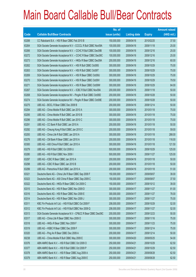|       |                                                                | No. of        |                     |               | <b>Amount raised</b> |
|-------|----------------------------------------------------------------|---------------|---------------------|---------------|----------------------|
| Code  | <b>Callable Bull/Bear Contracts</b>                            | issue (units) | <b>Listing date</b> | <b>Expiry</b> | (HK\$ mil.)          |
| 63288 | CC Rabobank B.A. - HSI R Bear CBBC Feb 2010 B                  | 150,000,000   | 2009/04/16          | 2010/02/25    | 37.50                |
| 63264 | SGA Societe Generale Acceptance N.V - CCCCL R Bull CBBC Nov09A | 100,000,000   | 2009/04/16          | 2009/11/18    | 25.00                |
| 63266 | SGA Societe Generale Acceptance N.V. - CCHC R Bull CBBC Dec09B | 100,000,000   | 2009/04/16          | 2009/12/16    | 25.00                |
| 63272 | SGA Societe Generale Acceptance N.V. - CCHC R Bear CBBC Dec09C | 100,000,000   | 2009/04/16          | 2009/12/16    | 25.00                |
| 63273 | SGA Societe Generale Acceptance N.V. - HKEx R Bear CBBC Dec09A | 200,000,000   | 2009/04/16          | 2009/12/16    | 60.00                |
| 63262 | SGA Societe Generale Acceptance N.V. - HSI R Bull CBBC Oct09S  | 300,000,000   | 2009/04/16          | 2009/10/29    | 75.00                |
| 63263 | SGA Societe Generale Acceptance N.V. - HSI R Bull CBBC Oct09T  | 300,000,000   | 2009/04/16          | 2009/10/29    | 75.00                |
| 63269 | SGA Societe Generale Acceptance N.V. - HSI R Bear CBBC Oct09U  | 300,000,000   | 2009/04/16          | 2009/10/29    | 75.00                |
| 63270 | SGA Societe Generale Acceptance N.V. - HSI R Bear CBBC Oct09V  | 300,000,000   | 2009/04/16          | 2009/10/29    | 79.50                |
| 63271 | SGA Societe Generale Acceptance N.V. - HSI R Bear CBBC Oct09W  | 300,000,000   | 2009/04/16          | 2009/10/29    | 84.00                |
| 63267 | SGA Societe Generale Acceptance N.V. - ICBC R Bull CBBC Nov09A | 200,000,000   | 2009/04/16          | 2009/11/18    | 50.00                |
| 63268 | SGA Societe Generale Acceptance NV - PingAn R Bull CBBC Oct09D | 200,000,000   | 2009/04/16          | 2009/10/28    | 50.00                |
| 63274 | SGA Societe Generale Acceptance NV - PingAn R Bear CBBC Oct09E | 200,000,000   | 2009/04/16          | 2009/10/28    | 50.00                |
| 63275 | UBS AG - BOCL R Bear CBBC Dec 2009 B                           | 200,000,000   | 2009/04/16          | 2009/12/14    | 50.00                |
| 63294 | UBS AG - China Mobile R Bull CBBC Jan 2010 A                   | 300,000,000   | 2009/04/16          | 2010/01/18    | 75.00                |
| 63295 | UBS AG - China Mobile R Bull CBBC Jan 2010 B                   | 300,000,000   | 2009/04/16          | 2010/01/18    | 75.00                |
| 63296 | UBS AG - China Mobile R Bull CBBC Jan 2010 C                   | 300,000,000   | 2009/04/16          | 2010/01/18    | 75.00                |
| 63291 | UBS AG - CC Bank R Bull CBBC Jan 2010 A                        | 200,000,000   | 2009/04/16          | 2010/01/18    | 50.00                |
| 63292 | UBS AG - Cheung Kong R Bull CBBC Jan 2010 C                    | 200,000,000   | 2009/04/16          | 2010/01/18    | 59.00                |
| 63293 | UBS AG - China Life R Bull CBBC Jan 2010 A                     | 300,000,000   | 2009/04/16          | 2010/01/18    | 288.00               |
| 63276 | UBS AG - CM Bank R Bear CBBC Jan 2010 A                        | 200,000,000   | 2009/04/16          | 2010/01/18    | 116.00               |
| 63300 | UBS AG - A50 China R Bull CBBC Jan 2010 A                      | 300,000,000   | 2009/04/16          | 2010/01/18    | 121.50               |
| 63279 | UBS AG - HSI R Bull CBBC Oct 2009 U                            | 500,000,000   | 2009/04/16          | 2009/10/29    | 125.00               |
| 63280 | UBS AG - HSI R Bull CBBC Nov 2009 I                            | 500,000,000   | 2009/04/16          | 2009/11/27    | 125.00               |
| 63297 | UBS AG - ICBC R Bear CBBC Jan 2010 A                           | 200,000,000   | 2009/04/16          | 2010/01/18    | 50.00                |
| 63298 | UBS AG - ICBC R Bear CBBC Jan 2010 B                           | 200,000,000   | 2009/04/16          | 2010/01/18    | 50.00                |
| 63299 | UBS AG - Petrochina R Bull CBBC Jan 2010 A                     | 200,000,000   | 2009/04/16          | 2010/01/18    | 51.00                |
| 63321 | Deutsche Bank AG - China Life R Bear CBBC Sep 2009 F           | 150,000,000   | 2009/04/17          | 2009/09/07    | 39.00                |
| 63323 | Deutsche Bank AG - A50 China R Bear CBBC Sep 2009 C            | 150,000,000   | 2009/04/17          | 2009/09/07    | 37.50                |
| 63322 | Deutsche Bank AG - HKEx R Bear CBBC Oct 2009 C                 | 150,000,000   | 2009/04/17          | 2009/10/12    | 39.00                |
| 63315 | Deutsche Bank AG - HSI R Bear CBBC Nov 2009 D                  | 300,000,000   | 2009/04/17          | 2009/11/27    | 81.00                |
| 63316 | Deutsche Bank AG - HSI R Bear CBBC Nov 2009 E                  | 300,000,000   | 2009/04/17          | 2009/11/27    | 78.00                |
| 63314 | Deutsche Bank AG - HSI R Bear CBBC Nov 2009 J                  | 300,000,000   | 2009/04/17          | 2009/11/27    | 75.00                |
| 63311 | KBC Fin Products Int'l Ltd. - HSI R Bull CBBC Oct 2009 F       | 208,000,000   | 2009/04/17          | 2009/10/29    | 52.00                |
| 63312 | KBC Fin Products Int'l Ltd. - HSI R Bull CBBC Nov 2009 Q       | 208,000,000   | 2009/04/17          | 2009/11/27    | 52.00                |
| 63313 | SGA Societe Generale Acceptance N.V - CP&CC R Bear CBBC Dec09C | 200,000,000   | 2009/04/17          | 2009/12/23    | 50.00                |
| 63317 | UBS AG - China Life R Bear CBBC Nov 2009 O                     | 300,000,000   | 2009/04/17          | 2009/11/16    | 75.00                |
| 63318 | UBS AG - HKEx R Bear CBBC Nov 2009 F                           | 300,000,000   | 2009/04/17          | 2009/11/23    | 75.00                |
| 63319 | UBS AG - HSBC R Bear CBBC Dec 2009 F                           | 300,000,000   | 2009/04/17          | 2009/12/14    | 75.00                |
| 63320 | UBS AG - Ping An R Bear CBBC Dec 2009 A                        | 200,000,000   | 2009/04/17          | 2009/12/14    | 50.00                |
| 60238 | UBS AG - China Mobile R Bull CBBC May 2009 E                   | 300,000,000   | 2009/04/20          | 2009/05/25    | 54.00                |
| 63376 | ABN AMRO Bank N.V. - HSI R Bull CBBC Oct 2009 O                | 250,000,000   | 2009/04/21          | 2009/10/29    | 62.50                |
| 63377 | ABN AMRO Bank N.V. - HSI R Bull CBBC Oct 2009 P                | 250,000,000   | 2009/04/21          | 2009/10/29    | 62.50                |
| 63378 | ABN AMRO Bank N.V. - HSI R Bear CBBC Aug 2009 A                | 250,000,000   | 2009/04/21          | 2009/08/28    | 62.50                |
| 63379 | ABN AMRO Bank N.V. - HSI R Bear CBBC Aug 2009 E                | 250,000,000   | 2009/04/21          | 2009/08/28    | 62.50                |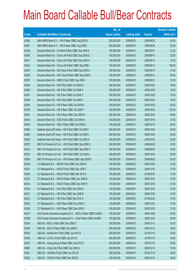|       |                                                                | No. of        |                     |               | <b>Amount raised</b> |
|-------|----------------------------------------------------------------|---------------|---------------------|---------------|----------------------|
| Code  | <b>Callable Bull/Bear Contracts</b>                            | issue (units) | <b>Listing date</b> | <b>Expiry</b> | (HK\$ mil.)          |
| 63380 | ABN AMRO Bank N.V. - HSI R Bear CBBC Aug 2009 G                | 250,000,000   | 2009/04/21          | 2009/08/28    | 62.50                |
| 63381 | ABN AMRO Bank N.V. - HSI R Bear CBBC Aug 2009 I                | 250,000,000   | 2009/04/21          | 2009/08/28    | 62.50                |
| 63339 | Deutsche Bank AG - CC Bank R Bear CBBC Sep 2009 A              | 150,000,000   | 2009/04/21          | 2009/09/07    | 51.00                |
| 63340 | Deutsche Bank AG - China Life R Bull CBBC Sep 2009 G           | 150,000,000   | 2009/04/21          | 2009/09/14    | 52.50                |
| 63341 | Deutsche Bank AG - China Life R Bull CBBC Sep 2009 H           | 150,000,000   | 2009/04/21          | 2009/09/14    | 37.50                |
| 63342 | Deutsche Bank AG - China Life R Bear CBBC Sep 2009 I           | 150,000,000   | 2009/04/21          | 2009/09/14    | 180.00               |
| 63345 | Deutsche Bank AG - A50 China R Bull CBBC Sep 2009 D            | 150,000,000   | 2009/04/21          | 2009/09/14    | 37.50                |
| 63346 | Deutsche Bank AG - A50 China R Bear CBBC Sep 2009 E            | 150,000,000   | 2009/04/21          | 2009/09/14    | 60.00                |
| 63387 | Deutsche Bank AG - HSBC R Bull CBBC Sep 2009 I                 | 150,000,000   | 2009/04/21          | 2009/09/21    | 37.50                |
| 63348 | Deutsche Bank AG - HSI R Bull CBBC Oct 2009 G                  | 300,000,000   | 2009/04/21          | 2009/10/29    | 78.00                |
| 63386 | Deutsche Bank AG - HSI R Bull CBBC Oct 2009 H                  | 300,000,000   | 2009/04/21          | 2009/10/29    | 75.00                |
| 63347 | Deutsche Bank AG - HSI R Bull CBBC Oct 2009 V                  | 300,000,000   | 2009/04/21          | 2009/10/29    | 75.00                |
| 63385 | Deutsche Bank AG - HSI R Bull CBBC Oct 2009 Z                  | 300,000,000   | 2009/04/21          | 2009/10/29    | 78.00                |
| 63349 | Deutsche Bank AG - HSI R Bear CBBC Oct 2009 R                  | 300,000,000   | 2009/04/21          | 2009/10/29    | 90.00                |
| 63350 | Deutsche Bank AG - HSI R Bear CBBC Oct 2009 Y                  | 300,000,000   | 2009/04/21          | 2009/10/29    | 120.00               |
| 63351 | Deutsche Bank AG - HSI R Bear CBBC Dec 2009 W                  | 300,000,000   | 2009/04/21          | 2009/12/30    | 90.00                |
| 63343 | Deutsche Bank AG - ICBC R Bull CBBC Oct 2009 A                 | 150,000,000   | 2009/04/21          | 2009/10/19    | 37.50                |
| 63344 | Deutsche Bank AG - ICBC R Bear CBBC Oct 2009 B                 | 150,000,000   | 2009/04/21          | 2009/10/19    | 60.00                |
| 63382 | Goldman Sachs SP (Asia) - HSI R Bull CBBC Oct 2009 I           | 200,000,000   | 2009/04/21          | 2009/10/29    | 50.00                |
| 63383 | Goldman Sachs SP (Asia) - HSI R Bull CBBC Oct 2009 J           | 200,000,000   | 2009/04/21          | 2009/10/29    | 50.00                |
| 63384 | Goldman Sachs SP (Asia) - HSI R Bull CBBC Oct 2009 K           | 200,000,000   | 2009/04/21          | 2009/10/29    | 50.00                |
| 63372 | KBC Fin Products Int'l Ltd. - HSI R Bull CBBC Sep 2009 Q       | 208,000,000   | 2009/04/21          | 2009/09/29    | 52.00                |
| 63352 | KBC Fin Products Int'l Ltd. - HSI R Bull CBBC Sep 2009 V       | 208,000,000   | 2009/04/21          | 2009/09/29    | 52.00                |
| 63353 | KBC Fin Products Int'l Ltd. - HSI R Bull CBBC Oct 2009 U       | 248,000,000   | 2009/04/21          | 2009/10/29    | 62.00                |
| 63356 | KBC Fin Products Int'l Ltd. - HSI R Bear CBBC Sep 2009 R       | 248,000,000   | 2009/04/21          | 2009/09/29    | 62.00                |
| 63326 | CC Rabobank B.A. - HSCEI R Bull CBBC Dec 2009 E                | 150,000,000   | 2009/04/21          | 2009/12/30    | 37.50                |
| 63327 | CC Rabobank B.A. - HSCEI R Bull CBBC Dec 2009 F                | 150,000,000   | 2009/04/21          | 2009/12/30    | 37.50                |
| 63329 | CC Rabobank B.A. - HSCEI R Bull CBBC Mar 2010 A                | 150,000,000   | 2009/04/21          | 2010/03/30    | 37.50                |
| 63333 | CC Rabobank B.A. - HSCEI R Bear CBBC Dec 2009 G                | 150,000,000   | 2009/04/21          | 2009/12/30    | 37.50                |
| 63334 | CC Rabobank B.A. - HSCEI R Bear CBBC Dec 2009 H                | 150,000,000   | 2009/04/21          | 2009/12/30    | 37.50                |
| 63330 | CC Rabobank B.A. - HSI R Bull CBBC Dec 2009 A                  | 150,000,000   | 2009/04/21          | 2009/12/30    | 37.50                |
| 63331 | CC Rabobank B.A. - HSI R Bull CBBC Dec 2009 B                  | 150,000,000   | 2009/04/21          | 2009/12/30    | 37.50                |
| 63332 | CC Rabobank B.A. - HSI R Bull CBBC Mar 2010 A                  | 150,000,000   | 2009/04/21          | 2010/03/30    | 37.50                |
| 63335 | CC Rabobank B.A. - HSI R Bear CBBC Dec 2009 C                  | 150,000,000   | 2009/04/21          | 2009/12/30    | 37.50                |
| 63336 | CC Rabobank B.A. - HSI R Bear CBBC Dec 2009 D                  | 150,000,000   | 2009/04/21          | 2009/12/30    | 37.50                |
| 63337 | SGA Societe Generale Acceptance N.V. - BOCL R Bear CBBC Oct09C | 100,000,000   | 2009/04/21          | 2009/10/28    | 25.00                |
| 63338 | SGA Societe Generale Acceptance N.V - CLife R Bear CBBC Dec09E | 100,000,000   | 2009/04/21          | 2009/12/23    | 59.00                |
| 63354 | UBS AG - BOCL R Bull CBBC Dec 2009 C                           | 200,000,000   | 2009/04/21          | 2009/12/14    | 50.00                |
| 63358 | UBS AG - BOCL R Bear CBBC Dec 2009 D                           | 200,000,000   | 2009/04/21          | 2009/12/14    | 50.00                |
| 63355 | UBS AG - BankComm R Bull CBBC Jan 2010 A                       | 200,000,000   | 2009/04/21          | 2010/01/18    | 50.00                |
| 63359 | UBS AG - CCCCL R Bull CBBC Jan 2010 A                          | 200,000,000   | 2009/04/21          | 2010/01/18    | 52.00                |
| 63357 | UBS AG - Cheung Kong R Bear CBBC Jan 2010 D                    | 200,000,000   | 2009/04/21          | 2010/01/18    | 50.00                |
| 63360 | UBS AG - China Life R Bull CBBC Dec 2009 A                     | 300,000,000   | 2009/04/21          | 2009/12/14    | 75.00                |
| 63361 | UBS AG - CM Bank R Bull CBBC Jan 2010 B                        | 200,000,000   | 2009/04/21          | 2010/01/18    | 58.00                |
| 63363 | UBS AG - CNOOC R Bull CBBC Dec 2009 E                          | 200,000,000   | 2009/04/21          | 2009/12/14    | 50.00                |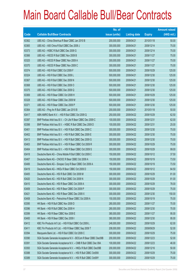|       |                                                                | No. of        |                     |               | <b>Amount raised</b> |
|-------|----------------------------------------------------------------|---------------|---------------------|---------------|----------------------|
| Code  | <b>Callable Bull/Bear Contracts</b>                            | issue (units) | <b>Listing date</b> | <b>Expiry</b> | $(HK$$ mil.)         |
| 63362 | UBS AG - China Shenhua R Bear CBBC Jan 2010 B                  | 200,000,000   | 2009/04/21          | 2010/01/18    | 50.00                |
| 63365 | UBS AG - A50 China R Bull CBBC Dec 2009 J                      | 300,000,000   | 2009/04/21          | 2009/12/14    | 75.00                |
| 63373 | UBS AG - HSBC R Bull CBBC Dec 2009 G                           | 300,000,000   | 2009/04/21          | 2009/12/14    | 75.00                |
| 63366 | UBS AG - HSCEI R Bull CBBC Nov 2009 B                          | 300,000,000   | 2009/04/21          | 2009/11/27    | 75.00                |
| 63325 | UBS AG - HSCEI R Bear CBBC Nov 2009 A                          | 300,000,000   | 2009/04/21          | 2009/11/27    | 75.00                |
| 63370 | UBS AG - HSCEI R Bear CBBC Nov 2009 C                          | 300,000,000   | 2009/04/21          | 2009/11/27    | 75.00                |
| 63374 | UBS AG - HSI R Bull CBBC Oct 2009 F                            | 500,000,000   | 2009/04/21          | 2009/10/29    | 125.00               |
| 63324 | UBS AG - HSI R Bull CBBC Dec 2009 L                            | 500,000,000   | 2009/04/21          | 2009/12/30    | 125.00               |
| 63367 | UBS AG - HSI R Bull CBBC Dec 2009 N                            | 500,000,000   | 2009/04/21          | 2009/12/30    | 125.00               |
| 63368 | UBS AG - HSI R Bull CBBC Dec 2009 O                            | 500,000,000   | 2009/04/21          | 2009/12/30    | 125.00               |
| 63375 | UBS AG - HSI R Bull CBBC Dec 2009 Q                            | 500,000,000   | 2009/04/21          | 2009/12/30    | 125.00               |
| 63369 | UBS AG - HSI R Bear CBBC Oct 2009 H                            | 500,000,000   | 2009/04/21          | 2009/10/29    | 125.00               |
| 63328 | UBS AG - HSI R Bear CBBC Dec 2009 M                            | 500,000,000   | 2009/04/21          | 2009/12/30    | 125.00               |
| 63371 | UBS AG - HSI R Bear CBBC Dec 2009 P                            | 500,000,000   | 2009/04/21          | 2009/12/30    | 125.00               |
| 63364 | UBS AG - Ping An R Bull CBBC Jan 2010 B                        | 200,000,000   | 2009/04/21          | 2010/01/18    | 50.00                |
| 63417 | ABN AMRO Bank N.V. - HSI R Bull CBBC Oct 2009 Q                | 250,000,000   | 2009/04/22          | 2009/10/29    | 62.50                |
| 63397 | BNP Paribas Arbit Issu B.V. - Ch Life R Bear CBBC Dec 2009 C   | 100,000,000   | 2009/04/22          | 2009/12/31    | 62.00                |
| 63398 | BNP Paribas Arbit Issu B.V. - HSBC R Bull CBBC Dec 2009 D      | 100,000,000   | 2009/04/22          | 2009/12/31    | 25.00                |
| 63401 | BNP Paribas Arbit Issu B.V. - HSI R Bull CBBC Dec 2009 C       | 300,000,000   | 2009/04/22          | 2009/12/30    | 75.00                |
| 63402 | BNP Paribas Arbit Issu B.V. - HSI R Bull CBBC Dec 2009 E       | 300,000,000   | 2009/04/22          | 2009/12/30    | 75.00                |
| 63413 | BNP Paribas Arbit Issu B.V. - HSI R Bull CBBC Dec 2009 G       | 300,000,000   | 2009/04/22          | 2009/12/30    | 75.00                |
| 63403 | BNP Paribas Arbit Issu B.V. - HSI R Bear CBBC Oct 2009 R       | 300,000,000   | 2009/04/22          | 2009/10/29    | 75.00                |
| 63404 | BNP Paribas Arbit Issu B.V. - HSI R Bear CBBC Oct 2009 S       | 300,000,000   | 2009/04/22          | 2009/10/29    | 99.00                |
| 63418 | Deutsche Bank AG - China Mobile R Bull CBBC Oct 2009 C         | 150,000,000   | 2009/04/22          | 2009/10/12    | 37.50                |
| 63407 | Deutsche Bank AG - CNOOC R Bear CBBC Oct 2009 A                | 150,000,000   | 2009/04/22          | 2009/10/19    | 73.50                |
| 63406 | Deutsche Bank AG - Sinopec Corp R Bear CBBC Oct 2009 A         | 150,000,000   | 2009/04/22          | 2009/10/19    | 73.50                |
| 63419 | Deutsche Bank AG - HKEx R Bear CBBC Oct 2009 D                 | 150,000,000   | 2009/04/22          | 2009/10/12    | 64.50                |
| 63405 | Deutsche Bank AG - HSI R Bull CBBC Oct 2009 M                  | 300,000,000   | 2009/04/22          | 2009/10/29    | 81.00                |
| 63420 | Deutsche Bank AG - HSI R Bull CBBC Oct 2009 N                  | 300,000,000   | 2009/04/22          | 2009/10/29    | 81.00                |
| 63410 | Deutsche Bank AG - HSI R Bear CBBC Oct 2009 A                  | 300,000,000   | 2009/04/22          | 2009/10/29    | 78.00                |
| 63409 | Deutsche Bank AG - HSI R Bear CBBC Oct 2009 P                  | 300,000,000   | 2009/04/22          | 2009/10/29    | 75.00                |
| 63421 | Deutsche Bank AG - HSI R Bear CBBC Dec 2009 X                  | 300,000,000   | 2009/04/22          | 2009/12/30    | 150.00               |
| 63408 | Deutsche Bank AG - Petrochina R Bear CBBC Oct 2009 A           | 150,000,000   | 2009/04/22          | 2009/10/19    | 75.00                |
| 63395 | HK Bank - HSI R Bull CBBC Nov 2009 D                           | 280,000,000   | 2009/04/22          | 2009/11/27    | 70.00                |
| 63396 | HK Bank - HSI R Bull CBBC Dec 2009 H                           | 280,000,000   | 2009/04/22          | 2009/12/30    | 70.00                |
| 63399 | HK Bank - HSI R Bear CBBC Nov 2009 E                           | 380,000,000   | 2009/04/22          | 2009/11/27    | 95.00                |
| 63400 | HK Bank - HSI R Bear CBBC Dec 2009 I                           | 380,000,000   | 2009/04/22          | 2009/12/30    | 95.00                |
| 63412 | KBC Fin Products Int'l Ltd. - HSI R Bull CBBC Oct 2009 L       | 248,000,000   | 2009/04/22          | 2009/10/29    | 62.00                |
| 63411 | KBC Fin Products Int'l Ltd. - HSI R Bear CBBC Sep 2009 T       | 208,000,000   | 2009/04/22          | 2009/09/29    | 52.00                |
| 63394 | Macquarie Bank Ltd. - HSI R Bull CBBC Oct 2009 C               | 300,000,000   | 2009/04/22          | 2009/10/29    | 75.00                |
| 63390 | SGA Societe Generale Acceptance N.V - BOCom R Bear CBBC Dec09B | 200,000,000   | 2009/04/22          | 2009/12/23    | 52.00                |
| 63391 | SGA Societe Generale Acceptance N.V. - CMB R Bull CBBC Dec 09A | 100,000,000   | 2009/04/22          | 2009/12/23    | 46.00                |
| 63393 | SGA Societe Generale Acceptance N.V. - HKEx R Bull CBBC Dec09B | 200,000,000   | 2009/04/22          | 2009/12/16    | 50.00                |
| 63388 | SGA Societe Generale Acceptance N.V. - HSI R Bull CBBC Oct09X  | 300,000,000   | 2009/04/22          | 2009/10/29    | 75.00                |
| 63389 | SGA Societe Generale Acceptance N.V. - HSI R Bull CBBC Oct09Y  | 300,000,000   | 2009/04/22          | 2009/10/29    | 75.00                |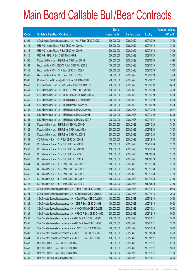|             |                                                                | No. of        |                     |               | <b>Amount raised</b> |
|-------------|----------------------------------------------------------------|---------------|---------------------|---------------|----------------------|
| <b>Code</b> | <b>Callable Bull/Bear Contracts</b>                            | issue (units) | <b>Listing date</b> | <b>Expiry</b> | $(HK$$ mil.)         |
| 63392       | SGA Societe Generale Acceptance N.V. - HSI R Bear CBBC Oct09Z  | 300,000,000   | 2009/04/22          | 2009/10/29    | 75.00                |
| 63414       | UBS AG - China Mobile R Bull CBBC Nov 2009 G                   | 300,000,000   | 2009/04/22          | 2009/11/16    | 75.00                |
| 63415       | UBS AG - China Mobile R Bull CBBC Nov 2009 H                   | 300,000,000   | 2009/04/22          | 2009/11/16    | 75.00                |
| 63416       | UBS AG - HKEx R Bull CBBC Nov 2009 G                           | 300,000,000   | 2009/04/22          | 2009/11/23    | 75.00                |
| 61206       | Macquarie Bank Ltd. - HSI R Bear CBBC Jun 2009 E               | 300,000,000   | 2009/04/22          | 2009/06/29    | 45.90                |
| 63461       | Deutsche Bank AG - CNOOC R Bull CBBC Oct 2009 B                | 150,000,000   | 2009/04/23          | 2009/10/19    | 37.50                |
| 63443       | Deutsche Bank AG - HSI R Bear CBBC Oct 2009 K                  | 300,000,000   | 2009/04/23          | 2009/10/29    | 75.00                |
| 63449       | Deutsche Bank AG - HSI R Bear CBBC Oct 2009 L                  | 300,000,000   | 2009/04/23          | 2009/10/29    | 75.00                |
| 63462       | Goldman Sachs SP (Asia) - HSI R Bear CBBC Nov 2009 E           | 200,000,000   | 2009/04/23          | 2009/11/27    | 50.00                |
| 63450       | KBC Fin Products Int'l Ltd. - Ch Mobile R Bull CBBC Oct 09 B   | 258,000,000   | 2009/04/23          | 2009/10/02    | 64.50                |
| 63451       | KBC Fin Products Int'l Ltd. - HSBC R Bear CBBC Oct 2009 F      | 138,000,000   | 2009/04/23          | 2009/10/09    | 34.50                |
| 63453       | KBC Fin Products Int'l Ltd. - HSCEI R Bear CBBC Oct 2009 G     | 208,000,000   | 2009/04/23          | 2009/10/29    | 52.00                |
| 63456       | KBC Fin Products Int'l Ltd. - HSI R Bull CBBC Oct 2009 M       | 208,000,000   | 2009/04/23          | 2009/10/29    | 52.00                |
| 63454       | KBC Fin Products Int'l Ltd. - HSI R Bear CBBC Sep 2009 P       | 208,000,000   | 2009/04/23          | 2009/09/29    | 52.00                |
| 63452       | KBC Fin Products Int'l Ltd. - HSI R Bear CBBC Oct 2009 G       | 208,000,000   | 2009/04/23          | 2009/10/29    | 89.44                |
| 63460       | KBC Fin Products Int'l Ltd. - HSI R Bear CBBC Oct 2009 I       | 208,000,000   | 2009/04/23          | 2009/10/29    | 52.00                |
| 63455       | KBC Fin Products Int'l Ltd. - HSI R Bear CBBC Nov 2009 R       | 208,000,000   | 2009/04/23          | 2009/11/27    | 64.48                |
| 63422       | Macquarie Bank Ltd. - HSI R Bull CBBC Oct 2009 D               | 300,000,000   | 2009/04/23          | 2009/10/29    | 75.00                |
| 63423       | Macquarie Bank Ltd. - HSI R Bear CBBC Aug 2009 A               | 300,000,000   | 2009/04/23          | 2009/08/28    | 75.00                |
| 63426       | Macquarie Bank Ltd. - HSI R Bear CBBC Oct 2009 E               | 300,000,000   | 2009/04/23          | 2009/10/29    | 75.00                |
| 63438       | CC Rabobank B.A. - HSI R Bull CBBC Dec 2009 E                  | 150,000,000   | 2009/04/23          | 2009/12/30    | 37.50                |
| 63439       | CC Rabobank B.A. - HSI R Bull CBBC Dec 2009 F                  | 150,000,000   | 2009/04/23          | 2009/12/30    | 37.50                |
| 63440       | CC Rabobank B.A. - HSI R Bull CBBC Dec 2009 G                  | 150,000,000   | 2009/04/23          | 2009/12/30    | 37.50                |
| 63441       | CC Rabobank B.A. - HSI R Bull CBBC Mar 2010 B                  | 150,000,000   | 2009/04/23          | 2010/03/30    | 37.50                |
| 63442       | CC Rabobank B.A. - HSI R Bull CBBC Jun 2010 A                  | 150,000,000   | 2009/04/23          | 2010/06/29    | 37.50                |
| 63444       | CC Rabobank B.A. - HSI R Bear CBBC Dec 2009 H                  | 150,000,000   | 2009/04/23          | 2009/12/30    | 37.50                |
| 63445       | CC Rabobank B.A. - HSI R Bear CBBC Dec 2009 I                  | 150,000,000   | 2009/04/23          | 2009/12/30    | 37.50                |
| 63446       | CC Rabobank B.A. - HSI R Bear CBBC Dec 2009 J                  | 150,000,000   | 2009/04/23          | 2009/12/30    | 37.50                |
| 63447       | CC Rabobank B.A. - HSI R Bear CBBC Dec 2009 K                  | 150,000,000   | 2009/04/23          | 2009/12/30    | 37.50                |
| 63448       | CC Rabobank B.A. - HSI R Bear CBBC Mar 2010 C                  | 150,000,000   | 2009/04/23          | 2010/03/30    | 37.50                |
| 63427       | SGA Societe Generale Acceptance N.V. - CMob R Bull CBBC Dec09B | 200,000,000   | 2009/04/23          | 2009/12/16    | 50.00                |
| 63424       | SGA Societe Generale Acceptance N.V - CCoal R Bull CBBC Dec09A | 100,000,000   | 2009/04/23          | 2009/12/16    | 26.00                |
| 63428       | SGA Societe Generale Acceptance N.V - CCoal R Bear CBBC Dec09B | 100,000,000   | 2009/04/23          | 2009/12/16    | 30.00                |
| 63425       | SGA Societe Generale Acceptance N.V. - CMB R Bear CBBC Dec09B  | 100,000,000   | 2009/04/23          | 2009/12/16    | 50.00                |
| 63430       | SGA Societe Generale Acceptance N.V - CNOOC R Bull CBBC Oct09B | 200,000,000   | 2009/04/23          | 2009/10/21    | 50.00                |
| 63429       | SGA Societe Generale Acceptance N.V - CP&CC R Bear CBBC Dec09D | 200,000,000   | 2009/04/23          | 2009/12/16    | 50.00                |
| 63431       | SGA Societe Generale Acceptance N.V - HS Bk R Bull CBBC Oct09C | 200,000,000   | 2009/04/23          | 2009/10/21    | 54.00                |
| 63435       | SGA Societe Generale Acceptance N.V - HS Bk R Bear CBBC Oct09D | 200,000,000   | 2009/04/23          | 2009/10/21    | 52.00                |
| 63432       | SGA Societe Generale Acceptance N.V. - HSBC R Bull CBBC Oct09M | 200,000,000   | 2009/04/23          | 2009/10/28    | 50.00                |
| 63433       | SGA Societe Generale Acceptance N.V - SHK P R Bull CBBC Sep09B | 100,000,000   | 2009/04/23          | 2009/09/30    | 25.00                |
| 63434       | SGA Societe Generale Acceptance N.V - SHK P R Bear CBBC Jul09H | 100,000,000   | 2009/04/23          | 2009/07/27    | 29.00                |
| 63457       | UBS AG - HKEx R Bear CBBC Dec 2009 A                           | 300,000,000   | 2009/04/23          | 2009/12/21    | 81.00                |
| 63458       | UBS AG - HKEx R Bear CBBC Dec 2009 B                           | 300,000,000   | 2009/04/23          | 2009/12/21    | 96.00                |
| 63459       | UBS AG - HKEx R Bear CBBC Dec 2009 C                           | 300,000,000   | 2009/04/23          | 2009/12/21    | 111.00               |
| 63436       | UBS AG - HSI R Bear CBBC Nov 2009 H                            | 500,000,000   | 2009/04/23          | 2009/11/27    | 125.00               |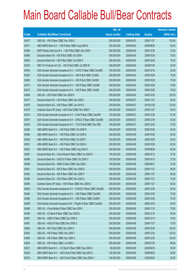|       |                                                                | No. of        |                     |               | <b>Amount raised</b> |
|-------|----------------------------------------------------------------|---------------|---------------------|---------------|----------------------|
| Code  | <b>Callable Bull/Bear Contracts</b>                            | issue (units) | <b>Listing date</b> | <b>Expiry</b> | $(HK$$ mil.)         |
| 63437 | UBS AG - HSI R Bear CBBC Nov 2009 J                            | 500,000,000   | 2009/04/23          | 2009/11/27    | 125.00               |
| 63471 | ABN AMRO Bank N.V. - HSI R Bear CBBC Aug 2009 N                | 250,000,000   | 2009/04/24          | 2009/08/28    | 62.50                |
| 63466 | BNP Paribas Arbit Issu B.V. - HSI R Bull CBBC Dec 2009 I       | 300,000,000   | 2009/04/24          | 2009/12/30    | 75.00                |
| 63465 | Deutsche Bank AG - HSI R Bull CBBC Oct 2009 I                  | 300,000,000   | 2009/04/24          | 2009/10/29    | 75.00                |
| 63464 | Deutsche Bank AG - HSI R Bull CBBC Oct 2009 S                  | 300,000,000   | 2009/04/24          | 2009/10/29    | 75.00                |
| 63470 | KBC Fin Products Int'l Ltd. - HSI R Bull CBBC Jul 2009 W       | 208,000,000   | 2009/04/24          | 2009/07/30    | 52.00                |
| 63463 | SGA Societe Generale Acceptance N.V. - CCHC R Bear CBBC Dec09D | 100,000,000   | 2009/04/24          | 2009/12/16    | 25.00                |
| 63467 | SGA Societe Generale Acceptance N.V. - HSI R Bull CBBC Oct09C  | 300,000,000   | 2009/04/24          | 2009/10/29    | 75.00                |
| 63468 | SGA Societe Generale Acceptance N.V. - HSI R Bull CBBC Oct09D  | 300,000,000   | 2009/04/24          | 2009/10/29    | 75.00                |
| 63472 | SGA Societe Generale Acceptance N.V. - HSI R Bear CBBC Oct09E  | 300,000,000   | 2009/04/24          | 2009/10/29    | 75.00                |
| 63473 | SGA Societe Generale Acceptance N.V. - HSI R Bear CBBC Oct09L  | 300,000,000   | 2009/04/24          | 2009/10/29    | 75.00                |
| 63469 | UBS AG - HSI R Bull CBBC Dec 2009 R                            | 500,000,000   | 2009/04/24          | 2009/12/30    | 125.00               |
| 63477 | Deutsche Bank AG - HSI R Bear CBBC Nov 2009 L                  | 300,000,000   | 2009/04/27          | 2009/11/27    | 90.00                |
| 63478 | Deutsche Bank AG - HSI R Bear CBBC Jan 2010 K                  | 300,000,000   | 2009/04/27          | 2010/01/28    | 120.00               |
| 63479 | Goldman Sachs SP (Asia) - HSI R Bull CBBC Nov 2009 F           | 200,000,000   | 2009/04/27          | 2009/11/27    | 50.00                |
| 63474 | SGA Societe Generale Acceptance N.V - CLife R Bear CBBC Dec09F | 100,000,000   | 2009/04/27          | 2009/12/30    | 81.00                |
| 63475 | SGA Societe Generale Acceptance N.V - CP&CC R Bear CBBC Dec09E | 200,000,000   | 2009/04/27          | 2009/12/30    | 52.00                |
| 63476 | SGA Societe Generale Acceptance N.V. - TCH R Bull CBBC Dec 09D | 150,000,000   | 2009/04/27          | 2009/12/30    | 37.50                |
| 63480 | ABN AMRO Bank N.V. - HSI R Bull CBBC Oct 2009 R                | 250,000,000   | 2009/04/28          | 2009/10/29    | 62.50                |
| 63499 | ABN AMRO Bank N.V. - HSI R Bull CBBC Oct 2009 S                | 250,000,000   | 2009/04/28          | 2009/10/29    | 62.50                |
| 63500 | ABN AMRO Bank N.V. - HSI R Bull CBBC Oct 2009 T                | 250,000,000   | 2009/04/28          | 2009/10/29    | 62.50                |
| 63501 | ABN AMRO Bank N.V. - HSI R Bull CBBC Oct 2009 U                | 250,000,000   | 2009/04/28          | 2009/10/29    | 62.50                |
| 63502 | ABN AMRO Bank N.V. - HSI R Bear CBBC Aug 2009 O                | 250,000,000   | 2009/04/28          | 2009/08/28    | 62.50                |
| 63487 | Deutsche Bank AG - China Mobile R Bear CBBC Oct 2009 D         | 150,000,000   | 2009/04/28          | 2009/10/12    | 37.50                |
| 63488 | Deutsche Bank AG - CNOOC R Bear CBBC Oct 2009 C                | 150,000,000   | 2009/04/28          | 2009/10/19    | 37.50                |
| 63489 | Deutsche Bank AG - HSBC R Bear CBBC Sep 2009 J                 | 150,000,000   | 2009/04/28          | 2009/09/21    | 37.50                |
| 63491 | Deutsche Bank AG - HSI R Bear CBBC Nov 2009 G                  | 300,000,000   | 2009/04/28          | 2009/11/27    | 96.00                |
| 63492 | Deutsche Bank AG - HSI R Bear CBBC Nov 2009 P                  | 300,000,000   | 2009/04/28          | 2009/11/27    | 90.00                |
| 63490 | Deutsche Bank AG - HSI R Bear CBBC Nov 2009 U                  | 300,000,000   | 2009/04/28          | 2009/11/27    | 75.00                |
| 63498 | Goldman Sachs SP (Asia) - HSI R Bear CBBC Nov 2009 G           | 200,000,000   | 2009/04/28          | 2009/11/27    | 50.00                |
| 63483 | SGA Societe Generale Acceptance N.V - CNOOC R Bear CBBC Dec09A | 200,000,000   | 2009/04/28          | 2009/12/30    | 60.00                |
| 63484 | SGA Societe Generale Acceptance N.V. - A50 R Bear CBBC Dec09A  | 200,000,000   | 2009/04/28          | 2009/12/30    | 70.00                |
| 63486 | SGA Societe Generale Acceptance N.V. - HSI R Bear CBBC Oct09H  | 300,000,000   | 2009/04/28          | 2009/10/29    | 75.00                |
| 63485 | SGA Societe Generale Acceptance NV - PingAn R Bear CBBC Dec09A | 200,000,000   | 2009/04/28          | 2009/12/30    | 50.00                |
| 63496 | UBS AG - China Mobile R Bear CBBC Nov 2009 I                   | 300,000,000   | 2009/04/28          | 2009/11/16    | 75.00                |
| 63495 | UBS AG - CC Bank R Bear CBBC Dec 2009 D                        | 200,000,000   | 2009/04/28          | 2009/12/14    | 50.00                |
| 63497 | UBS AG - HSBC R Bear CBBC Dec 2009 H                           | 300,000,000   | 2009/04/28          | 2009/12/14    | 75.00                |
| 63481 | UBS AG - HSCEI R Bull CBBC Nov 2009 D                          | 300,000,000   | 2009/04/28          | 2009/11/27    | 75.00                |
| 63482 | UBS AG - HSI R Bull CBBC Dec 2009 S                            | 500,000,000   | 2009/04/28          | 2009/12/30    | 125.00               |
| 63493 | UBS AG - HSI R Bear CBBC Dec 2009 T                            | 500,000,000   | 2009/04/28          | 2009/12/30    | 125.00               |
| 63494 | UBS AG - HSI R Bear CBBC Dec 2009 U                            | 500,000,000   | 2009/04/28          | 2009/12/30    | 125.00               |
| 63009 | UBS AG - HSI R Bear CBBC Jul 2009 U                            | 500,000,000   | 2009/04/28          | 2009/07/30    | 86.00                |
| 63521 | ABN AMRO Bank N.V. - CC Bank R Bear CBBC Sep 2009 A            | 80,000,000    | 2009/04/29          | 2009/09/25    | 20.00                |
| 63524 | ABN AMRO Bank N.V. - A50 China R Bull CBBC Sep 2009 C          | 100,000,000   | 2009/04/29          | 2009/09/25    | 26.90                |
| 63519 | ABN AMRO Bank N.V. - A50 China R Bear CBBC Sep 2009 A          | 100,000,000   | 2009/04/29          | 2009/09/25    | 25.00                |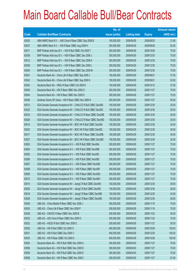|       |                                                                | No. of        |                     |               | <b>Amount raised</b> |
|-------|----------------------------------------------------------------|---------------|---------------------|---------------|----------------------|
| Code  | <b>Callable Bull/Bear Contracts</b>                            | issue (units) | <b>Listing date</b> | <b>Expiry</b> | $(HK$$ mil.)         |
| 63520 | ABN AMRO Bank N.V. - A50 China R Bear CBBC Sep 2009 B          | 100,000,000   | 2009/04/29          | 2009/09/25    | 31.80                |
| 63537 | ABN AMRO Bank N.V. - HSI R Bear CBBC Aug 2009 H                | 250,000,000   | 2009/04/29          | 2009/08/28    | 62.50                |
| 63511 | BNP Paribas Arbit Issu B.V. - HSI R Bull CBBC Oct 2009 T       | 300,000,000   | 2009/04/29          | 2009/10/29    | 75.00                |
| 63538 | BNP Paribas Arbit Issu B.V. - HSI R Bear CBBC Dec 2009 J       | 300,000,000   | 2009/04/29          | 2009/12/30    | 75.00                |
| 63512 | BNP Paribas Arbit Issu B.V. - HSI R Bear CBBC Dec 2009 K       | 300,000,000   | 2009/04/29          | 2009/12/30    | 75.00                |
| 63539 | BNP Paribas Arbit Issu B.V. - HSI R Bear CBBC Dec 2009 L       | 300,000,000   | 2009/04/29          | 2009/12/30    | 75.00                |
| 63540 | BNP Paribas Arbit Issu B.V. - HSI R Bear CBBC Dec 2009 M       | 300,000,000   | 2009/04/29          | 2009/12/30    | 75.00                |
| 63541 | Deutsche Bank AG - China Life R Bear CBBC Sep 2009 J           | 150,000,000   | 2009/04/29          | 2009/09/21    | 37.50                |
| 63542 | Deutsche Bank AG - China Life R Bear CBBC Sep 2009 K           | 150,000,000   | 2009/04/29          | 2009/09/21    | 52.50                |
| 63543 | Deutsche Bank AG - HKEx R Bear CBBC Oct 2009 E                 | 150,000,000   | 2009/04/29          | 2009/10/12    | 37.50                |
| 63545 | Deutsche Bank AG - HSI R Bear CBBC Nov 2009 O                  | 300,000,000   | 2009/04/29          | 2009/11/27    | 75.00                |
| 63544 | Deutsche Bank AG - HSI R Bear CBBC Nov 2009 S                  | 300,000,000   | 2009/04/29          | 2009/11/27    | 75.00                |
| 63546 | Goldman Sachs SP (Asia) - HSI R Bear CBBC Nov 2009 H           | 200,000,000   | 2009/04/29          | 2009/11/27    | 50.00                |
| 63513 | SGA Societe Generale Acceptance NV - CHALCO R Bull CBBC Dec09A | 100,000,000   | 2009/04/29          | 2009/12/30    | 25.00                |
| 63522 | SGA Societe Generale Acceptance NV - CHALCO R Bull CBBC Dec09C | 100,000,000   | 2009/04/29          | 2009/12/30    | 25.00                |
| 63516 | SGA Societe Generale Acceptance NV - CHALCO R Bear CBBC Dec09B | 100,000,000   | 2009/04/29          | 2009/12/30    | 26.00                |
| 63526 | SGA Societe Generale Acceptance NV - CHALCO R Bear CBBC Dec09D | 100,000,000   | 2009/04/29          | 2009/12/30    | 25.00                |
| 63514 | SGA Societe Generale Acceptance NV - BOC HK R Bull CBBC Dec09A | 100,000,000   | 2009/04/29          | 2009/12/30    | 42.00                |
| 63523 | SGA Societe Generale Acceptance NV - BOC HK R Bull CBBC Dec09C | 100,000,000   | 2009/04/29          | 2009/12/30    | 29.00                |
| 63517 | SGA Societe Generale Acceptance NV - BOC HK R Bear CBBC Dec09B | 100,000,000   | 2009/04/29          | 2009/12/30    | 45.00                |
| 63527 | SGA Societe Generale Acceptance NV - BOC HK R Bear CBBC Dec09D | 100,000,000   | 2009/04/29          | 2009/12/30    | 32.00                |
| 63503 | SGA Societe Generale Acceptance N.V. - HSI R Bull CBBC Nov09A  | 300,000,000   | 2009/04/29          | 2009/11/27    | 75.00                |
| 63504 | SGA Societe Generale Acceptance N.V. - HSI R Bull CBBC Nov09B  | 300,000,000   | 2009/04/29          | 2009/11/27    | 75.00                |
| 63505 | SGA Societe Generale Acceptance N.V. - HSI R Bull CBBC Nov09C  | 300,000,000   | 2009/04/29          | 2009/11/27    | 75.00                |
| 63506 | SGA Societe Generale Acceptance N.V. - HSI R Bull CBBC Nov09D  | 300,000,000   | 2009/04/29          | 2009/11/27    | 75.00                |
| 63507 | SGA Societe Generale Acceptance N.V. - HSI R Bear CBBC Nov09E  | 300,000,000   | 2009/04/29          | 2009/11/27    | 75.00                |
| 63508 | SGA Societe Generale Acceptance N.V. - HSI R Bear CBBC Nov09F  | 300,000,000   | 2009/04/29          | 2009/11/27    | 75.00                |
| 63509 | SGA Societe Generale Acceptance N.V. - HSI R Bear CBBC Nov09G  | 300,000,000   | 2009/04/29          | 2009/11/27    | 75.00                |
| 63510 | SGA Societe Generale Acceptance N.V. - HSI R Bear CBBC Nov09H  | 300,000,000   | 2009/04/29          | 2009/11/27    | 75.00                |
| 63515 | SGA Societe Generale Acceptance NV - JiangC R Bull CBBC Dec09A | 100,000,000   | 2009/04/29          | 2009/12/30    | 38.00                |
| 63525 | SGA Societe Generale Acceptance NV - JiangC R Bull CBBC Dec09C | 100,000,000   | 2009/04/29          | 2009/12/30    | 28.00                |
| 63518 | SGA Societe Generale Acceptance NV - JiangC R Bear CBBC Dec09B | 100,000,000   | 2009/04/29          | 2009/12/30    | 43.00                |
| 63528 | SGA Societe Generale Acceptance NV - JiangC R Bear CBBC Dec09D | 100,000,000   | 2009/04/29          | 2009/12/30    | 28.00                |
| 63529 | UBS AG - China Mobile R Bear CBBC Nov 2009 J                   | 300,000,000   | 2009/04/29          | 2009/11/16    | 75.00                |
| 63535 | UBS AG - China Life R Bear CBBC Nov 2009 P                     | 300,000,000   | 2009/04/29          | 2009/11/16    | 75.00                |
| 63536 | UBS AG - CNOOC R Bear CBBC Nov 2009 B                          | 200,000,000   | 2009/04/29          | 2009/11/23    | 50.00                |
| 63533 | UBS AG - A50 China R Bear CBBC Nov 2009 O                      | 300,000,000   | 2009/04/29          | 2009/11/23    | 75.00                |
| 63532 | UBS AG - HSCEI R Bull CBBC Nov 2009 E                          | 200,000,000   | 2009/04/29          | 2009/11/27    | 50.00                |
| 63530 | UBS AG - HSI R Bull CBBC Oct 2009 O                            | 400,000,000   | 2009/04/29          | 2009/10/29    | 100.00               |
| 63531 | UBS AG - HSI R Bull CBBC Dec 2009 V                            | 400,000,000   | 2009/04/29          | 2009/12/30    | 100.00               |
| 63534 | UBS AG - HSI R Bear CBBC Oct 2009 C                            | 400,000,000   | 2009/04/29          | 2009/10/29    | 100.00               |
| 63554 | Deutsche Bank AG - HSI R Bull CBBC Nov 2009 A                  | 300,000,000   | 2009/04/30          | 2009/11/27    | 78.00                |
| 63556 | Deutsche Bank AG - HSI R Bull CBBC Nov 2009 D                  | 300,000,000   | 2009/04/30          | 2009/11/27    | 75.00                |
| 63559 | Deutsche Bank AG - HSI R Bull CBBC Nov 2009 E                  | 300,000,000   | 2009/04/30          | 2009/11/27    | 75.00                |
| 63558 | Deutsche Bank AG - HSI R Bear CBBC Nov 2009 I                  | 300,000,000   | 2009/04/30          | 2009/11/27    | 81.00                |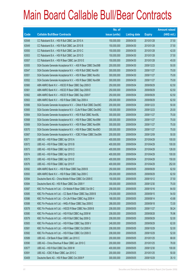|             |                                                                | No. of        |                     |               | <b>Amount raised</b> |
|-------------|----------------------------------------------------------------|---------------|---------------------|---------------|----------------------|
| <b>Code</b> | <b>Callable Bull/Bear Contracts</b>                            | issue (units) | <b>Listing date</b> | <b>Expiry</b> | (HK\$ mil.)          |
| 63548       | CC Rabobank B.A. - HSI R Bull CBBC Jan 2010 A                  | 150,000,000   | 2009/04/30          | 2010/01/28    | 37.50                |
| 63549       | CC Rabobank B.A. - HSI R Bull CBBC Jan 2010 B                  | 150,000,000   | 2009/04/30          | 2010/01/28    | 37.50                |
| 63550       | CC Rabobank B.A. - HSI R Bull CBBC Jan 2010 C                  | 150,000,000   | 2009/04/30          | 2010/01/28    | 42.00                |
| 63553       | CC Rabobank B.A. - HSI R Bull CBBC Jan 2010 D                  | 150,000,000   | 2009/04/30          | 2010/01/28    | 37.50                |
| 63557       | CC Rabobank B.A. - HSI R Bear CBBC Jan 2010 E                  | 150,000,000   | 2009/04/30          | 2010/01/28    | 45.00                |
| 63555       | SGA Societe Generale Acceptance N.V. - A50 R Bear CBBC Dec09B  | 200,000,000   | 2009/04/30          | 2009/12/23    | 50.00                |
| 63547       | SGA Societe Generale Acceptance N.V. - HSI R Bull CBBC Nov091  | 300,000,000   | 2009/04/30          | 2009/11/27    | 75.00                |
| 63551       | SGA Societe Generale Acceptance N.V. - HSI R Bear CBBC Nov09J  | 300,000,000   | 2009/04/30          | 2009/11/27    | 75.00                |
| 63552       | SGA Societe Generale Acceptance N.V. - HSI R Bear CBBC Nov09K  | 300,000,000   | 2009/04/30          | 2009/11/27    | 75.00                |
| 63560       | ABN AMRO Bank N.V. - HSCEI R Bear CBBC Sep 2009 D              | 250,000,000   | 2009/05/04          | 2009/09/29    | 62.50                |
| 63561       | ABN AMRO Bank N.V. - HSCEI R Bear CBBC Sep 2009 E              | 250,000,000   | 2009/05/04          | 2009/09/29    | 62.50                |
| 63562       | ABN AMRO Bank N.V. - HSCEI R Bear CBBC Sep 2009 F              | 250,000,000   | 2009/05/04          | 2009/09/29    | 62.50                |
| 63563       | ABN AMRO Bank N.V. - HSI R Bear CBBC Sep 2009 A                | 250,000,000   | 2009/05/04          | 2009/09/29    | 62.50                |
| 63566       | SGA Societe Generale Acceptance N.V. - CMob R Bull CBBC Dec09C | 200,000,000   | 2009/05/04          | 2009/12/23    | 50.00                |
| 63565       | SGA Societe Generale Acceptance N.V - CLife R Bear CBBC Dec09G | 100,000,000   | 2009/05/04          | 2009/12/23    | 25.00                |
| 63564       | SGA Societe Generale Acceptance N.V. - HSI R Bull CBBC Nov09L  | 300,000,000   | 2009/05/04          | 2009/11/27    | 75.00                |
| 63568       | SGA Societe Generale Acceptance N.V. - HSI R Bear CBBC Nov09M  | 300,000,000   | 2009/05/04          | 2009/11/27    | 75.00                |
| 63569       | SGA Societe Generale Acceptance N.V. - HSI R Bear CBBC Nov09N  | 300,000,000   | 2009/05/04          | 2009/11/27    | 75.00                |
| 63570       | SGA Societe Generale Acceptance N.V. - HSI R Bear CBBC Nov09O  | 300,000,000   | 2009/05/04          | 2009/11/27    | 75.00                |
| 63567       | SGA Societe Generale Acceptance N.V. - ICBC R Bear CBBC Dec09A | 200,000,000   | 2009/05/04          | 2009/12/09    | 50.00                |
| 63571       | UBS AG - HSI R Bear CBBC Apr 2010 A                            | 400,000,000   | 2009/05/04          | 2010/04/29    | 100.00               |
| 63572       | UBS AG - HSI R Bear CBBC Apr 2010 B                            | 400,000,000   | 2009/05/04          | 2010/04/29    | 100.00               |
| 63573       | UBS AG - HSI R Bear CBBC Apr 2010 C                            | 400,000,000   | 2009/05/04          | 2010/04/29    | 126.00               |
| 63574       | UBS AG - HSI R Bear CBBC Apr 2010 D                            | 400,000,000   | 2009/05/04          | 2010/04/29    | 100.00               |
| 63575       | UBS AG - HSI R Bear CBBC Apr 2010 E                            | 400,000,000   | 2009/05/04          | 2010/04/29    | 150.00               |
| 63576       | UBS AG - HSI R Bear CBBC Apr 2010 F                            | 400,000,000   | 2009/05/04          | 2010/04/29    | 252.00               |
| 63592       | ABN AMRO Bank N.V. - HSI R Bear CBBC Sep 2009 B                | 250,000,000   | 2009/05/05          | 2009/09/29    | 62.50                |
| 63593       | ABN AMRO Bank N.V. - HSI R Bear CBBC Sep 2009 C                | 250,000,000   | 2009/05/05          | 2009/09/29    | 62.50                |
| 63594       | Deutsche Bank AG - China Mobile R Bear CBBC Oct 2009 E         | 150,000,000   | 2009/05/05          | 2009/10/12    | 37.50                |
| 63584       | Deutsche Bank AG - HSI R Bear CBBC Dec 2009 Y                  | 300,000,000   | 2009/05/05          | 2009/12/30    | 75.00                |
| 63587       | KBC Fin Products Int'l Ltd. - Ch Mobile R Bear CBBC Oct 09 C   | 258,000,000   | 2009/05/05          | 2009/10/16    | 64.50                |
| 63585       | KBC Fin Products Int'l Ltd. - CC Bank R Bear CBBC Sep 2009 B   | 218,000,000   | 2009/05/05          | 2009/09/15    | 54.50                |
| 63586       | KBC Fin Products Int'l Ltd. - Ch Life R Bear CBBC Aug 2009 H   | 168,000,000   | 2009/05/05          | 2009/08/14    | 43.68                |
| 63588       | KBC Fin Products Int'l Ltd. - HKEx R Bear CBBC Sep 2009 E      | 288,000,000   | 2009/05/05          | 2009/09/18    | 72.00                |
| 63578       | KBC Fin Products Int'l Ltd. - HSCEI R Bear CBBC Nov 2009 B     | 208,000,000   | 2009/05/05          | 2009/11/27    | 58.24                |
| 63580       | KBC Fin Products Int'l Ltd. - HSI R Bull CBBC Aug 2009 M       | 208,000,000   | 2009/05/05          | 2009/08/28    | 76.96                |
| 63579       | KBC Fin Products Int'l Ltd. - HSI R Bull CBBC Sep 2009 Q       | 208,000,000   | 2009/05/05          | 2009/09/29    | 52.00                |
| 63583       | KBC Fin Products Int'l Ltd. - HSI R Bear CBBC Sep 2009 V       | 248,000,000   | 2009/05/05          | 2009/09/29    | 62.00                |
| 63581       | KBC Fin Products Int'l Ltd. - HSI R Bear CBBC Oct 2009 K       | 208,000,000   | 2009/05/05          | 2009/10/29    | 52.00                |
| 63582       | KBC Fin Products Int'l Ltd. - HSI R Bear CBBC Oct 2009 O       | 208,000,000   | 2009/05/05          | 2009/10/29    | 52.00                |
| 63589       | UBS AG - CM Bank R Bear CBBC Jan 2010 C                        | 200,000,000   | 2009/05/05          | 2010/01/25    | 68.00                |
| 63590       | UBS AG - China Shenhua R Bear CBBC Jan 2010 C                  | 200,000,000   | 2009/05/05          | 2010/01/25    | 78.00                |
| 63577       | UBS AG - HSI R Bull CBBC Dec 2009 W                            | 400,000,000   | 2009/05/05          | 2009/12/30    | 100.00               |
| 63591       | UBS AG - ICBC R Bear CBBC Jan 2010 C                           | 200,000,000   | 2009/05/05          | 2010/01/25    | 50.00                |
| 63409       | Deutsche Bank AG - HSI R Bear CBBC Oct 2009 P                  | 300,000,000   | 2009/05/05          | 2009/10/29    | 35.10                |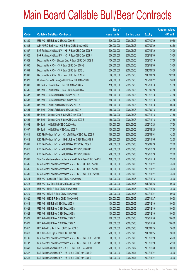|       |                                                                | No. of        |                     |               | <b>Amount raised</b> |
|-------|----------------------------------------------------------------|---------------|---------------------|---------------|----------------------|
| Code  | <b>Callable Bull/Bear Contracts</b>                            | issue (units) | <b>Listing date</b> | <b>Expiry</b> | $(HK$$ mil.)         |
| 63369 | UBS AG - HSI R Bear CBBC Oct 2009 H                            | 500,000,000   | 2009/05/05          | 2009/10/29    | 99.50                |
| 63633 | ABN AMRO Bank N.V. - HSI R Bear CBBC Sep 2009 D                | 250,000,000   | 2009/05/06          | 2009/09/29    | 62.50                |
| 63627 | BNP Paribas Arbit Issu B.V. - HSI R Bear CBBC Dec 2009 F       | 300,000,000   | 2009/05/06          | 2009/12/30    | 75.00                |
| 63626 | BNP Paribas Arbit Issu B.V. - HSI R Bear CBBC Dec 2009 N       | 300,000,000   | 2009/05/06          | 2009/12/30    | 75.00                |
| 63629 | Deutsche Bank AG - Sinopec Corp R Bear CBBC Oct 2009 B         | 150,000,000   | 2009/05/06          | 2009/10/19    | 37.50                |
| 63630 | Deutsche Bank AG - HSI R Bear CBBC Dec 2009 Z                  | 300,000,000   | 2009/05/06          | 2009/12/30    | 75.00                |
| 63631 | Deutsche Bank AG - HSI R Bear CBBC Jan 2010 L                  | 300,000,000   | 2009/05/06          | 2010/01/28    | 78.00                |
| 63632 | Deutsche Bank AG - HSI R Bear CBBC Jan 2010 M                  | 300,000,000   | 2009/05/06          | 2010/01/28    | 102.00               |
| 63628 | Goldman Sachs SP (Asia) - HSI R Bear CBBC Nov 2009 I           | 200,000,000   | 2009/05/06          | 2009/11/27    | 50.00                |
| 63600 | HK Bank - China Mobile R Bull CBBC Nov 2009 A                  | 150,000,000   | 2009/05/06          | 2009/11/18    | 37.50                |
| 63605 | HK Bank - China Mobile R Bear CBBC Sep 2009 A                  | 150,000,000   | 2009/05/06          | 2009/09/28    | 37.50                |
| 63597 | HK Bank - CC Bank R Bull CBBC Dec 2009 A                       | 150,000,000   | 2009/05/06          | 2009/12/18    | 37.50                |
| 63603 | HK Bank - CC Bank R Bear CBBC Dec 2009 B                       | 150,000,000   | 2009/05/06          | 2009/12/18    | 37.50                |
| 63598 | HK Bank - China Life R Bull CBBC Nov 2009 A                    | 150,000,000   | 2009/05/06          | 2009/11/18    | 66.00                |
| 63604 | HK Bank - China Life R Bear CBBC Sep 2009 A                    | 150,000,000   | 2009/05/06          | 2009/09/18    | 66.00                |
| 63601 | HK Bank - Sinopec Corp R Bull CBBC Nov 2009 A                  | 150,000,000   | 2009/05/06          | 2009/11/18    | 37.50                |
| 63606 | HK Bank - Sinopec Corp R Bear CBBC Nov 2009 B                  | 150,000,000   | 2009/05/06          | 2009/11/18    | 37.50                |
| 63602 | HK Bank - HKEx R Bull CBBC Oct 2009 A                          | 150,000,000   | 2009/05/06          | 2009/10/28    | 37.50                |
| 63607 | HK Bank - HKEx R Bear CBBC Aug 2009 A                          | 150,000,000   | 2009/05/06          | 2009/08/28    | 37.50                |
| 63611 | KBC Fin Products Int'l Ltd. - Ch Life R Bear CBBC Sep 2009 J   | 168,000,000   | 2009/05/06          | 2009/09/01    | 42.00                |
| 63612 | KBC Fin Products Int'l Ltd. - HKEx R Bear CBBC Nov 2009 B      | 288,000,000   | 2009/05/06          | 2009/11/05    | 72.00                |
| 63609 | KBC Fin Products Int'l Ltd. - HSI R Bear CBBC Sep 2009 T       | 208,000,000   | 2009/05/06          | 2009/09/29    | 52.00                |
| 63610 | KBC Fin Products Int'l Ltd. - HSI R Bear CBBC Oct 2009 P       | 248,000,000   | 2009/05/06          | 2009/10/29    | 62.00                |
| 63625 | KBC Fin Products Int'l Ltd. - HSI R Bear CBBC Oct 2009 Z       | 208,000,000   | 2009/05/06          | 2009/10/29    | 52.00                |
| 63608 | SGA Societe Generale Acceptance N.V - CLife R Bear CBBC Dec09H | 100,000,000   | 2009/05/06          | 2009/12/16    | 29.00                |
| 63595 | SGA Societe Generale Acceptance N.V. - HSI R Bull CBBC Nov09P  | 300,000,000   | 2009/05/06          | 2009/11/27    | 75.00                |
| 63596 | SGA Societe Generale Acceptance N.V. - HSI R Bull CBBC Nov09Q  | 300,000,000   | 2009/05/06          | 2009/11/27    | 75.00                |
| 63599 | SGA Societe Generale Acceptance N.V. - HSI R Bear CBBC Nov09R  | 300,000,000   | 2009/05/06          | 2009/11/27    | 75.00                |
| 63614 | UBS AG - China Life R Bear CBBC Nov 2009 Q                     | 300,000,000   | 2009/05/06          | 2009/11/16    | 75.00                |
| 63615 | UBS AG - CM Bank R Bear CBBC Jan 2010 D                        | 200,000,000   | 2009/05/06          | 2010/01/25    | 66.00                |
| 63616 | UBS AG - HKEx R Bear CBBC Nov 2009 H                           | 300,000,000   | 2009/05/06          | 2009/11/23    | 75.00                |
| 63619 | UBS AG - HSCEI R Bear CBBC Nov 2009 F                          | 200,000,000   | 2009/05/06          | 2009/11/27    | 50.00                |
| 63620 | UBS AG - HSCEI R Bear CBBC Nov 2009 G                          | 200,000,000   | 2009/05/06          | 2009/11/27    | 50.00                |
| 63613 | UBS AG - HSI R Bull CBBC Dec 2009 X                            | 400,000,000   | 2009/05/06          | 2009/12/30    | 100.00               |
| 63623 | UBS AG - HSI R Bear CBBC Dec 2009 M                            | 400,000,000   | 2009/05/06          | 2009/12/30    | 100.00               |
| 63624 | UBS AG - HSI R Bear CBBC Dec 2009 N                            | 400,000,000   | 2009/05/06          | 2009/12/30    | 100.00               |
| 63621 | UBS AG - HSI R Bear CBBC Dec 2009 Y                            | 400,000,000   | 2009/05/06          | 2009/12/30    | 100.00               |
| 63622 | UBS AG - HSI R Bear CBBC Dec 2009 Z                            | 400,000,000   | 2009/05/06          | 2009/12/30    | 100.00               |
| 63617 | UBS AG - Ping An R Bear CBBC Jan 2010 C                        | 200,000,000   | 2009/05/06          | 2010/01/25    | 50.00                |
| 63618 | UBS AG - SHK Ppt R Bear CBBC Jan 2010 G                        | 200,000,000   | 2009/05/06          | 2010/01/25    | 50.00                |
| 63136 | SGA Societe Generale Acceptance N.V. - HSI R Bear CBBC Oct09Q  | 300,000,000   | 2009/05/06          | 2009/10/29    | 45.00                |
| 63137 | SGA Societe Generale Acceptance N.V. - HSI R Bear CBBC Oct09R  | 300,000,000   | 2009/05/06          | 2009/10/29    | 42.60                |
| 63648 | BNP Paribas Arbit Issu B.V. - A50 R Bear CBBC Dec 2009 A       | 200,000,000   | 2009/05/07          | 2009/12/30    | 80.00                |
| 63647 | BNP Paribas Arbit Issu B.V. - HSI R Bull CBBC Nov 2009 D       | 300,000,000   | 2009/05/07          | 2009/11/27    | 75.00                |
| 63646 | BNP Paribas Arbit Issu B.V. - HSI R Bull CBBC Nov 2009 Z       | 300,000,000   | 2009/05/07          | 2009/11/27    | 75.00                |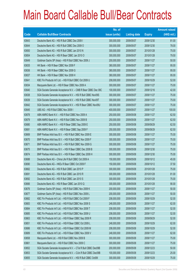|       |                                                                | No. of        |                     |               | <b>Amount raised</b> |
|-------|----------------------------------------------------------------|---------------|---------------------|---------------|----------------------|
| Code  | <b>Callable Bull/Bear Contracts</b>                            | issue (units) | <b>Listing date</b> | <b>Expiry</b> | (HK\$ mil.)          |
| 63643 | Deutsche Bank AG - HSI R Bull CBBC Dec 2009 I                  | 300,000,000   | 2009/05/07          | 2009/12/30    | 81.00                |
| 63644 | Deutsche Bank AG - HSI R Bull CBBC Dec 2009 O                  | 300,000,000   | 2009/05/07          | 2009/12/30    | 78.00                |
| 63650 | Deutsche Bank AG - HSI R Bull CBBC Jan 2010 N                  | 300,000,000   | 2009/05/07          | 2010/01/28    | 75.00                |
| 63654 | Deutsche Bank AG - HSI R Bear CBBC Jan 2010 O                  | 300,000,000   | 2009/05/07          | 2010/01/28    | 79.50                |
| 63649 | Goldman Sachs SP (Asia) - HSI R Bull CBBC Nov 2009 J           | 200,000,000   | 2009/05/07          | 2009/11/27    | 50.00                |
| 63635 | HK Bank - HSI R Bear CBBC Nov 2009 F                           | 380,000,000   | 2009/05/07          | 2009/11/27    | 95.00                |
| 63636 | HK Bank - HSI R Bear CBBC Nov 2009 G                           | 380,000,000   | 2009/05/07          | 2009/11/27    | 95.00                |
| 63637 | HK Bank - HSI R Bear CBBC Nov 2009 H                           | 380,000,000   | 2009/05/07          | 2009/11/27    | 95.00                |
| 63641 | KBC Fin Products Int'l Ltd. - HSI R Bull CBBC Oct 2009 U       | 208,000,000   | 2009/05/07          | 2009/10/29    | 52.00                |
| 63634 | Macquarie Bank Ltd. - HSI R Bear CBBC Nov 2009 A               | 300,000,000   | 2009/05/07          | 2009/11/27    | 75.00                |
| 63640 | SGA Societe Generale Acceptance N.V. - CMB R Bear CBBC Dec 09C | 100,000,000   | 2009/05/07          | 2009/12/16    | 42.00                |
| 63638 | SGA Societe Generale Acceptance N.V. - HSI R Bull CBBC Nov09S  | 300,000,000   | 2009/05/07          | 2009/11/27    | 75.00                |
| 63639 | SGA Societe Generale Acceptance N.V. - HSI R Bull CBBC Nov09T  | 300,000,000   | 2009/05/07          | 2009/11/27    | 75.00                |
| 63642 | SGA Societe Generale Acceptance N.V. - HSI R Bear CBBC Nov09U  | 300,000,000   | 2009/05/07          | 2009/11/27    | 75.00                |
| 63645 | UBS AG - HSI R Bull CBBC Nov 2009 I                            | 400,000,000   | 2009/05/07          | 2009/11/27    | 100.00               |
| 63678 | ABN AMRO Bank N.V. - HSI R Bull CBBC Nov 2009 A                | 250,000,000   | 2009/05/08          | 2009/11/27    | 62.50                |
| 63679 | ABN AMRO Bank N.V. - HSI R Bull CBBC Nov 2009 B                | 250,000,000   | 2009/05/08          | 2009/11/27    | 62.50                |
| 63680 | ABN AMRO Bank N.V. - HSI R Bear CBBC Sep 2009 E                | 250,000,000   | 2009/05/08          | 2009/09/29    | 62.50                |
| 63681 | ABN AMRO Bank N.V. - HSI R Bear CBBC Sep 2009 F                | 250,000,000   | 2009/05/08          | 2009/09/29    | 62.50                |
| 63669 | BNP Paribas Arbit Issu B.V. - HSI R Bull CBBC Nov 2009 E       | 300,000,000   | 2009/05/08          | 2009/11/27    | 75.00                |
| 63670 | BNP Paribas Arbit Issu B.V. - HSI R Bull CBBC Nov 2009 F       | 300,000,000   | 2009/05/08          | 2009/11/27    | 75.00                |
| 63671 | BNP Paribas Arbit Issu B.V. - HSI R Bull CBBC Nov 2009 G       | 300,000,000   | 2009/05/08          | 2009/11/27    | 75.00                |
| 63675 | BNP Paribas Arbit Issu B.V. - HSI R Bear CBBC Dec 2009 B       | 300,000,000   | 2009/05/08          | 2009/12/30    | 75.00                |
| 63674 | BNP Paribas Arbit Issu B.V. - HSI R Bear CBBC Dec 2009 H       | 300,000,000   | 2009/05/08          | 2009/12/30    | 75.00                |
| 63688 | Deutsche Bank AG - China Life R Bull CBBC Oct 2009 A           | 150,000,000   | 2009/05/08          | 2009/10/12    | 45.00                |
| 63690 | Deutsche Bank AG - HKEx R Bear CBBC Oct 2009 F                 | 150,000,000   | 2009/05/08          | 2009/10/12    | 37.50                |
| 63662 | Deutsche Bank AG - HSI R Bull CBBC Jan 2010 P                  | 300.000.000   | 2009/05/08          | 2010/01/28    | 75.00                |
| 63691 | Deutsche Bank AG - HSI R Bull CBBC Jan 2010 R                  | 300,000,000   | 2009/05/08          | 2010/01/28    | 81.00                |
| 63692 | Deutsche Bank AG - HSI R Bull CBBC Jan 2010 S                  | 300,000,000   | 2009/05/08          | 2010/01/28    | 75.00                |
| 63666 | Deutsche Bank AG - HSI R Bear CBBC Jan 2010 Q                  | 300,000,000   | 2009/05/08          | 2010/01/28    | 90.00                |
| 63676 | Goldman Sachs SP (Asia) - HSI R Bull CBBC Nov 2009 K           | 200,000,000   | 2009/05/08          | 2009/11/27    | 50.00                |
| 63677 | Goldman Sachs SP (Asia) - HSI R Bull CBBC Nov 2009 L           | 200,000,000   | 2009/05/08          | 2009/11/27    | 50.00                |
| 63682 | KBC Fin Products Int'l Ltd. - HSI R Bull CBBC Oct 2009 F       | 208,000,000   | 2009/05/08          | 2009/10/29    | 52.00                |
| 63683 | KBC Fin Products Int'l Ltd. - HSI R Bull CBBC Nov 2009 S       | 248,000,000   | 2009/05/08          | 2009/11/27    | 62.00                |
| 63684 | KBC Fin Products Int'l Ltd. - HSI R Bull CBBC Nov 2009 T       | 208,000,000   | 2009/05/08          | 2009/11/27    | 52.00                |
| 63685 | KBC Fin Products Int'l Ltd. - HSI R Bull CBBC Nov 2009 U       | 208,000,000   | 2009/05/08          | 2009/11/27    | 52.00                |
| 63663 | KBC Fin Products Int'l Ltd. - HSI R Bear CBBC Sep 2009 R       | 208,000,000   | 2009/05/08          | 2009/09/29    | 52.00                |
| 63651 | KBC Fin Products Int'l Ltd. - HSI R Bear CBBC Oct 2009 L       | 248,000,000   | 2009/05/08          | 2009/10/29    | 62.00                |
| 63686 | KBC Fin Products Int'l Ltd. - HSI R Bear CBBC Oct 2009 M       | 208,000,000   | 2009/05/08          | 2009/10/29    | 52.00                |
| 63689 | KBC Fin Products Int'l Ltd. - HSI R Bear CBBC Nov 2009 V       | 248,000,000   | 2009/05/08          | 2009/11/27    | 62.00                |
| 63658 | Macquarie Bank Ltd. - HSI R Bull CBBC Nov 2009 B               | 300,000,000   | 2009/05/08          | 2009/11/27    | 75.00                |
| 63661 | Macquarie Bank Ltd. - HSI R Bull CBBC Nov 2009 C               | 300,000,000   | 2009/05/08          | 2009/11/27    | 75.00                |
| 63652 | SGA Societe Generale Acceptance N.V. - CTel R Bull CBBC Dec09B | 200,000,000   | 2009/05/08          | 2009/12/23    | 50.00                |
| 63653 | SGA Societe Generale Acceptance N.V. - CUni R Bull CBBC Dec09B | 100,000,000   | 2009/05/08          | 2009/12/23    | 25.00                |
| 63655 | SGA Societe Generale Acceptance N.V. - HSI R Bull CBBC Oct09I  | 300,000,000   | 2009/05/08          | 2009/10/29    | 75.00                |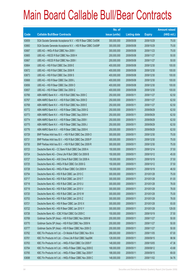|       |                                                               | No. of        |                     |               | <b>Amount raised</b> |
|-------|---------------------------------------------------------------|---------------|---------------------|---------------|----------------------|
| Code  | <b>Callable Bull/Bear Contracts</b>                           | issue (units) | <b>Listing date</b> | <b>Expiry</b> | (HK\$ mil.)          |
| 63659 | SGA Societe Generale Acceptance N.V. - HSI R Bear CBBC Oct09K | 300,000,000   | 2009/05/08          | 2009/10/29    | 75.00                |
| 63660 | SGA Societe Generale Acceptance N.V. - HSI R Bear CBBC Oct09P | 300,000,000   | 2009/05/08          | 2009/10/29    | 75.00                |
| 63687 | UBS AG - HKEx R Bull CBBC Nov 2009 I                          | 300,000,000   | 2009/05/08          | 2009/11/23    | 75.00                |
| 63665 | UBS AG - HSCEI R Bull CBBC Nov 2009 H                         | 200,000,000   | 2009/05/08          | 2009/11/27    | 50.00                |
| 63667 | UBS AG - HSCEI R Bull CBBC Nov 2009 I                         | 200,000,000   | 2009/05/08          | 2009/11/27    | 50.00                |
| 63664 | UBS AG - HSI R Bull CBBC Dec 2009 E                           | 400,000,000   | 2009/05/08          | 2009/12/30    | 100.00               |
| 63672 | UBS AG - HSI R Bull CBBC Dec 2009 R                           | 400,000,000   | 2009/05/08          | 2009/12/30    | 100.00               |
| 63673 | UBS AG - HSI R Bull CBBC Dec 2009 S                           | 400,000,000   | 2009/05/08          | 2009/12/30    | 100.00               |
| 63668 | UBS AG - HSI R Bear CBBC Dec 2009 L                           | 400,000,000   | 2009/05/08          | 2009/12/30    | 100.00               |
| 63656 | UBS AG - HSI R Bear CBBC Dec 2009 O                           | 400,000,000   | 2009/05/08          | 2009/12/30    | 100.00               |
| 63657 | UBS AG - HSI R Bear CBBC Dec 2009 Q                           | 400,000,000   | 2009/05/08          | 2009/12/30    | 100.00               |
| 63766 | ABN AMRO Bank N.V. - HSI R Bull CBBC Nov 2009 C               | 250,000,000   | 2009/05/11          | 2009/11/27    | 62.50                |
| 63767 | ABN AMRO Bank N.V. - HSI R Bull CBBC Nov 2009 D               | 250,000,000   | 2009/05/11          | 2009/11/27    | 62.50                |
| 63768 | ABN AMRO Bank N.V. - HSI R Bull CBBC Nov 2009 E               | 250,000,000   | 2009/05/11          | 2009/11/27    | 62.50                |
| 63772 | ABN AMRO Bank N.V. - HSI R Bear CBBC Sep 2009 G               | 250,000,000   | 2009/05/11          | 2009/09/29    | 62.50                |
| 63773 | ABN AMRO Bank N.V. - HSI R Bear CBBC Sep 2009 H               | 250,000,000   | 2009/05/11          | 2009/09/29    | 62.50                |
| 63774 | ABN AMRO Bank N.V. - HSI R Bear CBBC Sep 2009 I               | 250,000,000   | 2009/05/11          | 2009/09/29    | 62.50                |
| 63775 | ABN AMRO Bank N.V. - HSI R Bear CBBC Sep 2009 J               | 250,000,000   | 2009/05/11          | 2009/09/29    | 62.50                |
| 63776 | ABN AMRO Bank N.V. - HSI R Bear CBBC Sep 2009 K               | 250,000,000   | 2009/05/11          | 2009/09/29    | 62.50                |
| 63729 | BNP Paribas Arbit Issu B.V. - HSI R Bull CBBC Dec 2009 O      | 300,000,000   | 2009/05/11          | 2009/12/30    | 75.00                |
| 63731 | BNP Paribas Arbit Issu B.V. - HSI R Bull CBBC Dec 2009 P      | 300,000,000   | 2009/05/11          | 2009/12/30    | 75.00                |
| 63730 | BNP Paribas Arbit Issu B.V. - HSI R Bull CBBC Dec 2009 R      | 300,000,000   | 2009/05/11          | 2009/12/30    | 75.00                |
| 63723 | Deutsche Bank AG - CC Bank R Bull CBBC Dec 2009 A             | 150,000,000   | 2009/05/11          | 2009/12/14    | 37.50                |
| 63724 | Deutsche Bank AG - China Life R Bull CBBC Oct 2009 B          | 150,000,000   | 2009/05/11          | 2009/10/12    | 45.00                |
| 63727 | Deutsche Bank AG - A50 China R Bull CBBC Oct 2009 A           | 150,000,000   | 2009/05/11          | 2009/10/19    | 37.50                |
| 63725 | Deutsche Bank AG - HKEx R Bull CBBC Oct 2009 G                | 150,000,000   | 2009/05/11          | 2009/10/12    | 37.50                |
| 63728 | Deutsche Bank AG - HKEx R Bear CBBC Oct 2009 H                | 150,000,000   | 2009/05/11          | 2009/10/19    | 46.50                |
| 63754 | Deutsche Bank AG - HSI R Bull CBBC Jan 2010 C                 | 300,000,000   | 2009/05/11          | 2010/01/28    | 75.00                |
| 63717 | Deutsche Bank AG - HSI R Bull CBBC Jan 2010 T                 | 300,000,000   | 2009/05/11          | 2010/01/28    | 81.00                |
| 63718 | Deutsche Bank AG - HSI R Bull CBBC Jan 2010 U                 | 300,000,000   | 2009/05/11          | 2010/01/28    | 78.00                |
| 63719 | Deutsche Bank AG - HSI R Bull CBBC Jan 2010 V                 | 300,000,000   | 2009/05/11          | 2010/01/28    | 78.00                |
| 63720 | Deutsche Bank AG - HSI R Bull CBBC Jan 2010 W                 | 300,000,000   | 2009/05/11          | 2010/01/28    | 75.00                |
| 63753 | Deutsche Bank AG - HSI R Bull CBBC Jan 2010 Z                 | 300,000,000   | 2009/05/11          | 2010/01/28    | 78.00                |
| 63721 | Deutsche Bank AG - HSI R Bear CBBC Jan 2010 X                 | 300,000,000   | 2009/05/11          | 2010/01/28    | 93.00                |
| 63722 | Deutsche Bank AG - HSI R Bear CBBC Jan 2010 Y                 | 300,000,000   | 2009/05/11          | 2010/01/28    | 129.00               |
| 63726 | Deutsche Bank AG - ICBC R Bull CBBC Oct 2009 C                | 150,000,000   | 2009/05/11          | 2009/10/19    | 37.50                |
| 63769 | Goldman Sachs SP (Asia) - HSI R Bull CBBC Nov 2009 M          | 200,000,000   | 2009/05/11          | 2009/11/27    | 50.00                |
| 63770 | Goldman Sachs SP (Asia) - HSI R Bull CBBC Nov 2009 N          | 200,000,000   | 2009/05/11          | 2009/11/27    | 50.00                |
| 63777 | Goldman Sachs SP (Asia) - HSI R Bear CBBC Nov 2009 O          | 200,000,000   | 2009/05/11          | 2009/11/27    | 50.00                |
| 63762 | KBC Fin Products Int'l Ltd. - Ch Mobile R Bull CBBC Nov 09 A  | 268,000,000   | 2009/05/11          | 2009/11/05    | 67.00                |
| 63761 | KBC Fin Products Int'l Ltd. - China Life R Bull CBBC Sep09K   | 128,000,000   | 2009/05/11          | 2009/09/15    | 98.56                |
| 63763 | KBC Fin Products Int'l Ltd. - HKEx R Bull CBBC Oct 2009 F     | 148,000,000   | 2009/05/11          | 2009/10/05    | 47.36                |
| 63764 | KBC Fin Products Int'l Ltd. - HKEx R Bear CBBC Aug 2009 E     | 168,000,000   | 2009/05/11          | 2009/08/12    | 43.68                |
| 63765 | KBC Fin Products Int'l Ltd. - HKEx R Bear CBBC Sep 2009 F     | 188,000,000   | 2009/05/11          | 2009/09/15    | 69.00                |
| 63698 | KBC Fin Products Int'l Ltd. - HKEx R Bear CBBC Nov 2009 C     | 148,000,000   | 2009/05/11          | 2009/11/02    | 54.76                |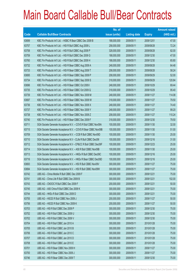|       |                                                                | No. of        |                     |               | <b>Amount raised</b> |
|-------|----------------------------------------------------------------|---------------|---------------------|---------------|----------------------|
| Code  | <b>Callable Bull/Bear Contracts</b>                            | issue (units) | <b>Listing date</b> | <b>Expiry</b> | $(HK$$ mil.)         |
| 63699 | KBC Fin Products Int'l Ltd. - HSBC R Bear CBBC Dec 2009 B      | 188,000,000   | 2009/05/11          | 2009/12/01    | 47.00                |
| 63757 | KBC Fin Products Int'l Ltd. - HSI R Bull CBBC Aug 2009 L       | 258,000,000   | 2009/05/11          | 2009/08/28    | 72.24                |
| 63758 | KBC Fin Products Int'l Ltd. - HSI R Bull CBBC Aug 2009 P       | 328,000,000   | 2009/05/11          | 2009/08/28    | 82.00                |
| 63759 | KBC Fin Products Int'l Ltd. - HSI R Bull CBBC Dec 2009 G       | 188,000,000   | 2009/05/11          | 2009/12/30    | 47.00                |
| 63760 | KBC Fin Products Int'l Ltd. - HSI R Bull CBBC Dec 2009 H       | 188,000,000   | 2009/05/11          | 2009/12/30    | 65.80                |
| 63732 | KBC Fin Products Int'l Ltd. - HSI R Bear CBBC Aug 2009 A       | 248,000,000   | 2009/05/11          | 2009/08/28    | 64.48                |
| 63733 | KBC Fin Products Int'l Ltd. - HSI R Bear CBBC Aug 2009 T       | 208,000,000   | 2009/05/11          | 2009/08/28    | 58.24                |
| 63695 | KBC Fin Products Int'l Ltd. - HSI R Bear CBBC Sep 2009 P       | 208,000,000   | 2009/05/11          | 2009/09/29    | 52.00                |
| 63734 | KBC Fin Products Int'l Ltd. - HSI R Bear CBBC Sep 2009 S       | 318,000,000   | 2009/05/11          | 2009/09/29    | 120.84               |
| 63696 | KBC Fin Products Int'l Ltd. - HSI R Bear CBBC Oct 2009 I       | 248,000,000   | 2009/05/11          | 2009/10/29    | 69.44                |
| 63735 | KBC Fin Products Int'l Ltd. - HSI R Bear CBBC Oct 2009 Q       | 318,000,000   | 2009/05/11          | 2009/10/29    | 95.40                |
| 63739 | KBC Fin Products Int'l Ltd. - HSI R Bear CBBC Nov 2009 M       | 248,000,000   | 2009/05/11          | 2009/11/27    | 114.08               |
| 63697 | KBC Fin Products Int'l Ltd. - HSI R Bear CBBC Nov 2009 W       | 318,000,000   | 2009/05/11          | 2009/11/27    | 79.50                |
| 63736 | KBC Fin Products Int'l Ltd. - HSI R Bear CBBC Nov 2009 X       | 248,000,000   | 2009/05/11          | 2009/11/27    | 74.40                |
| 63737 | KBC Fin Products Int'l Ltd. - HSI R Bear CBBC Nov 2009 Y       | 248,000,000   | 2009/05/11          | 2009/11/27    | 99.20                |
| 63738 | KBC Fin Products Int'l Ltd. - HSI R Bear CBBC Nov 2009 Z       | 208,000,000   | 2009/05/11          | 2009/11/27    | 110.24               |
| 63740 | KBC Fin Products Int'l Ltd. - HSI R Bear CBBC Dec 2009 F       | 318,000,000   | 2009/05/11          | 2009/12/30    | 79.50                |
| 63711 | SGA Societe Generale Acceptance N.V. - COVS R Bull CBBC Nov09A | 100,000,000   | 2009/05/11          | 2009/11/30    | 32.00                |
| 63715 | SGA Societe Generale Acceptance N.V. - COVS R Bear CBBC Nov09B | 100,000,000   | 2009/05/11          | 2009/11/30    | 51.00                |
| 63709 | SGA Societe Generale Acceptance N.V. - CCB R Bull CBBC Nov09D  | 100,000,000   | 2009/05/11          | 2009/11/30    | 25.00                |
| 63710 | SGA Societe Generale Acceptance N.V - CLife R Bull CBBC Dec09I | 100,000,000   | 2009/05/11          | 2009/12/16    | 31.00                |
| 63712 | SGA Societe Generale Acceptance N.V - CP&CC R Bull CBBC Dec09F | 100,000,000   | 2009/05/11          | 2009/12/23    | 25.00                |
| 63714 | SGA Societe Generale Acceptance N.V. - A50 R Bull CBBC Nov09B  | 100,000,000   | 2009/05/11          | 2009/11/30    | 25.00                |
| 63713 | SGA Societe Generale Acceptance N.V. - HKEx R Bull CBBC Dec09C | 100,000,000   | 2009/05/11          | 2009/12/16    | 25.00                |
| 63716 | SGA Societe Generale Acceptance N.V. - HKEx R Bear CBBC Dec09D | 100,000,000   | 2009/05/11          | 2009/12/16    | 25.00                |
| 63693 | SGA Societe Generale Acceptance N.V. - HSI R Bull CBBC Nov09V  | 300,000,000   | 2009/05/11          | 2009/11/27    | 75.00                |
| 63694 | SGA Societe Generale Acceptance N.V. - HSI R Bull CBBC Nov09W  | 300,000,000   | 2009/05/11          | 2009/11/27    | 75.00                |
| 63742 | UBS AG - China Mobile R Bull CBBC Dec 2009 F                   | 300,000,000   | 2009/05/11          | 2009/12/21    | 75.00                |
| 63741 | UBS AG - China Life R Bull CBBC Dec 2009 B                     | 300,000,000   | 2009/05/11          | 2009/12/21    | 102.00               |
| 63743 | UBS AG - CNOOC R Bull CBBC Dec 2009 F                          | 200,000,000   | 2009/05/11          | 2009/12/21    | 50.00                |
| 63745 | UBS AG - A50 China R Bull CBBC Dec 2009 K                      | 300,000,000   | 2009/05/11          | 2009/12/21    | 75.00                |
| 63744 | UBS AG - HKEx R Bull CBBC Dec 2009 D                           | 300,000,000   | 2009/05/11          | 2009/12/21    | 75.00                |
| 63755 | UBS AG - HSCEI R Bull CBBC Nov 2009 J                          | 200,000,000   | 2009/05/11          | 2009/11/27    | 50.00                |
| 63756 | UBS AG - HSCEI R Bull CBBC Nov 2009 K                          | 200,000,000   | 2009/05/11          | 2009/11/27    | 50.00                |
| 63703 | UBS AG - HSI R Bull CBBC Dec 2009 P                            | 300,000,000   | 2009/05/11          | 2009/12/30    | 75.00                |
| 63752 | UBS AG - HSI R Bull CBBC Dec 2009 U                            | 300,000,000   | 2009/05/11          | 2009/12/30    | 75.00                |
| 63702 | UBS AG - HSI R Bull CBBC Dec 2009 V                            | 300,000,000   | 2009/05/11          | 2009/12/30    | 75.00                |
| 63704 | UBS AG - HSI R Bull CBBC Jan 2010 A                            | 300,000,000   | 2009/05/11          | 2010/01/28    | 75.00                |
| 63705 | UBS AG - HSI R Bull CBBC Jan 2010 B                            | 300,000,000   | 2009/05/11          | 2010/01/28    | 75.00                |
| 63706 | UBS AG - HSI R Bull CBBC Jan 2010 C                            | 300,000,000   | 2009/05/11          | 2010/01/28    | 75.00                |
| 63707 | UBS AG - HSI R Bull CBBC Jan 2010 D                            | 300,000,000   | 2009/05/11          | 2010/01/28    | 75.00                |
| 63708 | UBS AG - HSI R Bull CBBC Jan 2010 E                            | 300,000,000   | 2009/05/11          | 2010/01/28    | 75.00                |
| 63701 | UBS AG - HSI R Bear CBBC Nov 2009 H                            | 300,000,000   | 2009/05/11          | 2009/11/27    | 75.00                |
| 63700 | UBS AG - HSI R Bear CBBC Nov 2009 J                            | 300,000,000   | 2009/05/11          | 2009/11/27    | 75.00                |
| 63746 | UBS AG - HSI R Bear CBBC Dec 2009 T                            | 300,000,000   | 2009/05/11          | 2009/12/30    | 75.00                |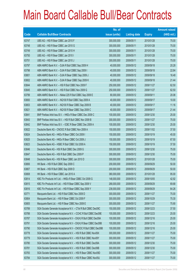|       |                                                                | No. of        |                     |               | <b>Amount raised</b> |
|-------|----------------------------------------------------------------|---------------|---------------------|---------------|----------------------|
| Code  | <b>Callable Bull/Bear Contracts</b>                            | issue (units) | <b>Listing date</b> | <b>Expiry</b> | $(HK$$ mil.)         |
| 63747 | UBS AG - HSI R Bear CBBC Jan 2010 F                            | 300,000,000   | 2009/05/11          | 2010/01/28    | 75.00                |
| 63748 | UBS AG - HSI R Bear CBBC Jan 2010 G                            | 300,000,000   | 2009/05/11          | 2010/01/28    | 75.00                |
| 63749 | UBS AG - HSI R Bear CBBC Jan 2010 H                            | 300,000,000   | 2009/05/11          | 2010/01/28    | 75.00                |
| 63750 | UBS AG - HSI R Bear CBBC Jan 2010 I                            | 300,000,000   | 2009/05/11          | 2010/01/28    | 75.00                |
| 63751 | UBS AG - HSI R Bear CBBC Jan 2010 J                            | 300,000,000   | 2009/05/11          | 2010/01/28    | 75.00                |
| 63797 | ABN AMRO Bank N.V. - DJIA R Bull CBBC Sep 2009 H               | 40,000,000    | 2009/05/12          | 2009/09/18    | 20.28                |
| 63798 | ABN AMRO Bank N.V. - DJIA R Bull CBBC Sep 2009 I               | 40,000,000    | 2009/05/12          | 2009/09/18    | 22.84                |
| 63801 | ABN AMRO Bank N.V. - DJIA R Bear CBBC Sep 2009 J               | 40,000,000    | 2009/05/12          | 2009/09/18    | 16.48                |
| 63802 | ABN AMRO Bank N.V. - DJIA R Bear CBBC Sep 2009 K               | 40,000,000    | 2009/05/12          | 2009/09/18    | 21.44                |
| 63844 | ABN AMRO Bank N.V. - HSI R Bull CBBC Nov 2009 F                | 250,000,000   | 2009/05/12          | 2009/11/27    | 62.50                |
| 63845 | ABN AMRO Bank N.V. - HSI R Bull CBBC Nov 2009 G                | 250,000,000   | 2009/05/12          | 2009/11/27    | 62.50                |
| 63799 | ABN AMRO Bank N.V. - Nikkei 225 R Bull CBBC Sep 2009 E         | 80,000,000    | 2009/05/12          | 2009/09/11    | 20.08                |
| 63800 | ABN AMRO Bank N.V. - NQ100 R Bull CBBC Sep 2009 A              | 40,000,000    | 2009/05/12          | 2009/09/17    | 10.00                |
| 63803 | ABN AMRO Bank N.V. - NQ100 R Bear CBBC Sep 2009 B              | 40,000,000    | 2009/05/12          | 2009/09/17    | 11.16                |
| 63821 | ABN AMRO Bank N.V. - NQ100 R Bear CBBC Sep 2009 C              | 40,000,000    | 2009/05/12          | 2009/09/17    | 21.44                |
| 63841 | BNP Paribas Arbit Issu B.V. - HKEx R Bear CBBC Dec 2009 C      | 100,000,000   | 2009/05/12          | 2009/12/30    | 25.00                |
| 63843 | BNP Paribas Arbit Issu B.V. - HSI R Bull CBBC Nov 2009 B       | 300,000,000   | 2009/05/12          | 2009/11/27    | 75.00                |
| 63842 | BNP Paribas Arbit Issu B.V. - ICBC R Bear CBBC Dec 2009 A      | 100,000,000   | 2009/05/12          | 2009/12/30    | 25.00                |
| 63822 | Deutsche Bank AG - CNOOC R Bull CBBC Nov 2009 A                | 150,000,000   | 2009/05/12          | 2009/11/02    | 37.50                |
| 63824 | Deutsche Bank AG - HKEx R Bear CBBC Oct 2009 I                 | 150,000,000   | 2009/05/12          | 2009/10/19    | 45.00                |
| 63825 | Deutsche Bank AG - HKEx R Bear CBBC Oct 2009 J                 | 150,000,000   | 2009/05/12          | 2009/10/19    | 67.50                |
| 63823 | Deutsche Bank AG - HSBC R Bull CBBC Oct 2009 A                 | 150,000,000   | 2009/05/12          | 2009/10/19    | 37.50                |
| 63846 | Deutsche Bank AG - HSI R Bull CBBC Dec 2009 G                  | 300,000,000   | 2009/05/12          | 2009/12/30    | 75.00                |
| 63847 | Deutsche Bank AG - HSI R Bull CBBC Dec 2009 P                  | 300,000,000   | 2009/05/12          | 2009/12/30    | 75.00                |
| 63848 | Deutsche Bank AG - HSI R Bear CBBC Jan 2010 D                  | 300,000,000   | 2009/05/12          | 2010/01/28    | 75.00                |
| 63806 | HK Bank - HSI R Bull CBBC Sep 2009 C                           | 200,000,000   | 2009/05/12          | 2009/09/29    | 50.00                |
| 63807 | HK Bank - HSI R Bull CBBC Sep 2009 D                           | 200,000,000   | 2009/05/12          | 2009/09/29    | 50.00                |
| 63808 | HK Bank - HSI R Bear CBBC Jan 2010 A                           | 380,000,000   | 2009/05/12          | 2010/01/28    | 95.00                |
| 63814 | KBC Fin Products Int'l Ltd. - HKEx R Bear CBBC Oct 2009 G      | 148,000,000   | 2009/05/12          | 2009/10/05    | 42.92                |
| 63815 | KBC Fin Products Int'l Ltd. - HSI R Bear CBBC Sep 2009 V       | 268,000,000   | 2009/05/12          | 2009/09/29    | 69.68                |
| 63816 | KBC Fin Products Int'l Ltd. - HSI R Bear CBBC Sep 2009 Y       | 238,000,000   | 2009/05/12          | 2009/09/29    | 64.26                |
| 63771 | Macquarie Bank Ltd. - HSI R Bull CBBC Nov 2009 D               | 300,000,000   | 2009/05/12          | 2009/11/27    | 75.00                |
| 63804 | Macquarie Bank Ltd. - HSI R Bear CBBC Oct 2009 F               | 300,000,000   | 2009/05/12          | 2009/10/29    | 75.30                |
| 63805 | Macquarie Bank Ltd. - HSI R Bear CBBC Nov 2009 E               | 300,000,000   | 2009/05/12          | 2009/11/27    | 75.90                |
| 63789 | SGA Societe Generale Acceptance N.V. - CTel R Bull CBBC Dec09C | 150,000,000   | 2009/05/12          | 2009/12/23    | 37.50                |
| 63788 | SGA Societe Generale Acceptance N.V. - CCHC R Bull CBBC Dec09E | 100,000,000   | 2009/05/12          | 2009/12/23    | 25.00                |
| 63787 | SGA Societe Generale Acceptance N.V - CK(H) R Bull CBBC Dec09A | 100,000,000   | 2009/05/12          | 2009/12/16    | 25.00                |
| 63791 | SGA Societe Generale Acceptance N.V - CK(H) R Bear CBBC Dec09B | 100,000,000   | 2009/05/12          | 2009/12/16    | 25.00                |
| 63790 | SGA Societe Generale Acceptance N.V - CNOOC R Bull CBBC Dec09B | 100,000,000   | 2009/05/12          | 2009/12/16    | 25.00                |
| 63778 | SGA Societe Generale Acceptance N.V. - HSI R Bull CBBC Nov09X  | 300,000,000   | 2009/05/12          | 2009/11/27    | 75.00                |
| 63779 | SGA Societe Generale Acceptance N.V. - HSI R Bull CBBC Nov09Y  | 300,000,000   | 2009/05/12          | 2009/11/27    | 75.00                |
| 63780 | SGA Societe Generale Acceptance N.V. - HSI R Bull CBBC Dec09A  | 300,000,000   | 2009/05/12          | 2009/12/30    | 75.00                |
| 63781 | SGA Societe Generale Acceptance N.V. - HSI R Bull CBBC Dec09B  | 300,000,000   | 2009/05/12          | 2009/12/30    | 75.00                |
| 63783 | SGA Societe Generale Acceptance N.V. - HSI R Bear CBBC Nov09D  | 300,000,000   | 2009/05/12          | 2009/11/27    | 75.00                |
| 63784 | SGA Societe Generale Acceptance N.V. - HSI R Bear CBBC Nov09J  | 300,000,000   | 2009/05/12          | 2009/11/27    | 75.00                |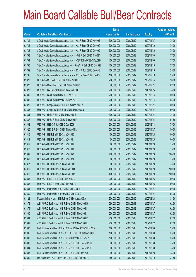|       |                                                                | No. of        |                     |               | <b>Amount raised</b> |
|-------|----------------------------------------------------------------|---------------|---------------------|---------------|----------------------|
| Code  | <b>Callable Bull/Bear Contracts</b>                            | issue (units) | <b>Listing date</b> | <b>Expiry</b> | $(HK$$ mil.)         |
| 63782 | SGA Societe Generale Acceptance N.V. - HSI R Bear CBBC Nov09Z  | 300,000,000   | 2009/05/12          | 2009/11/27    | 75.00                |
| 63785 | SGA Societe Generale Acceptance N.V. - HSI R Bear CBBC Dec09C  | 300,000,000   | 2009/05/12          | 2009/12/30    | 75.00                |
| 63786 | SGA Societe Generale Acceptance N.V. - HSI R Bear CBBC Dec09D  | 300,000,000   | 2009/05/12          | 2009/12/30    | 75.00                |
| 63793 | SGA Societe Generale Acceptance N.V. - HWL R Bull CBBC Nov09A  | 150,000,000   | 2009/05/12          | 2009/11/30    | 37.50                |
| 63794 | SGA Societe Generale Acceptance N.V. - ICBC R Bull CBBC Dec09B | 150,000,000   | 2009/05/12          | 2009/12/09    | 37.50                |
| 63795 | SGA Societe Generale Acceptance NV - PingAn R Bull CBBC Dec09B | 150,000,000   | 2009/05/12          | 2009/12/16    | 37.50                |
| 63792 | SGA Societe Generale Acceptance N.V. - TCH R Bull CBBC Dec09E  | 100,000,000   | 2009/05/12          | 2009/12/16    | 25.00                |
| 63796 | SGA Societe Generale Acceptance N.V. - TCH R Bear CBBC Dec09F  | 100,000,000   | 2009/05/12          | 2009/12/16    | 25.00                |
| 63826 | UBS AG - CC Bank R Bull CBBC Dec 2009 E                        | 200,000,000   | 2009/05/12          | 2009/12/14    | 50.00                |
| 63827 | UBS AG - China Life R Bull CBBC Dec 2009 C                     | 300,000,000   | 2009/05/12          | 2009/12/21    | 82.50                |
| 63828 | UBS AG - CM Bank R Bull CBBC Jan 2010 E                        | 200,000,000   | 2009/05/12          | 2010/01/25    | 73.00                |
| 63830 | UBS AG - CNOOC R Bull CBBC Dec 2009 G                          | 200,000,000   | 2009/05/12          | 2009/12/14    | 50.00                |
| 63836 | UBS AG - CNOOC R Bear CBBC Dec 2009 H                          | 200,000,000   | 2009/05/12          | 2009/12/14    | 54.00                |
| 63829 | UBS AG - Sinopec Corp R Bull CBBC Dec 2009 A                   | 200,000,000   | 2009/05/12          | 2009/12/21    | 50.00                |
| 63835 | UBS AG - Sinopec Corp R Bear CBBC Dec 2009 B                   | 200,000,000   | 2009/05/12          | 2009/12/21    | 50.00                |
| 63831 | UBS AG - HKEx R Bull CBBC Dec 2009 E                           | 300,000,000   | 2009/05/12          | 2009/12/21    | 75.00                |
| 63837 | UBS AG - HKEx R Bear CBBC Dec 2009 F                           | 300,000,000   | 2009/05/12          | 2009/12/21    | 91.50                |
| 63832 | UBS AG - HSBC R Bull CBBC Dec 2009 I                           | 300,000,000   | 2009/05/12          | 2009/12/14    | 75.00                |
| 63820 | UBS AG - HSCEI R Bull CBBC Nov 2009 L                          | 200,000,000   | 2009/05/12          | 2009/11/27    | 50.00                |
| 63810 | UBS AG - HSI R Bull CBBC Jan 2010 K                            | 400,000,000   | 2009/05/12          | 2010/01/28    | 100.00               |
| 63811 | UBS AG - HSI R Bull CBBC Jan 2010 L                            | 400,000,000   | 2009/05/12          | 2010/01/28    | 100.00               |
| 63812 | UBS AG - HSI R Bull CBBC Jan 2010 M                            | 300,000,000   | 2009/05/12          | 2010/01/28    | 75.00                |
| 63813 | UBS AG - HSI R Bull CBBC Jan 2010 N                            | 300,000,000   | 2009/05/12          | 2010/01/28    | 75.00                |
| 63809 | UBS AG - HSI R Bull CBBC Jan 2010 O                            | 400,000,000   | 2009/05/12          | 2010/01/28    | 100.00               |
| 63840 | UBS AG - HSI R Bull CBBC Jan 2010 S                            | 300,000,000   | 2009/05/12          | 2010/01/28    | 75.00                |
| 63817 | UBS AG - HSI R Bear CBBC Jan 2010 P                            | 300,000,000   | 2009/05/12          | 2010/01/28    | 75.00                |
| 63818 | UBS AG - HSI R Bear CBBC Jan 2010 Q                            | 400,000,000   | 2009/05/12          | 2010/01/28    | 100.00               |
| 63819 | UBS AG - HSI R Bear CBBC Jan 2010 R                            | 400,000,000   | 2009/05/12          | 2010/01/28    | 100.00               |
| 63833 | UBS AG - ICBC R Bull CBBC Jan 2010 D                           | 200,000,000   | 2009/05/12          | 2010/01/25    | 50.00                |
| 63838 | UBS AG - ICBC R Bear CBBC Jan 2010 E                           | 200,000,000   | 2009/05/12          | 2010/01/25    | 50.00                |
| 63834 | UBS AG - Petrochina R Bull CBBC Dec 2009 B                     | 200,000,000   | 2009/05/12          | 2009/12/21    | 50.00                |
| 63839 | UBS AG - Petrochina R Bear CBBC Dec 2009 C                     | 200,000,000   | 2009/05/12          | 2009/12/21    | 55.00                |
| 63423 | Macquarie Bank Ltd. - HSI R Bear CBBC Aug 2009 A               | 300,000,000   | 2009/05/12          | 2009/08/28    | 33.30                |
| 63878 | ABN AMRO Bank N.V. - HSI R Bear CBBC Nov 2009 H                | 250,000,000   | 2009/05/13          | 2009/11/27    | 62.50                |
| 63879 | ABN AMRO Bank N.V. - HSI R Bear CBBC Nov 2009 I                | 250,000,000   | 2009/05/13          | 2009/11/27    | 62.50                |
| 63880 | ABN AMRO Bank N.V. - HSI R Bear CBBC Nov 2009 J                | 250,000,000   | 2009/05/13          | 2009/11/27    | 62.50                |
| 63881 | ABN AMRO Bank N.V. - HSI R Bear CBBC Nov 2009 K                | 250,000,000   | 2009/05/13          | 2009/11/27    | 62.50                |
| 63882 | ABN AMRO Bank N.V. - HSI R Bear CBBC Nov 2009 L                | 250,000,000   | 2009/05/13          | 2009/11/27    | 62.50                |
| 63887 | BNP Paribas Arbit Issu B.V. - CC Bank R Bear CBBC Nov 2009 C   | 100,000,000   | 2009/05/13          | 2009/11/30    | 25.00                |
| 63886 | BNP Paribas Arbit Issu B.V. - A50 Ch R Bull CBBC Nov 2009 E    | 100,000,000   | 2009/05/13          | 2009/11/30    | 25.00                |
| 63888 | BNP Paribas Arbit Issu B.V. - HKEx R Bear CBBC Nov 2009 C      | 100,000,000   | 2009/05/13          | 2009/11/30    | 25.00                |
| 63883 | BNP Paribas Arbit Issu B.V. - HSI R Bull CBBC Dec 2009 Q       | 300,000,000   | 2009/05/13          | 2009/12/30    | 75.00                |
| 63884 | BNP Paribas Arbit Issu B.V. - HSI R Bull CBBC Dec 2009 T       | 300,000,000   | 2009/05/13          | 2009/12/30    | 75.00                |
| 63885 | BNP Paribas Arbit Issu B.V. - HSI R Bull CBBC Jan 2010 E       | 300,000,000   | 2009/05/13          | 2010/01/28    | 75.00                |
| 63889 | Deutsche Bank AG - China Life R Bull CBBC Oct 2009 C           | 150,000,000   | 2009/05/13          | 2009/10/19    | 37.50                |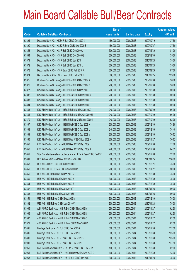|       |                                                                | No. of        |                     |               | <b>Amount raised</b> |
|-------|----------------------------------------------------------------|---------------|---------------------|---------------|----------------------|
| Code  | <b>Callable Bull/Bear Contracts</b>                            | issue (units) | <b>Listing date</b> | <b>Expiry</b> | (HK\$ mil.)          |
| 63891 | Deutsche Bank AG - HKEx R Bull CBBC Oct 2009 K                 | 150,000,000   | 2009/05/13          | 2009/10/19    | 37.50                |
| 63890 | Deutsche Bank AG - HSBC R Bear CBBC Oct 2009 B                 | 150,000,000   | 2009/05/13          | 2009/10/27    | 37.50                |
| 63853 | Deutsche Bank AG - HSI R Bull CBBC Dec 2009 J                  | 300,000,000   | 2009/05/13          | 2009/12/30    | 81.00                |
| 63854 | Deutsche Bank AG - HSI R Bull CBBC Dec 2009 Q                  | 300,000,000   | 2009/05/13          | 2009/12/30    | 75.00                |
| 63871 | Deutsche Bank AG - HSI R Bull CBBC Jan 2010 I                  | 300,000,000   | 2009/05/13          | 2010/01/28    | 78.00                |
| 63872 | Deutsche Bank AG - HSI R Bull CBBC Jan 2010 L                  | 300,000,000   | 2009/05/13          | 2010/01/28    | 75.00                |
| 63873 | Deutsche Bank AG - HSI R Bear CBBC Feb 2010 A                  | 300,000,000   | 2009/05/13          | 2010/02/25    | 87.00                |
| 63874 | Deutsche Bank AG - HSI R Bear CBBC Feb 2010 B                  | 300,000,000   | 2009/05/13          | 2010/02/25    | 123.00               |
| 63875 | Goldman Sachs SP (Asia) - HSI R Bull CBBC Dec 2009 A           | 200,000,000   | 2009/05/13          | 2009/12/30    | 50.00                |
| 63876 | Goldman Sachs SP (Asia) - HSI R Bull CBBC Dec 2009 B           | 200,000,000   | 2009/05/13          | 2009/12/30    | 50.00                |
| 63877 | Goldman Sachs SP (Asia) - HSI R Bull CBBC Dec 2009 C           | 200,000,000   | 2009/05/13          | 2009/12/30    | 50.00                |
| 63892 | Goldman Sachs SP (Asia) - HSI R Bear CBBC Dec 2009 D           | 200,000,000   | 2009/05/13          | 2009/12/30    | 50.00                |
| 63893 | Goldman Sachs SP (Asia) - HSI R Bear CBBC Dec 2009 E           | 200,000,000   | 2009/05/13          | 2009/12/30    | 50.00                |
| 63894 | Goldman Sachs SP (Asia) - HSI R Bear CBBC Dec 2009 F           | 200,000,000   | 2009/05/13          | 2009/12/30    | 50.00                |
| 63865 | KBC Fin Products Int'l Ltd. - HSCEI R Bull CBBC Sep 2009 I     | 248,000,000   | 2009/05/13          | 2009/09/29    | 66.96                |
| 63866 | KBC Fin Products Int'l Ltd. - HSCEI R Bull CBBC Oct 2009 H     | 248,000,000   | 2009/05/13          | 2009/10/29    | 66.96                |
| 63870 | KBC Fin Products Int'l Ltd. - HSCEI R Bear CBBC Oct 2009 I     | 248,000,000   | 2009/05/13          | 2009/10/29    | 62.00                |
| 63867 | KBC Fin Products Int'l Ltd. - HSI R Bull CBBC Dec 2009 K       | 208,000,000   | 2009/05/13          | 2009/12/30    | 74.88                |
| 63868 | KBC Fin Products Int'l Ltd. - HSI R Bull CBBC Dec 2009 L       | 248,000,000   | 2009/05/13          | 2009/12/30    | 74.40                |
| 63869 | KBC Fin Products Int'l Ltd. - HSI R Bull CBBC Dec 2009 M       | 208,000,000   | 2009/05/13          | 2009/12/30    | 70.72                |
| 63855 | KBC Fin Products Int'l Ltd. - HSI R Bear CBBC Nov 2009 N       | 208,000,000   | 2009/05/13          | 2009/11/27    | 70.72                |
| 63852 | KBC Fin Products Int'l Ltd. - HSI R Bear CBBC Dec 2009 I       | 308,000,000   | 2009/05/13          | 2009/12/30    | 77.00                |
| 63856 | KBC Fin Products Int'l Ltd. - HSI R Bear CBBC Dec 2009 J       | 248,000,000   | 2009/05/13          | 2009/12/30    | 84.32                |
| 63849 | SGA Societe Generale Acceptance N.V. - HKEx R Bear CBBC Dec09E | 200,000,000   | 2009/05/13          | 2009/12/09    | 52.00                |
| 63861 | UBS AG - A50 China R Bear CBBC Jan 2010 B                      | 300,000,000   | 2009/05/13          | 2010/01/25    | 126.00               |
| 63863 | UBS AG - HKEx R Bull CBBC Dec 2009 G                           | 300,000,000   | 2009/05/13          | 2009/12/21    | 75.00                |
| 63850 | UBS AG - HSCEI R Bear CBBC Nov 2009 M                          | 200,000,000   | 2009/05/13          | 2009/11/27    | 50.00                |
| 63859 | UBS AG - HSI R Bull CBBC Dec 2009 N                            | 300,000,000   | 2009/05/13          | 2009/12/30    | 75.00                |
| 63860 | UBS AG - HSI R Bull CBBC Dec 2009 Y                            | 300,000,000   | 2009/05/13          | 2009/12/30    | 75.00                |
| 63864 | UBS AG - HSI R Bull CBBC Dec 2009 Z                            | 300,000,000   | 2009/05/13          | 2009/12/30    | 75.00                |
| 63857 | UBS AG - HSI R Bull CBBC Jan 2010 T                            | 400,000,000   | 2009/05/13          | 2010/01/28    | 100.00               |
| 63858 | UBS AG - HSI R Bull CBBC Jan 2010 U                            | 400,000,000   | 2009/05/13          | 2010/01/28    | 100.00               |
| 63851 | UBS AG - HSI R Bear CBBC Dec 2009 M                            | 300,000,000   | 2009/05/13          | 2009/12/30    | 75.00                |
| 63862 | UBS AG - HSI R Bear CBBC Jan 2010 V                            | 300,000,000   | 2009/05/13          | 2010/01/28    | 75.00                |
| 63965 | ABN AMRO Bank N.V. - HSI R Bull CBBC Nov 2009 M                | 250,000,000   | 2009/05/14          | 2009/11/27    | 62.50                |
| 63966 | ABN AMRO Bank N.V. - HSI R Bull CBBC Nov 2009 N                | 250,000,000   | 2009/05/14          | 2009/11/27    | 62.50                |
| 63967 | ABN AMRO Bank N.V. - HSI R Bull CBBC Nov 2009 O                | 250,000,000   | 2009/05/14          | 2009/11/27    | 62.50                |
| 63971 | ABN AMRO Bank N.V. - HSI R Bear CBBC Nov 2009 P                | 250,000,000   | 2009/05/14          | 2009/11/27    | 62.50                |
| 63895 | Barclays Bank plc - HSI Bull CBBC Dec 2009 A                   | 500,000,000   | 2009/05/14          | 2009/12/30    | 137.50               |
| 63896 | Barclays Bank plc - HSI Bull CBBC Dec 2009 B                   | 500,000,000   | 2009/05/14          | 2009/12/30    | 125.00               |
| 63899 | Barclays Bank plc - HSI R Bear CBBC Dec 2009 C                 | 500,000,000   | 2009/05/14          | 2009/12/30    | 125.00               |
| 63900 | Barclays Bank plc - HSI R Bear CBBC Dec 2009 D                 | 500,000,000   | 2009/05/14          | 2009/12/30    | 137.50               |
| 63950 | BNP Paribas Arbit Issu B.V. - Ch Life R Bear CBBC Dec 2009 D   | 100,000,000   | 2009/05/14          | 2009/12/30    | 82.00                |
| 63951 | BNP Paribas Arbit Issu B.V. - HKEx R Bear CBBC Dec 2009 D      | 100,000,000   | 2009/05/14          | 2009/12/30    | 43.00                |
| 63968 | BNP Paribas Arbit Issu B.V. - HSI R Bull CBBC Jan 2010 F       | 300,000,000   | 2009/05/14          | 2010/01/28    | 75.00                |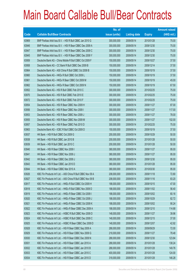|       |                                                              | No. of        |                     |               | <b>Amount raised</b> |
|-------|--------------------------------------------------------------|---------------|---------------------|---------------|----------------------|
| Code  | <b>Callable Bull/Bear Contracts</b>                          | issue (units) | <b>Listing date</b> | <b>Expiry</b> | (HK\$ mil.)          |
| 63969 | BNP Paribas Arbit Issu B.V. - HSI R Bull CBBC Jan 2010 G     | 300,000,000   | 2009/05/14          | 2010/01/28    | 75.00                |
| 63946 | BNP Paribas Arbit Issu B.V. - HSI R Bear CBBC Dec 2009 A     | 300,000,000   | 2009/05/14          | 2009/12/30    | 75.00                |
| 63947 | BNP Paribas Arbit Issu B.V. - HSI R Bear CBBC Dec 2009 C     | 300,000,000   | 2009/05/14          | 2009/12/30    | 75.00                |
| 63945 | BNP Paribas Arbit Issu B.V. - HSI R Bear CBBC Dec 2009 Y     | 300,000,000   | 2009/05/14          | 2009/12/30    | 75.00                |
| 63959 | Deutsche Bank AG - China Mobile R Bull CBBC Oct 2009 F       | 150,000,000   | 2009/05/14          | 2009/10/27    | 37.50                |
| 63958 | Deutsche Bank AG - CC Bank R Bull CBBC Dec 2009 B            | 150,000,000   | 2009/05/14          | 2009/12/14    | 37.50                |
| 63964 | Deutsche Bank AG - A50 China R Bull CBBC Oct 2009 B          | 150,000,000   | 2009/05/14          | 2009/10/19    | 37.50                |
| 63960 | Deutsche Bank AG - HKEx R Bull CBBC Oct 2009 L               | 150,000,000   | 2009/05/14          | 2009/10/19    | 37.50                |
| 63961 | Deutsche Bank AG - HKEx R Bear CBBC Oct 2009 M               | 150,000,000   | 2009/05/14          | 2009/10/19    | 45.00                |
| 63962 | Deutsche Bank AG - HKEx R Bear CBBC Oct 2009 N               | 150,000,000   | 2009/05/14          | 2009/10/19    | 67.50                |
| 63952 | Deutsche Bank AG - HSI R Bull CBBC Feb 2010 C                | 300,000,000   | 2009/05/14          | 2010/02/25    | 75.00                |
| 63970 | Deutsche Bank AG - HSI R Bull CBBC Feb 2010 E                | 300,000,000   | 2009/05/14          | 2010/02/25    | 75.00                |
| 63972 | Deutsche Bank AG - HSI R Bull CBBC Feb 2010 F                | 300,000,000   | 2009/05/14          | 2010/02/25    | 75.00                |
| 63954 | Deutsche Bank AG - HSI R Bear CBBC Nov 2009 H                | 300,000,000   | 2009/05/14          | 2009/11/27    | 87.00                |
| 63956 | Deutsche Bank AG - HSI R Bear CBBC Nov 2009 I                | 300,000,000   | 2009/05/14          | 2009/11/27    | 117.00               |
| 63953 | Deutsche Bank AG - HSI R Bear CBBC Nov 2009 J                | 300,000,000   | 2009/05/14          | 2009/11/27    | 78.00                |
| 63955 | Deutsche Bank AG - HSI R Bear CBBC Nov 2009 M                | 300,000,000   | 2009/05/14          | 2009/11/27    | 102.00               |
| 63957 | Deutsche Bank AG - HSI R Bear CBBC Feb 2010 D                | 300,000,000   | 2009/05/14          | 2010/02/25    | 75.00                |
| 63963 | Deutsche Bank AG - ICBC R Bull CBBC Oct 2009 D               | 150,000,000   | 2009/05/14          | 2009/10/19    | 37.50                |
| 63937 | HK Bank - HSI R Bull CBBC Oct 2009 G                         | 200,000,000   | 2009/05/14          | 2009/10/29    | 50.00                |
| 63938 | HK Bank - HSI R Bull CBBC Jan 2010 B                         | 200,000,000   | 2009/05/14          | 2010/01/28    | 50.00                |
| 63939 | HK Bank - HSI R Bull CBBC Jan 2010 C                         | 200,000,000   | 2009/05/14          | 2010/01/28    | 50.00                |
| 63940 | HK Bank - HSI R Bear CBBC Nov 2009 I                         | 380,000,000   | 2009/05/14          | 2009/11/27    | 95.00                |
| 63941 | HK Bank - HSI R Bear CBBC Nov 2009 J                         | 380,000,000   | 2009/05/14          | 2009/11/27    | 95.00                |
| 63942 | HK Bank - HSI R Bear CBBC Dec 2009 J                         | 380,000,000   | 2009/05/14          | 2009/12/30    | 95.00                |
| 63943 | HK Bank - HSI R Bear CBBC Jan 2010 D                         | 380,000,000   | 2009/05/14          | 2010/01/28    | 95.00                |
| 63944 | HK Bank - HSI R Bear CBBC Mar 2010 A                         | 380,000,000   | 2009/05/14          | 2010/03/30    | 95.00                |
| 63926 | KBC Fin Products Int'l Ltd. - A50 China R Bull CBBC Nov 09 A | 208,000,000   | 2009/05/14          | 2009/11/18    | 72.80                |
| 63927 | KBC Fin Products Int'l Ltd. - A50 China R Bull CBBC Nov 09 B | 208,000,000   | 2009/05/14          | 2009/11/16    | 83.20                |
| 63917 | KBC Fin Products Int'l Ltd. - HKEx R Bull CBBC Oct 2009 H    | 188,000,000   | 2009/05/14          | 2009/10/15    | 47.00                |
| 63918 | KBC Fin Products Int'l Ltd. - HKEx R Bull CBBC Nov 2009 D    | 188,000,000   | 2009/05/14          | 2009/11/02    | 56.40                |
| 63919 | KBC Fin Products Int'l Ltd. - HKEx R Bear CBBC Oct 2009 I    | 188,000,000   | 2009/05/14          | 2009/10/02    | 60.16                |
| 63920 | KBC Fin Products Int'l Ltd. - HKEx R Bear CBBC Oct 2009 J    | 188,000,000   | 2009/05/14          | 2009/10/29    | 82.72                |
| 63921 | KBC Fin Products Int'l Ltd. - HKEx R Bear CBBC Oct 2009 K    | 188,000,000   | 2009/05/14          | 2009/10/02    | 90.24                |
| 63922 | KBC Fin Products Int'l Ltd. - HKEx R Bear CBBC Dec 2009 A    | 188,000,000   | 2009/05/14          | 2009/12/10    | 114.68               |
| 63923 | KBC Fin Products Int'l Ltd. - HSBC R Bull CBBC Nov 2009 D    | 148,000,000   | 2009/05/14          | 2009/11/27    | 39.96                |
| 63924 | KBC Fin Products Int'l Ltd. - HSBC R Bull CBBC Dec 2009 C    | 148,000,000   | 2009/05/14          | 2009/12/15    | 37.00                |
| 63925 | KBC Fin Products Int'l Ltd. - HSBC R Bear CBBC Dec 2009 D    | 148,000,000   | 2009/05/14          | 2009/12/07    | 42.92                |
| 63928 | KBC Fin Products Int'l Ltd. - HSI R Bear CBBC Sep 2009 A     | 288,000,000   | 2009/05/14          | 2009/09/29    | 72.00                |
| 63929 | KBC Fin Products Int'l Ltd. - HSI R Bear CBBC Nov 2009 G     | 218,000,000   | 2009/05/14          | 2009/11/27    | 78.48                |
| 63930 | KBC Fin Products Int'l Ltd. - HSI R Bear CBBC Dec 2009 N     | 288,000,000   | 2009/05/14          | 2009/12/30    | 123.84               |
| 63931 | KBC Fin Products Int'l Ltd. - HSI R Bear CBBC Jan 2010 A     | 288,000,000   | 2009/05/14          | 2010/01/28    | 138.24               |
| 63932 | KBC Fin Products Int'l Ltd. - HSI R Bear CBBC Jan 2010 B     | 288,000,000   | 2009/05/14          | 2010/01/28    | 149.76               |
| 63933 | KBC Fin Products Int'l Ltd. - HSI R Bear CBBC Jan 2010 C     | 400,000,000   | 2009/05/14          | 2010/01/28    | 124.00               |
| 63934 | KBC Fin Products Int'l Ltd. - HSI R Bear CBBC Jan 2010 D     | 318,000,000   | 2009/05/14          | 2010/01/28    | 146.28               |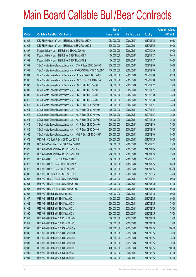|       |                                                                | No. of        |                     |               | <b>Amount raised</b> |
|-------|----------------------------------------------------------------|---------------|---------------------|---------------|----------------------|
| Code  | <b>Callable Bull/Bear Contracts</b>                            | issue (units) | <b>Listing date</b> | <b>Expiry</b> | (HK\$ mil.)          |
| 63935 | KBC Fin Products Int'l Ltd. - HSI R Bear CBBC Feb 2010 A       | 288,000,000   | 2009/05/14          | 2010/02/25    | 169.63               |
| 63936 | KBC Fin Products Int'l Ltd. - HSI R Bear CBBC Feb 2010 B       | 600,000,000   | 2009/05/14          | 2010/02/25    | 150.00               |
| 63897 | Macquarie Bank Ltd. - HSI R Bull CBBC Oct 2009 G               | 400,000,000   | 2009/05/14          | 2009/10/29    | 100.00               |
| 63898 | Macquarie Bank Ltd. - HSI R Bear CBBC Nov 2009 F               | 400,000,000   | 2009/05/14          | 2009/11/27    | 100.40               |
| 63901 | Macquarie Bank Ltd. - HSI R Bear CBBC Nov 2009 G               | 400,000,000   | 2009/05/14          | 2009/11/27    | 100.00               |
| 63902 | SGA Societe Generale Acceptance N.V. - CTel R Bear CBBC Dec09D | 200,000,000   | 2009/05/14          | 2009/12/09    | 50.00                |
| 63903 | SGA Societe Generale Acceptance N.V - CNOOC R Bear CBBC Dec09C | 150,000,000   | 2009/05/14          | 2009/12/09    | 51.00                |
| 63904 | SGA Societe Generale Acceptance N.V. - HKEx R Bear CBBC Dec09F | 200,000,000   | 2009/05/14          | 2009/12/09    | 62.00                |
| 63905 | SGA Societe Generale Acceptance N.V. - HSBC R Bull CBBC Dec09A | 200,000,000   | 2009/05/14          | 2009/12/09    | 50.00                |
| 63907 | SGA Societe Generale Acceptance N.V. - HSI R Bull CBBC Nov09E  | 300,000,000   | 2009/05/14          | 2009/11/27    | 75.00                |
| 63908 | SGA Societe Generale Acceptance N.V. - HSI R Bull CBBC Nov09F  | 300,000,000   | 2009/05/14          | 2009/11/27    | 75.00                |
| 63909 | SGA Societe Generale Acceptance N.V. - HSI R Bull CBBC Dec09E  | 300,000,000   | 2009/05/14          | 2009/12/30    | 75.00                |
| 63910 | SGA Societe Generale Acceptance N.V. - HSI R Bull CBBC Dec09F  | 300,000,000   | 2009/05/14          | 2009/12/30    | 75.00                |
| 63913 | SGA Societe Generale Acceptance N.V. - HSI R Bear CBBC Nov09G  | 300,000,000   | 2009/05/14          | 2009/11/27    | 75.00                |
| 63911 | SGA Societe Generale Acceptance N.V. - HSI R Bear CBBC Nov09K  | 300,000,000   | 2009/05/14          | 2009/11/27    | 75.00                |
| 63912 | SGA Societe Generale Acceptance N.V. - HSI R Bear CBBC Nov09M  | 300,000,000   | 2009/05/14          | 2009/11/27    | 75.00                |
| 63914 | SGA Societe Generale Acceptance N.V. - HSI R Bear CBBC Dec09G  | 300,000,000   | 2009/05/14          | 2009/12/30    | 75.00                |
| 63915 | SGA Societe Generale Acceptance N.V. - HSI R Bear CBBC Dec09H  | 300,000,000   | 2009/05/14          | 2009/12/30    | 75.00                |
| 63916 | SGA Societe Generale Acceptance N.V. - HSI R Bear CBBC Dec091  | 300,000,000   | 2009/05/14          | 2009/12/30    | 75.00                |
| 63906 | SGA Societe Generale Acceptance N.V. - HWL R Bear CBBC Dec09A  | 200,000,000   | 2009/05/14          | 2009/12/09    | 50.00                |
| 63973 | UBS AG - CC Bank R Bear CBBC Jan 2010 B                        | 200,000,000   | 2009/05/14          | 2010/01/25    | 50.00                |
| 63974 | UBS AG - China Life R Bull CBBC Dec 2009 D                     | 300,000,000   | 2009/05/14          | 2009/12/21    | 75.00                |
| 63975 | UBS AG - CNOOC R Bear CBBC Jan 2010 A                          | 200,000,000   | 2009/05/14          | 2010/01/25    | 63.00                |
| 63976 | UBS AG - CNOOC R Bear CBBC Jan 2010 B                          | 200,000,000   | 2009/05/14          | 2010/01/25    | 73.00                |
| 63977 | UBS AG - HKEx R Bull CBBC Dec 2009 H                           | 300,000,000   | 2009/05/14          | 2009/12/21    | 75.00                |
| 63978 | UBS AG - HKEx R Bear CBBC Jan 2010 A                           | 300,000,000   | 2009/05/14          | 2010/01/25    | 88.50                |
| 63979 | UBS AG - HKEx R Bear CBBC Jan 2010 B                           | 300,000,000   | 2009/05/14          | 2010/01/25    | 103.50               |
| 63980 | UBS AG - HSBC R Bull CBBC Dec 2009 J                           | 300,000,000   | 2009/05/14          | 2009/12/14    | 75.00                |
| 63983 | UBS AG - HSCEI R Bear CBBC Nov 2009 N                          | 200,000,000   | 2009/05/14          | 2009/11/27    | 50.00                |
| 63984 | UBS AG - HSCEI R Bear CBBC Mar 2010 R                          | 200,000,000   | 2009/05/14          | 2010/03/30    | 57.00                |
| 63985 | UBS AG - HSCEI R Bear CBBC Mar 2010 S                          | 200,000,000   | 2009/05/14          | 2010/03/30    | 66.00                |
| 63986 | UBS AG - HSI R Bull CBBC Feb 2010 I                            | 400,000,000   | 2009/05/14          | 2010/02/25    | 100.00               |
| 63987 | UBS AG - HSI R Bull CBBC Feb 2010 J                            | 400,000,000   | 2009/05/14          | 2010/02/25    | 100.00               |
| 63988 | UBS AG - HSI R Bull CBBC Feb 2010 K                            | 300,000,000   | 2009/05/14          | 2010/02/25    | 75.00                |
| 63989 | UBS AG - HSI R Bull CBBC Feb 2010 L                            | 300,000,000   | 2009/05/14          | 2010/02/25    | 75.00                |
| 63990 | UBS AG - HSI R Bull CBBC Feb 2010 M                            | 300,000,000   | 2009/05/14          | 2010/02/25    | 75.00                |
| 63948 | UBS AG - HSI R Bear CBBC Jan 2010 W                            | 300,000,000   | 2009/05/14          | 2010/01/28    | 75.00                |
| 63949 | UBS AG - HSI R Bear CBBC Jan 2010 X                            | 300,000,000   | 2009/05/14          | 2010/01/28    | 75.00                |
| 63995 | UBS AG - HSI R Bear CBBC Feb 2010 A                            | 400,000,000   | 2009/05/14          | 2010/02/25    | 100.00               |
| 63996 | UBS AG - HSI R Bear CBBC Feb 2010 B                            | 300,000,000   | 2009/05/14          | 2010/02/25    | 75.00                |
| 63997 | UBS AG - HSI R Bear CBBC Feb 2010 C                            | 300,000,000   | 2009/05/14          | 2010/02/25    | 75.00                |
| 63998 | UBS AG - HSI R Bear CBBC Feb 2010 D                            | 300,000,000   | 2009/05/14          | 2010/02/25    | 75.00                |
| 63999 | UBS AG - HSI R Bear CBBC Feb 2010 E                            | 400,000,000   | 2009/05/14          | 2010/02/25    | 100.00               |
| 64000 | UBS AG - HSI R Bear CBBC Feb 2010 F                            | 300,000,000   | 2009/05/14          | 2010/02/25    | 84.00                |
| 64001 | UBS AG - HSI R Bear CBBC Feb 2010 G                            | 300,000,000   | 2009/05/14          | 2010/02/25    | 102.00               |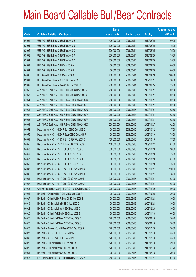|       |                                                          | No. of        |                     |               | <b>Amount raised</b> |
|-------|----------------------------------------------------------|---------------|---------------------|---------------|----------------------|
| Code  | <b>Callable Bull/Bear Contracts</b>                      | issue (units) | <b>Listing date</b> | <b>Expiry</b> | $(HK$$ mil.)         |
| 64002 | UBS AG - HSI R Bear CBBC Feb 2010 H                      | 400,000,000   | 2009/05/14          | 2010/02/25    | 100.00               |
| 63991 | UBS AG - HSI R Bear CBBC Feb 2010 N                      | 300,000,000   | 2009/05/14          | 2010/02/25    | 75.00                |
| 63992 | UBS AG - HSI R Bear CBBC Feb 2010 O                      | 300,000,000   | 2009/05/14          | 2010/02/25    | 75.00                |
| 63993 | UBS AG - HSI R Bear CBBC Feb 2010 P                      | 300,000,000   | 2009/05/14          | 2010/02/25    | 75.00                |
| 63994 | UBS AG - HSI R Bear CBBC Feb 2010 Q                      | 300,000,000   | 2009/05/14          | 2010/02/25    | 75.00                |
| 64003 | UBS AG - HSI R Bear CBBC Apr 2010 A                      | 400,000,000   | 2009/05/14          | 2010/04/29    | 100.00               |
| 64004 | UBS AG - HSI R Bear CBBC Apr 2010 B                      | 400,000,000   | 2009/05/14          | 2010/04/29    | 100.00               |
| 64005 | UBS AG - HSI R Bear CBBC Apr 2010 C                      | 400,000,000   | 2009/05/14          | 2010/04/29    | 100.00               |
| 63981 | UBS AG - Petrochina R Bull CBBC Dec 2009 D               | 200,000,000   | 2009/05/14          | 2009/12/21    | 50.00                |
| 63982 | UBS AG - Petrochina R Bear CBBC Jan 2010 B               | 200,000,000   | 2009/05/14          | 2010/01/25    | 55.00                |
| 64062 | ABN AMRO Bank N.V. - HSI R Bull CBBC Nov 2009 Q          | 250,000,000   | 2009/05/15          | 2009/11/27    | 62.50                |
| 64063 | ABN AMRO Bank N.V. - HSI R Bull CBBC Nov 2009 R          | 250,000,000   | 2009/05/15          | 2009/11/27    | 62.50                |
| 64064 | ABN AMRO Bank N.V. - HSI R Bear CBBC Nov 2009 S          | 250,000,000   | 2009/05/15          | 2009/11/27    | 62.50                |
| 64065 | ABN AMRO Bank N.V. - HSI R Bear CBBC Nov 2009 T          | 250,000,000   | 2009/05/15          | 2009/11/27    | 62.50                |
| 64066 | ABN AMRO Bank N.V. - HSI R Bear CBBC Nov 2009 U          | 250,000,000   | 2009/05/15          | 2009/11/27    | 62.50                |
| 64067 | ABN AMRO Bank N.V. - HSI R Bear CBBC Nov 2009 V          | 250,000,000   | 2009/05/15          | 2009/11/27    | 62.50                |
| 64068 | ABN AMRO Bank N.V. - HSI R Bear CBBC Nov 2009 W          | 250,000,000   | 2009/05/15          | 2009/11/27    | 62.50                |
| 64069 | ABN AMRO Bank N.V. - HSI R Bear CBBC Nov 2009 X          | 250,000,000   | 2009/05/15          | 2009/11/27    | 62.50                |
| 64052 | Deutsche Bank AG - HKEx R Bull CBBC Oct 2009 O           | 150,000,000   | 2009/05/15          | 2009/10/12    | 37.50                |
| 64056 | Deutsche Bank AG - HKEx R Bear CBBC Oct 2009 P           | 150,000,000   | 2009/05/15          | 2009/10/19    | 75.00                |
| 64051 | Deutsche Bank AG - HSBC R Bull CBBC Oct 2009 C           | 150,000,000   | 2009/05/15          | 2009/10/19    | 37.50                |
| 64055 | Deutsche Bank AG - HSBC R Bear CBBC Oct 2009 D           | 150,000,000   | 2009/05/15          | 2009/10/27    | 67.50                |
| 64048 | Deutsche Bank AG - HSI R Bull CBBC Oct 2009 G            | 300,000,000   | 2009/05/15          | 2009/10/29    | 96.00                |
| 64049 | Deutsche Bank AG - HSI R Bull CBBC Oct 2009 H            | 300,000,000   | 2009/05/15          | 2009/10/29    | 75.00                |
| 64047 | Deutsche Bank AG - HSI R Bull CBBC Oct 2009 J            | 300,000,000   | 2009/05/15          | 2009/10/29    | 87.00                |
| 64050 | Deutsche Bank AG - HSI R Bull CBBC Oct 2009 V            | 300,000,000   | 2009/05/15          | 2009/10/29    | 75.00                |
| 64038 | Deutsche Bank AG - HSI R Bear CBBC Nov 2009 G            | 300,000,000   | 2009/05/15          | 2009/11/27    | 120.00               |
| 64035 | Deutsche Bank AG - HSI R Bear CBBC Nov 2009 O            | 300,000,000   | 2009/05/15          | 2009/11/27    | 78.00                |
| 64036 | Deutsche Bank AG - HSI R Bear CBBC Nov 2009 S            | 300,000,000   | 2009/05/15          | 2009/11/27    | 93.00                |
| 64037 | Deutsche Bank AG - HSI R Bear CBBC Nov 2009 U            | 300,000,000   | 2009/05/15          | 2009/11/27    | 108.00               |
| 64053 | Goldman Sachs SP (Asia) - HSI R Bull CBBC Dec 2009 G     | 200,000,000   | 2009/05/15          | 2009/12/30    | 50.00                |
| 64021 | HK Bank - China Mobile R Bull CBBC Oct 2009 A            | 120,000,000   | 2009/05/15          | 2009/10/28    | 30.00                |
| 64027 | HK Bank - China Mobile R Bear CBBC Oct 2009 B            | 120,000,000   | 2009/05/15          | 2009/10/28    | 30.00                |
| 64019 | HK Bank - CC Bank R Bull CBBC Dec 2009 C                 | 120,000,000   | 2009/05/15          | 2009/12/28    | 30.00                |
| 64024 | HK Bank - CC Bank R Bear CBBC Dec 2009 D                 | 120,000,000   | 2009/05/15          | 2009/12/28    | 30.00                |
| 64020 | HK Bank - China Life R Bull CBBC Nov 2009 B              | 120,000,000   | 2009/05/15          | 2009/11/18    | 66.00                |
| 64025 | HK Bank - China Life R Bear CBBC Sep 2009 B              | 120,000,000   | 2009/05/15          | 2009/09/18    | 56.40                |
| 64026 | HK Bank - China Life R Bear CBBC Sep 2009 C              | 120,000,000   | 2009/05/15          | 2009/09/18    | 78.00                |
| 64028 | HK Bank - Sinopec Corp R Bear CBBC Dec 2009 A            | 120,000,000   | 2009/05/15          | 2009/12/28    | 30.00                |
| 64023 | HK Bank - A50 R Bull CBBC Dec 2009 A                     | 120,000,000   | 2009/05/15          | 2009/12/18    | 33.60                |
| 64030 | HK Bank - A50 R Bear CBBC Dec 2009 B                     | 120,000,000   | 2009/05/15          | 2009/12/18    | 33.60                |
| 64022 | HK Bank - HKEx R Bull CBBC Feb 2010 A                    | 120,000,000   | 2009/05/15          | 2010/02/18    | 39.60                |
| 64029 | HK Bank - HKEx R Bear CBBC Feb 2010 B                    | 120,000,000   | 2009/05/15          | 2010/02/18    | 37.20                |
| 64031 | HK Bank - HKEx R Bear CBBC Feb 2010 C                    | 120,000,000   | 2009/05/15          | 2010/02/18    | 30.00                |
| 64046 | KBC Fin Products Int'l Ltd. - HSI R Bull CBBC Nov 2009 O | 268,000,000   | 2009/05/15          | 2009/11/27    | 67.00                |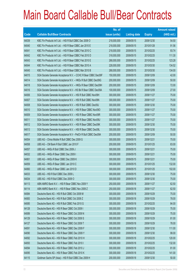|       |                                                                | No. of        |                     |               | <b>Amount raised</b> |
|-------|----------------------------------------------------------------|---------------|---------------------|---------------|----------------------|
| Code  | <b>Callable Bull/Bear Contracts</b>                            | issue (units) | <b>Listing date</b> | <b>Expiry</b> | $(HK$$ mil.)         |
| 64039 | KBC Fin Products Int'l Ltd. - HSI R Bull CBBC Dec 2009 O       | 218,000,000   | 2009/05/15          | 2009/12/30    | 54.50                |
| 64040 | KBC Fin Products Int'l Ltd. - HSI R Bear CBBC Jan 2010 E       | 218,000,000   | 2009/05/15          | 2010/01/28    | 91.56                |
| 64041 | KBC Fin Products Int'l Ltd. - HSI R Bear CBBC Feb 2010 C       | 218,000,000   | 2009/05/15          | 2010/02/25    | 93.74                |
| 64042 | KBC Fin Products Int'l Ltd. - HSI R Bear CBBC Feb 2010 D       | 318,000,000   | 2009/05/15          | 2010/02/25    | 111.30               |
| 64043 | KBC Fin Products Int'l Ltd. - HSI R Bear CBBC Feb 2010 E       | 268,000,000   | 2009/05/15          | 2010/02/25    | 123.28               |
| 64044 | KBC Fin Products Int'l Ltd. - HSI R Bear CBBC Mar 2010 A       | 228,000,000   | 2009/05/15          | 2010/03/30    | 134.52               |
| 64045 | KBC Fin Products Int'l Ltd. - HSI R Bear CBBC Mar 2010 B       | 268,000,000   | 2009/05/15          | 2010/03/30    | 134.00               |
| 64015 | SGA Societe Generale Acceptance N.V. - CCHC R Bear CBBC Dec09F | 150,000,000   | 2009/05/15          | 2009/12/09    | 42.00                |
| 64014 | SGA Societe Generale Acceptance N.V. - HKEx R Bull CBBC Dec09G | 200,000,000   | 2009/05/15          | 2009/12/09    | 50.00                |
| 64018 | SGA Societe Generale Acceptance N.V. - HKEx R Bear CBBC Dec09H | 200,000,000   | 2009/05/15          | 2009/12/09    | 72.00                |
| 64016 | SGA Societe Generale Acceptance N.V - HS Bk R Bear CBBC Dec09A | 100,000,000   | 2009/05/15          | 2009/12/09    | 27.00                |
| 64006 | SGA Societe Generale Acceptance N.V. - HSI R Bull CBBC Nov09H  | 300,000,000   | 2009/05/15          | 2009/11/27    | 75.00                |
| 64007 | SGA Societe Generale Acceptance N.V. - HSI R Bull CBBC Nov09N  | 300,000,000   | 2009/05/15          | 2009/11/27    | 75.00                |
| 64008 | SGA Societe Generale Acceptance N.V. - HSI R Bull CBBC Dec09J  | 300,000,000   | 2009/05/15          | 2009/12/30    | 75.00                |
| 64010 | SGA Societe Generale Acceptance N.V. - HSI R Bear CBBC Nov09O  | 300,000,000   | 2009/05/15          | 2009/11/27    | 75.00                |
| 64009 | SGA Societe Generale Acceptance N.V. - HSI R Bear CBBC Nov09R  | 300,000,000   | 2009/05/15          | 2009/11/27    | 75.00                |
| 64011 | SGA Societe Generale Acceptance N.V. - HSI R Bear CBBC Nov09U  | 300,000,000   | 2009/05/15          | 2009/11/27    | 75.00                |
| 64012 | SGA Societe Generale Acceptance N.V. - HSI R Bear CBBC Dec09K  | 300,000,000   | 2009/05/15          | 2009/12/30    | 75.00                |
| 64013 | SGA Societe Generale Acceptance N.V. - HSI R Bear CBBC Dec09L  | 300,000,000   | 2009/05/15          | 2009/12/30    | 75.00                |
| 64017 | SGA Societe Generale Acceptance N.V - PetCh R Bull CBBC Dec09A | 200,000,000   | 2009/05/15          | 2009/12/09    | 50.00                |
| 64054 | UBS AG - China Mobile R Bull CBBC Dec 2009 G                   | 300,000,000   | 2009/05/15          | 2009/12/21    | 75.00                |
| 64058 | UBS AG - CM Bank R Bull CBBC Jan 2010 F                        | 200,000,000   | 2009/05/15          | 2010/01/25    | 83.00                |
| 64057 | UBS AG - HKEx R Bull CBBC Dec 2009 J                           | 300,000,000   | 2009/05/15          | 2009/12/21    | 75.00                |
| 64032 | UBS AG - HKEx R Bear CBBC Dec 2009 I                           | 300,000,000   | 2009/05/15          | 2009/12/21    | 75.00                |
| 64061 | UBS AG - HKEx R Bear CBBC Dec 2009 K                           | 300,000,000   | 2009/05/15          | 2009/12/21    | 75.00                |
| 64059 | UBS AG - HKEx R Bear CBBC Jan 2010 C                           | 300,000,000   | 2009/05/15          | 2010/01/25    | 132.00               |
| 64060 | UBS AG - HKEx R Bear CBBC Jan 2010 D                           | 300,000,000   | 2009/05/15          | 2010/01/25    | 102.00               |
| 64033 | UBS AG - HSI R Bull CBBC Dec 2009 L                            | 300,000,000   | 2009/05/15          | 2009/12/30    | 75.00                |
| 64034 | UBS AG - HSI R Bull CBBC Dec 2009 O                            | 300,000,000   | 2009/05/15          | 2009/12/30    | 75.00                |
| 64113 | ABN AMRO Bank N.V. - HSI R Bear CBBC Nov 2009 Y                | 250,000,000   | 2009/05/18          | 2009/11/27    | 62.50                |
| 64114 | ABN AMRO Bank N.V. - HSI R Bear CBBC Nov 2009 Z                | 250,000,000   | 2009/05/18          | 2009/11/27    | 62.50                |
| 64084 | Deutsche Bank AG - HSI R Bull CBBC Oct 2009 M                  | 300,000,000   | 2009/05/18          | 2009/10/29    | 75.00                |
| 64083 | Deutsche Bank AG - HSI R Bull CBBC Oct 2009 Z                  | 300,000,000   | 2009/05/18          | 2009/10/29    | 78.00                |
| 64085 | Deutsche Bank AG - HSI R Bull CBBC Feb 2010 G                  | 300,000,000   | 2009/05/18          | 2010/02/25    | 84.00                |
| 64128 | Deutsche Bank AG - HSI R Bear CBBC Oct 2009 I                  | 300,000,000   | 2009/05/18          | 2009/10/29    | 75.00                |
| 64089 | Deutsche Bank AG - HSI R Bear CBBC Oct 2009 N                  | 300,000,000   | 2009/05/18          | 2009/10/29    | 75.00                |
| 64129 | Deutsche Bank AG - HSI R Bear CBBC Oct 2009 S                  | 300,000,000   | 2009/05/18          | 2009/10/29    | 81.00                |
| 64127 | Deutsche Bank AG - HSI R Bear CBBC Oct 2009 T                  | 300,000,000   | 2009/05/18          | 2009/10/29    | 78.00                |
| 64091 | Deutsche Bank AG - HSI R Bear CBBC Dec 2009 F                  | 300,000,000   | 2009/05/18          | 2009/12/30    | 111.00               |
| 64090 | Deutsche Bank AG - HSI R Bear CBBC Dec 2009 Y                  | 300,000,000   | 2009/05/18          | 2009/12/30    | 99.00                |
| 64092 | Deutsche Bank AG - HSI R Bear CBBC Feb 2010 H                  | 300,000,000   | 2009/05/18          | 2010/02/25    | 120.00               |
| 64093 | Deutsche Bank AG - HSI R Bear CBBC Feb 2010 I                  | 300,000,000   | 2009/05/18          | 2010/02/25    | 132.00               |
| 64094 | Deutsche Bank AG - HSI R Bear CBBC Feb 2010 J                  | 300,000,000   | 2009/05/18          | 2010/02/25    | 81.00                |
| 64095 | Deutsche Bank AG - HSI R Bear CBBC Feb 2010 K                  | 300,000,000   | 2009/05/18          | 2010/02/25    | 141.00               |
| 64115 | Goldman Sachs SP (Asia) - HSI R Bull CBBC Dec 2009 H           | 200,000,000   | 2009/05/18          | 2009/12/30    | 50.00                |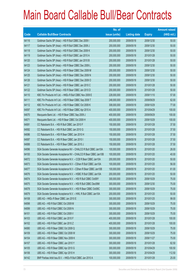|       |                                                                | No. of        |                     |               | <b>Amount raised</b> |
|-------|----------------------------------------------------------------|---------------|---------------------|---------------|----------------------|
| Code  | <b>Callable Bull/Bear Contracts</b>                            | issue (units) | <b>Listing date</b> | <b>Expiry</b> | $(HK$$ mil.)         |
| 64116 | Goldman Sachs SP (Asia) - HSI R Bull CBBC Dec 2009 I           | 200,000,000   | 2009/05/18          | 2009/12/30    | 50.00                |
| 64117 | Goldman Sachs SP (Asia) - HSI R Bull CBBC Dec 2009 J           | 200,000,000   | 2009/05/18          | 2009/12/30    | 50.00                |
| 64118 | Goldman Sachs SP (Asia) - HSI R Bull CBBC Dec 2009 K           | 200,000,000   | 2009/05/18          | 2009/12/30    | 50.00                |
| 64119 | Goldman Sachs SP (Asia) - HSI R Bull CBBC Jan 2010 A           | 200,000,000   | 2009/05/18          | 2010/01/28    | 50.00                |
| 64120 | Goldman Sachs SP (Asia) - HSI R Bull CBBC Jan 2010 B           | 200,000,000   | 2009/05/18          | 2010/01/28    | 50.00                |
| 64123 | Goldman Sachs SP (Asia) - HSI R Bear CBBC Dec 2009 L           | 200,000,000   | 2009/05/18          | 2009/12/30    | 50.00                |
| 64124 | Goldman Sachs SP (Asia) - HSI R Bear CBBC Dec 2009 M           | 200,000,000   | 2009/05/18          | 2009/12/30    | 50.00                |
| 64125 | Goldman Sachs SP (Asia) - HSI R Bear CBBC Dec 2009 N           | 200,000,000   | 2009/05/18          | 2009/12/30    | 50.00                |
| 64126 | Goldman Sachs SP (Asia) - HSI R Bear CBBC Dec 2009 O           | 200,000,000   | 2009/05/18          | 2009/12/30    | 50.00                |
| 64121 | Goldman Sachs SP (Asia) - HSI R Bear CBBC Jan 2010 C           | 200,000,000   | 2009/05/18          | 2010/01/28    | 50.00                |
| 64122 | Goldman Sachs SP (Asia) - HSI R Bear CBBC Jan 2010 D           | 200,000,000   | 2009/05/18          | 2010/01/28    | 50.00                |
| 64110 | KBC Fin Products Int'l Ltd. - HKEx R Bull CBBC Nov 2009 E      | 228,000,000   | 2009/05/18          | 2009/11/10    | 57.00                |
| 64111 | KBC Fin Products Int'l Ltd. - HSI R Bear CBBC Sep 2009 T       | 248,000,000   | 2009/05/18          | 2009/09/29    | 62.00                |
| 64112 | KBC Fin Products Int'l Ltd. - HSI R Bear CBBC Oct 2009 K       | 308,000,000   | 2009/05/18          | 2009/10/29    | 77.00                |
| 64097 | KBC Fin Products Int'l Ltd. - HSI R Bear CBBC Apr 2010 A       | 400,000,000   | 2009/05/18          | 2010/04/29    | 100.00               |
| 64070 | Macquarie Bank Ltd. - HSI R Bear CBBC Sep 2009 J               | 400,000,000   | 2009/05/18          | 2009/09/29    | 100.00               |
| 64071 | Macquarie Bank Ltd. - HSI R Bear CBBC Oct 2009 H               | 400,000,000   | 2009/05/18          | 2009/10/29    | 100.00               |
| 64081 | CC Rabobank B.A. - HSI R Bull CBBC Jan 2010 F                  | 150,000,000   | 2009/05/18          | 2010/01/28    | 37.50                |
| 64082 | CC Rabobank B.A. - HSI R Bull CBBC Jan 2010 G                  | 150,000,000   | 2009/05/18          | 2010/01/28    | 37.50                |
| 64086 | CC Rabobank B.A. - HSI R Bear CBBC Jan 2010 H                  | 150,000,000   | 2009/05/18          | 2010/01/28    | 37.50                |
| 64087 | CC Rabobank B.A. - HSI R Bear CBBC Jan 2010 I                  | 150,000,000   | 2009/05/18          | 2010/01/28    | 37.50                |
| 64088 | CC Rabobank B.A. - HSI R Bear CBBC Jan 2010 J                  | 150,000,000   | 2009/05/18          | 2010/01/28    | 37.50                |
| 64096 | SGA Societe Generale Acceptance NV - CHALCO R Bull CBBC Jan10A | 100,000,000   | 2009/05/18          | 2010/01/20    | 26.00                |
| 64100 | SGA Societe Generale Acceptance NV - CHALCO R Bear CBBC Jan10B | 100,000,000   | 2009/05/18          | 2010/01/20    | 40.00                |
| 64072 | SGA Societe Generale Acceptance N.V. - CCB R Bear CBBC Jan10A  | 200,000,000   | 2009/05/18          | 2010/01/20    | 50.00                |
| 64073 | SGA Societe Generale Acceptance N.V - CShen R Bull CBBC Jan10A | 100,000,000   | 2009/05/18          | 2010/01/20    | 56.00                |
| 64077 | SGA Societe Generale Acceptance N.V - CShen R Bear CBBC Jan10B | 100,000,000   | 2009/05/18          | 2010/01/20    | 61.00                |
| 64076 | SGA Societe Generale Acceptance N.V. - HSBC R Bull CBBC Jan10A | 200,000,000   | 2009/05/18          | 2010/01/20    | 50.00                |
| 64074 | SGA Societe Generale Acceptance N.V. - HSI R Bull CBBC Oct09Y  | 300,000,000   | 2009/05/18          | 2009/10/29    | 75.00                |
| 64075 | SGA Societe Generale Acceptance N.V. - HSI R Bull CBBC Dec09M  | 300,000,000   | 2009/05/18          | 2009/12/30    | 75.00                |
| 64078 | SGA Societe Generale Acceptance N.V. - HSI R Bear CBBC Oct09C  | 300,000,000   | 2009/05/18          | 2009/10/29    | 75.00                |
| 64079 | SGA Societe Generale Acceptance N.V. - HWL R Bull CBBC Jan10A  | 200,000,000   | 2009/05/18          | 2010/01/20    | 50.00                |
| 64108 | UBS AG - HKEx R Bear CBBC Jan 2010 E                           | 300,000,000   | 2009/05/18          | 2010/01/25    | 99.00                |
| 64098 | UBS AG - HSI R Bull CBBC Oct 2009 M                            | 300,000,000   | 2009/05/18          | 2009/10/29    | 75.00                |
| 64099 | UBS AG - HSI R Bull CBBC Oct 2009 N                            | 300,000,000   | 2009/05/18          | 2009/10/29    | 75.00                |
| 64101 | UBS AG - HSI R Bull CBBC Oct 2009 V                            | 300,000,000   | 2009/05/18          | 2009/10/29    | 75.00                |
| 64103 | UBS AG - HSI R Bull CBBC Jan 2010 F                            | 400,000,000   | 2009/05/18          | 2010/01/28    | 100.00               |
| 64102 | UBS AG - HSI R Bull CBBC Jan 2010 Z                            | 400,000,000   | 2009/05/18          | 2010/01/28    | 100.00               |
| 64080 | UBS AG - HSI R Bear CBBC Oct 2009 Q                            | 300,000,000   | 2009/05/18          | 2009/10/29    | 75.00                |
| 64109 | UBS AG - HSI R Bear CBBC Oct 2009 W                            | 300,000,000   | 2009/05/18          | 2009/10/29    | 75.00                |
| 64104 | UBS AG - HSI R Bear CBBC Nov 2009 K                            | 300,000,000   | 2009/05/18          | 2009/11/27    | 75.00                |
| 64107 | UBS AG - HSI R Bear CBBC Jan 2010 Y                            | 300,000,000   | 2009/05/18          | 2010/01/28    | 82.50                |
| 64105 | UBS AG - HSI R Bear CBBC Apr 2010 G                            | 300,000,000   | 2009/05/18          | 2010/04/29    | 100.50               |
| 64106 | UBS AG - HSI R Bear CBBC Apr 2010 H                            | 300,000,000   | 2009/05/18          | 2010/04/29    | 112.50               |
| 64142 | BNP Paribas Arbit Issu B.V. - HKEx R Bull CBBC Jan 2010 A      | 100,000,000   | 2009/05/19          | 2010/01/28    | 25.00                |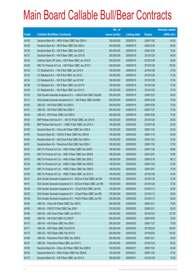|       |                                                                | No. of        |                     |               | <b>Amount raised</b> |
|-------|----------------------------------------------------------------|---------------|---------------------|---------------|----------------------|
| Code  | <b>Callable Bull/Bear Contracts</b>                            | issue (units) | <b>Listing date</b> | <b>Expiry</b> | $(HK$$ mil.)         |
| 64145 | Deutsche Bank AG - HKEx R Bear CBBC Nov 2009 A                 | 150,000,000   | 2009/05/19          | 2009/11/02    | 42.00                |
| 64136 | Deutsche Bank AG - HSI R Bear CBBC Dec 2009 U                  | 300,000,000   | 2009/05/19          | 2009/12/30    | 84.00                |
| 64135 | Deutsche Bank AG - HSI R Bear CBBC Dec 2009 Z                  | 300,000,000   | 2009/05/19          | 2009/12/30    | 75.00                |
| 64137 | Deutsche Bank AG - HSI R Bear CBBC Jan 2010 M                  | 300,000,000   | 2009/05/19          | 2010/01/28    | 90.00                |
| 64143 | Goldman Sachs SP (Asia) - HSI R Bear CBBC Jan 2010 E           | 200,000,000   | 2009/05/19          | 2010/01/28    | 50.00                |
| 64146 | KBC Fin Products Int'l Ltd. - HSI R Bear CBBC Jan 2010 F       | 400,000,000   | 2009/05/19          | 2010/01/28    | 100.00               |
| 64132 | CC Rabobank B.A. - HSI R Bull CBBC Jan 2010 K                  | 150,000,000   | 2009/05/19          | 2010/01/28    | 37.50                |
| 64133 | CC Rabobank B.A. - HSI R Bull CBBC Jan 2010 L                  | 150,000,000   | 2009/05/19          | 2010/01/28    | 37.50                |
| 64134 | CC Rabobank B.A. - HSI R Bull CBBC Jan 2010 M                  | 150,000,000   | 2009/05/19          | 2010/01/28    | 37.50                |
| 64138 | CC Rabobank B.A. - HSI R Bear CBBC Jan 2010 N                  | 150,000,000   | 2009/05/19          | 2010/01/28    | 37.50                |
| 64139 | CC Rabobank B.A. - HSI R Bear CBBC Jan 2010 O                  | 150,000,000   | 2009/05/19          | 2010/01/28    | 37.50                |
| 64130 | SGA Societe Generale Acceptance N.V. - CMob R Bull CBBC Dec09D | 200,000,000   | 2009/05/19          | 2009/12/23    | 50.00                |
| 64131 | SGA Societe Generale Acceptance N.V. - HSI R Bear CBBC Dec09N  | 300,000,000   | 2009/05/19          | 2009/12/30    | 75.00                |
| 64140 | UBS AG - HSI R Bull CBBC Oct 2009 X                            | 300,000,000   | 2009/05/19          | 2009/10/29    | 75.00                |
| 64141 | UBS AG - HSI R Bull CBBC Nov 2009 H                            | 300,000,000   | 2009/05/19          | 2009/11/27    | 75.00                |
| 64144 | UBS AG - HSI R Bear CBBC Oct 2009 D                            | 300,000,000   | 2009/05/19          | 2009/10/29    | 75.00                |
| 64163 | BNP Paribas Arbit Issu B.V. - A50 Ch R Bull CBBC Jan 2010 A    | 100,000,000   | 2009/05/20          | 2010/01/29    | 25.00                |
| 64162 | BNP Paribas Arbit Issu B.V. - HSBC R Bull CBBC Jan 2010 A      | 100,000,000   | 2009/05/20          | 2010/01/29    | 25.00                |
| 64159 | Deutsche Bank AG - China Life R Bear CBBC Nov 2009 A           | 150,000,000   | 2009/05/20          | 2009/11/02    | 52.50                |
| 64150 | Deutsche Bank AG - CNOOC R Bear CBBC Nov 2009 B                | 150,000,000   | 2009/05/20          | 2009/11/16    | 60.00                |
| 64160 | Deutsche Bank AG - A50 China R Bull CBBC Nov 2009 A            | 150,000,000   | 2009/05/20          | 2009/11/02    | 37.50                |
| 64161 | Deutsche Bank AG - Petrochina R Bull CBBC Nov 2009 A           | 150,000,000   | 2009/05/20          | 2009/11/02    | 37.50                |
| 64153 | KBC Fin Products Int'l Ltd. - HKEx R Bear CBBC Nov 2009 F      | 188,000,000   | 2009/05/20          | 2009/11/02    | 95.88                |
| 64154 | KBC Fin Products Int'l Ltd. - HKEx R Bear CBBC Dec 2009 B      | 188,000,000   | 2009/05/20          | 2009/12/01    | 78.96                |
| 64155 | KBC Fin Products Int'l Ltd. - HKEx R Bear CBBC Dec 2009 C      | 168,000,000   | 2009/05/20          | 2009/12/18    | 99.12                |
| 64156 | KBC Fin Products Int'l Ltd. - HSBC R Bear CBBC Nov 2009 E      | 148,000,000   | 2009/05/20          | 2009/11/05    | 37.00                |
| 64157 | KBC Fin Products Int'l Ltd. - HSBC R Bear CBBC Dec 2009 E      | 148,000,000   | 2009/05/20          | 2009/12/01    | 37.00                |
| 64158 | KBC Fin Products Int'l Ltd. - HSBC R Bear CBBC Jan 2010 A      | 148,000,000   | 2009/05/20          | 2010/01/08    | 44.40                |
| 64147 | SGA Societe Generale Acceptance N.V - BOCom R Bull CBBC Jan10A | 150,000,000   | 2009/05/20          | 2010/01/20    | 37.50                |
| 64151 | SGA Societe Generale Acceptance N.V - BOCom R Bear CBBC Jan10B | 150,000,000   | 2009/05/20          | 2010/01/20    | 37.50                |
| 64148 | SGA Societe Generale Acceptance N.V - CCoal R Bull CBBC Jan10A | 100,000,000   | 2009/05/20          | 2010/01/13    | 25.00                |
| 64152 | SGA Societe Generale Acceptance N.V - CCoal R Bear CBBC Jan10B | 100,000,000   | 2009/05/20          | 2010/01/13    | 28.00                |
| 64149 | SGA Societe Generale Acceptance N.V - PetCh R Bear CBBC Jan10A | 200,000,000   | 2009/05/20          | 2010/01/13    | 50.00                |
| 64164 | UBS AG - China Life R Bear CBBC Dec 2009 E                     | 300,000,000   | 2009/05/20          | 2009/12/21    | 75.00                |
| 64165 | UBS AG - CNOOC R Bull CBBC Dec 2009 I                          | 200,000,000   | 2009/05/20          | 2009/12/21    | 50.00                |
| 64168 | UBS AG - A50 China R Bear CBBC Jan 2010 C                      | 300,000,000   | 2009/05/20          | 2010/01/25    | 127.50               |
| 64169 | UBS AG - HSI R Bull CBBC Oct 2009 P                            | 300,000,000   | 2009/05/20          | 2009/10/29    | 75.00                |
| 64170 | UBS AG - HSI R Bear CBBC Nov 2009 J                            | 300,000,000   | 2009/05/20          | 2009/11/27    | 75.00                |
| 64171 | UBS AG - HSI R Bear CBBC Feb 2010 R                            | 400,000,000   | 2009/05/20          | 2010/02/25    | 100.00               |
| 64172 | UBS AG - HSI R Bear CBBC Feb 2010 S                            | 400,000,000   | 2009/05/20          | 2010/02/25    | 100.00               |
| 64166 | UBS AG - Petrochina R Bull CBBC Dec 2009 E                     | 200,000,000   | 2009/05/20          | 2009/12/21    | 50.00                |
| 64167 | UBS AG - Petrochina R Bear CBBC Jan 2010 C                     | 200,000,000   | 2009/05/20          | 2010/01/25    | 56.00                |
| 64193 | Deutsche Bank AG - China Life R Bear CBBC Nov 2009 B           | 150,000,000   | 2009/05/21          | 2009/11/02    | 45.00                |
| 64194 | Deutsche Bank AG - HKEx R Bear CBBC Nov 2009 B                 | 150,000,000   | 2009/05/21          | 2009/11/02    | 37.50                |
| 64174 | Deutsche Bank AG - HSI R Bear CBBC Jan 2010 A                  | 300,000,000   | 2009/05/21          | 2010/01/28    | 75.00                |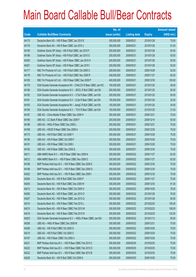|       |                                                                | No. of        |                     |               | <b>Amount raised</b> |
|-------|----------------------------------------------------------------|---------------|---------------------|---------------|----------------------|
| Code  | <b>Callable Bull/Bear Contracts</b>                            | issue (units) | <b>Listing date</b> | <b>Expiry</b> | (HK\$ mil.)          |
| 64175 | Deutsche Bank AG - HSI R Bear CBBC Jan 2010 E                  | 300,000,000   | 2009/05/21          | 2010/01/28    | 75.00                |
| 64176 | Deutsche Bank AG - HSI R Bear CBBC Jan 2010 J                  | 300,000,000   | 2009/05/21          | 2010/01/28    | 81.00                |
| 64195 | Goldman Sachs SP (Asia) - HSI R Bull CBBC Jan 2010 F           | 200,000,000   | 2009/05/21          | 2010/01/28    | 50.00                |
| 64196 | Goldman Sachs SP (Asia) - HSI R Bull CBBC Jan 2010 G           | 200,000,000   | 2009/05/21          | 2010/01/28    | 50.00                |
| 64200 | Goldman Sachs SP (Asia) - HSI R Bear CBBC Jan 2010 H           | 200,000,000   | 2009/05/21          | 2010/01/28    | 50.00                |
| 64201 | Goldman Sachs SP (Asia) - HSI R Bear CBBC Jan 2010 I           | 200,000,000   | 2009/05/21          | 2010/01/28    | 50.00                |
| 64177 | KBC Fin Products Int'l Ltd. - HSI R Bull CBBC Oct 2009 O       | 208,000,000   | 2009/05/21          | 2009/10/29    | 52.00                |
| 64178 | KBC Fin Products Int'l Ltd. - HSI R Bull CBBC Nov 2009 R       | 248,000,000   | 2009/05/21          | 2009/11/27    | 62.00                |
| 64185 | KBC Fin Products Int'l Ltd. - HSI R Bear CBBC Dec 2009 P       | 400,000,000   | 2009/05/21          | 2009/12/30    | 100.00               |
| 64179 | SGA Societe Generale Acceptance NV - CHALCO R Bear CBBC Jan10C | 100,000,000   | 2009/05/21          | 2010/01/20    | 36.00                |
| 64180 | SGA Societe Generale Acceptance N.V. - BOCL R Bull CBBC Jan10A | 200,000,000   | 2009/05/21          | 2010/01/20    | 50.00                |
| 64182 | SGA Societe Generale Acceptance N.V. - CTel R Bear CBBC Jan10A | 200,000,000   | 2009/05/21          | 2010/01/20    | 50.00                |
| 64181 | SGA Societe Generale Acceptance N.V - CLife R Bear CBBC Jan10A | 100,000,000   | 2009/05/21          | 2010/01/20    | 32.00                |
| 64183 | SGA Societe Generale Acceptance NV - JiangC R Bull CBBC Jan10A | 100,000,000   | 2009/05/21          | 2010/01/20    | 34.00                |
| 64184 | SGA Societe Generale Acceptance N.V. - TCH R Bear CBBC Jan10A  | 100,000,000   | 2009/05/21          | 2010/01/20    | 31.00                |
| 64187 | UBS AG - China Mobile R Bear CBBC Dec 2009 H                   | 300,000,000   | 2009/05/21          | 2009/12/21    | 75.00                |
| 64186 | UBS AG - CC Bank R Bear CBBC Dec 2009 F                        | 200,000,000   | 2009/05/21          | 2009/12/14    | 50.00                |
| 64188 | UBS AG - HKEx R Bear CBBC Dec 2009 L                           | 300,000,000   | 2009/05/21          | 2009/12/21    | 75.00                |
| 64189 | UBS AG - HSCEI R Bear CBBC Dec 2009 A                          | 300,000,000   | 2009/05/21          | 2009/12/30    | 75.00                |
| 64173 | UBS AG - HSI R Bull CBBC Oct 2009 Y                            | 300,000,000   | 2009/05/21          | 2009/10/29    | 75.00                |
| 64190 | UBS AG - HSI R Bear CBBC Oct 2009 F                            | 300,000,000   | 2009/05/21          | 2009/10/29    | 75.00                |
| 64191 | UBS AG - HSI R Bear CBBC Oct 2009 I                            | 300,000,000   | 2009/05/21          | 2009/10/29    | 75.00                |
| 64192 | UBS AG - HSI R Bear CBBC Dec 2009 Q                            | 300,000,000   | 2009/05/21          | 2009/12/30    | 75.00                |
| 64211 | ABN AMRO Bank N.V. - HSI R Bear CBBC Nov 2009 N                | 250,000,000   | 2009/05/22          | 2009/11/27    | 62.50                |
| 64212 | ABN AMRO Bank N.V. - HSI R Bear CBBC Nov 2009 O                | 250,000,000   | 2009/05/22          | 2009/11/27    | 62.50                |
| 64198 | BNP Paribas Arbit Issu B.V. - HSI R Bear CBBC Dec 2009 E       | 300,000,000   | 2009/05/22          | 2009/12/30    | 75.00                |
| 64199 | BNP Paribas Arbit Issu B.V. - HSI R Bear CBBC Dec 2009 G       | 300.000.000   | 2009/05/22          | 2009/12/30    | 75.00                |
| 64202 | BNP Paribas Arbit Issu B.V. - HSI R Bear CBBC Dec 2009 I       | 300,000,000   | 2009/05/22          | 2009/12/30    | 75.00                |
| 64204 | Deutsche Bank AG - HSI R Bull CBBC Nov 2009 P                  | 300,000,000   | 2009/05/22          | 2009/11/27    | 75.00                |
| 64205 | Deutsche Bank AG - HSI R Bull CBBC Dec 2009 W                  | 300,000,000   | 2009/05/22          | 2009/12/30    | 81.00                |
| 64213 | Deutsche Bank AG - HSI R Bear CBBC Oct 2009 O                  | 300,000,000   | 2009/05/22          | 2009/10/29    | 78.00                |
| 64206 | Deutsche Bank AG - HSI R Bear CBBC Jan 2010 O                  | 300,000,000   | 2009/05/22          | 2010/01/28    | 78.00                |
| 64207 | Deutsche Bank AG - HSI R Bear CBBC Jan 2010 Q                  | 300,000,000   | 2009/05/22          | 2010/01/28    | 84.00                |
| 64214 | Deutsche Bank AG - HSI R Bear CBBC Feb 2010 L                  | 300,000,000   | 2009/05/22          | 2010/02/25    | 105.00               |
| 64215 | Deutsche Bank AG - HSI R Bear CBBC Feb 2010 M                  | 300,000,000   | 2009/05/22          | 2010/02/25    | 108.00               |
| 64216 | Deutsche Bank AG - HSI R Bear CBBC Feb 2010 N                  | 300,000,000   | 2009/05/22          | 2010/02/25    | 132.00               |
| 64203 | SGA Societe Generale Acceptance N.V. - HKEx R Bear CBBC Jan10A | 200,000,000   | 2009/05/22          | 2010/01/13    | 50.00                |
| 64208 | UBS AG - HKEx R Bear CBBC Dec 2009 M                           | 300,000,000   | 2009/05/22          | 2009/12/21    | 75.00                |
| 64209 | UBS AG - HSI R Bull CBBC Oct 2009 G                            | 300,000,000   | 2009/05/22          | 2009/10/29    | 75.00                |
| 64210 | UBS AG - HSI R Bull CBBC Oct 2009 O                            | 300,000,000   | 2009/05/22          | 2009/10/29    | 75.00                |
| 64197 | UBS AG - HSI R Bear CBBC Oct 2009 U                            | 300,000,000   | 2009/05/22          | 2009/10/29    | 75.00                |
| 64221 | BNP Paribas Arbit Issu B.V. - HSI R Bear CBBC Feb 2010 C       | 300,000,000   | 2009/05/25          | 2010/02/25    | 75.00                |
| 64222 | BNP Paribas Arbit Issu B.V. - HSI R Bear CBBC Feb 2010 D       | 300,000,000   | 2009/05/25          | 2010/02/25    | 75.00                |
| 64223 | BNP Paribas Arbit Issu B.V. - HSI R Bear CBBC Mar 2010 B       | 300,000,000   | 2009/05/25          | 2010/03/30    | 75.00                |
| 64226 | Deutsche Bank AG - HSI R Bull CBBC Oct 2009 A                  | 300,000,000   | 2009/05/25          | 2009/10/29    | 75.00                |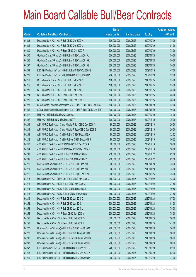|       |                                                                | No. of        |                     |               | <b>Amount raised</b> |
|-------|----------------------------------------------------------------|---------------|---------------------|---------------|----------------------|
| Code  | <b>Callable Bull/Bear Contracts</b>                            | issue (units) | <b>Listing date</b> | <b>Expiry</b> | (HK\$ mil.)          |
| 64233 | Deutsche Bank AG - HSI R Bull CBBC Oct 2009 K                  | 300,000,000   | 2009/05/25          | 2009/10/29    | 75.00                |
| 64234 | Deutsche Bank AG - HSI R Bull CBBC Oct 2009 L                  | 300,000,000   | 2009/05/25          | 2009/10/29    | 81.00                |
| 64230 | Deutsche Bank AG - HSI R Bear CBBC Oct 2009 P                  | 300,000,000   | 2009/05/25          | 2009/10/29    | 78.00                |
| 64235 | Goldman Sachs SP (Asia) - HSI R Bull CBBC Jan 2010 J           | 200,000,000   | 2009/05/25          | 2010/01/28    | 50.00                |
| 64236 | Goldman Sachs SP (Asia) - HSI R Bull CBBC Jan 2010 K           | 200,000,000   | 2009/05/25          | 2010/01/28    | 50.00                |
| 64237 | Goldman Sachs SP (Asia) - HSI R Bull CBBC Jan 2010 L           | 200,000,000   | 2009/05/25          | 2010/01/28    | 50.00                |
| 64231 | KBC Fin Products Int'l Ltd. - HKEx R Bull CBBC Oct 2009 L      | 188,000,000   | 2009/05/25          | 2009/10/15    | 47.00                |
| 64229 | KBC Fin Products Int'l Ltd. - HSI R Bull CBBC Oct 2009 P       | 208,000,000   | 2009/05/25          | 2009/10/29    | 52.00                |
| 64218 | CC Rabobank B.A. - HSI R Bull CBBC Feb 2010 C                  | 100,000,000   | 2009/05/25          | 2010/02/25    | 25.00                |
| 64219 | CC Rabobank B.A. - HSI R Bull CBBC Feb 2010 D                  | 100,000,000   | 2009/05/25          | 2010/02/25    | 25.00                |
| 64220 | CC Rabobank B.A. - HSI R Bull CBBC Feb 2010 E                  | 100,000,000   | 2009/05/25          | 2010/02/25    | 25.00                |
| 64224 | CC Rabobank B.A. - HSI R Bear CBBC Feb 2010 F                  | 100,000,000   | 2009/05/25          | 2010/02/25    | 25.00                |
| 64225 | CC Rabobank B.A. - HSI R Bear CBBC Feb 2010 G                  | 100,000,000   | 2009/05/25          | 2010/02/25    | 25.00                |
| 64228 | SGA Societe Generale Acceptance N.V. - CMB R Bull CBBC Jan 10A | 100,000,000   | 2009/05/25          | 2010/01/20    | 42.00                |
| 64232 | SGA Societe Generale Acceptance N.V. - CMB R Bear CBBC Jan 10B | 100,000,000   | 2009/05/25          | 2010/01/20    | 40.00                |
| 64217 | UBS AG - HSI R Bull CBBC Oct 2009 C                            | 300,000,000   | 2009/05/25          | 2009/10/29    | 75.00                |
| 64227 | UBS AG - HSI R Bear CBBC Dec 2009 T                            | 300,000,000   | 2009/05/25          | 2009/12/30    | 75.00                |
| 64239 | ABN AMRO Bank N.V. - China Mobile R Bull CBBC Dec 2009 A       | 80,000,000    | 2009/05/26          | 2009/12/10    | 20.00                |
| 64243 | ABN AMRO Bank N.V. - China Mobile R Bear CBBC Dec 2009 B       | 80,000,000    | 2009/05/26          | 2009/12/10    | 20.00                |
| 64238 | ABN AMRO Bank N.V. - Ch Life R Bull CBBC Dec 2009 A            | 80,000,000    | 2009/05/26          | 2009/12/10    | 32.72                |
| 64242 | ABN AMRO Bank N.V. - Ch Life R Bear CBBC Dec 2009 B            | 80,000,000    | 2009/05/26          | 2009/12/10    | 50.32                |
| 64240 | ABN AMRO Bank N.V. - HSBC R Bull CBBC Dec 2009 A               | 80,000,000    | 2009/05/26          | 2009/12/10    | 20.00                |
| 64244 | ABN AMRO Bank N.V. - HSBC R Bear CBBC Dec 2009 B               | 80,000,000    | 2009/05/26          | 2009/12/10    | 20.00                |
| 64268 | ABN AMRO Bank N.V. - HSI R Bull CBBC Nov 2009 M                | 250,000,000   | 2009/05/26          | 2009/11/27    | 62.50                |
| 64269 | ABN AMRO Bank N.V. - HSI R Bull CBBC Nov 2009 Y                | 250,000,000   | 2009/05/26          | 2009/11/27    | 62.50                |
| 64270 | BNP Paribas Arbit Issu B.V. - HSI R Bull CBBC Jan 2010 H       | 300,000,000   | 2009/05/26          | 2010/01/28    | 75.00                |
| 64271 | BNP Paribas Arbit Issu B.V. - HSI R Bull CBBC Jan 2010 I       | 300,000,000   | 2009/05/26          | 2010/01/28    | 75.00                |
| 64272 | BNP Paribas Arbit Issu B.V. - HSI R Bull CBBC Feb 2010 E       | 300,000,000   | 2009/05/26          | 2010/02/25    | 75.00                |
| 64273 | Deutsche Bank AG - China Life R Bull CBBC Nov 2009 C           | 150,000,000   | 2009/05/26          | 2009/11/02    | 48.00                |
| 64276 | Deutsche Bank AG - HKEx R Bull CBBC Nov 2009 C                 | 150,000,000   | 2009/05/26          | 2009/11/02    | 37.50                |
| 64274 | Deutsche Bank AG - HSBC R Bull CBBC Nov 2009 A                 | 150,000,000   | 2009/05/26          | 2009/11/02    | 40.50                |
| 64275 | Deutsche Bank AG - HSBC R Bear CBBC Nov 2009 B                 | 150,000,000   | 2009/05/26          | 2009/11/02    | 37.50                |
| 64249 | Deutsche Bank AG - HSI R Bull CBBC Jan 2010 D                  | 300,000,000   | 2009/05/26          | 2010/01/28    | 87.00                |
| 64252 | Deutsche Bank AG - HSI R Bull CBBC Jan 2010 I                  | 300,000,000   | 2009/05/26          | 2010/01/28    | 81.00                |
| 64253 | Deutsche Bank AG - HSI R Bull CBBC Jan 2010 L                  | 300,000,000   | 2009/05/26          | 2010/01/28    | 75.00                |
| 64254 | Deutsche Bank AG - HSI R Bear CBBC Jan 2010 M                  | 300,000,000   | 2009/05/26          | 2010/01/28    | 75.00                |
| 64255 | Deutsche Bank AG - HSI R Bear CBBC Feb 2010 O                  | 300,000,000   | 2009/05/26          | 2010/02/25    | 126.00               |
| 64256 | Deutsche Bank AG - HSI R Bear CBBC Feb 2010 P                  | 300,000,000   | 2009/05/26          | 2010/02/25    | 141.00               |
| 64277 | Goldman Sachs SP (Asia) - HSI R Bull CBBC Jan 2010 M           | 200,000,000   | 2009/05/26          | 2010/01/28    | 50.00                |
| 64278 | Goldman Sachs SP (Asia) - HSI R Bull CBBC Jan 2010 N           | 200,000,000   | 2009/05/26          | 2010/01/28    | 50.00                |
| 64282 | Goldman Sachs SP (Asia) - HSI R Bear CBBC Jan 2010 O           | 200,000,000   | 2009/05/26          | 2010/01/28    | 50.00                |
| 64283 | Goldman Sachs SP (Asia) - HSI R Bear CBBC Jan 2010 P           | 200,000,000   | 2009/05/26          | 2010/01/28    | 50.00                |
| 64247 | KBC Fin Products Int'l Ltd. - HSI R Bull CBBC Sep 2009 B       | 248,000,000   | 2009/05/26          | 2009/09/29    | 62.00                |
| 64248 | KBC Fin Products Int'l Ltd. - HSI R Bull CBBC Sep 2009 Z       | 208,000,000   | 2009/05/26          | 2009/09/29    | 52.00                |
| 64246 | KBC Fin Products Int'l Ltd. - HSI R Bull CBBC Oct 2009 M       | 308,000,000   | 2009/05/26          | 2009/10/29    | 77.00                |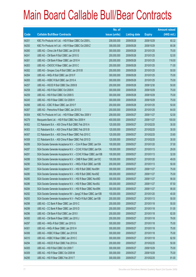|       |                                                                | No. of        |                     |               | <b>Amount raised</b> |
|-------|----------------------------------------------------------------|---------------|---------------------|---------------|----------------------|
| Code  | <b>Callable Bull/Bear Contracts</b>                            | issue (units) | <b>Listing date</b> | <b>Expiry</b> | $(HK$$ mil.)         |
| 64251 | KBC Fin Products Int'l Ltd. - HSI R Bear CBBC Oct 2009 L       | 208,000,000   | 2009/05/26          | 2009/10/29    | 60.32                |
| 64250 | KBC Fin Products Int'l Ltd. - HSI R Bear CBBC Oct 2009 Z       | 308,000,000   | 2009/05/26          | 2009/10/29    | 80.08                |
| 64260 | UBS AG - China Life R Bull CBBC Jan 2010 B                     | 300,000,000   | 2009/05/26          | 2010/01/25    | 75.00                |
| 64241 | UBS AG - CM Bank R Bull CBBC Jan 2010 G                        | 200,000,000   | 2009/05/26          | 2010/01/25    | 52.00                |
| 64261 | UBS AG - CM Bank R Bear CBBC Jan 2010 H                        | 200,000,000   | 2009/05/26          | 2010/01/25    | 116.00               |
| 64263 | UBS AG - CNOOC R Bear CBBC Jan 2010 C                          | 200,000,000   | 2009/05/26          | 2010/01/25    | 71.00                |
| 64262 | UBS AG - Sinopec Corp R Bull CBBC Jan 2010 B                   | 200,000,000   | 2009/05/26          | 2010/01/25    | 50.00                |
| 64264 | UBS AG - HKEx R Bull CBBC Jan 2010 F                           | 300,000,000   | 2009/05/26          | 2010/01/25    | 75.00                |
| 64265 | UBS AG - HSBC R Bull CBBC Jan 2010 A                           | 300,000,000   | 2009/05/26          | 2010/01/25    | 75.00                |
| 64257 | UBS AG - HSCEI R Bull CBBC Dec 2009 B                          | 200,000,000   | 2009/05/26          | 2009/12/30    | 50.00                |
| 64258 | UBS AG - HSI R Bull CBBC Oct 2009 K                            | 300,000,000   | 2009/05/26          | 2009/10/29    | 75.00                |
| 64259 | UBS AG - HSI R Bull CBBC Oct 2009 S                            | 300,000,000   | 2009/05/26          | 2009/10/29    | 75.00                |
| 64245 | UBS AG - HSI R Bear CBBC Oct 2009 H                            | 300,000,000   | 2009/05/26          | 2009/10/29    | 75.00                |
| 64266 | UBS AG - ICBC R Bear CBBC Jan 2010 F                           | 200,000,000   | 2009/05/26          | 2010/01/25    | 50.00                |
| 64267 | UBS AG - Petrochina R Bear CBBC Jan 2010 D                     | 200,000,000   | 2009/05/26          | 2010/01/25    | 64.00                |
| 64304 | KBC Fin Products Int'l Ltd. - HSI R Bear CBBC Nov 2009 V       | 208,000,000   | 2009/05/27          | 2009/11/27    | 52.00                |
| 64279 | Macquarie Bank Ltd. - HSI R Bull CBBC Nov 2009 H               | 400,000,000   | 2009/05/27          | 2009/11/27    | 100.00               |
| 64302 | CC Rabobank B.A. - A50 China R Bull CBBC Feb 2010 A            | 120,000,000   | 2009/05/27          | 2010/02/25    | 30.00                |
| 64303 | CC Rabobank B.A. - A50 China R Bull CBBC Feb 2010 B            | 120,000,000   | 2009/05/27          | 2010/02/25    | 30.00                |
| 64307 | CC Rabobank B.A. - A50 China R Bear CBBC Feb 2010 C            | 120,000,000   | 2009/05/27          | 2010/02/25    | 33.60                |
| 64308 | CC Rabobank B.A. - A50 China R Bear CBBC Feb 2010 D            | 120,000,000   | 2009/05/27          | 2010/02/25    | 30.00                |
| 64289 | SGA Societe Generale Acceptance N.V. - CUni R Bear CBBC Jan10A | 100,000,000   | 2009/05/27          | 2010/01/20    | 37.00                |
| 64287 | SGA Societe Generale Acceptance N.V. - CCHC R Bull CBBC Jan10A | 100,000,000   | 2009/05/27          | 2010/01/13    | 29.00                |
| 64291 | SGA Societe Generale Acceptance N.V. - CCHC R Bear CBBC Jan10B | 100,000,000   | 2009/05/27          | 2010/01/13    | 32.00                |
| 64288 | SGA Societe Generale Acceptance N.V. - CMB R Bear CBBC Jan10C  | 100,000,000   | 2009/05/27          | 2010/01/20    | 49.00                |
| 64290 | SGA Societe Generale Acceptance N.V. - HKEx R Bull CBBC Jan10B | 200,000,000   | 2009/05/27          | 2010/01/13    | 50.00                |
| 64281 | SGA Societe Generale Acceptance N.V. - HSI R Bull CBBC Nov09H  | 300,000,000   | 2009/05/27          | 2009/11/27    | 75.00                |
| 64280 | SGA Societe Generale Acceptance N.V. - HSI R Bull CBBC Nov09Z  | 300,000,000   | 2009/05/27          | 2009/11/27    | 75.00                |
| 64285 | SGA Societe Generale Acceptance N.V. - HSI R Bear CBBC Nov09D  | 300,000,000   | 2009/05/27          | 2009/11/27    | 90.00                |
| 64286 | SGA Societe Generale Acceptance N.V. - HSI R Bear CBBC Nov09J  | 300,000,000   | 2009/05/27          | 2009/11/27    | 97.50                |
| 64284 | SGA Societe Generale Acceptance N.V. - HSI R Bear CBBC Nov09N  | 300,000,000   | 2009/05/27          | 2009/11/27    | 90.00                |
| 64292 | SGA Societe Generale Acceptance NV - JiangC R Bear CBBC Jan10B | 100,000,000   | 2009/05/27          | 2010/01/20    | 40.00                |
| 64293 | SGA Societe Generale Acceptance N.V - PetCh R Bull CBBC Jan10B | 200,000,000   | 2009/05/27          | 2010/01/13    | 50.00                |
| 64298 | UBS AG - CC Bank R Bear CBBC Jan 2010 C                        | 200,000,000   | 2009/05/27          | 2010/01/18    | 50.00                |
| 64299 | UBS AG - CC Bank R Bear CBBC Jan 2010 D                        | 200,000,000   | 2009/05/27          | 2010/01/18    | 51.00                |
| 64296 | UBS AG - CM Bank R Bull CBBC Jan 2010 I                        | 200,000,000   | 2009/05/27          | 2010/01/18    | 82.00                |
| 64300 | UBS AG - CM Bank R Bear CBBC Jan 2010 J                        | 200,000,000   | 2009/05/27          | 2010/01/18    | 79.00                |
| 64297 | UBS AG - HKEx R Bull CBBC Jan 2010 G                           | 300,000,000   | 2009/05/27          | 2010/01/18    | 75.00                |
| 64301 | UBS AG - HKEx R Bear CBBC Jan 2010 H                           | 300,000,000   | 2009/05/27          | 2010/01/18    | 75.00                |
| 64306 | UBS AG - HSBC R Bear CBBC Jan 2010 B                           | 300,000,000   | 2009/05/27          | 2010/01/18    | 75.00                |
| 64310 | UBS AG - HSBC R Bear CBBC Jan 2010 C                           | 300,000,000   | 2009/05/27          | 2010/01/18    | 82.50                |
| 64294 | UBS AG - HSCEI R Bull CBBC Feb 2010 A                          | 200,000,000   | 2009/05/27          | 2010/02/25    | 50.00                |
| 64305 | UBS AG - HSI R Bull CBBC Oct 2009 T                            | 300,000,000   | 2009/05/27          | 2009/10/29    | 75.00                |
| 64309 | UBS AG - HSI R Bear CBBC Oct 2009 M                            | 300,000,000   | 2009/05/27          | 2009/10/29    | 75.00                |
| 64295 | UBS AG - HSI R Bear CBBC Feb 2010 T                            | 300,000,000   | 2009/05/27          | 2010/02/25    | 81.00                |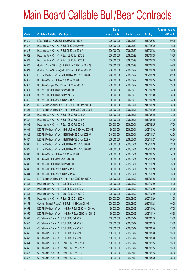|             |                                                              | No. of        |                     |               | <b>Amount raised</b> |
|-------------|--------------------------------------------------------------|---------------|---------------------|---------------|----------------------|
| <b>Code</b> | <b>Callable Bull/Bear Contracts</b>                          | issue (units) | <b>Listing date</b> | <b>Expiry</b> | (HK\$ mil.)          |
| 64319       | BOCI Asia Ltd. - HSBC R Bull CBBC Feb 2010 A                 | 200,000,000   | 2009/05/29          | 2010/02/03    | 50.00                |
| 64317       | Deutsche Bank AG - HSI R Bull CBBC Dec 2009 U                | 300,000,000   | 2009/05/29          | 2009/12/30    | 75.00                |
| 64318       | Deutsche Bank AG - HSI R Bull CBBC Jan 2010 A                | 300,000,000   | 2009/05/29          | 2010/01/28    | 75.00                |
| 64322       | Deutsche Bank AG - HSI R Bear CBBC Jan 2010 E                | 300,000,000   | 2009/05/29          | 2010/01/28    | 75.00                |
| 64323       | Deutsche Bank AG - HSI R Bear CBBC Jan 2010 J                | 300,000,000   | 2009/05/29          | 2010/01/28    | 78.00                |
| 64320       | Goldman Sachs SP (Asia) - HSI R Bear CBBC Jan 2010 Q         | 200,000,000   | 2009/05/29          | 2010/01/28    | 50.00                |
| 64321       | Goldman Sachs SP (Asia) - HSI R Bear CBBC Jan 2010 R         | 200,000,000   | 2009/05/29          | 2010/01/28    | 50.00                |
| 64316       | KBC Fin Products Int'l Ltd. - HSI R Bear CBBC Oct 2009 I     | 248,000,000   | 2009/05/29          | 2009/10/29    | 62.00                |
| 64312       | UBS AG - CM Bank R Bear CBBC Jan 2010 K                      | 200,000,000   | 2009/05/29          | 2010/01/25    | 104.00               |
| 64313       | UBS AG - Sinopec Corp R Bear CBBC Jan 2010 C                 | 200,000,000   | 2009/05/29          | 2010/01/25    | 53.00                |
| 64311       | UBS AG - HSI R Bull CBBC Oct 2009 N                          | 300,000,000   | 2009/05/29          | 2009/10/29    | 75.00                |
| 64314       | UBS AG - HSI R Bull CBBC Dec 2009 M                          | 300,000,000   | 2009/05/29          | 2009/12/30    | 75.00                |
| 64315       | UBS AG - HSI R Bear CBBC Oct 2009 V                          | 300,000,000   | 2009/05/29          | 2009/10/29    | 75.00                |
| 64325       | BNP Paribas Arbit Issu B.V. - HSI R Bull CBBC Jan 2010 J     | 300,000,000   | 2009/06/01          | 2010/01/28    | 75.00                |
| 64326       | BNP Paribas Arbit Issu B.V. - HSI R Bear CBBC Dec 2009 Z     | 300,000,000   | 2009/06/01          | 2009/12/30    | 75.00                |
| 64336       | Deutsche Bank AG - HSI R Bear CBBC Feb 2010 Q                | 300,000,000   | 2009/06/01          | 2010/02/25    | 78.00                |
| 64337       | Deutsche Bank AG - HSI R Bear CBBC Feb 2010 R                | 300,000,000   | 2009/06/01          | 2010/02/25    | 81.00                |
| 64338       | Deutsche Bank AG - HSI R Bear CBBC Feb 2010 S                | 300,000,000   | 2009/06/01          | 2010/02/25    | 87.00                |
| 64331       | KBC Fin Products Int'l Ltd. - HKEx R Bear CBBC Oct 2009 M    | 188,000,000   | 2009/06/01          | 2009/10/02    | 48.88                |
| 64328       | KBC Fin Products Int'l Ltd. - HSI R Bull CBBC Nov 2009 W     | 248,000,000   | 2009/06/01          | 2009/11/27    | 62.00                |
| 64327       | KBC Fin Products Int'l Ltd. - HSI R Bull CBBC Nov 2009 X     | 308,000,000   | 2009/06/01          | 2009/11/27    | 86.24                |
| 64330       | KBC Fin Products Int'l Ltd. - HSI R Bear CBBC Oct 2009 K     | 208,000,000   | 2009/06/01          | 2009/10/29    | 52.00                |
| 64329       | KBC Fin Products Int'l Ltd. - HSI R Bear CBBC Oct 2009 Q     | 248,000,000   | 2009/06/01          | 2009/10/29    | 62.00                |
| 64333       | UBS AG - CM Bank R Bear CBBC Jan 2010 L                      | 200,000,000   | 2009/06/01          | 2010/01/25    | 74.00                |
| 64324       | UBS AG - HSI R Bull CBBC Oct 2009 D                          | 300,000,000   | 2009/06/01          | 2009/10/29    | 75.00                |
| 64332       | UBS AG - HSI R Bull CBBC Oct 2009 Q                          | 300,000,000   | 2009/06/01          | 2009/10/29    | 75.00                |
| 64335       | UBS AG - HSI R Bear CBBC Oct 2009 F                          | 300,000,000   | 2009/06/01          | 2009/10/29    | 75.00                |
| 64334       | UBS AG - HSI R Bear CBBC Oct 2009 W                          | 300,000,000   | 2009/06/01          | 2009/10/29    | 75.00                |
| 64350       | BNP Paribas Arbit Issu B.V. - HSI R Bull CBBC Jan 2010 K     | 300,000,000   | 2009/06/02          | 2010/01/28    | 75.00                |
| 64351       | Deutsche Bank AG - HSI R Bull CBBC Oct 2009 R                | 300,000,000   | 2009/06/02          | 2009/10/29    | 75.00                |
| 64357       | Deutsche Bank AG - HSI R Bull CBBC Oct 2009 V                | 300,000,000   | 2009/06/02          | 2009/10/29    | 75.00                |
| 64361       | Deutsche Bank AG - HSI R Bear CBBC Oct 2009 G                | 300,000,000   | 2009/06/02          | 2009/10/29    | 84.00                |
| 64355       | Deutsche Bank AG - HSI R Bear CBBC Oct 2009 H                | 300,000,000   | 2009/06/02          | 2009/10/29    | 81.00                |
| 64354       | Goldman Sachs SP (Asia) - HSI R Bull CBBC Jan 2010 S         | 200,000,000   | 2009/06/02          | 2010/01/28    | 50.00                |
| 64352       | KBC Fin Products Int'l Ltd. - SHK Ppt R Bull CBBC Nov 2009 A | 188,000,000   | 2009/06/02          | 2009/11/02    | 47.00                |
| 64356       | KBC Fin Products Int'l Ltd. - SHK Ppt R Bear CBBC Nov 2009 B | 188,000,000   | 2009/06/02          | 2009/11/10    | 65.80                |
| 64339       | CC Rabobank B.A. - HSI R Bull CBBC Feb 2010 H                | 100,000,000   | 2009/06/02          | 2010/02/25    | 25.00                |
| 64340       | CC Rabobank B.A. - HSI R Bull CBBC Feb 2010 I                | 100,000,000   | 2009/06/02          | 2010/02/25    | 25.00                |
| 64341       | CC Rabobank B.A. - HSI R Bull CBBC Mar 2010 D                | 100,000,000   | 2009/06/02          | 2010/03/30    | 25.00                |
| 64342       | CC Rabobank B.A. - HSI R Bull CBBC Mar 2010 E                | 100,000,000   | 2009/06/02          | 2010/03/30    | 25.00                |
| 64343       | CC Rabobank B.A. - HSI R Bull CBBC Mar 2010 F                | 100,000,000   | 2009/06/02          | 2010/03/30    | 25.00                |
| 64344       | CC Rabobank B.A. - HSI R Bear CBBC Feb 2010 J                | 100,000,000   | 2009/06/02          | 2010/02/25    | 25.00                |
| 64345       | CC Rabobank B.A. - HSI R Bear CBBC Feb 2010 K                | 100,000,000   | 2009/06/02          | 2010/02/25    | 25.00                |
| 64346       | CC Rabobank B.A. - HSI R Bear CBBC Feb 2010 L                | 100,000,000   | 2009/06/02          | 2010/02/25    | 25.00                |
| 64347       | CC Rabobank B.A. - HSI R Bear CBBC Mar 2010 G                | 100,000,000   | 2009/06/02          | 2010/03/30    | 25.00                |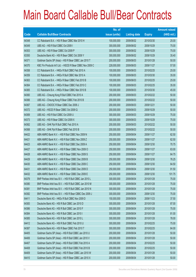|             |                                                            | No. of        |                     |               | <b>Amount raised</b> |
|-------------|------------------------------------------------------------|---------------|---------------------|---------------|----------------------|
| <b>Code</b> | <b>Callable Bull/Bear Contracts</b>                        | issue (units) | <b>Listing date</b> | <b>Expiry</b> | (HK\$ mil.)          |
| 64348       | CC Rabobank B.A. - HSI R Bear CBBC Mar 2010 H              | 100,000,000   | 2009/06/02          | 2010/03/30    | 25.00                |
| 64349       | UBS AG - HSI R Bull CBBC Oct 2009 I                        | 300,000,000   | 2009/06/02          | 2009/10/29    | 75.00                |
| 64353       | UBS AG - HSI R Bear CBBC Oct 2009 P                        | 300,000,000   | 2009/06/02          | 2009/10/29    | 75.00                |
| 63350       | Deutsche Bank AG - HSI R Bear CBBC Oct 2009 Y              | 300,000,000   | 2009/06/02          | 2009/10/29    | 35.40                |
| 64371       | Goldman Sachs SP (Asia) - HSI R Bear CBBC Jan 2010 T       | 200,000,000   | 2009/06/03          | 2010/01/28    | 50.00                |
| 64370       | KBC Fin Products Int'l Ltd. - HSCEI R Bear CBBC Nov 2009 C | 228,000,000   | 2009/06/03          | 2009/11/27    | 57.00                |
| 64358       | CC Rabobank B.A. - HKEx R Bull CBBC Feb 2010 A             | 100,000,000   | 2009/06/03          | 2010/02/25    | 25.00                |
| 64359       | CC Rabobank B.A. - HKEx R Bull CBBC Mar 2010 A             | 100,000,000   | 2009/06/03          | 2010/03/30    | 35.00                |
| 64363       | CC Rabobank B.A. - HKEx R Bear CBBC Feb 2010 B             | 100,000,000   | 2009/06/03          | 2010/02/25    | 25.00                |
| 64364       | CC Rabobank B.A. - HKEx R Bear CBBC Feb 2010 C             | 100,000,000   | 2009/06/03          | 2010/02/25    | 35.00                |
| 64365       | CC Rabobank B.A. - HKEx R Bear CBBC Mar 2010 B             | 100,000,000   | 2009/06/03          | 2010/03/30    | 45.00                |
| 64360       | UBS AG - Cheung Kong R Bull CBBC Feb 2010 A                | 200,000,000   | 2009/06/03          | 2010/02/22    | 50.00                |
| 64366       | UBS AG - Cheung Kong R Bear CBBC Feb 2010 B                | 200,000,000   | 2009/06/03          | 2010/02/22    | 50.00                |
| 64367       | UBS AG - CNOOC R Bear CBBC Dec 2009 J                      | 200,000,000   | 2009/06/03          | 2009/12/21    | 50.00                |
| 64372       | UBS AG - HSCEI R Bear CBBC Oct 2009 Q                      | 200,000,000   | 2009/06/03          | 2009/10/29    | 50.00                |
| 64369       | UBS AG - HSI R Bull CBBC Oct 2009 U                        | 300,000,000   | 2009/06/03          | 2009/10/29    | 75.00                |
| 64373       | UBS AG - HSI R Bear CBBC Oct 2009 X                        | 300,000,000   | 2009/06/03          | 2009/10/29    | 75.00                |
| 64362       | UBS AG - SHK Ppt R Bull CBBC Feb 2010 A                    | 200,000,000   | 2009/06/03          | 2010/02/22    | 50.00                |
| 64368       | UBS AG - SHK Ppt R Bear CBBC Feb 2010 B                    | 200,000,000   | 2009/06/03          | 2010/02/22    | 50.00                |
| 64422       | ABN AMRO Bank N.V. - HSI R Bull CBBC Nov 2009 N            | 250,000,000   | 2009/06/04          | 2009/11/27    | 62.50                |
| 64421       | ABN AMRO Bank N.V. - HSI R Bull CBBC Nov 2009 Z            | 250,000,000   | 2009/06/04          | 2009/11/27    | 62.50                |
| 64423       | ABN AMRO Bank N.V. - HSI R Bull CBBC Dec 2009 A            | 250,000,000   | 2009/06/04          | 2009/12/30    | 70.75                |
| 64427       | ABN AMRO Bank N.V. - HSI R Bear CBBC Nov 2009 O            | 250,000,000   | 2009/06/04          | 2009/11/27    | 63.00                |
| 64428       | ABN AMRO Bank N.V. - HSI R Bear CBBC Nov 2009 S            | 250,000,000   | 2009/06/04          | 2009/11/27    | 64.75                |
| 64429       | ABN AMRO Bank N.V. - HSI R Bear CBBC Dec 2009 B            | 250,000,000   | 2009/06/04          | 2009/12/30    | 76.25                |
| 64430       | ABN AMRO Bank N.V. - HSI R Bear CBBC Dec 2009 C            | 250,000,000   | 2009/06/04          | 2009/12/30    | 64.50                |
| 64431       | ABN AMRO Bank N.V. - HSI R Bear CBBC Dec 2009 D            | 250,000,000   | 2009/06/04          | 2009/12/30    | 91.50                |
| 64432       | ABN AMRO Bank N.V. - HSI R Bear CBBC Dec 2009 E            | 250,000,000   | 2009/06/04          | 2009/12/30    | 101.75               |
| 64379       | BNP Paribas Arbit Issu B.V. - HSI R Bull CBBC Jan 2010 L   | 300,000,000   | 2009/06/04          | 2010/01/28    | 75.00                |
| 64380       | BNP Paribas Arbit Issu B.V. - HSI R Bull CBBC Jan 2010 M   | 300,000,000   | 2009/06/04          | 2010/01/28    | 75.00                |
| 64381       | BNP Paribas Arbit Issu B.V. - HSI R Bull CBBC Jan 2010 N   | 300,000,000   | 2009/06/04          | 2010/01/28    | 75.00                |
| 64382       | BNP Paribas Arbit Issu B.V. - HSI R Bear CBBC Dec 2009 J   | 300,000,000   | 2009/06/04          | 2009/12/30    | 75.00                |
| 64411       | Deutsche Bank AG - HKEx R Bull CBBC Nov 2009 D             | 150,000,000   | 2009/06/04          | 2009/11/23    | 37.50                |
| 64383       | Deutsche Bank AG - HSI R Bull CBBC Jan 2010 D              | 300,000,000   | 2009/06/04          | 2010/01/28    | 87.00                |
| 64386       | Deutsche Bank AG - HSI R Bull CBBC Jan 2010 F              | 300,000,000   | 2009/06/04          | 2010/01/28    | 75.00                |
| 64384       | Deutsche Bank AG - HSI R Bull CBBC Jan 2010 I              | 300,000,000   | 2009/06/04          | 2010/01/28    | 81.00                |
| 64385       | Deutsche Bank AG - HSI R Bull CBBC Jan 2010 L              | 300,000,000   | 2009/06/04          | 2010/01/28    | 78.00                |
| 64412       | Deutsche Bank AG - HSI R Bull CBBC Feb 2010 U              | 300,000,000   | 2009/06/04          | 2010/02/25    | 75.00                |
| 64387       | Deutsche Bank AG - HSI R Bear CBBC Feb 2010 T              | 300,000,000   | 2009/06/04          | 2010/02/25    | 84.00                |
| 64405       | Goldman Sachs SP (Asia) - HSI R Bull CBBC Jan 2010 U       | 200,000,000   | 2009/06/04          | 2010/01/28    | 50.00                |
| 64406       | Goldman Sachs SP (Asia) - HSI R Bull CBBC Jan 2010 V       | 200,000,000   | 2009/06/04          | 2010/01/28    | 50.00                |
| 64407       | Goldman Sachs SP (Asia) - HSI R Bull CBBC Feb 2010 A       | 200,000,000   | 2009/06/04          | 2010/02/25    | 50.00                |
| 64408       | Goldman Sachs SP (Asia) - HSI R Bull CBBC Feb 2010 B       | 200,000,000   | 2009/06/04          | 2010/02/25    | 50.00                |
| 64409       | Goldman Sachs SP (Asia) - HSI R Bear CBBC Jan 2010 W       | 200,000,000   | 2009/06/04          | 2010/01/28    | 50.00                |
| 64410       | Goldman Sachs SP (Asia) - HSI R Bear CBBC Jan 2010 X       | 200,000,000   | 2009/06/04          | 2010/01/28    | 50.00                |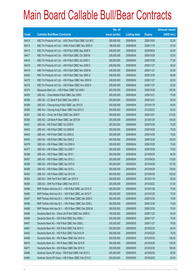|       |                                                              | No. of        |                     |               | <b>Amount raised</b> |
|-------|--------------------------------------------------------------|---------------|---------------------|---------------|----------------------|
| Code  | <b>Callable Bull/Bear Contracts</b>                          | issue (units) | <b>Listing date</b> | <b>Expiry</b> | $(HK$$ mil.)         |
| 64414 | KBC Fin Products Int'l Ltd. - A50 China R Bull CBBC Oct 09 C | 208,000,000   | 2009/06/04          | 2009/10/05    | 52.00                |
| 64413 | KBC Fin Products Int'l Ltd. - HKEx R Bull CBBC Nov 2009 G    | 188,000,000   | 2009/06/04          | 2009/11/18    | 47.00                |
| 64415 | KBC Fin Products Int'l Ltd. - HSI R Bull CBBC Sep 2009 R     | 248,000,000   | 2009/06/04          | 2009/09/29    | 62.00                |
| 64417 | KBC Fin Products Int'l Ltd. - HSI R Bull CBBC Oct 2009 M     | 208,000,000   | 2009/06/04          | 2009/10/29    | 52.00                |
| 64416 | KBC Fin Products Int'l Ltd. - HSI R Bull CBBC Oct 2009 O     | 308,000,000   | 2009/06/04          | 2009/10/29    | 77.00                |
| 64418 | KBC Fin Products Int'l Ltd. - HSI R Bull CBBC Nov 2009 G     | 208,000,000   | 2009/06/04          | 2009/11/27    | 58.24                |
| 64419 | KBC Fin Products Int'l Ltd. - HSI R Bull CBBC Nov 2009 M     | 248,000,000   | 2009/06/04          | 2009/11/27    | 62.00                |
| 64420 | KBC Fin Products Int'l Ltd. - HSI R Bull CBBC Dec 2009 Q     | 248,000,000   | 2009/06/04          | 2009/12/30    | 66.96                |
| 64375 | KBC Fin Products Int'l Ltd. - HSI R Bear CBBC Nov 2009 N     | 248,000,000   | 2009/06/04          | 2009/11/27    | 62.00                |
| 64376 | KBC Fin Products Int'l Ltd. - HSI R Bear CBBC Nov 2009 O     | 208,000,000   | 2009/06/04          | 2009/11/27    | 52.00                |
| 64374 | Macquarie Bank Ltd. - HSI R Bear CBBC Oct 2009 I             | 400,000,000   | 2009/06/04          | 2009/10/29    | 100.00               |
| 64393 | UBS AG - China Mobile R Bull CBBC Dec 2009 I                 | 300,000,000   | 2009/06/04          | 2009/12/21    | 75.00                |
| 64388 | UBS AG - CC Bank R Bull CBBC Dec 2009 G                      | 200,000,000   | 2009/06/04          | 2009/12/21    | 50.00                |
| 64389 | UBS AG - Cheung Kong R Bull CBBC Jan 2010 E                  | 200,000,000   | 2009/06/04          | 2010/01/18    | 50.00                |
| 64390 | UBS AG - Cheung Kong R Bear CBBC Feb 2010 C                  | 200,000,000   | 2009/06/04          | 2010/02/22    | 63.00                |
| 64391 | UBS AG - China Life R Bull CBBC Dec 2009 F                   | 300,000,000   | 2009/06/04          | 2009/12/21    | 210.00               |
| 64392 | UBS AG - CM Bank R Bear CBBC Jan 2010 M                      | 200,000,000   | 2009/06/04          | 2010/01/25    | 140.00               |
| 64401 | UBS AG - HSI R Bull CBBC Oct 2009 K                          | 300,000,000   | 2009/06/04          | 2009/10/29    | 75.00                |
| 64403 | UBS AG - HSI R Bull CBBC Oct 2009 M                          | 300,000,000   | 2009/06/04          | 2009/10/29    | 75.00                |
| 64402 | UBS AG - HSI R Bull CBBC Oct 2009 S                          | 300,000,000   | 2009/06/04          | 2009/10/29    | 75.00                |
| 64404 | UBS AG - HSI R Bull CBBC Dec 2009 Z                          | 400,000,000   | 2009/06/04          | 2009/12/30    | 100.00               |
| 64378 | UBS AG - HSI R Bear CBBC Oct 2009 H                          | 300,000,000   | 2009/06/04          | 2009/10/29    | 75.00                |
| 64377 | UBS AG - HSI R Bear CBBC Oct 2009 Y                          | 300,000,000   | 2009/06/04          | 2009/10/29    | 75.00                |
| 64396 | UBS AG - HSI R Bear CBBC Apr 2010 I                          | 300,000,000   | 2009/06/04          | 2010/04/29    | 84.00                |
| 64397 | UBS AG - HSI R Bear CBBC Apr 2010 J                          | 300,000,000   | 2009/06/04          | 2010/04/29    | 115.50               |
| 64398 | UBS AG - HSI R Bear CBBC Apr 2010 K                          | 300,000,000   | 2009/06/04          | 2010/04/29    | 127.50               |
| 64399 | UBS AG - HSI R Bear CBBC Apr 2010 L                          | 300,000,000   | 2009/06/04          | 2010/04/29    | 139.50               |
| 64400 | UBS AG - HSI R Bear CBBC Apr 2010 M                          | 400,000,000   | 2009/06/04          | 2010/04/29    | 100.00               |
| 64394 | UBS AG - SHK Ppt R Bull CBBC Jan 2010 H                      | 200,000,000   | 2009/06/04          | 2010/01/18    | 50.00                |
| 64395 | UBS AG - SHK Ppt R Bear CBBC Feb 2010 C                      | 200,000,000   | 2009/06/04          | 2010/02/22    | 61.00                |
| 64484 | BNP Paribas Arbit Issu B.V. - HSI R Bull CBBC Jan 2010 O     | 300,000,000   | 2009/06/05          | 2010/01/28    | 75.00                |
| 64485 | BNP Paribas Arbit Issu B.V. - HSI R Bull CBBC Jan 2010 P     | 300,000,000   | 2009/06/05          | 2010/01/28    | 75.00                |
| 64487 | BNP Paribas Arbit Issu B.V. - HSI R Bear CBBC Dec 2009 K     | 300,000,000   | 2009/06/05          | 2009/12/30    | 75.00                |
| 64486 | BNP Paribas Arbit Issu B.V. - HSI R Bear CBBC Dec 2009 L     | 300,000,000   | 2009/06/05          | 2009/12/30    | 75.00                |
| 64488 | BNP Paribas Arbit Issu B.V. - HSI R Bear CBBC Dec 2009 M     | 300,000,000   | 2009/06/05          | 2009/12/30    | 75.00                |
| 64466 | Deutsche Bank AG - China Life R Bull CBBC Nov 2009 D         | 150,000,000   | 2009/06/05          | 2009/11/23    | 45.00                |
| 64468 | Deutsche Bank AG - HSI R Bull CBBC Nov 2009 J                | 300,000,000   | 2009/06/05          | 2009/11/27    | 75.00                |
| 64467 | Deutsche Bank AG - HSI R Bull CBBC Nov 2009 L                | 300,000,000   | 2009/06/05          | 2009/11/27    | 78.00                |
| 64461 | Deutsche Bank AG - HSI R Bull CBBC Feb 2010 V                | 300,000,000   | 2009/06/05          | 2010/02/25    | 84.00                |
| 64462 | Deutsche Bank AG - HSI R Bull CBBC Feb 2010 W                | 300,000,000   | 2009/06/05          | 2010/02/25    | 75.00                |
| 64469 | Deutsche Bank AG - HSI R Bear CBBC Mar 2010 A                | 300,000,000   | 2009/06/05          | 2010/03/30    | 126.00               |
| 64470 | Deutsche Bank AG - HSI R Bear CBBC Mar 2010 B                | 300,000,000   | 2009/06/05          | 2010/03/30    | 135.00               |
| 64471 | Deutsche Bank AG - HSI R Bear CBBC Mar 2010 C                | 300,000,000   | 2009/06/05          | 2010/03/30    | 159.00               |
| 64489 | Goldman Sachs SP (Asia) - HSI R Bull CBBC Feb 2010 C         | 200,000,000   | 2009/06/05          | 2010/02/25    | 50.00                |
| 64493 | Goldman Sachs SP (Asia) - HSI R Bear CBBC Feb 2010 D         | 200,000,000   | 2009/06/05          | 2010/02/25    | 50.00                |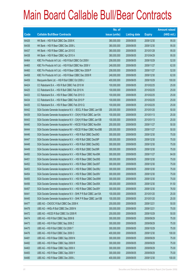|       |                                                                | No. of        |                     |               | <b>Amount raised</b> |
|-------|----------------------------------------------------------------|---------------|---------------------|---------------|----------------------|
| Code  | <b>Callable Bull/Bear Contracts</b>                            | issue (units) | <b>Listing date</b> | <b>Expiry</b> | $(HK$$ mil.)         |
| 64426 | HK Bank - HSI R Bull CBBC Dec 2009 K                           | 380,000,000   | 2009/06/05          | 2009/12/30    | 95.00                |
| 64436 | HK Bank - HSI R Bear CBBC Dec 2009 L                           | 380,000,000   | 2009/06/05          | 2009/12/30    | 95.00                |
| 64437 | HK Bank - HSI R Bear CBBC Jan 2010 E                           | 380,000,000   | 2009/06/05          | 2010/01/28    | 95.00                |
| 64438 | HK Bank - HSI R Bear CBBC Apr 2010 A                           | 380,000,000   | 2009/06/05          | 2010/04/29    | 95.00                |
| 64464 | KBC Fin Products Int'l Ltd. - HSI R Bull CBBC Oct 2009 I       | 208,000,000   | 2009/06/05          | 2009/10/29    | 52.00                |
| 64465 | KBC Fin Products Int'l Ltd. - HSI R Bull CBBC Nov 2009 V       | 248,000,000   | 2009/06/05          | 2009/11/27    | 62.00                |
| 64460 | KBC Fin Products Int'l Ltd. - HSI R Bear CBBC Nov 2009 P       | 208,000,000   | 2009/06/05          | 2009/11/27    | 52.00                |
| 64458 | KBC Fin Products Int'l Ltd. - HSI R Bear CBBC Dec 2009 R       | 248,000,000   | 2009/06/05          | 2009/12/30    | 62.00                |
| 64459 | Macquarie Bank Ltd. - HSI R Bull CBBC Oct 2009 J               | 400,000,000   | 2009/06/05          | 2009/10/29    | 100.00               |
| 64424 | CC Rabobank B.A. - HSI R Bull CBBC Feb 2010 M                  | 100,000,000   | 2009/06/05          | 2010/02/25    | 25.00                |
| 64425 | CC Rabobank B.A. - HSI R Bull CBBC Feb 2010 N                  | 100,000,000   | 2009/06/05          | 2010/02/25    | 25.00                |
| 64433 | CC Rabobank B.A. - HSI R Bear CBBC Feb 2010 O                  | 100,000,000   | 2009/06/05          | 2010/02/25    | 25.00                |
| 64434 | CC Rabobank B.A. - HSI R Bear CBBC Feb 2010 P                  | 100,000,000   | 2009/06/05          | 2010/02/25    | 25.00                |
| 64435 | CC Rabobank B.A. - HSI R Bear CBBC Feb 2010 Q                  | 100,000,000   | 2009/06/05          | 2010/02/25    | 25.00                |
| 64442 | SGA Societe Generale Acceptance N.V. - BOCL R Bear CBBC Jan10B | 200,000,000   | 2009/06/05          | 2010/01/20    | 50.00                |
| 64439 | SGA Societe Generale Acceptance N.V - CK(H) R Bull CBBC Jan10A | 100,000,000   | 2009/06/05          | 2010/01/13    | 25.00                |
| 64443 | SGA Societe Generale Acceptance N.V - CK(H) R Bear CBBC Jan10B | 100,000,000   | 2009/06/05          | 2010/01/13    | 25.00                |
| 64440 | SGA Societe Generale Acceptance NV - HSCEI R Bull CBBC Nov09A  | 200,000,000   | 2009/06/05          | 2009/11/27    | 50.00                |
| 64444 | SGA Societe Generale Acceptance NV - HSCEI R Bear CBBC Nov09B  | 200,000,000   | 2009/06/05          | 2009/11/27    | 50.00                |
| 64446 | SGA Societe Generale Acceptance N.V. - HSI R Bull CBBC Dec090  | 300,000,000   | 2009/06/05          | 2009/12/30    | 75.00                |
| 64447 | SGA Societe Generale Acceptance N.V. - HSI R Bull CBBC Dec09P  | 300,000,000   | 2009/06/05          | 2009/12/30    | 75.00                |
| 64448 | SGA Societe Generale Acceptance N.V. - HSI R Bull CBBC Dec09Q  | 300,000,000   | 2009/06/05          | 2009/12/30    | 75.00                |
| 64449 | SGA Societe Generale Acceptance N.V. - HSI R Bull CBBC Dec09R  | 300,000,000   | 2009/06/05          | 2009/12/30    | 75.00                |
| 64450 | SGA Societe Generale Acceptance N.V. - HSI R Bear CBBC Nov09K  | 300,000,000   | 2009/06/05          | 2009/11/27    | 84.00                |
| 64451 | SGA Societe Generale Acceptance N.V. - HSI R Bear CBBC Dec09S  | 300,000,000   | 2009/06/05          | 2009/12/30    | 75.00                |
| 64452 | SGA Societe Generale Acceptance N.V. - HSI R Bear CBBC Dec09T  | 300,000,000   | 2009/06/05          | 2009/12/30    | 75.00                |
| 64453 | SGA Societe Generale Acceptance N.V. - HSI R Bear CBBC Dec09U  | 300,000,000   | 2009/06/05          | 2009/12/30    | 75.00                |
| 64454 | SGA Societe Generale Acceptance N.V. - HSI R Bear CBBC Dec09V  | 300,000,000   | 2009/06/05          | 2009/12/30    | 75.00                |
| 64455 | SGA Societe Generale Acceptance N.V. - HSI R Bear CBBC Dec09W  | 300,000,000   | 2009/06/05          | 2009/12/30    | 75.00                |
| 64456 | SGA Societe Generale Acceptance N.V. - HSI R Bear CBBC Dec09X  | 300,000,000   | 2009/06/05          | 2009/12/30    | 91.50                |
| 64457 | SGA Societe Generale Acceptance N.V. - HSI R Bear CBBC Dec09Y  | 300,000,000   | 2009/06/05          | 2009/12/30    | 76.50                |
| 64441 | SGA Societe Generale Acceptance N.V - SHK P R Bull CBBC Jan10A | 100,000,000   | 2009/06/05          | 2010/01/20    | 25.00                |
| 64445 | SGA Societe Generale Acceptance N.V - SHK P R Bear CBBC Jan10B | 100,000,000   | 2009/06/05          | 2010/01/20    | 25.00                |
| 64477 | UBS AG - CNOOC R Bull CBBC Dec 2009 K                          | 200,000,000   | 2009/06/05          | 2009/12/21    | 50.00                |
| 64478 | UBS AG - HKEx R Bull CBBC Dec 2009 N                           | 300,000,000   | 2009/06/05          | 2009/12/21    | 75.00                |
| 64472 | UBS AG - HSCEI R Bull CBBC Oct 2009 R                          | 200,000,000   | 2009/06/05          | 2009/10/29    | 50.00                |
| 64474 | UBS AG - HSI R Bull CBBC Sep 2009 B                            | 300,000,000   | 2009/06/05          | 2009/09/29    | 75.00                |
| 64473 | UBS AG - HSI R Bull CBBC Sep 2009 Z                            | 300,000,000   | 2009/06/05          | 2009/09/29    | 75.00                |
| 64475 | UBS AG - HSI R Bull CBBC Oct 2009 T                            | 300,000,000   | 2009/06/05          | 2009/10/29    | 75.00                |
| 64476 | UBS AG - HSI R Bull CBBC Dec 2009 O                            | 400,000,000   | 2009/06/05          | 2009/12/30    | 100.00               |
| 64481 | UBS AG - HSI R Bear CBBC Sep 2009 N                            | 300,000,000   | 2009/06/05          | 2009/09/29    | 75.00                |
| 64482 | UBS AG - HSI R Bear CBBC Sep 2009 R                            | 300,000,000   | 2009/06/05          | 2009/09/29    | 75.00                |
| 64463 | UBS AG - HSI R Bear CBBC Sep 2009 X                            | 300,000,000   | 2009/06/05          | 2009/09/29    | 75.00                |
| 64483 | UBS AG - HSI R Bear CBBC Sep 2009 Y                            | 300,000,000   | 2009/06/05          | 2009/09/29    | 75.00                |
| 64480 | UBS AG - HSI R Bear CBBC Dec 2009 L                            | 400,000,000   | 2009/06/05          | 2009/12/30    | 100.00               |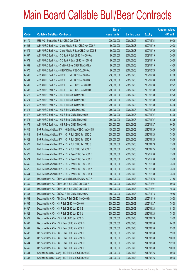|       |                                                           | No. of        |                     |               | <b>Amount raised</b> |
|-------|-----------------------------------------------------------|---------------|---------------------|---------------|----------------------|
| Code  | <b>Callable Bull/Bear Contracts</b>                       | issue (units) | <b>Listing date</b> | <b>Expiry</b> | (HK\$ mil.)          |
| 64479 | UBS AG - Petrochina R Bull CBBC Dec 2009 F                | 200,000,000   | 2009/06/05          | 2009/12/21    | 50.00                |
| 64568 | ABN AMRO Bank N.V. - China Mobile R Bull CBBC Nov 2009 A  | 80,000,000    | 2009/06/08          | 2009/11/19    | 20.08                |
| 64572 | ABN AMRO Bank N.V. - China Mobile R Bear CBBC Nov 2009 B  | 80,000,000    | 2009/06/08          | 2009/11/19    | 20.00                |
| 64567 | ABN AMRO Bank N.V. - CC Bank R Bull CBBC Nov 2009 A       | 80,000,000    | 2009/06/08          | 2009/11/19    | 20.00                |
| 64571 | ABN AMRO Bank N.V. - CC Bank R Bear CBBC Nov 2009 B       | 80,000,000    | 2009/06/08          | 2009/11/19    | 20.00                |
| 64569 | ABN AMRO Bank N.V. - Ch Life R Bear CBBC Nov 2009 A       | 80,000,000    | 2009/06/08          | 2009/11/19    | 49.20                |
| 64570 | ABN AMRO Bank N.V. - HSBC R Bear CBBC Oct 2009 A          | 80,000,000    | 2009/06/08          | 2009/10/28    | 20.08                |
| 64580 | ABN AMRO Bank N.V. - HSCEI R Bull CBBC Dec 2009 A         | 250,000,000   | 2009/06/08          | 2009/12/30    | 67.00                |
| 64581 | ABN AMRO Bank N.V. - HSCEI R Bull CBBC Dec 2009 B         | 250,000,000   | 2009/06/08          | 2009/12/30    | 63.00                |
| 64582 | ABN AMRO Bank N.V. - HSCEI R Bear CBBC Dec 2009 C         | 250,000,000   | 2009/06/08          | 2009/12/30    | 62.75                |
| 64583 | ABN AMRO Bank N.V. - HSCEI R Bear CBBC Dec 2009 D         | 250,000,000   | 2009/06/08          | 2009/12/30    | 62.75                |
| 64573 | ABN AMRO Bank N.V. - HSI R Bull CBBC Dec 2009 F           | 250,000,000   | 2009/06/08          | 2009/12/30    | 62.75                |
| 64574 | ABN AMRO Bank N.V. - HSI R Bull CBBC Dec 2009 G           | 250,000,000   | 2009/06/08          | 2009/12/30    | 62.75                |
| 64575 | ABN AMRO Bank N.V. - HSI R Bull CBBC Dec 2009 H           | 250,000,000   | 2009/06/08          | 2009/12/30    | 64.00                |
| 64576 | ABN AMRO Bank N.V. - HSI R Bull CBBC Dec 2009 I           | 250,000,000   | 2009/06/08          | 2009/12/30    | 63.00                |
| 64577 | ABN AMRO Bank N.V. - HSI R Bear CBBC Nov 2009 H           | 250,000,000   | 2009/06/08          | 2009/11/27    | 63.00                |
| 64578 | ABN AMRO Bank N.V. - HSI R Bear CBBC Nov 2009 I           | 250,000,000   | 2009/06/08          | 2009/11/27    | 63.75                |
| 64579 | ABN AMRO Bank N.V. - HSI R Bear CBBC Nov 2009 J           | 250,000,000   | 2009/06/08          | 2009/11/27    | 66.50                |
| 64546 | BNP Paribas Arbit Issu B.V. - HKEx R Bear CBBC Jan 2010 B | 100,000,000   | 2009/06/08          | 2010/01/29    | 30.00                |
| 64513 | BNP Paribas Arbit Issu B.V. - HSI R Bull CBBC Jan 2010 Q  | 300,000,000   | 2009/06/08          | 2010/01/28    | 75.00                |
| 64522 | BNP Paribas Arbit Issu B.V. - HSI R Bull CBBC Jan 2010 R  | 300,000,000   | 2009/06/08          | 2010/01/28    | 75.00                |
| 64523 | BNP Paribas Arbit Issu B.V. - HSI R Bull CBBC Jan 2010 S  | 300,000,000   | 2009/06/08          | 2010/01/28    | 75.00                |
| 64543 | BNP Paribas Arbit Issu B.V. - HSI R Bull CBBC Feb 2010 F  | 300,000,000   | 2009/06/08          | 2010/02/25    | 75.00                |
| 64526 | BNP Paribas Arbit Issu B.V. - HSI R Bear CBBC Dec 2009 B  | 300,000,000   | 2009/06/08          | 2009/12/30    | 75.00                |
| 64524 | BNP Paribas Arbit Issu B.V. - HSI R Bear CBBC Dec 2009 F  | 300,000,000   | 2009/06/08          | 2009/12/30    | 75.00                |
| 64545 | BNP Paribas Arbit Issu B.V. - HSI R Bear CBBC Dec 2009 H  | 300,000,000   | 2009/06/08          | 2009/12/30    | 75.00                |
| 64525 | BNP Paribas Arbit Issu B.V. - HSI R Bear CBBC Dec 2009 N  | 300,000,000   | 2009/06/08          | 2009/12/30    | 75.00                |
| 64544 | BNP Paribas Arbit Issu B.V. - HSI R Bear CBBC Dec 2009 T  | 300,000,000   | 2009/06/08          | 2009/12/30    | 75.00                |
| 64562 | Deutsche Bank AG - China Mobile R Bull CBBC Nov 2009 A    | 150,000,000   | 2009/06/08          | 2009/11/23    | 37.50                |
| 64560 | Deutsche Bank AG - China Life R Bull CBBC Dec 2009 A      | 150,000,000   | 2009/06/08          | 2009/12/07    | 60.00                |
| 64561 | Deutsche Bank AG - China Life R Bull CBBC Dec 2009 B      | 150,000,000   | 2009/06/08          | 2009/12/07    | 45.00                |
| 64563 | Deutsche Bank AG - CNOOC R Bull CBBC Nov 2009 C           | 150,000,000   | 2009/06/08          | 2009/11/16    | 40.50                |
| 64564 | Deutsche Bank AG - A50 China R Bull CBBC Nov 2009 B       | 150,000,000   | 2009/06/08          | 2009/11/16    | 39.00                |
| 64565 | Deutsche Bank AG - HSI R Bull CBBC Nov 2009 O             | 300,000,000   | 2009/06/08          | 2009/11/27    | 75.00                |
| 64527 | Deutsche Bank AG - HSI R Bull CBBC Jan 2010 E             | 300,000,000   | 2009/06/08          | 2010/01/28    | 81.00                |
| 64528 | Deutsche Bank AG - HSI R Bull CBBC Jan 2010 J             | 300,000,000   | 2009/06/08          | 2010/01/28    | 78.00                |
| 64529 | Deutsche Bank AG - HSI R Bull CBBC Jan 2010 O             | 300,000,000   | 2009/06/08          | 2010/01/28    | 75.00                |
| 64530 | Deutsche Bank AG - HSI R Bear CBBC Mar 2010 D             | 300,000,000   | 2009/06/08          | 2010/03/30    | 84.00                |
| 64531 | Deutsche Bank AG - HSI R Bear CBBC Mar 2010 E             | 300,000,000   | 2009/06/08          | 2010/03/30    | 93.00                |
| 64532 | Deutsche Bank AG - HSI R Bear CBBC Mar 2010 F             | 300,000,000   | 2009/06/08          | 2010/03/30    | 99.00                |
| 64533 | Deutsche Bank AG - HSI R Bear CBBC Mar 2010 G             | 300,000,000   | 2009/06/08          | 2010/03/30    | 120.00               |
| 64534 | Deutsche Bank AG - HSI R Bear CBBC Mar 2010 H             | 300,000,000   | 2009/06/08          | 2010/03/30    | 132.00               |
| 64566 | Deutsche Bank AG - HSI R Bear CBBC Mar 2010 I             | 300,000,000   | 2009/06/08          | 2010/03/30    | 120.00               |
| 64584 | Goldman Sachs SP (Asia) - HSI R Bull CBBC Feb 2010 E      | 200,000,000   | 2009/06/08          | 2010/02/25    | 50.00                |
| 64585 | Goldman Sachs SP (Asia) - HSI R Bull CBBC Feb 2010 F      | 200,000,000   | 2009/06/08          | 2010/02/25    | 50.00                |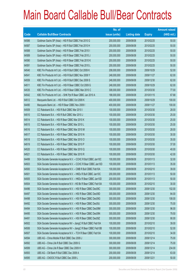|       |                                                                | No. of        |                     |               | <b>Amount raised</b> |
|-------|----------------------------------------------------------------|---------------|---------------------|---------------|----------------------|
| Code  | <b>Callable Bull/Bear Contracts</b>                            | issue (units) | <b>Listing date</b> | <b>Expiry</b> | (HK\$ mil.)          |
| 64586 | Goldman Sachs SP (Asia) - HSI R Bull CBBC Feb 2010 G           | 200,000,000   | 2009/06/08          | 2010/02/25    | 50.00                |
| 64587 | Goldman Sachs SP (Asia) - HSI R Bull CBBC Feb 2010 H           | 200,000,000   | 2009/06/08          | 2010/02/25    | 50.00                |
| 64588 | Goldman Sachs SP (Asia) - HSI R Bear CBBC Feb 2010 I           | 200,000,000   | 2009/06/08          | 2010/02/25    | 50.00                |
| 64589 | Goldman Sachs SP (Asia) - HSI R Bear CBBC Feb 2010 J           | 200,000,000   | 2009/06/08          | 2010/02/25    | 50.00                |
| 64590 | Goldman Sachs SP (Asia) - HSI R Bear CBBC Feb 2010 K           | 200,000,000   | 2009/06/08          | 2010/02/25    | 50.00                |
| 64591 | Goldman Sachs SP (Asia) - HSI R Bear CBBC Feb 2010 L           | 200,000,000   | 2009/06/08          | 2010/02/25    | 50.00                |
| 64540 | KBC Fin Products Int'l Ltd. - HSI R Bull CBBC Oct 2009 K       | 208,000,000   | 2009/06/08          | 2009/10/29    | 52.00                |
| 64541 | KBC Fin Products Int'l Ltd. - HSI R Bull CBBC Nov 2009 Y       | 248,000,000   | 2009/06/08          | 2009/11/27    | 62.00                |
| 64559 | KBC Fin Products Int'l Ltd. - HSI R Bull CBBC Dec 2009 S       | 248,000,000   | 2009/06/08          | 2009/12/30    | 62.00                |
| 64511 | KBC Fin Products Int'l Ltd. - HSI R Bear CBBC Oct 2009 G       | 248,000,000   | 2009/06/08          | 2009/10/29    | 62.00                |
| 64535 | KBC Fin Products Int'l Ltd. - HSI R Bear CBBC Mar 2010 C       | 308,000,000   | 2009/06/08          | 2010/03/30    | 77.00                |
| 64542 | KBC Fin Products Int'l Ltd. - SHK Ppt R Bear CBBC Jan 2010 A   | 188,000,000   | 2009/06/08          | 2010/01/15    | 67.68                |
| 64512 | Macquarie Bank Ltd. - HSI R Bull CBBC Oct 2009 K               | 400,000,000   | 2009/06/08          | 2009/10/29    | 100.00               |
| 64490 | Macquarie Bank Ltd. - HSI R Bear CBBC Nov 2009 I               | 400,000,000   | 2009/06/08          | 2009/11/27    | 100.00               |
| 64509 | CC Rabobank B.A. - HSI R Bull CBBC Mar 2010 I                  | 100,000,000   | 2009/06/08          | 2010/03/30    | 28.00                |
| 64510 | CC Rabobank B.A. - HSI R Bull CBBC Mar 2010 J                  | 100,000,000   | 2009/06/08          | 2010/03/30    | 25.00                |
| 64514 | CC Rabobank B.A. - HSI R Bear CBBC Mar 2010 K                  | 100,000,000   | 2009/06/08          | 2010/03/30    | 25.00                |
| 64515 | CC Rabobank B.A. - HSI R Bear CBBC Mar 2010 L                  | 100,000,000   | 2009/06/08          | 2010/03/30    | 25.00                |
| 64516 | CC Rabobank B.A. - HSI R Bear CBBC Mar 2010 M                  | 100,000,000   | 2009/06/08          | 2010/03/30    | 28.00                |
| 64517 | CC Rabobank B.A. - HSI R Bear CBBC Mar 2010 N                  | 100,000,000   | 2009/06/08          | 2010/03/30    | 30.00                |
| 64518 | CC Rabobank B.A. - HSI R Bear CBBC Mar 2010 O                  | 100,000,000   | 2009/06/08          | 2010/03/30    | 35.00                |
| 64519 | CC Rabobank B.A. - HSI R Bear CBBC Mar 2010 P                  | 100,000,000   | 2009/06/08          | 2010/03/30    | 37.00                |
| 64520 | CC Rabobank B.A. - HSI R Bear CBBC Mar 2010 Q                  | 100,000,000   | 2009/06/08          | 2010/03/30    | 40.00                |
| 64521 | CC Rabobank B.A. - HSI R Bear CBBC Mar 2010 R                  | 100,000,000   | 2009/06/08          | 2010/03/30    | 42.00                |
| 64499 | SGA Societe Generale Acceptance N.V. - CCHC R Bull CBBC Jan10C | 100,000,000   | 2009/06/08          | 2010/01/13    | 32.00                |
| 64503 | SGA Societe Generale Acceptance N.V. - CCHC R Bear CBBC Jan10D | 100,000,000   | 2009/06/08          | 2010/01/13    | 35.00                |
| 64500 | SGA Societe Generale Acceptance N.V. - CMB R Bull CBBC Feb10A  | 100,000,000   | 2009/06/08          | 2010/02/10    | 39.00                |
| 64501 | SGA Societe Generale Acceptance N.V. - HKEx R Bull CBBC Jan10C | 200,000,000   | 2009/06/08          | 2010/01/13    | 50.00                |
| 64505 | SGA Societe Generale Acceptance N.V. - HKEx R Bear CBBC Jan10D | 200,000,000   | 2009/06/08          | 2010/01/13    | 50.00                |
| 64504 | SGA Societe Generale Acceptance N.V - HS Bk R Bear CBBC Feb10A | 100,000,000   | 2009/06/08          | 2010/02/10    | 30.00                |
| 64496 | SGA Societe Generale Acceptance N.V. - HSI R Bear CBBC Dec09C  | 300,000,000   | 2009/06/08          | 2009/12/30    | 102.00               |
| 64497 | SGA Societe Generale Acceptance N.V. - HSI R Bear CBBC Dec09D  | 300,000,000   | 2009/06/08          | 2009/12/30    | 84.00                |
| 64498 | SGA Societe Generale Acceptance N.V. - HSI R Bear CBBC Dec09G  | 300,000,000   | 2009/06/08          | 2009/12/30    | 108.00               |
| 64492 | SGA Societe Generale Acceptance N.V. - HSI R Bear CBBC Dec09J  | 300,000,000   | 2009/06/08          | 2009/12/30    | 75.00                |
| 64494 | SGA Societe Generale Acceptance N.V. - HSI R Bear CBBC Dec09M  | 300,000,000   | 2009/06/08          | 2009/12/30    | 96.00                |
| 64495 | SGA Societe Generale Acceptance N.V. - HSI R Bear CBBC Dec09N  | 300,000,000   | 2009/06/08          | 2009/12/30    | 79.50                |
| 64491 | SGA Societe Generale Acceptance N.V. - HSI R Bear CBBC Dec09Z  | 300,000,000   | 2009/06/08          | 2009/12/30    | 90.00                |
| 64502 | SGA Societe Generale Acceptance NV - JiangC R Bull CBBC Feb10A | 100,000,000   | 2009/06/08          | 2010/02/10    | 39.00                |
| 64506 | SGA Societe Generale Acceptance NV - JiangC R Bear CBBC Feb10B | 100,000,000   | 2009/06/08          | 2010/02/10    | 52.00                |
| 64507 | SGA Societe Generale Acceptance N.V. - TCH R Bear CBBC Feb10A  | 100,000,000   | 2009/06/08          | 2010/02/10    | 34.00                |
| 64594 | UBS AG - China Mobile R Bull CBBC Dec 2009 J                   | 300,000,000   | 2009/06/08          | 2009/12/14    | 75.00                |
| 64592 | UBS AG - China Life R Bull CBBC Dec 2009 G                     | 300,000,000   | 2009/06/08          | 2009/12/14    | 75.00                |
| 64599 | UBS AG - China Life R Bear CBBC Dec 2009 H                     | 300,000,000   | 2009/06/08          | 2009/12/14    | 234.00               |
| 64593 | UBS AG - CM Bank R Bull CBBC Dec 2009 A                        | 200,000,000   | 2009/06/08          | 2009/12/14    | 63.00                |
| 64595 | UBS AG - CNOOC R Bull CBBC Dec 2009 L                          | 200,000,000   | 2009/06/08          | 2009/12/21    | 50.00                |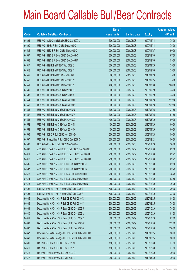|       |                                                      | No. of        |                     |               | <b>Amount raised</b> |
|-------|------------------------------------------------------|---------------|---------------------|---------------|----------------------|
| Code  | <b>Callable Bull/Bear Contracts</b>                  | issue (units) | <b>Listing date</b> | <b>Expiry</b> | $(HK$$ mil.)         |
| 64601 | UBS AG - A50 China R Bull CBBC Dec 2009 L            | 300,000,000   | 2009/06/08          | 2009/12/14    | 75.00                |
| 64600 | UBS AG - HKEx R Bull CBBC Dec 2009 O                 | 300,000,000   | 2009/06/08          | 2009/12/14    | 75.00                |
| 64536 | UBS AG - HSCEI R Bull CBBC Nov 2009 O                | 200,000,000   | 2009/06/08          | 2009/11/27    | 50.00                |
| 64537 | UBS AG - HSCEI R Bear CBBC Dec 2009 C                | 200,000,000   | 2009/06/08          | 2009/12/30    | 67.00                |
| 64538 | UBS AG - HSCEI R Bear CBBC Dec 2009 D                | 200,000,000   | 2009/06/08          | 2009/12/30    | 59.00                |
| 64547 | UBS AG - HSI R Bull CBBC Sep 2009 C                  | 300,000,000   | 2009/06/08          | 2009/09/29    | 75.00                |
| 64548 | UBS AG - HSI R Bull CBBC Dec 2009 T                  | 300,000,000   | 2009/06/08          | 2009/12/30    | 75.00                |
| 64549 | UBS AG - HSI R Bull CBBC Jan 2010 G                  | 300,000,000   | 2009/06/08          | 2010/01/28    | 75.00                |
| 64550 | UBS AG - HSI R Bull CBBC Feb 2010 W                  | 300,000,000   | 2009/06/08          | 2010/02/25    | 75.00                |
| 64551 | UBS AG - HSI R Bull CBBC Mar 2010 Y                  | 400,000,000   | 2009/06/08          | 2010/03/30    | 100.00               |
| 64539 | UBS AG - HSI R Bear CBBC Sep 2009 O                  | 300,000,000   | 2009/06/08          | 2009/09/29    | 75.00                |
| 64508 | UBS AG - HSI R Bear CBBC Oct 2009 V                  | 300,000,000   | 2009/06/08          | 2009/10/29    | 75.00                |
| 64554 | UBS AG - HSI R Bear CBBC Jan 2010 H                  | 300,000,000   | 2009/06/08          | 2010/01/28    | 112.50               |
| 64555 | UBS AG - HSI R Bear CBBC Jan 2010 P                  | 300,000,000   | 2009/06/08          | 2010/01/28    | 142.50               |
| 64556 | UBS AG - HSI R Bear CBBC Feb 2010 U                  | 300,000,000   | 2009/06/08          | 2010/02/25    | 124.50               |
| 64557 | UBS AG - HSI R Bear CBBC Feb 2010 V                  | 300,000,000   | 2009/06/08          | 2010/02/25    | 154.50               |
| 64558 | UBS AG - HSI R Bear CBBC Mar 2010 Z                  | 400,000,000   | 2009/06/08          | 2010/03/30    | 100.00               |
| 64552 | UBS AG - HSI R Bear CBBC Apr 2010 N                  | 400,000,000   | 2009/06/08          | 2010/04/29    | 100.00               |
| 64553 | UBS AG - HSI R Bear CBBC Apr 2010 O                  | 400,000,000   | 2009/06/08          | 2010/04/29    | 100.00               |
| 64596 | UBS AG - ICBC R Bull CBBC Nov 2009 D                 | 200,000,000   | 2009/06/08          | 2009/11/23    | 50.00                |
| 64597 | UBS AG - Petrochina R Bull CBBC Dec 2009 G           | 200,000,000   | 2009/06/08          | 2009/12/21    | 50.00                |
| 64598 | UBS AG - Ping An R Bull CBBC Nov 2009 A              | 200,000,000   | 2009/06/08          | 2009/11/23    | 50.00                |
| 64608 | ABN AMRO Bank N.V. - HSCEI R Bull CBBC Dec 2009 E    | 250,000,000   | 2009/06/09          | 2009/12/30    | 62.50                |
| 64611 | ABN AMRO Bank N.V. - HSCEI R Bear CBBC Dec 2009 F    | 250,000,000   | 2009/06/09          | 2009/12/30    | 62.75                |
| 64612 | ABN AMRO Bank N.V. - HSCEI R Bear CBBC Dec 2009 G    | 250,000,000   | 2009/06/09          | 2009/12/30    | 62.75                |
| 64606 | ABN AMRO Bank N.V. - HSI R Bull CBBC Dec 2009 J      | 250,000,000   | 2009/06/09          | 2009/12/30    | 62.50                |
| 64607 | ABN AMRO Bank N.V. - HSI R Bull CBBC Dec 2009 K      | 250,000,000   | 2009/06/09          | 2009/12/30    | 62.75                |
| 64613 | ABN AMRO Bank N.V. - HSI R Bear CBBC Dec 2009 L      | 250,000,000   | 2009/06/09          | 2009/12/30    | 78.25                |
| 64614 | ABN AMRO Bank N.V. - HSI R Bear CBBC Dec 2009 M      | 250,000,000   | 2009/06/09          | 2009/12/30    | 62.50                |
| 64615 | ABN AMRO Bank N.V. - HSI R Bear CBBC Dec 2009 N      | 250,000,000   | 2009/06/09          | 2009/12/30    | 76.25                |
| 64602 | Barclays Bank plc - HSI R Bear CBBC Dec 2009 E       | 500,000,000   | 2009/06/09          | 2009/12/30    | 130.00               |
| 64603 | Barclays Bank plc - HSI R Bear CBBC Dec 2009 F       | 500,000,000   | 2009/06/09          | 2009/12/30    | 133.00               |
| 64635 | Deutsche Bank AG - HSI R Bull CBBC Feb 2010 X        | 300,000,000   | 2009/06/09          | 2010/02/25    | 84.00                |
| 64636 | Deutsche Bank AG - HSI R Bull CBBC Feb 2010 Y        | 300,000,000   | 2009/06/09          | 2010/02/25    | 75.00                |
| 64639 | Deutsche Bank AG - HSI R Bear CBBC Oct 2009 J        | 300,000,000   | 2009/06/09          | 2009/10/29    | 75.00                |
| 64640 | Deutsche Bank AG - HSI R Bear CBBC Oct 2009 M        | 300,000,000   | 2009/06/09          | 2009/10/29    | 81.00                |
| 64641 | Deutsche Bank AG - HSI R Bear CBBC Oct 2009 Z        | 300,000,000   | 2009/06/09          | 2009/10/29    | 87.00                |
| 64638 | Deutsche Bank AG - HSI R Bear CBBC Dec 2009 V        | 300,000,000   | 2009/06/09          | 2009/12/30    | 132.00               |
| 64637 | Deutsche Bank AG - HSI R Bear CBBC Dec 2009 Z        | 300,000,000   | 2009/06/09          | 2009/12/30    | 120.00               |
| 64647 | Goldman Sachs SP (Asia) - HSI R Bear CBBC Feb 2010 M | 200,000,000   | 2009/06/09          | 2010/02/25    | 50.00                |
| 64648 | Goldman Sachs SP (Asia) - HSI R Bear CBBC Feb 2010 N | 200,000,000   | 2009/06/09          | 2010/02/25    | 50.00                |
| 64609 | HK Bank - HSI R Bull CBBC Dec 2009 M                 | 150,000,000   | 2009/06/09          | 2009/12/30    | 37.50                |
| 64610 | HK Bank - HSI R Bull CBBC Dec 2009 N                 | 150,000,000   | 2009/06/09          | 2009/12/30    | 37.50                |
| 64616 | HK Bank - HSI R Bear CBBC Dec 2009 O                 | 280,000,000   | 2009/06/09          | 2009/12/30    | 70.00                |
| 64617 | HK Bank - HSI R Bear CBBC Mar 2010 B                 | 280,000,000   | 2009/06/09          | 2010/03/30    | 70.00                |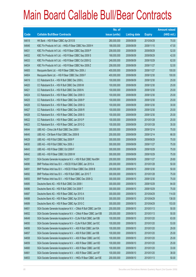|             |                                                                | No. of        |                     |               | <b>Amount raised</b> |
|-------------|----------------------------------------------------------------|---------------|---------------------|---------------|----------------------|
| <b>Code</b> | <b>Callable Bull/Bear Contracts</b>                            | issue (units) | <b>Listing date</b> | <b>Expiry</b> | (HK\$ mil.)          |
| 64618       | HK Bank - HSI R Bear CBBC Apr 2010 B                           | 280,000,000   | 2009/06/09          | 2010/04/29    | 70.00                |
| 64646       | KBC Fin Products Int'l Ltd. - HKEx R Bear CBBC Nov 2009 H      | 188,000,000   | 2009/06/09          | 2009/11/10    | 47.00                |
| 64631       | KBC Fin Products Int'l Ltd. - HSI R Bear CBBC Sep 2009 P       | 208,000,000   | 2009/06/09          | 2009/09/29    | 52.00                |
| 64632       | KBC Fin Products Int'l Ltd. - HSI R Bear CBBC Sep 2009 S       | 168,000,000   | 2009/06/09          | 2009/09/29    | 42.00                |
| 64633       | KBC Fin Products Int'l Ltd. - HSI R Bear CBBC Oct 2009 Q       | 248,000,000   | 2009/06/09          | 2009/10/29    | 62.00                |
| 64634       | KBC Fin Products Int'l Ltd. - HSI R Bear CBBC Nov 2009 Z       | 208,000,000   | 2009/06/09          | 2009/11/27    | 52.00                |
| 64605       | Macquarie Bank Ltd. - HSI R Bear CBBC Nov 2009 J               | 400,000,000   | 2009/06/09          | 2009/11/27    | 100.00               |
| 64604       | Macquarie Bank Ltd. - HSI R Bear CBBC Dec 2009 F               | 400,000,000   | 2009/06/09          | 2009/12/30    | 100.00               |
| 64619       | CC Rabobank B.A. - HSI R Bull CBBC Dec 2009 L                  | 100,000,000   | 2009/06/09          | 2009/12/30    | 25.00                |
| 64620       | CC Rabobank B.A. - HSI R Bull CBBC Dec 2009 M                  | 100,000,000   | 2009/06/09          | 2009/12/30    | 25.00                |
| 64621       | CC Rabobank B.A. - HSI R Bull CBBC Dec 2009 N                  | 100,000,000   | 2009/06/09          | 2009/12/30    | 25.00                |
| 64624       | CC Rabobank B.A. - HSI R Bear CBBC Dec 2009 O                  | 100,000,000   | 2009/06/09          | 2009/12/30    | 25.00                |
| 64625       | CC Rabobank B.A. - HSI R Bear CBBC Dec 2009 P                  | 100,000,000   | 2009/06/09          | 2009/12/30    | 25.00                |
| 64626       | CC Rabobank B.A. - HSI R Bear CBBC Dec 2009 Q                  | 100,000,000   | 2009/06/09          | 2009/12/30    | 30.00                |
| 64627       | CC Rabobank B.A. - HSI R Bear CBBC Dec 2009 R                  | 100,000,000   | 2009/06/09          | 2009/12/30    | 25.00                |
| 64628       | CC Rabobank B.A. - HSI R Bear CBBC Dec 2009 S                  | 100,000,000   | 2009/06/09          | 2009/12/30    | 25.00                |
| 64622       | CC Rabobank B.A. - HSI R Bear CBBC Jan 2010 P                  | 100,000,000   | 2009/06/09          | 2010/01/28    | 25.00                |
| 64623       | CC Rabobank B.A. - HSI R Bear CBBC Jan 2010 Q                  | 100,000,000   | 2009/06/09          | 2010/01/28    | 35.00                |
| 64644       | UBS AG - China Life R Bull CBBC Dec 2009 I                     | 300,000,000   | 2009/06/09          | 2009/12/14    | 75.00                |
| 64645       | UBS AG - CM Bank R Bull CBBC Dec 2009 B                        | 200,000,000   | 2009/06/09          | 2009/12/14    | 66.00                |
| 64629       | UBS AG - HSI R Bull CBBC Sep 2009 P                            | 300,000,000   | 2009/06/09          | 2009/09/29    | 75.00                |
| 64630       | UBS AG - HSI R Bull CBBC Nov 2009 J                            | 300,000,000   | 2009/06/09          | 2009/11/27    | 75.00                |
| 64643       | UBS AG - HSI R Bear CBBC Oct 2009 F                            | 300,000,000   | 2009/06/09          | 2009/10/29    | 75.00                |
| 64642       | UBS AG - HSI R Bear CBBC Oct 2009 W                            | 300,000,000   | 2009/06/09          | 2009/10/29    | 75.00                |
| 64281       | SGA Societe Generale Acceptance N.V. - HSI R Bull CBBC Nov09H  | 200,000,000   | 2009/06/09          | 2009/11/27    | 29.80                |
| 64690       | BNP Paribas Arbit Issu B.V. - HSCEI R Bull CBBC Jan 2010 A     | 200,000,000   | 2009/06/10          | 2010/01/28    | 50.00                |
| 64691       | BNP Paribas Arbit Issu B.V. - HSCEI R Bear CBBC Dec 2009 B     | 200,000,000   | 2009/06/10          | 2009/12/30    | 50.00                |
| 64692       | BNP Paribas Arbit Issu B.V. - HSI R Bull CBBC Jan 2010 T       | 300,000,000   | 2009/06/10          | 2010/01/28    | 75.00                |
| 64693       | BNP Paribas Arbit Issu B.V. - HSI R Bear CBBC Dec 2009 Q       | 300,000,000   | 2009/06/10          | 2009/12/30    | 75.00                |
| 64685       | Deutsche Bank AG - HSI R Bull CBBC Oct 2009 I                  | 300,000,000   | 2009/06/10          | 2009/10/29    | 84.00                |
| 64686       | Deutsche Bank AG - HSI R Bull CBBC Oct 2009 T                  | 300,000,000   | 2009/06/10          | 2009/10/29    | 75.00                |
| 64687       | Deutsche Bank AG - HSI R Bear CBBC Apr 2010 A                  | 300,000,000   | 2009/06/10          | 2010/04/29    | 114.00               |
| 64688       | Deutsche Bank AG - HSI R Bear CBBC Apr 2010 B                  | 300,000,000   | 2009/06/10          | 2010/04/29    | 138.00               |
| 64689       | Deutsche Bank AG - HSI R Bear CBBC Apr 2010 C                  | 300,000,000   | 2009/06/10          | 2010/04/29    | 153.00               |
| 64651       | SGA Societe Generale Acceptance N.V. - CMob R Bull CBBC Jan10A | 200,000,000   | 2009/06/10          | 2010/01/13    | 50.00                |
| 64652       | SGA Societe Generale Acceptance N.V. - CMob R Bear CBBC Jan10B | 200,000,000   | 2009/06/10          | 2010/01/13    | 50.00                |
| 64649       | SGA Societe Generale Acceptance N.V - CLife R Bull CBBC Jan10B | 100,000,000   | 2009/06/10          | 2010/01/20    | 63.00                |
| 64650       | SGA Societe Generale Acceptance N.V - CLife R Bull CBBC Jan10C | 100,000,000   | 2009/06/10          | 2010/01/20    | 53.00                |
| 64656       | SGA Societe Generale Acceptance N.V. - A50 R Bull CBBC Jan10A  | 100,000,000   | 2009/06/10          | 2010/01/20    | 29.00                |
| 64657       | SGA Societe Generale Acceptance N.V. - A50 R Bull CBBC Jan10B  | 100,000,000   | 2009/06/10          | 2010/01/20    | 25.00                |
| 64658       | SGA Societe Generale Acceptance N.V. - A50 R Bear CBBC Jan10C  | 100,000,000   | 2009/06/10          | 2010/01/20    | 25.00                |
| 64659       | SGA Societe Generale Acceptance N.V. - A50 R Bear CBBC Jan10D  | 100,000,000   | 2009/06/10          | 2010/01/20    | 25.00                |
| 64660       | SGA Societe Generale Acceptance N.V. - A50 R Bear CBBC Jan10E  | 100,000,000   | 2009/06/10          | 2010/01/20    | 33.00                |
| 64661       | SGA Societe Generale Acceptance N.V. - A50 R Bear CBBC Jan10F  | 100,000,000   | 2009/06/10          | 2010/01/20    | 38.00                |
| 64653       | SGA Societe Generale Acceptance N.V. - HKEx R Bear CBBC Jan10E | 200,000,000   | 2009/06/10          | 2010/01/13    | 50.00                |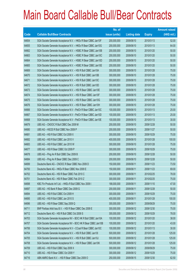|             |                                                                | No. of        |                     |               | <b>Amount raised</b> |
|-------------|----------------------------------------------------------------|---------------|---------------------|---------------|----------------------|
| <b>Code</b> | <b>Callable Bull/Bear Contracts</b>                            | issue (units) | <b>Listing date</b> | <b>Expiry</b> | (HK\$ mil.)          |
| 64654       | SGA Societe Generale Acceptance N.V. - HKEx R Bear CBBC Jan10F | 200,000,000   | 2009/06/10          | 2010/01/13    | 52.00                |
| 64655       | SGA Societe Generale Acceptance N.V. - HKEx R Bear CBBC Jan10G | 200,000,000   | 2009/06/10          | 2010/01/13    | 64.00                |
| 64662       | SGA Societe Generale Acceptance N.V. - HSBC R Bear CBBC Jan10B | 200,000,000   | 2009/06/10          | 2010/01/20    | 50.00                |
| 64663       | SGA Societe Generale Acceptance N.V. - HSBC R Bear CBBC Jan10C | 200,000,000   | 2009/06/10          | 2010/01/20    | 50.00                |
| 64664       | SGA Societe Generale Acceptance N.V. - HSBC R Bear CBBC Jan10D | 200,000,000   | 2009/06/10          | 2010/01/20    | 50.00                |
| 64665       | SGA Societe Generale Acceptance N.V. - HSBC R Bear CBBC Jan10E | 200,000,000   | 2009/06/10          | 2010/01/20    | 50.00                |
| 64669       | SGA Societe Generale Acceptance N.V. - HSI R Bull CBBC Jan10A  | 300,000,000   | 2009/06/10          | 2010/01/28    | 75.00                |
| 64670       | SGA Societe Generale Acceptance N.V. - HSI R Bull CBBC Jan10B  | 300,000,000   | 2009/06/10          | 2010/01/28    | 75.00                |
| 64671       | SGA Societe Generale Acceptance N.V. - HSI R Bull CBBC Jan10C  | 300,000,000   | 2009/06/10          | 2010/01/28    | 75.00                |
| 64672       | SGA Societe Generale Acceptance N.V. - HSI R Bull CBBC Jan10D  | 300,000,000   | 2009/06/10          | 2010/01/28    | 75.00                |
| 64673       | SGA Societe Generale Acceptance N.V. - HSI R Bear CBBC Jan10E  | 300,000,000   | 2009/06/10          | 2010/01/28    | 75.00                |
| 64674       | SGA Societe Generale Acceptance N.V. - HSI R Bear CBBC Jan10F  | 300,000,000   | 2009/06/10          | 2010/01/28    | 75.00                |
| 64675       | SGA Societe Generale Acceptance N.V. - HSI R Bear CBBC Jan10G  | 300,000,000   | 2009/06/10          | 2010/01/28    | 75.00                |
| 64676       | SGA Societe Generale Acceptance N.V. - HSI R Bear CBBC Jan10H  | 300,000,000   | 2009/06/10          | 2010/01/28    | 75.00                |
| 64666       | SGA Societe Generale Acceptance N.V - PetCh R Bear CBBC Jan10C | 100,000,000   | 2009/06/10          | 2010/01/13    | 25.00                |
| 64667       | SGA Societe Generale Acceptance N.V - PetCh R Bear CBBC Jan10D | 100,000,000   | 2009/06/10          | 2010/01/13    | 25.00                |
| 64668       | SGA Societe Generale Acceptance N.V - PetCh R Bear CBBC Jan10E | 100,000,000   | 2009/06/10          | 2010/01/13    | 30.00                |
| 64679       | UBS AG - CNOOC R Bull CBBC Dec 2009 M                          | 200,000,000   | 2009/06/10          | 2009/12/28    | 50.00                |
| 64680       | UBS AG - HSCEI R Bull CBBC Nov 2009 P                          | 200,000,000   | 2009/06/10          | 2009/11/27    | 50.00                |
| 64681       | UBS AG - HSI R Bull CBBC Oct 2009 X                            | 300,000,000   | 2009/06/10          | 2009/10/29    | 75.00                |
| 64682       | UBS AG - HSI R Bull CBBC Jan 2010 V                            | 400,000,000   | 2009/06/10          | 2010/01/28    | 100.00               |
| 64683       | UBS AG - HSI R Bull CBBC Jan 2010 W                            | 300,000,000   | 2009/06/10          | 2010/01/28    | 75.00                |
| 64677       | UBS AG - HSI R Bear CBBC Oct 2009 P                            | 300,000,000   | 2009/06/10          | 2009/10/29    | 75.00                |
| 64678       | UBS AG - Ping An R Bull CBBC Dec 2009 B                        | 200,000,000   | 2009/06/10          | 2009/12/28    | 50.00                |
| 64684       | UBS AG - Ping An R Bear CBBC Dec 2009 C                        | 200,000,000   | 2009/06/10          | 2009/12/28    | 50.00                |
| 64699       | Deutsche Bank AG - CNOOC R Bear CBBC Nov 2009 D                | 150,000,000   | 2009/06/11          | 2009/11/23    | 73.50                |
| 64700       | Deutsche Bank AG - HKEx R Bear CBBC Nov 2009 E                 | 150,000,000   | 2009/06/11          | 2009/11/23    | 69.00                |
| 64702       | Deutsche Bank AG - HSI R Bear CBBC Feb 2010 C                  | 300,000,000   | 2009/06/11          | 2010/02/25    | 78.00                |
| 64701       | Deutsche Bank AG - HSI R Bear CBBC Feb 2010 Z                  | 300,000,000   | 2009/06/11          | 2010/02/25    | 75.00                |
| 64698       | KBC Fin Products Int'l Ltd. - HKEx R Bull CBBC Nov 2009 I      | 188,000,000   | 2009/06/11          | 2009/11/10    | 47.00                |
| 64697       | UBS AG - HS Bank R Bear CBBC Dec 2009 G                        | 200,000,000   | 2009/06/11          | 2009/12/28    | 50.00                |
| 64694       | UBS AG - HSI R Bull CBBC Oct 2009 H                            | 300,000,000   | 2009/06/11          | 2009/10/29    | 75.00                |
| 64695       | UBS AG - HSI R Bull CBBC Jan 2010 S                            | 400,000,000   | 2009/06/11          | 2010/01/28    | 100.00               |
| 64696       | UBS AG - HSI R Bear CBBC Sep 2009 Q                            | 300,000,000   | 2009/06/11          | 2009/09/29    | 75.00                |
| 64711       | BNP Paribas Arbit Issu B.V. - HSI R Bear CBBC Dec 2009 E       | 300,000,000   | 2009/06/12          | 2009/12/30    | 75.00                |
| 64712       | Deutsche Bank AG - HSI R Bull CBBC Oct 2009 S                  | 300,000,000   | 2009/06/12          | 2009/10/29    | 78.00                |
| 64703       | SGA Societe Generale Acceptance NV - BOC HK R Bull CBBC Jan10A | 100,000,000   | 2009/06/12          | 2010/01/20    | 38.00                |
| 64707       | SGA Societe Generale Acceptance NV - BOC HK R Bear CBBC Jan10B | 100,000,000   | 2009/06/12          | 2010/01/20    | 43.00                |
| 64706       | SGA Societe Generale Acceptance N.V - CCoal R Bear CBBC Jan10C | 100,000,000   | 2009/06/12          | 2010/01/13    | 30.00                |
| 64704       | SGA Societe Generale Acceptance N.V. - HSI R Bull CBBC Jan101  | 500,000,000   | 2009/06/12          | 2010/01/28    | 125.00               |
| 64705       | SGA Societe Generale Acceptance N.V. - HSI R Bull CBBC Jan10J  | 500,000,000   | 2009/06/12          | 2010/01/28    | 125.00               |
| 64708       | SGA Societe Generale Acceptance N.V. - HSI R Bear CBBC Jan10K  | 500,000,000   | 2009/06/12          | 2010/01/28    | 125.00               |
| 64709       | UBS AG - HSI R Bull CBBC Sep 2009 X                            | 300,000,000   | 2009/06/12          | 2009/09/29    | 75.00                |
| 64710       | UBS AG - HSI R Bear CBBC Oct 2009 Y                            | 300,000,000   | 2009/06/12          | 2009/10/29    | 75.00                |
| 64716       | ABN AMRO Bank N.V. - HSI R Bear CBBC Dec 2009 O                | 250,000,000   | 2009/06/15          | 2009/12/30    | 62.50                |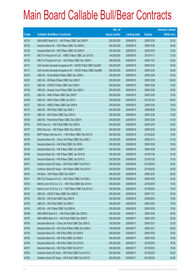|       |                                                               | No. of        |                     |               | <b>Amount raised</b> |
|-------|---------------------------------------------------------------|---------------|---------------------|---------------|----------------------|
| Code  | <b>Callable Bull/Bear Contracts</b>                           | issue (units) | <b>Listing date</b> | <b>Expiry</b> | $(HK$$ mil.)         |
| 64718 | ABN AMRO Bank N.V. - HSI R Bear CBBC Dec 2009 P               | 250,000,000   | 2009/06/15          | 2009/12/30    | 62.50                |
| 64733 | Deutsche Bank AG - HSI R Bear CBBC Oct 2009 K                 | 300,000,000   | 2009/06/15          | 2009/10/29    | 84.00                |
| 64729 | Deutsche Bank AG - HSI R Bear CBBC Oct 2009 O                 | 300,000,000   | 2009/06/15          | 2009/10/29    | 75.00                |
| 64719 | KBC Fin Products Int'l Ltd. - HSBC R Bear CBBC Jan 2010 B     | 148,000,000   | 2009/06/15          | 2010/01/11    | 37.00                |
| 64720 | KBC Fin Products Int'l Ltd. - HSI R Bear CBBC Nov 2009 N      | 208,000,000   | 2009/06/15          | 2009/11/27    | 52.00                |
| 64713 | SGA Societe Generale Acceptance NV - HSCEI R Bull CBBC Dec09A | 200,000,000   | 2009/06/15          | 2009/12/30    | 50.00                |
| 64717 | SGA Societe Generale Acceptance NV - HSCEI R Bear CBBC Dec09B | 200,000,000   | 2009/06/15          | 2009/12/30    | 50.00                |
| 64723 | UBS AG - China Mobile R Bear CBBC Dec 2009 K                  | 300,000,000   | 2009/06/15          | 2009/12/28    | 93.00                |
| 64722 | UBS AG – CM Bank R Bear CBBC Dec 2009 C                       | 200,000,000   | 2009/06/15          | 2009/12/28    | 136.00               |
| 64721 | UBS AG - CNOOC R Bear CBBC Dec 2009 N                         | 200,000,000   | 2009/06/15          | 2009/12/28    | 72.00                |
| 64724 | UBS AG - Sinopec Corp R Bear CBBC Dec 2009 C                  | 200,000,000   | 2009/06/15          | 2009/12/28    | 50.00                |
| 64725 | UBS AG - HKEx R Bear CBBC Dec 2009 P                          | 300,000,000   | 2009/06/15          | 2009/12/28    | 75.00                |
| 64726 | UBS AG - HKEx R Bear CBBC Jan 2010 I                          | 300,000,000   | 2009/06/15          | 2010/01/25    | 136.50               |
| 64727 | UBS AG - HSBC R Bear CBBC Dec 2009 K                          | 300,000,000   | 2009/06/15          | 2009/12/28    | 75.00                |
| 64714 | UBS AG - HSI R Bull CBBC Sep 2009 C                           | 300,000,000   | 2009/06/15          | 2009/09/29    | 75.00                |
| 64715 | UBS AG - HSI R Bear CBBC Dec 2009 Q                           | 300,000,000   | 2009/06/15          | 2009/12/30    | 75.00                |
| 64728 | UBS AG - Petrochina R Bear CBBC Dec 2009 H                    | 200,000,000   | 2009/06/15          | 2009/12/28    | 61.00                |
| 64732 | BOCI Asia Ltd. - HSI R Bull CBBC Dec 2009 A                   | 200,000,000   | 2009/06/16          | 2009/12/30    | 50.00                |
| 64737 | BOCI Asia Ltd. - HSI R Bear CBBC Dec 2009 B                   | 200,000,000   | 2009/06/16          | 2009/12/30    | 50.00                |
| 64744 | BNP Paribas Arbit Issu B.V. - HSI R Bear CBBC Feb 2010 G      | 300,000,000   | 2009/06/16          | 2010/02/25    | 75.00                |
| 64738 | Deutsche Bank AG - China Life R Bear CBBC Dec 2009 C          | 150,000,000   | 2009/06/16          | 2009/12/14    | 51.00                |
| 64736 | Deutsche Bank AG - HSI R Bull CBBC Oct 2009 L                 | 300,000,000   | 2009/06/16          | 2009/10/29    | 78.00                |
| 64740 | Deutsche Bank AG - HSI R Bear CBBC Oct 2009 P                 | 300,000,000   | 2009/06/16          | 2009/10/29    | 75.00                |
| 64746 | Deutsche Bank AG - HSI R Bear CBBC Jan 2010 M                 | 300,000,000   | 2009/06/16          | 2010/01/28    | 81.00                |
| 64745 | Deutsche Bank AG - HSI R Bear CBBC Jan 2010 Q                 | 300,000,000   | 2009/06/16          | 2010/01/28    | 75.00                |
| 64747 | Goldman Sachs SP (Asia) - HSI R Bull CBBC Feb 2010 O          | 200,000,000   | 2009/06/16          | 2010/02/25    | 50.00                |
| 64751 | Goldman Sachs SP (Asia) - HSI R Bear CBBC Feb 2010 P          | 200,000,000   | 2009/06/16          | 2010/02/25    | 50.00                |
| 64734 | HK Bank - HSI R Bear CBBC Dec 2009 P                          | 380,000,000   | 2009/06/16          | 2009/12/30    | 95.00                |
| 64741 | KBC Fin Products Int'l Ltd. - HSI R Bear CBBC Oct 2009 L      | 208,000,000   | 2009/06/16          | 2009/10/29    | 52.00                |
| 64730 | Merrill Lynch Int'l & Co. C.V. - HSI R Bull CBBC Mar 2010 A   | 300,000,000   | 2009/06/16          | 2010/03/30    | 75.00                |
| 64731 | Merrill Lynch Int'l & Co. C.V. - HSI R Bear CBBC Feb 2010 A   | 300,000,000   | 2009/06/16          | 2010/02/25    | 75.00                |
| 64742 | UBS AG - HSCEI R Bear CBBC Nov 2009 Q                         | 200,000,000   | 2009/06/16          | 2009/11/27    | 50.00                |
| 64735 | UBS AG - HSI R Bull CBBC Sep 2009 B                           | 300,000,000   | 2009/06/16          | 2009/09/29    | 75.00                |
| 64739 | UBS AG - HSI R Bull CBBC Oct 2009 V                           | 300,000,000   | 2009/06/16          | 2009/10/29    | 75.00                |
| 64743 | UBS AG - HSI R Bear CBBC Oct 2009 M                           | 300,000,000   | 2009/06/16          | 2009/10/29    | 75.00                |
| 64766 | ABN AMRO Bank N.V. - HSI R Bull CBBC Dec 2009 Q               | 250,000,000   | 2009/06/17          | 2009/12/30    | 62.50                |
| 64767 | ABN AMRO Bank N.V. - HSI R Bull CBBC Dec 2009 R               | 250,000,000   | 2009/06/17          | 2009/12/30    | 62.50                |
| 64754 | Deutsche Bank AG - China Life R Bull CBBC Dec 2009 D          | 150,000,000   | 2009/06/17          | 2009/12/21    | 52.50                |
| 64755 | Deutsche Bank AG - A50 China R Bear CBBC Dec 2009 A           | 150,000,000   | 2009/06/17          | 2009/12/21    | 60.00                |
| 64749 | Deutsche Bank AG - HSI R Bull CBBC Oct 2009 E                 | 300,000,000   | 2009/06/17          | 2009/10/29    | 78.00                |
| 64750 | Deutsche Bank AG - HSI R Bull CBBC Oct 2009 F                 | 300,000,000   | 2009/06/17          | 2009/10/29    | 75.00                |
| 64756 | Deutsche Bank AG - HSI R Bull CBBC Feb 2010 E                 | 300,000,000   | 2009/06/17          | 2010/02/25    | 78.00                |
| 64757 | Deutsche Bank AG - HSI R Bull CBBC Feb 2010 F                 | 300,000,000   | 2009/06/17          | 2010/02/25    | 75.00                |
| 64763 | Goldman Sachs SP (Asia) - HSI R Bull CBBC Feb 2010 Q          | 200,000,000   | 2009/06/17          | 2010/02/25    | 50.00                |
| 64764 | Goldman Sachs SP (Asia) - HSI R Bull CBBC Feb 2010 R          | 200,000,000   | 2009/06/17          | 2010/02/25    | 50.00                |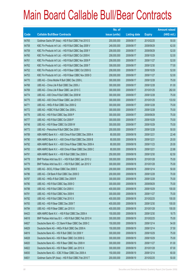|       |                                                          | No. of        |                     |               | <b>Amount raised</b> |
|-------|----------------------------------------------------------|---------------|---------------------|---------------|----------------------|
| Code  | <b>Callable Bull/Bear Contracts</b>                      | issue (units) | <b>Listing date</b> | <b>Expiry</b> | $(HK$$ mil.)         |
| 64765 | Goldman Sachs SP (Asia) - HSI R Bull CBBC Feb 2010 S     | 200,000,000   | 2009/06/17          | 2010/02/25    | 50.00                |
| 64758 | KBC Fin Products Int'l Ltd. - HSI R Bull CBBC Sep 2009 V | 248,000,000   | 2009/06/17          | 2009/09/29    | 62.00                |
| 64759 | KBC Fin Products Int'l Ltd. - HSI R Bull CBBC Sep 2009 Y | 208,000,000   | 2009/06/17          | 2009/09/29    | 52.00                |
| 64760 | KBC Fin Products Int'l Ltd. - HSI R Bull CBBC Oct 2009 K | 208,000,000   | 2009/06/17          | 2009/10/29    | 52.00                |
| 64761 | KBC Fin Products Int'l Ltd. - HSI R Bull CBBC Nov 2009 P | 208,000,000   | 2009/06/17          | 2009/11/27    | 52.00                |
| 64762 | KBC Fin Products Int'l Ltd. - HSI R Bull CBBC Dec 2009 T | 308,000,000   | 2009/06/17          | 2009/12/30    | 77.00                |
| 64752 | KBC Fin Products Int'l Ltd. - HSI R Bear CBBC Oct 2009 G | 208,000,000   | 2009/06/17          | 2009/10/29    | 52.00                |
| 64753 | KBC Fin Products Int'l Ltd. - HSI R Bear CBBC Nov 2009 O | 208,000,000   | 2009/06/17          | 2009/11/27    | 52.00                |
| 64770 | UBS AG - China Mobile R Bull CBBC Dec 2009 L             | 300,000,000   | 2009/06/17          | 2009/12/28    | 75.00                |
| 64768 | UBS AG - China Life R Bull CBBC Dec 2009 J               | 300,000,000   | 2009/06/17          | 2009/12/28    | 81.00                |
| 64769 | UBS AG - China Life R Bear CBBC Jan 2010 C               | 300,000,000   | 2009/06/17          | 2010/01/25    | 282.00               |
| 64774 | UBS AG - A50 China R Bull CBBC Dec 2009 M                | 300,000,000   | 2009/06/17          | 2009/12/28    | 75.00                |
| 64775 | UBS AG - A50 China R Bear CBBC Jan 2010 D                | 300,000,000   | 2009/06/17          | 2010/01/25    | 133.50               |
| 64771 | UBS AG - HKEx R Bull CBBC Dec 2009 Q                     | 300,000,000   | 2009/06/17          | 2009/12/28    | 75.00                |
| 64772 | UBS AG - HSBC R Bull CBBC Dec 2009 L                     | 300,000,000   | 2009/06/17          | 2009/12/28    | 75.00                |
| 64776 | UBS AG - HSI R Bull CBBC Sep 2009 P                      | 300,000,000   | 2009/06/17          | 2009/09/29    | 75.00                |
| 64777 | UBS AG - HSI R Bull CBBC Oct 2009 P                      | 300,000,000   | 2009/06/17          | 2009/10/29    | 75.00                |
| 64748 | UBS AG - HSI R Bear CBBC Oct 2009 W                      | 300,000,000   | 2009/06/17          | 2009/10/29    | 75.00                |
| 64773 | UBS AG - Petrochina R Bull CBBC Dec 2009 I               | 200,000,000   | 2009/06/17          | 2009/12/28    | 50.00                |
| 64789 | ABN AMRO Bank N.V. - A50 China R Bull CBBC Dec 2009 A    | 80,000,000    | 2009/06/18          | 2009/12/21    | 22.48                |
| 64790 | ABN AMRO Bank N.V. - A50 China R Bull CBBC Dec 2009 B    | 80,000,000    | 2009/06/18          | 2009/12/21    | 20.00                |
| 64792 | ABN AMRO Bank N.V. - A50 China R Bear CBBC Nov 2009 A    | 80,000,000    | 2009/06/18          | 2009/11/23    | 20.00                |
| 64793 | ABN AMRO Bank N.V. - A50 China R Bear CBBC Dec 2009 C    | 80,000,000    | 2009/06/18          | 2009/12/21    | 22.88                |
| 64791 | ABN AMRO Bank N.V. - HSI R Bull CBBC Dec 2009 S          | 250,000,000   | 2009/06/18          | 2009/12/30    | 62.50                |
| 64778 | BNP Paribas Arbit Issu B.V. - HSI R Bull CBBC Jan 2010 U | 300,000,000   | 2009/06/18          | 2010/01/28    | 75.00                |
| 64779 | BNP Paribas Arbit Issu B.V. - HSI R Bull CBBC Jan 2010 V | 300,000,000   | 2009/06/18          | 2010/01/28    | 75.00                |
| 64785 | UBS AG - BOCL R Bear CBBC Dec 2009 E                     | 200,000,000   | 2009/06/18          | 2009/12/14    | 50.00                |
| 64786 | UBS AG - CM Bank R Bull CBBC Dec 2009 D                  | 200,000,000   | 2009/06/18          | 2009/12/28    | 70.00                |
| 64787 | UBS AG - HKEx R Bull CBBC Dec 2009 R                     | 300,000,000   | 2009/06/18          | 2009/12/28    | 75.00                |
| 64780 | UBS AG - HSI R Bull CBBC Sep 2009 O                      | 300,000,000   | 2009/06/18          | 2009/09/29    | 75.00                |
| 64788 | UBS AG - HSI R Bull CBBC Oct 2009 X                      | 400,000,000   | 2009/06/18          | 2009/10/29    | 100.00               |
| 64781 | UBS AG - HSI R Bull CBBC Nov 2009 K                      | 300,000,000   | 2009/06/18          | 2009/11/27    | 75.00                |
| 64782 | UBS AG - HSI R Bull CBBC Feb 2010 X                      | 400,000,000   | 2009/06/18          | 2010/02/25    | 100.00               |
| 64783 | UBS AG - HSI R Bear CBBC Dec 2009 T                      | 400,000,000   | 2009/06/18          | 2009/12/30    | 100.00               |
| 64784 | UBS AG - HSI R Bear CBBC Jan 2010 X                      | 400,000,000   | 2009/06/18          | 2010/01/28    | 100.00               |
| 64423 | ABN AMRO Bank N.V. - HSI R Bull CBBC Dec 2009 A          | 150,000,000   | 2009/06/18          | 2009/12/30    | 18.75                |
| 64818 | BNP Paribas Arbit Issu B.V. - HSI R Bull CBBC Feb 2010 H | 300,000,000   | 2009/06/19          | 2010/02/25    | 75.00                |
| 64827 | Deutsche Bank AG - CC Bank R Bear CBBC Dec 2009 C        | 150,000,000   | 2009/06/19          | 2009/12/14    | 54.00                |
| 64829 | Deutsche Bank AG - HKEx R Bull CBBC Dec 2009 A           | 150,000,000   | 2009/06/19          | 2009/12/14    | 37.50                |
| 64819 | Deutsche Bank AG - HSI R Bull CBBC Oct 2009 Y            | 300,000,000   | 2009/06/19          | 2009/10/29    | 75.00                |
| 64828 | Deutsche Bank AG - HSI R Bear CBBC Oct 2009 G            | 300,000,000   | 2009/06/19          | 2009/10/29    | 75.00                |
| 64820 | Deutsche Bank AG - HSI R Bear CBBC Nov 2009 H            | 300,000,000   | 2009/06/19          | 2009/11/27    | 81.00                |
| 64822 | Deutsche Bank AG - HSI R Bear CBBC Jan 2010 X            | 300,000,000   | 2009/06/19          | 2010/01/28    | 87.00                |
| 64830 | Deutsche Bank AG - ICBC R Bear CBBC Dec 2009 A           | 150,000,000   | 2009/06/19          | 2009/12/14    | 60.00                |
| 64831 | Goldman Sachs SP (Asia) - HSI R Bull CBBC Feb 2010 T     | 200,000,000   | 2009/06/19          | 2010/02/25    | 50.00                |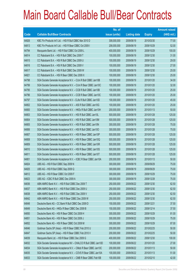|       |                                                                | No. of        |                     |               | <b>Amount raised</b> |
|-------|----------------------------------------------------------------|---------------|---------------------|---------------|----------------------|
| Code  | <b>Callable Bull/Bear Contracts</b>                            | issue (units) | <b>Listing date</b> | <b>Expiry</b> | (HK\$ mil.)          |
| 64826 | KBC Fin Products Int'l Ltd. - HSI R Bull CBBC Mar 2010 D       | 308,000,000   | 2009/06/19          | 2010/03/30    | 77.00                |
| 64813 | KBC Fin Products Int'l Ltd. - HSI R Bear CBBC Oct 2009 I       | 208,000,000   | 2009/06/19          | 2009/10/29    | 52.00                |
| 64794 | Macquarie Bank Ltd. - HSI R Bull CBBC Oct 2009 L               | 400,000,000   | 2009/06/19          | 2009/10/29    | 100.00               |
| 64814 | CC Rabobank B.A. - HSI R Bull CBBC Dec 2009 T                  | 100,000,000   | 2009/06/19          | 2009/12/30    | 31.00                |
| 64815 | CC Rabobank B.A. - HSI R Bull CBBC Dec 2009 U                  | 100,000,000   | 2009/06/19          | 2009/12/30    | 29.00                |
| 64816 | CC Rabobank B.A. - HSI R Bull CBBC Dec 2009 V                  | 100,000,000   | 2009/06/19          | 2009/12/30    | 27.00                |
| 64817 | CC Rabobank B.A. - HSI R Bull CBBC Dec 2009 W                  | 100,000,000   | 2009/06/19          | 2009/12/30    | 25.00                |
| 64821 | CC Rabobank B.A. - HSI R Bear CBBC Dec 2009 X                  | 100,000,000   | 2009/06/19          | 2009/12/30    | 25.00                |
| 64798 | SGA Societe Generale Acceptance N.V. - CUni R Bull CBBC Jan10B | 100,000,000   | 2009/06/19          | 2010/01/20    | 34.00                |
| 64799 | SGA Societe Generale Acceptance N.V. - CUni R Bear CBBC Jan10C | 100,000,000   | 2009/06/19          | 2010/01/20    | 32.00                |
| 64795 | SGA Societe Generale Acceptance N.V. - CCB R Bull CBBC Jan10B  | 100,000,000   | 2009/06/19          | 2010/01/20    | 25.00                |
| 64796 | SGA Societe Generale Acceptance N.V. - CCB R Bear CBBC Jan10C  | 100,000,000   | 2009/06/19          | 2010/01/20    | 25.00                |
| 64797 | SGA Societe Generale Acceptance N.V - CLife R Bull CBBC Jan10D | 100,000,000   | 2009/06/19          | 2010/01/20    | 45.00                |
| 64802 | SGA Societe Generale Acceptance N.V. - A50 R Bull CBBC Jan10G  | 100,000,000   | 2009/06/19          | 2010/01/20    | 25.00                |
| 64800 | SGA Societe Generale Acceptance N.V. - HKEx R Bull CBBC Jan10H | 200,000,000   | 2009/06/19          | 2010/01/13    | 50.00                |
| 64803 | SGA Societe Generale Acceptance N.V. - HSI R Bull CBBC Jan10L  | 500,000,000   | 2009/06/19          | 2010/01/28    | 125.00               |
| 64804 | SGA Societe Generale Acceptance N.V. - HSI R Bull CBBC Jan10M  | 500,000,000   | 2009/06/19          | 2010/01/28    | 125.00               |
| 64805 | SGA Societe Generale Acceptance N.V. - HSI R Bull CBBC Jan10N  | 300,000,000   | 2009/06/19          | 2010/01/28    | 75.00                |
| 64806 | SGA Societe Generale Acceptance N.V. - HSI R Bull CBBC Jan100  | 300,000,000   | 2009/06/19          | 2010/01/28    | 75.00                |
| 64807 | SGA Societe Generale Acceptance N.V. - HSI R Bear CBBC Jan10P  | 500,000,000   | 2009/06/19          | 2010/01/28    | 125.00               |
| 64808 | SGA Societe Generale Acceptance N.V. - HSI R Bear CBBC Jan10Q  | 500,000,000   | 2009/06/19          | 2010/01/28    | 125.00               |
| 64809 | SGA Societe Generale Acceptance N.V. - HSI R Bear CBBC Jan10R  | 500,000,000   | 2009/06/19          | 2010/01/28    | 125.00               |
| 64810 | SGA Societe Generale Acceptance N.V. - HSI R Bear CBBC Jan10S  | 500,000,000   | 2009/06/19          | 2010/01/28    | 125.00               |
| 64811 | SGA Societe Generale Acceptance N.V. - HSI R Bear CBBC Jan10T  | 500,000,000   | 2009/06/19          | 2010/01/28    | 125.00               |
| 64801 | SGA Societe Generale Acceptance N.V. - ICBC R Bear CBBC Jan10A | 200,000,000   | 2009/06/19          | 2010/01/13    | 50.00                |
| 64824 | UBS AG - HSI R Bull CBBC Sep 2009 N                            | 300,000,000   | 2009/06/19          | 2009/09/29    | 75.00                |
| 64825 | UBS AG - HSI R Bull CBBC Sep 2009 Q                            | 300,000,000   | 2009/06/19          | 2009/09/29    | 75.00                |
| 64812 | UBS AG - HSI R Bear CBBC Oct 2009 F                            | 300,000,000   | 2009/06/19          | 2009/10/29    | 75.00                |
| 64823 | UBS AG - ICBC R Bull CBBC Dec 2009 A                           | 300,000,000   | 2009/06/19          | 2009/12/28    | 75.00                |
| 64836 | ABN AMRO Bank N.V. - HSI R Bull CBBC Dec 2009 T                | 250,000,000   | 2009/06/22          | 2009/12/30    | 62.50                |
| 64837 | ABN AMRO Bank N.V. - HSI R Bull CBBC Dec 2009 U                | 250,000,000   | 2009/06/22          | 2009/12/30    | 62.50                |
| 64838 | ABN AMRO Bank N.V. - HSI R Bull CBBC Dec 2009 V                | 250,000,000   | 2009/06/22          | 2009/12/30    | 62.50                |
| 64842 | ABN AMRO Bank N.V. - HSI R Bear CBBC Dec 2009 W                | 250,000,000   | 2009/06/22          | 2009/12/30    | 62.50                |
| 64848 | Deutsche Bank AG - CC Bank R Bull CBBC Dec 2009 D              | 150,000,000   | 2009/06/22          | 2009/12/21    | 37.50                |
| 64849 | Deutsche Bank AG - HKEx R Bear CBBC Dec 2009 B                 | 150,000,000   | 2009/06/22          | 2009/12/14    | 37.50                |
| 64850 | Deutsche Bank AG - HSI R Bear CBBC Oct 2009 H                  | 300,000,000   | 2009/06/22          | 2009/10/29    | 81.00                |
| 64851 | Deutsche Bank AG - HSI R Bear CBBC Oct 2009 J                  | 300,000,000   | 2009/06/22          | 2009/10/29    | 75.00                |
| 64852 | Deutsche Bank AG - HSI R Bear CBBC Oct 2009 M                  | 300,000,000   | 2009/06/22          | 2009/10/29    | 87.00                |
| 64846 | Goldman Sachs SP (Asia) - HSI R Bear CBBC Feb 2010 U           | 200,000,000   | 2009/06/22          | 2010/02/25    | 50.00                |
| 64847 | Goldman Sachs SP (Asia) - HSI R Bear CBBC Feb 2010 V           | 200,000,000   | 2009/06/22          | 2010/02/25    | 50.00                |
| 64839 | Macquarie Bank Ltd. - HSI R Bear CBBC Dec 2009 G               | 400,000,000   | 2009/06/22          | 2009/12/30    | 100.00               |
| 64832 | SGA Societe Generale Acceptance NV - CHALCO R Bull CBBC Jan10D | 100,000,000   | 2009/06/22          | 2010/01/20    | 27.00                |
| 64834 | SGA Societe Generale Acceptance N.V. - CMob R Bear CBBC Jan10C | 200,000,000   | 2009/06/22          | 2010/01/13    | 50.00                |
| 64835 | SGA Societe Generale Acceptance N.V. - COVS R Bear CBBC Jan10A | 100,000,000   | 2009/06/22          | 2010/01/13    | 51.00                |
| 64833 | SGA Societe Generale Acceptance N.V. - CMB R Bear CBBC Feb10B  | 100,000,000   | 2009/06/22          | 2010/02/10    | 42.00                |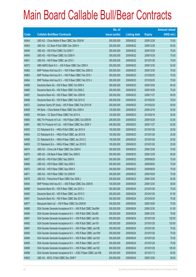|       |                                                                | No. of        |                     |               | <b>Amount raised</b> |
|-------|----------------------------------------------------------------|---------------|---------------------|---------------|----------------------|
| Code  | <b>Callable Bull/Bear Contracts</b>                            | issue (units) | <b>Listing date</b> | <b>Expiry</b> | (HK\$ mil.)          |
| 64844 | UBS AG - China Mobile R Bear CBBC Dec 2009 M                   | 300,000,000   | 2009/06/22          | 2009/12/28    | 75.00                |
| 64843 | UBS AG - CC Bank R Bull CBBC Dec 2009 H                        | 200,000,000   | 2009/06/22          | 2009/12/28    | 50.00                |
| 64840 | UBS AG - HSI R Bull CBBC Oct 2009 Y                            | 300,000,000   | 2009/06/22          | 2009/10/29    | 75.00                |
| 64845 | UBS AG - HSI R Bear CBBC Oct 2009 H                            | 300,000,000   | 2009/06/22          | 2009/10/29    | 75.00                |
| 64841 | UBS AG - HSI R Bear CBBC Jan 2010 I                            | 300,000,000   | 2009/06/22          | 2010/01/28    | 75.00                |
| 64873 | ABN AMRO Bank N.V. - HSI R Bear CBBC Dec 2009 X                | 250,000,000   | 2009/06/23          | 2009/12/30    | 62.50                |
| 64862 | BNP Paribas Arbit Issu B.V. - HSI R Bear CBBC Dec 2009 G       | 300,000,000   | 2009/06/23          | 2009/12/30    | 75.00                |
| 64863 | BNP Paribas Arbit Issu B.V. - HSI R Bear CBBC Feb 2010 I       | 300,000,000   | 2009/06/23          | 2010/02/25    | 75.00                |
| 64864 | BNP Paribas Arbit Issu B.V. - HSI R Bear CBBC Feb 2010 J       | 300,000,000   | 2009/06/23          | 2010/02/25    | 75.00                |
| 64866 | Deutsche Bank AG - HSI R Bear CBBC Oct 2009 K                  | 300,000,000   | 2009/06/23          | 2009/10/29    | 84.00                |
| 64865 | Deutsche Bank AG - HSI R Bear CBBC Oct 2009 Z                  | 300,000,000   | 2009/06/23          | 2009/10/29    | 75.00                |
| 64867 | Deutsche Bank AG - HSI R Bear CBBC Nov 2009 M                  | 300,000,000   | 2009/06/23          | 2009/11/27    | 90.00                |
| 64868 | Deutsche Bank AG - HSI R Bear CBBC Feb 2010 G                  | 300,000,000   | 2009/06/23          | 2010/02/25    | 78.00                |
| 64872 | Goldman Sachs SP (Asia) - HSI R Bear CBBC Feb 2010 W           | 200,000,000   | 2009/06/23          | 2010/02/25    | 50.00                |
| 64856 | HK Bank - China Mobile R Bear CBBC Dec 2009 A                  | 120,000,000   | 2009/06/23          | 2009/12/18    | 30.00                |
| 64855 | HK Bank - CC Bank R Bear CBBC Feb 2010 A                       | 120,000,000   | 2009/06/23          | 2010/02/18    | 30.00                |
| 64860 | KBC Fin Products Int'l Ltd. - HSI R Bear CBBC Oct 2009 M       | 208,000,000   | 2009/06/23          | 2009/10/29    | 52.00                |
| 64861 | KBC Fin Products Int'l Ltd. - HSI R Bear CBBC Nov 2009 Y       | 248,000,000   | 2009/06/23          | 2009/11/27    | 62.00                |
| 64853 | CC Rabobank B.A. - HKEx R Bull CBBC Jan 2010 A                 | 100,000,000   | 2009/06/23          | 2010/01/28    | 25.00                |
| 64854 | CC Rabobank B.A. - HKEx R Bull CBBC Jan 2010 B                 | 100,000,000   | 2009/06/23          | 2010/01/28    | 25.00                |
| 64858 | CC Rabobank B.A. - HKEx R Bear CBBC Jan 2010 C                 | 100,000,000   | 2009/06/23          | 2010/01/28    | 25.00                |
| 64859 | CC Rabobank B.A. - HKEx R Bear CBBC Jan 2010 D                 | 100,000,000   | 2009/06/23          | 2010/01/28    | 25.00                |
| 64874 | UBS AG - China Life R Bear CBBC Dec 2009 K                     | 300,000,000   | 2009/06/23          | 2009/12/28    | 75.00                |
| 64875 | UBS AG - CM Bank R Bear CBBC Dec 2009 E                        | 200,000,000   | 2009/06/23          | 2009/12/28    | 65.00                |
| 64857 | UBS AG - HSI R Bull CBBC Sep 2009 B                            | 300,000,000   | 2009/06/23          | 2009/09/29    | 75.00                |
| 64869 | UBS AG - HSI R Bear CBBC Sep 2009 C                            | 300,000,000   | 2009/06/23          | 2009/09/29    | 75.00                |
| 64870 | UBS AG - HSI R Bear CBBC Sep 2009 X                            | 300,000,000   | 2009/06/23          | 2009/09/29    | 75.00                |
| 64871 | UBS AG - HSI R Bear CBBC Oct 2009 M                            | 300,000,000   | 2009/06/23          | 2009/10/29    | 75.00                |
| 64876 | UBS AG - Petrochina R Bear CBBC Dec 2009 J                     | 200,000,000   | 2009/06/23          | 2009/12/28    | 50.00                |
| 64904 | BNP Paribas Arbit Issu B.V. - A50 R Bear CBBC Dec 2009 B       | 100,000,000   | 2009/06/24          | 2009/12/30    | 38.00                |
| 64899 | Deutsche Bank AG - HSI R Bear CBBC Jan 2010 J                  | 300,000,000   | 2009/06/24          | 2010/01/28    | 75.00                |
| 64900 | Deutsche Bank AG - HSI R Bear CBBC Jan 2010 O                  | 300,000,000   | 2009/06/24          | 2010/01/28    | 81.00                |
| 64901 | Deutsche Bank AG - HSI R Bear CBBC Mar 2010 J                  | 300,000,000   | 2009/06/24          | 2010/03/30    | 75.00                |
| 64877 | Macquarie Bank Ltd. - HSI R Bear CBBC Oct 2009 M               | 300,000,000   | 2009/06/24          | 2009/10/29    | 75.00                |
| 64889 | SGA Societe Generale Acceptance N.V. - HSI R Bull CBBC Dec09H  | 300,000,000   | 2009/06/24          | 2009/12/30    | 81.00                |
| 64890 | SGA Societe Generale Acceptance N.V. - HSI R Bull CBBC Dec09I  | 300,000,000   | 2009/06/24          | 2009/12/30    | 78.00                |
| 64891 | SGA Societe Generale Acceptance N.V. - HSI R Bull CBBC Jan10U  | 500,000,000   | 2009/06/24          | 2010/01/28    | 125.00               |
| 64892 | SGA Societe Generale Acceptance N.V. - HSI R Bull CBBC Jan10V  | 500,000,000   | 2009/06/24          | 2010/01/28    | 125.00               |
| 64897 | SGA Societe Generale Acceptance N.V. - HSI R Bear CBBC Jan10E  | 300,000,000   | 2009/06/24          | 2010/01/28    | 75.00                |
| 64893 | SGA Societe Generale Acceptance N.V. - HSI R Bear CBBC Jan10W  | 300,000,000   | 2009/06/24          | 2010/01/28    | 75.00                |
| 64894 | SGA Societe Generale Acceptance N.V. - HSI R Bear CBBC Jan10X  | 300,000,000   | 2009/06/24          | 2010/01/28    | 75.00                |
| 64895 | SGA Societe Generale Acceptance N.V. - HSI R Bear CBBC Jan10Y  | 300,000,000   | 2009/06/24          | 2010/01/28    | 75.00                |
| 64896 | SGA Societe Generale Acceptance N.V. - HSI R Bear CBBC Jan10Z  | 500,000,000   | 2009/06/24          | 2010/01/28    | 125.00               |
| 64898 | SGA Societe Generale Acceptance N.V. - ICBC R Bear CBBC Jan10B | 200,000,000   | 2009/06/24          | 2010/01/13    | 50.00                |
| 64903 | UBS AG - BOCL R Bull CBBC Dec 2009 F                           | 200,000,000   | 2009/06/24          | 2009/12/28    | 50.00                |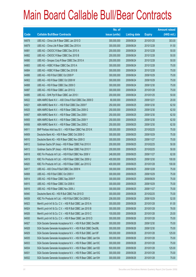|             |                                                               | No. of        |                     |               | <b>Amount raised</b> |
|-------------|---------------------------------------------------------------|---------------|---------------------|---------------|----------------------|
| <b>Code</b> | <b>Callable Bull/Bear Contracts</b>                           | issue (units) | <b>Listing date</b> | <b>Expiry</b> | $(HK$$ mil.)         |
| 64878       | UBS AG - China Life R Bear CBBC Jan 2010 D                    | 300,000,000   | 2009/06/24          | 2010/01/25    | 303.00               |
| 64879       | UBS AG - China Life R Bear CBBC Dec 2010 A                    | 300,000,000   | 2009/06/24          | 2010/12/28    | 91.50                |
| 64881       | UBS AG - CNOOC R Bear CBBC Dec 2010 A                         | 200,000,000   | 2009/06/24          | 2010/12/28    | 50.00                |
| 64882       | UBS AG - CNOOC R Bear CBBC Dec 2010 B                         | 200,000,000   | 2009/06/24          | 2010/12/28    | 50.00                |
| 64880       | UBS AG - Sinopec Corp R Bear CBBC Dec 2010 A                  | 200,000,000   | 2009/06/24          | 2010/12/28    | 50.00                |
| 64883       | UBS AG - HSBC R Bear CBBC Dec 2010 A                          | 300,000,000   | 2009/06/24          | 2010/12/28    | 75.00                |
| 64884       | UBS AG - HSBC R Bear CBBC Dec 2010 B                          | 300,000,000   | 2009/06/24          | 2010/12/28    | 75.00                |
| 64886       | UBS AG - HSI R Bull CBBC Oct 2009 P                           | 300,000,000   | 2009/06/24          | 2009/10/29    | 75.00                |
| 64902       | UBS AG - HSI R Bear CBBC Oct 2009 W                           | 300,000,000   | 2009/06/24          | 2009/10/29    | 75.00                |
| 64888       | UBS AG - HSI R Bear CBBC Dec 2009 O                           | 300,000,000   | 2009/06/24          | 2009/12/30    | 75.00                |
| 64887       | UBS AG - HSI R Bear CBBC Jan 2010 Q                           | 300,000,000   | 2009/06/24          | 2010/01/28    | 75.00                |
| 64885       | UBS AG - SHK Ppt R Bear CBBC Jan 2010 I                       | 200,000,000   | 2009/06/24          | 2010/01/25    | 50.00                |
| 64922       | ABN AMRO Bank N.V. - A50 China R Bull CBBC Dec 2009 D         | 80,000,000    | 2009/06/25          | 2009/12/21    | 20.00                |
| 64921       | ABN AMRO Bank N.V. - HSI R Bull CBBC Dec 2009 F               | 250,000,000   | 2009/06/25          | 2009/12/30    | 62.50                |
| 64925       | ABN AMRO Bank N.V. - HSI R Bear CBBC Dec 2009 G               | 250,000,000   | 2009/06/25          | 2009/12/30    | 62.50                |
| 64907       | ABN AMRO Bank N.V. - HSI R Bear CBBC Dec 2009 I               | 250,000,000   | 2009/06/25          | 2009/12/30    | 62.50                |
| 64905       | ABN AMRO Bank N.V. - HSI R Bear CBBC Dec 2009 Y               | 250,000,000   | 2009/06/25          | 2009/12/30    | 62.50                |
| 64906       | ABN AMRO Bank N.V. - HSI R Bear CBBC Dec 2009 Z               | 250,000,000   | 2009/06/25          | 2009/12/30    | 62.50                |
| 64911       | BNP Paribas Arbit Issu B.V. - HSI R Bear CBBC Feb 2010 K      | 300,000,000   | 2009/06/25          | 2010/02/25    | 75.00                |
| 64909       | Deutsche Bank AG - HSI R Bear CBBC Oct 2009 O                 | 300,000,000   | 2009/06/25          | 2009/10/29    | 75.00                |
| 64910       | Deutsche Bank AG - HSI R Bear CBBC Nov 2009 O                 | 300,000,000   | 2009/06/25          | 2009/11/27    | 75.00                |
| 64912       | Goldman Sachs SP (Asia) - HSI R Bear CBBC Feb 2010 X          | 200,000,000   | 2009/06/25          | 2010/02/25    | 50.00                |
| 64913       | Goldman Sachs SP (Asia) - HSI R Bear CBBC Feb 2010 Y          | 200,000,000   | 2009/06/25          | 2010/02/25    | 50.00                |
| 64918       | KBC Fin Products Int'l Ltd. - HSI R Bull CBBC Nov 2009 V      | 248,000,000   | 2009/06/25          | 2009/11/27    | 62.00                |
| 64919       | KBC Fin Products Int'l Ltd. - HSI R Bear CBBC Dec 2009 U      | 400,000,000   | 2009/06/25          | 2009/12/30    | 100.00               |
| 64920       | KBC Fin Products Int'l Ltd. - HSI R Bear CBBC Jan 2010 G      | 400,000,000   | 2009/06/25          | 2010/01/28    | 100.00               |
| 64917       | UBS AG - A50 China R Bull CBBC Dec 2009 N                     | 300,000,000   | 2009/06/25          | 2009/12/28    | 75.00                |
| 64908       | UBS AG - HSI R Bull CBBC Oct 2009 V                           | 300,000,000   | 2009/06/25          | 2009/10/29    | 75.00                |
| 64914       | UBS AG - HSI R Bear CBBC Sep 2009 P                           | 300,000,000   | 2009/06/25          | 2009/09/29    | 75.00                |
| 64915       | UBS AG - HSI R Bear CBBC Oct 2009 X                           | 300,000,000   | 2009/06/25          | 2009/10/29    | 75.00                |
| 64916       | UBS AG - HSI R Bear CBBC Nov 2009 J                           | 300,000,000   | 2009/06/25          | 2009/11/27    | 75.00                |
| 64940       | Deutsche Bank AG - HSI R Bull CBBC Feb 2010 D                 | 300,000,000   | 2009/06/26          | 2010/02/25    | 75.00                |
| 64939       | KBC Fin Products Int'l Ltd. - HSI R Bull CBBC Oct 2009 Q      | 208,000,000   | 2009/06/26          | 2009/10/29    | 52.00                |
| 64923       | Merrill Lynch Int'l & Co. C.V. - HSI R Bull CBBC Jan 2010 A   | 300,000,000   | 2009/06/26          | 2010/01/28    | 81.00                |
| 64924       | Merrill Lynch Int'l & Co. C.V. - HSI R Bull CBBC Jan 2010 B   | 300,000,000   | 2009/06/26          | 2010/01/28    | 78.00                |
| 64926       | Merrill Lynch Int'l & Co. C.V. - HSI R Bull CBBC Jan 2010 C   | 100,000,000   | 2009/06/26          | 2010/01/28    | 25.00                |
| 64930       | Merrill Lynch Int'l & Co. C.V. - HSI R Bear CBBC Jan 2010 D   | 300,000,000   | 2009/06/26          | 2010/01/28    | 75.00                |
| 64927       | SGA Societe Generale Acceptance N.V. - HSI R Bull CBBC Dec09K | 300,000,000   | 2009/06/26          | 2009/12/30    | 75.00                |
| 64928       | SGA Societe Generale Acceptance N.V. - HSI R Bull CBBC Dec09L | 300,000,000   | 2009/06/26          | 2009/12/30    | 75.00                |
| 64929       | SGA Societe Generale Acceptance N.V. - HSI R Bull CBBC Jan10F | 500,000,000   | 2009/06/26          | 2010/01/28    | 125.00               |
| 64935       | SGA Societe Generale Acceptance N.V. - HSI R Bear CBBC Jan10A | 300,000,000   | 2009/06/26          | 2010/01/28    | 75.00                |
| 64933       | SGA Societe Generale Acceptance N.V. - HSI R Bear CBBC Jan10C | 300,000,000   | 2009/06/26          | 2010/01/28    | 75.00                |
| 64934       | SGA Societe Generale Acceptance N.V. - HSI R Bear CBBC Jan10D | 500,000,000   | 2009/06/26          | 2010/01/28    | 125.00               |
| 64931       | SGA Societe Generale Acceptance N.V. - HSI R Bear CBBC Jan10G | 300,000,000   | 2009/06/26          | 2010/01/28    | 75.00                |
| 64932       | SGA Societe Generale Acceptance N.V. - HSI R Bear CBBC Jan10H | 300,000,000   | 2009/06/26          | 2010/01/28    | 75.00                |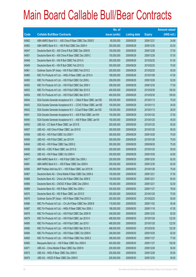|       |                                                                | No. of        |                     |               | <b>Amount raised</b> |
|-------|----------------------------------------------------------------|---------------|---------------------|---------------|----------------------|
| Code  | <b>Callable Bull/Bear Contracts</b>                            | issue (units) | <b>Listing date</b> | <b>Expiry</b> | $(HK$$ mil.)         |
| 64962 | ABN AMRO Bank N.V. - A50 China R Bear CBBC Dec 2009 E          | 80,000,000    | 2009/06/29          | 2009/12/21    | 24.88                |
| 64963 | ABN AMRO Bank N.V. - HSI R Bull CBBC Dec 2009 H                | 250,000,000   | 2009/06/29          | 2009/12/30    | 62.50                |
| 64947 | Deutsche Bank AG - A50 China R Bull CBBC Dec 2009 B            | 150,000,000   | 2009/06/29          | 2009/12/28    | 37.50                |
| 64951 | Deutsche Bank AG - A50 China R Bear CBBC Dec 2009 C            | 150,000,000   | 2009/06/29          | 2009/12/28    | 57.00                |
| 64948 | Deutsche Bank AG - HSI R Bull CBBC Feb 2010 A                  | 300,000,000   | 2009/06/29          | 2010/02/25    | 81.00                |
| 64949 | Deutsche Bank AG - HSI R Bull CBBC Feb 2010 Q                  | 300,000,000   | 2009/06/29          | 2010/02/25    | 75.00                |
| 64961 | Goldman Sachs SP (Asia) - HSI R Bull CBBC Feb 2010 Z           | 200,000,000   | 2009/06/29          | 2010/02/25    | 50.00                |
| 64960 | KBC Fin Products Int'l Ltd. - HKEx R Bear CBBC Jan 2010 A      | 188,000,000   | 2009/06/29          | 2010/01/08    | 47.00                |
| 64950 | KBC Fin Products Int'l Ltd. - HSI R Bull CBBC Oct 2009 L       | 208,000,000   | 2009/06/29          | 2009/10/29    | 52.00                |
| 64952 | KBC Fin Products Int'l Ltd. - HSI R Bull CBBC Dec 2009 V       | 308,000,000   | 2009/06/29          | 2009/12/30    | 77.00                |
| 64953 | KBC Fin Products Int'l Ltd. - HSI R Bull CBBC Mar 2010 E       | 400,000,000   | 2009/06/29          | 2010/03/30    | 100.00               |
| 64954 | KBC Fin Products Int'l Ltd. - HSI R Bull CBBC Mar 2010 F       | 400,000,000   | 2009/06/29          | 2010/03/30    | 100.00               |
| 64944 | SGA Societe Generale Acceptance N.V. - CMob R Bear CBBC Jan10D | 300,000,000   | 2009/06/29          | 2010/01/13    | 75.00                |
| 64943 | SGA Societe Generale Acceptance N.V. - CCHC R Bear CBBC Jan10E | 100,000,000   | 2009/06/29          | 2010/01/13    | 34.00                |
| 64942 | SGA Societe Generale Acceptance N.V - CCoal R Bear CBBC Jan10D | 100,000,000   | 2009/06/29          | 2010/01/13    | 28.00                |
| 64941 | SGA Societe Generale Acceptance N.V. - A50 R Bull CBBC Jan10H  | 150,000,000   | 2009/06/29          | 2010/01/20    | 37.50                |
| 64945 | SGA Societe Generale Acceptance N.V. - A50 R Bear CBBC Jan10I  | 150,000,000   | 2009/06/29          | 2010/01/20    | 45.00                |
| 64955 | UBS AG - CC Bank R Bear CBBC Jan 2010 E                        | 200,000,000   | 2009/06/29          | 2010/01/25    | 50.00                |
| 64957 | UBS AG - A50 China R Bear CBBC Jan 2010 E                      | 300,000,000   | 2009/06/29          | 2010/01/25    | 90.00                |
| 64958 | UBS AG - HSI R Bull CBBC Oct 2009 Y                            | 300,000,000   | 2009/06/29          | 2009/10/29    | 75.00                |
| 64959 | UBS AG - HSI R Bull CBBC Jan 2010 R                            | 300,000,000   | 2009/06/29          | 2010/01/28    | 75.00                |
| 64946 | UBS AG - HSI R Bear CBBC Sep 2009 Q                            | 300,000,000   | 2009/06/29          | 2009/09/29    | 75.00                |
| 64956 | UBS AG - ICBC R Bear CBBC Jan 2010 G                           | 200,000,000   | 2009/06/29          | 2010/01/25    | 50.00                |
| 64845 | UBS AG - HSI R Bear CBBC Oct 2009 H                            | 300,000,000   | 2009/06/29          | 2009/10/29    | 42.60                |
| 64977 | ABN AMRO Bank N.V. - HSI R Bull CBBC Dec 2009 J                | 250,000,000   | 2009/06/30          | 2009/12/30    | 62.50                |
| 64981 | ABN AMRO Bank N.V. - HSI R Bear CBBC Dec 2009 K                | 250,000,000   | 2009/06/30          | 2009/12/30    | 62.50                |
| 64985 | BNP Paribas Arbit Issu B.V. - HSI R Bear CBBC Jan 2010 W       | 300,000,000   | 2009/06/30          | 2010/01/28    | 75.00                |
| 64967 | Deutsche Bank AG - China Mobile R Bear CBBC Dec 2009 A         | 150,000,000   | 2009/06/30          | 2009/12/21    | 37.50                |
| 64966 | Deutsche Bank AG - China Life R Bear CBBC Dec 2009 E           | 150,000,000   | 2009/06/30          | 2009/12/21    | 60.00                |
| 64968 | Deutsche Bank AG - CNOOC R Bear CBBC Dec 2009 A                | 150,000,000   | 2009/06/30          | 2009/12/21    | 52.50                |
| 64969 | Deutsche Bank AG - HSI R Bear CBBC Nov 2009 J                  | 300,000,000   | 2009/06/30          | 2009/11/27    | 78.00                |
| 64970 | Deutsche Bank AG - HSI R Bear CBBC Jan 2010 E                  | 300,000,000   | 2009/06/30          | 2010/01/28    | 75.00                |
| 64976 | Goldman Sachs SP (Asia) - HSI R Bear CBBC Feb 2010 G           | 200,000,000   | 2009/06/30          | 2010/02/25    | 50.00                |
| 64986 | KBC Fin Products Int'l Ltd. - Ch Life R Bear CBBC Nov 2009 B   | 118,000,000   | 2009/06/30          | 2009/11/02    | 55.46                |
| 64987 | KBC Fin Products Int'l Ltd. - HKEx R Bear CBBC Nov 2009 J      | 188,000,000   | 2009/06/30          | 2009/11/18    | 47.00                |
| 64978 | KBC Fin Products Int'l Ltd. - HSI R Bull CBBC Dec 2009 W       | 248,000,000   | 2009/06/30          | 2009/12/30    | 62.00                |
| 64979 | KBC Fin Products Int'l Ltd. - HSI R Bull CBBC Jan 2010 H       | 488,000,000   | 2009/06/30          | 2010/01/28    | 122.00               |
| 64980 | KBC Fin Products Int'l Ltd. - HSI R Bull CBBC Jan 2010 I       | 488,000,000   | 2009/06/30          | 2010/01/28    | 122.00               |
| 64982 | KBC Fin Products Int'l Ltd. - HSI R Bull CBBC Mar 2010 G       | 488,000,000   | 2009/06/30          | 2010/03/30    | 122.00               |
| 64984 | KBC Fin Products Int'l Ltd. - HSI R Bear CBBC Oct 2009 K       | 248,000,000   | 2009/06/30          | 2009/10/29    | 62.00                |
| 64983 | KBC Fin Products Int'l Ltd. - HSI R Bear CBBC Nov 2009 Z       | 308,000,000   | 2009/06/30          | 2009/11/27    | 77.00                |
| 64965 | Macquarie Bank Ltd. - HSI R Bear CBBC Nov 2009 K               | 400,000,000   | 2009/06/30          | 2009/11/27    | 100.00               |
| 64971 | UBS AG - China Mobile R Bear CBBC Dec 2009 N                   | 200,000,000   | 2009/06/30          | 2009/12/28    | 50.00                |
| 64972 | UBS AG - HKEx R Bear CBBC Dec 2009 S                           | 200,000,000   | 2009/06/30          | 2009/12/28    | 50.00                |
| 64974 | UBS AG - HSCEI R Bear CBBC Dec 2009 E                          | 200,000,000   | 2009/06/30          | 2009/12/30    | 50.00                |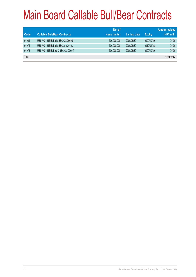| Code         | <b>Callable Bull/Bear Contracts</b> | No. of<br><i>issue (units)</i> | <b>Listing date</b> | <b>Expiry</b> | <b>Amount raised</b><br>(HK\$ mil.) |
|--------------|-------------------------------------|--------------------------------|---------------------|---------------|-------------------------------------|
| 64964        | UBS AG - HSI R Bull CBBC Oct 2009 S | 300,000,000                    | 2009/06/30          | 2009/10/29    | 75.00                               |
| 64975        | UBS AG - HSI R Bull CBBC Jan 2010 J | 300,000,000                    | 2009/06/30          | 2010/01/28    | 75.00                               |
| 64973        | UBS AG - HSI R Bear CBBC Oct 2009 T | 300,000,000                    | 2009/06/30          | 2009/10/29    | 75.00                               |
| <b>Total</b> |                                     |                                |                     |               | 140,519,83                          |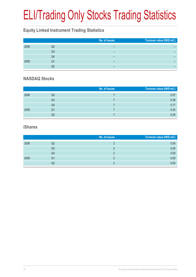# ELI/Trading Only Stocks Trading Statistics

### **Equity Linked Instrument Trading Statistics**

|      |    | No. of issues | Turnover value (HK\$ mil.) |
|------|----|---------------|----------------------------|
| 2008 | Q2 | -             |                            |
|      | Q3 | -             |                            |
|      | Q4 |               |                            |
| 2009 | Q1 | -             |                            |
|      | Q2 | -             |                            |

#### **NASDAQ Stocks**

|      |                | No. of issues | Turnover value (HK\$ mil.) |
|------|----------------|---------------|----------------------------|
| 2008 | Q2             |               | 0.57                       |
|      | Q <sub>3</sub> |               | 0.38                       |
|      | Q <sub>4</sub> |               | 0.17                       |
| 2009 | Q1             |               | 0.42                       |
|      | Q2             |               | 0.45                       |

#### **iShares**

|      |    | No. of issues | Turnover value (HK\$ mil.) |
|------|----|---------------|----------------------------|
| 2008 | Q2 |               | 0.00                       |
|      | Q3 |               | 0.00                       |
|      | Q4 |               | 0.00                       |
| 2009 | Q1 |               | 0.00                       |
|      | Q2 |               | 0.00                       |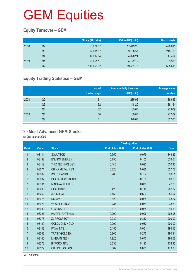### **Equity Turnover – GEM**

|      |    | Share (Mil. shs) | Value (HK\$ mil.) | No. of deals |
|------|----|------------------|-------------------|--------------|
| 2008 | Q2 | 53,824.67        | 17,443.28         | 476,011      |
|      | Q3 | 27,661.67        | 9,188.57          | 240,766      |
|      | Q4 | 19,999.04        | 4.070.24          | 147,424      |
| 2009 | Q1 | 23,051.11        | 4,192.12          | 153,505      |
|      | Q2 | 116,455.92       | 19,561.73         | 605,615      |

### **Equity Trading Statistics – GEM**

|      |                | No. of<br>trading days | <b>Average daily turnover</b><br>(HK\$ mil.) | Average value<br>per deal |
|------|----------------|------------------------|----------------------------------------------|---------------------------|
| 2008 | Q2             | 61                     | 285.96                                       | 36,645                    |
|      | Q <sub>3</sub> | 62                     | 148.20                                       | 38,164                    |
|      | Q <sub>4</sub> | 62                     | 65.65                                        | 27,609                    |
| 2009 | Q1             | 60                     | 69.87                                        | 27,309                    |
|      | Q2             | 61                     | 320.68                                       | 32,301                    |

#### **20 Most Advanced GEM Stocks**

for 2nd quarter 2009

|                |       |                        |                 | <b>Closing price</b> |        |
|----------------|-------|------------------------|-----------------|----------------------|--------|
| Rank           | Code  | <b>Stock</b>           | End of Jun 2009 | End of Mar 2009      | $%$ up |
| $\mathbf{1}$   | 08111 | <b>SOLUTECK</b>        | 0.750           | 0.079                | 849.37 |
| $\overline{2}$ | 08182 | <b>ENVIRO ENERGY</b>   | 0.790           | 0.102                | 674.51 |
| 3              | 08119 | <b>THIZ TECHNOLOGY</b> | 0.145           | 0.023                | 530.43 |
| 4              | 08071 | <b>CHINA METAL RES</b> | 0.226           | 0.036                | 527.78 |
| 5              | 08009 | <b>IMERCHANTS</b>      | 0.760           | 0.154                | 393.51 |
| 6              | 08007 | <b>DIGITALHONGKONG</b> | 0.610           | 0.130                | 369.23 |
| $\overline{7}$ | 08301 | <b>MINGWAH HI TECH</b> | 0.310           | 0.070                | 342.86 |
| 8              | 08233 | <b>CIG PORTS</b>       | 0.420           | 0.116                | 262.07 |
| 9              | 08262 | A-S CHINA              | 2.450           | 0.690                | 255.07 |
| 10             | 08075 | <b>ROJAM</b>           | 0.122           | 0.035                | 248.57 |
| 11             | 08021 | <b>WLS HOLDINGS</b>    | 0.237           | 0.071                | 233.80 |
| 12             | 08032 | <b>G CHINA TECH</b>    | 0.118           | 0.038                | 210.53 |
| 13             | 08227 | <b>HAITIAN ANTENNA</b> | 0.290           | 0.096                | 202.08 |
| 14             | 08273 | <b>ZJ PROSPECT</b>     | 0.930           | 0.310                | 200.00 |
| 15             | 08190 | <b>GOLDMOND HOLD</b>   | 0.090           | 0.030                | 200.00 |
| 16             | 08108 | <b>FAVA INT'L</b>      | 0.150           | 0.051                | 194.12 |
| 17             | 08063 | <b>TRASY GOLD EX</b>   | 0.800           | 0.275                | 190.91 |
| 18             | 08166 | <b>LINEFAN TECH</b>    | 1.920           | 0.670                | 186.57 |
| 19             | 08272 | <b>BYFORD INT'L</b>    | 0.530           | 0.190                | 178.95 |
| 20             | 08129 | <b>CH BIO CASSAVA</b>  | 0.082           | 0.030                | 173.33 |
|                |       |                        |                 |                      |        |

A Adjusted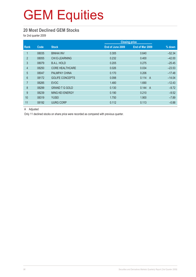#### **20 Most Declined GEM Stocks**

for 2nd quarter 2009

|                |       |                        |                  | <b>Closing price</b>    |          |  |
|----------------|-------|------------------------|------------------|-------------------------|----------|--|
| <b>Rank</b>    | Code  | <b>Stock</b>           | End of June 2009 | End of Mar 2009         | % down   |  |
|                | 08035 | <b>BINHAI INV</b>      | 0.305            | 0.640                   | $-52.34$ |  |
| $\overline{2}$ | 08055 | CHI E-LEARNING         | 0.232            | 0.400                   | $-42.00$ |  |
| 3              | 08079 | <b>B.A.L. HOLD</b>     | 0.205            | 0.275                   | $-25.45$ |  |
| $\overline{4}$ | 08250 | <b>CORE HEALTHCARE</b> | 0.026            | 0.034                   | $-23.53$ |  |
| 5              | 08047 | PALMPAY CHINA          | 0.170            | 0.206                   | $-17.48$ |  |
| 6              | 08172 | <b>GOLIFE CONCEPTS</b> | 0.098            | 0.114<br>$\overline{A}$ | $-14.04$ |  |
| $\overline{7}$ | 08285 | <b>EVOC</b>            | 1.480            | 1.690                   | $-12.43$ |  |
| 8              | 08299 | <b>GRAND T G GOLD</b>  | 0.130            | 0.144<br>$\overline{A}$ | $-9.72$  |  |
| 9              | 08239 | MING KEI ENERGY        | 0.190            | 0.210                   | $-9.52$  |  |
| 10             | 08319 | <b>YUSEI</b>           | 1.750            | 1.900                   | $-7.89$  |  |
| 11             | 08192 | <b>UURG CORP</b>       | 0.112            | 0.113                   | $-0.88$  |  |

A Adjusted

Only 11 declined stocks on share price were recorded as compared with previous quarter.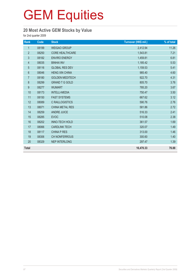### **20 Most Active GEM Stocks by Value**

for 2nd quarter 2009

| Rank             | Code  | <b>Stock</b>           | Turnover (HK\$ mil.) | % of total |
|------------------|-------|------------------------|----------------------|------------|
| $\mathbf{1}$     | 08199 | <b>WEIGAO GROUP</b>    | 2,412.94             | 11.26      |
| $\sqrt{2}$       | 08250 | <b>CORE HEALTHCARE</b> | 1,543.81             | 7.21       |
| $\mathfrak{S}$   | 08182 | <b>ENVIRO ENERGY</b>   | 1,459.81             | 6.81       |
| $\overline{4}$   | 08035 | <b>BINHAI INV</b>      | 1,185.42             | 5.53       |
| 5                | 08116 | <b>GLOBAL RES DEV</b>  | 1,159.53             | 5.41       |
| $6\phantom{1}6$  | 08046 | <b>HENG XIN CHINA</b>  | 985.40               | 4.60       |
| $\overline{7}$   | 08180 | <b>GOLDEN MEDITECH</b> | 922.70               | 4.31       |
| 8                | 08299 | <b>GRAND T G GOLD</b>  | 805.70               | 3.76       |
| $\boldsymbol{9}$ | 08277 | <b>WUMART</b>          | 785.20               | 3.67       |
| 10               | 08173 | <b>INTELLI-MEDIA</b>   | 750.47               | 3.50       |
| 11               | 08150 | <b>FAST SYSTEMS</b>    | 667.62               | 3.12       |
| 12               | 08089 | C RAILLOGISTICS        | 590.76               | 2.76       |
| 13               | 08071 | <b>CHINA METAL RES</b> | 581.86               | 2.72       |
| 14               | 08259 | <b>ANDRE JUICE</b>     | 516.33               | 2.41       |
| 15               | 08285 | <b>EVOC</b>            | 510.08               | 2.38       |
| 16               | 08202 | <b>INNO-TECH HOLD</b>  | 361.57               | 1.69       |
| 17               | 08066 | <b>CARDLINK TECH</b>   | 320.07               | 1.49       |
| 18               | 08117 | <b>CHINA P RES</b>     | 313.00               | 1.46       |
| 19               | 08306 | <b>CH NONFERROUS</b>   | 300.60               | 1.40       |
| 20               | 08329 | <b>NEP INTERLONG</b>   | 297.47               | 1.39       |
| <b>Total</b>     |       |                        | 16,470.33            | 76.88      |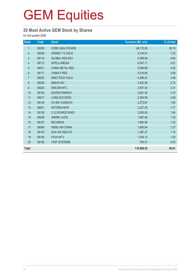### **20 Most Active GEM Stock by Shares**

for 2nd quarter 2009

| Rank           | Code  | <b>Stock</b>           | <b>Turnover (Mil. shs)</b> | % of total |
|----------------|-------|------------------------|----------------------------|------------|
| $\mathbf{1}$   | 08250 | <b>CORE HEALTHCARE</b> | 48,170.26                  | 38.19      |
| $\overline{2}$ | 08299 | <b>GRAND T G GOLD</b>  | 9,104.01                   | 7.22       |
| $\mathfrak{S}$ | 08116 | <b>GLOBAL RES DEV</b>  | 6,098.56                   | 4.84       |
| 4              | 08173 | <b>INTELLI-MEDIA</b>   | 6,067.11                   | 4.81       |
| $\overline{5}$ | 08071 | <b>CHINA METAL RES</b> | 5,569.89                   | 4.42       |
| $6\,$          | 08117 | <b>CHINA P RES</b>     | 5,019.86                   | 3.98       |
| $\overline{7}$ | 08202 | <b>INNO-TECH HOLD</b>  | 4,386.24                   | 3.48       |
| $\bf 8$        | 08035 | <b>BINHAI INV</b>      | 3,452.00                   | 2.74       |
| 9              | 08220 | <b>EMCOM INT'L</b>     | 2,907.34                   | 2.31       |
| 10             | 08182 | <b>ENVIRO ENERGY</b>   | 2,651.58                   | 2.10       |
| 11             | 08017 | LONG SUCCESS           | 2,594.99                   | 2.06       |
| 12             | 08129 | <b>CH BIO CASSAVA</b>  | 2,273.67                   | 1.80       |
| 13             | 08041 | <b>INTCERA-NEW</b>     | 2,227.30                   | 1.77       |
| 14             | 08128 | C G SOURCE ENGY        | 2,065.83                   | 1.64       |
| 15             | 08259 | <b>ANDRE JUICE</b>     | 1,667.46                   | 1.32       |
| 16             | 08167 | <b>BIG MEDIA</b>       | 1,665.99                   | 1.32       |
| 17             | 08046 | <b>HENG XIN CHINA</b>  | 1,600.94                   | 1.27       |
| 18             | 08143 | <b>HUA XIA HEALTH</b>  | 1,387.27                   | 1.10       |
| 19             | 08108 | <b>FAVA INT'L</b>      | 1,294.13                   | 1.03       |
| 20             | 08150 | <b>FAST SYSTEMS</b>    | 794.07                     | 0.63       |
| <b>Total</b>   |       |                        | 110,998.52                 | 88.01      |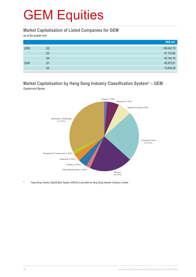#### **Market Capitalisation of Listed Companies for GEM**

as at the quarter end

|      |    | HK\$ mil.  |
|------|----|------------|
| 2008 | Q2 | 109,043.78 |
|      | Q3 | 67,153.80  |
|      | Q4 | 45,164.18  |
| 2009 | Q1 | 46,972.81  |
|      | Q2 | 73,004.28  |

#### **Market Capitalisation by Hang Seng Industry Classification System\* – GEM** Quarter-end figures



Hang Seng Industry Classification System (HSICS) is provided by Hang Seng Indexes Company Limited.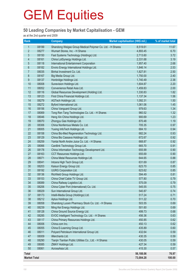### **50 Leading Companies by Market Capitalisation - GEM**

as at the 2nd quarter end 2009

| <b>Rank</b>         |       | <b>Company</b>                                            | Market capitalisation (HK\$ mil.) | % of market total |
|---------------------|-------|-----------------------------------------------------------|-----------------------------------|-------------------|
| 1                   | 08199 | Shandong Weigao Group Medical Polymer Co. Ltd. - H Shares | 8,519.61                          | 11.67             |
| $\overline{2}$      | 08277 | Wumart Stores, Inc. - H Shares                            | 4,893.45                          | 6.70              |
| 3                   | 08150 | Fast Systems Technology (Holdings) Ltd.                   | 2,713.60                          | 3.72              |
| $\overline{4}$      | 08161 | China LotSynergy Holdings Ltd.                            | 2,331.68                          | 3.19              |
| 5                   | 08118 | International Entertainment Corporation                   | 1,957.40                          | 2.68              |
| 6                   | 08182 | Enviro Energy International Holdings Ltd.                 | 1,846.14                          | 2.53              |
| $\overline{7}$      | 08035 | Binhai Investment Co. Ltd.                                | 1,827.81                          | 2.50              |
| 8                   | 08167 | Big Media Group Ltd.                                      | 1,750.00                          | 2.40              |
| $9\,$               | 08137 | Honbridge Holdings Ltd.                                   | 1,740.49                          | 2.38              |
| 10                  | 08008 | Sunevision Holdings Ltd.                                  | 1,604.87                          | 2.20              |
| 11                  | 08052 | Convenience Retail Asia Ltd.                              | 1,459.83                          | 2.00              |
| 12                  | 08116 | Global Resources Development (Holding) Ltd.               | 1,330.83                          | 1.82              |
| 13                  | 08123 | First China Financial Holdings Ltd.                       | 1,137.34                          | 1.56              |
| 14                  | 08279 | AGTech Holdings Ltd.                                      | 1,092.31                          | 1.50              |
| 15                  | 08272 | Byford International Ltd.                                 | 1,061.06                          | 1.45              |
| 16                  | 08156 | China Vanguard Group Ltd.                                 | 979.63                            | 1.34              |
| 17                  | 08069 | Tong Ren Tang Technologies Co. Ltd. - H Shares            | 960.52                            | 1.32              |
| 18                  | 08046 | Heng Xin China Holdings Ltd.                              | 900.69                            | 1.23              |
| 19                  | 08070 | Zhongyu Gas Holdings Ltd.                                 | 870.48                            | 1.19              |
| 20                  | 08306 | China Nonferrous Metals Co. Ltd.                          | 705.35                            | 0.97              |
| 21                  | 08005 | Yuxing InfoTech Holdings Ltd.                             | 684.10                            | 0.94              |
| 22                  | 08158 | China Bio-Med Regeneration Technology Ltd.                | 682.24                            | 0.93              |
| 23                  | 08129 | China Bio Cassava Holdings Ltd.                           | 672.67                            | 0.92              |
| 24                  | 08259 | Yantai North Andre Juice Co. Ltd. - H Shares              | 668.87                            | 0.92              |
| 25                  | 08066 | Cardlink Technology Group Ltd.                            | 665.70                            | 0.91              |
| 26                  | 08178 | China Information Technology Development Ltd.             | 655.99                            | 0.90              |
| 27                  | 08163 | CCT Resources Holdings Ltd.                               | 655.69                            | 0.90              |
| 28                  | 08071 | China Metal Resources Holdings Ltd.                       | 644.65                            | 0.88              |
| 29                  | 08041 | Intcera High Tech Group Ltd.                              | 631.69                            | 0.87              |
| 30                  | 08203 | Kaisun Energy Group Ltd.                                  | 623.70                            | 0.85              |
| 31                  | 08192 | <b>UURG Corporation Ltd.</b>                              | 623.62                            | 0.85              |
| 32                  | 08136 | Richfield Group Holdings Ltd.                             | 594.49                            | 0.81              |
| 33                  | 08153 | China Chief Cable TV Group Ltd.                           | 577.80                            | 0.79              |
| 34                  | 08089 | China Railway Logistics Ltd.                              | 575.09                            | 0.79              |
| 35                  | 08206 | China Cyber Port (International) Co. Ltd.                 | 545.55                            | 0.75              |
| 36                  | 08029 | Sun International Group Ltd.                              | 540.87                            | 0.74              |
| 37                  | 08173 | Intelli-Media Group (Holdings) Ltd.                       | 517.24                            | 0.71              |
| 38                  | 08212 | Aptus Holdings Ltd.                                       | 511.22                            | 0.70              |
| 39                  | 08058 | Shandong Luoxin Pharmacy Stock Co. Ltd. - H Shares        | 503.55                            | 0.69              |
| 40                  | 08239 | Ming Kei Energy Holdings Ltd.                             | 501.60                            | 0.69              |
| 41                  | 08128 | China Ground Source Energy Ltd.                           | 499.73                            | 0.68              |
| 42                  | 08285 | EVOC Intelligent Technology Co. Ltd. - H Shares           | 456.36                            | 0.63              |
| 43                  | 08117 | China Primary Resources Holdings Ltd.                     | 450.85                            | 0.62              |
| 44                  | 08006 | China.com Inc.                                            | 450.13                            | 0.62              |
| 45                  | 08055 | China E-Learning Group Ltd.                               | 435.89                            | 0.60              |
| 46                  | 08011 | Polyard Petroleum International Group Ltd.                | 432.64                            | 0.59              |
| 47                  | 08009 | iMerchants Ltd.                                           | 430.35                            | 0.59              |
| 48                  | 08290 | Tianjin Tianlian Public Utilities Co., Ltd. - H Shares    | 430.05                            | 0.59              |
| 49                  | 08085 | ZMAY Holdings Ltd.                                        | 427.34                            | 0.59              |
| 50                  | 08061 | AcrossAsia Ltd.                                           | 415.30                            | 0.57              |
| <b>Total</b>        |       |                                                           | 56,188.06                         | 76.97             |
| <b>Market Total</b> |       |                                                           | 73,004.28                         | 100.00            |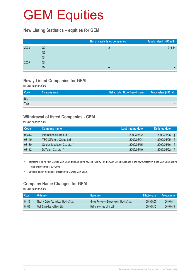#### **New Listing Statistics – equities for GEM**

|      |    | No. of newly listed companies | Funds raised (HK\$ mil.) |
|------|----|-------------------------------|--------------------------|
| 2008 | Q2 |                               | 216.84                   |
|      | Q3 | -                             |                          |
|      | Q4 | -                             |                          |
| 2009 | Q1 |                               |                          |
|      | Q2 | -                             |                          |

### **Newly Listed Companies for GEM**

for 2nd quarter 2009

| <b>NIL</b> |  |
|------------|--|
|            |  |
| Total      |  |

#### **Withdrawal of listed Companies - GEM**

for 2nd quarter 2009

| <b>Code</b> | <b>Company name</b>        | <b>Last trading date</b> | <b>Delisted date</b> |
|-------------|----------------------------|--------------------------|----------------------|
| 08313       | International Elite Ltd. * | 2009/05/22               | 2009/05/25<br>δ      |
| 08149       | TSC Offshore Group Ltd. *  | 2009/06/04               | 2009/06/05<br>S      |
| 08180       | Golden Meditech Co. Ltd. * | 2009/06/15               | 2009/06/16<br>δ      |
| 08112       | DeTeam Co. Ltd. *          | 2009/06/19               | 2009/06/22<br>δ      |

\* Transfers of listing from GEM to Main Board pursuant to the revised Rule 9.24 of the GEM Listing Rules and to the new Chapter 9A of the Main Board Listing Rules effective from 1 July 2008.

§ Effective date of the transfer of listing from GEM to Main Board.

### **Company Name Changes for GEM**

for 2nd quarter 2009

| Code  | Old name                                | New name                                    | <b>Effective date</b> | <b>Adoption date</b> |
|-------|-----------------------------------------|---------------------------------------------|-----------------------|----------------------|
| 08116 | Neolink Cyber Technology (Holding) Ltd. | Global Resources Development (Holding) Ltd. | 2009/05/07            | 2009/06/11           |
| 08035 | Wah Sang Gas Holdings Ltd.              | Binhai Investment Co. Ltd.                  | 2009/05/12            | 2009/06/19           |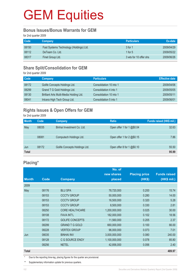#### **Bonus Issues/Bonus Warrants for GEM**

for 2nd quarter 2009

| <b>Code</b> | Company                                 | <b>Particulars</b>     | Ex-date    |
|-------------|-----------------------------------------|------------------------|------------|
| 08150       | Fast Systems Technology (Holdings) Ltd. | 3 for 1                | 2009/04/29 |
| 08112       | DeTeam Co. Ltd.                         | 1 for $5$              | 2009/05/22 |
| 08317       | Finet Group Ltd.                        | 3 wts for 10 offer shs | 2009/06/26 |

### **Share Split/Consolidation for GEM**

for 2nd quarter 2009

| Code  | Company                                 | <b>Particulars</b>      | <b>Effective date</b> |
|-------|-----------------------------------------|-------------------------|-----------------------|
| 08172 | Golife Concepts Holdings Ltd.           | Consolidation 10 into 1 | 2009/04/06            |
| 08299 | Grand T G Gold Holdings Ltd.            | Consolidation 4 into 1  | 2009/05/05            |
| 08130 | Brilliant Arts Multi-Media Holding Ltd. | Consolidation 10 into 1 | 2009/05/11            |
| 08041 | Intcera High Tech Group Ltd.            | Consolidation 5 into 1  | 2009/06/01            |

### **Rights Issues & Open Offers for GEM**

for 2nd quarter 2009

| <b>Month</b> | Code  | Company                       | <b>Ratio</b>                | Funds raised (HK\$ mil.) |
|--------------|-------|-------------------------------|-----------------------------|--------------------------|
| May          | 08035 | Binhai Investment Co. Ltd.    | Open offer 1 for 1 $@$0.04$ | 32.63                    |
|              |       |                               |                             |                          |
|              | 08081 | Computech Holdings Ltd.       | Open offer 1 for 2 @\$0.15  | 7.86                     |
|              |       |                               |                             |                          |
| Jun          | 08172 | Golife Concepts Holdings Ltd. | Open offer 8 for 1 @\$0.10  | 55.50                    |
| <b>Total</b> |       |                               |                             | 95.99                    |

### **Placing\***

|              |       |                        | No. of        |                      |                     |
|--------------|-------|------------------------|---------------|----------------------|---------------------|
|              |       |                        | new shares    | <b>Placing price</b> | <b>Funds raised</b> |
| <b>Month</b> | Code  | <b>Company</b>         | placed        | (HK\$)               | (HK\$ mil.)         |
| 2009         |       |                        |               |                      |                     |
| May          | 08176 | <b>BLU SPA</b>         | 78,720,000    | 0.200                | 15.74               |
|              | 08153 | <b>CCCTV GROUP</b>     | 50,000,000    | 0.280                | 14.00               |
|              | 08153 | <b>CCCTV GROUP</b>     | 16,500,000    | 0.320                | 5.28                |
|              | 08153 | <b>CCCTV GROUP</b>     | 8,500,000     | 0.330                | 2.81                |
|              | 08250 | <b>CORE HEALTHCARE</b> | 1,200,000,000 | 0.025                | 30.00               |
|              | 08108 | <b>FAVA INT'L</b>      | 182,000,000   | 0.102                | 18.56               |
|              | 08172 | <b>GOLIFE CONCEPTS</b> | 11,560,000    | 0.205                | 2.37                |
|              | 08299 | <b>GRAND T G GOLD</b>  | 660,000,000   | 0.100                | 66.00               |
|              | 08228 | <b>VERTEX GROUP</b>    | 96,000,000    | 0.073                | 7.01                |
| Jun          | 08035 | <b>BINHAI INV</b>      | 3,000,000,000 | 0.080                | 240.00              |
|              | 08128 | C G SOURCE ENGY        | 1,100,000,000 | 0.078                | 85.80               |
|              | 08256 | <b>NETEL</b>           | 42,856,000    | 0.056                | 2.40                |
| <b>Total</b> |       |                        |               |                      | 489.97              |

Due to the reporting time-lag, placing figures for the quarter are provisional.

\*\* Supplementary information update for previous quarters.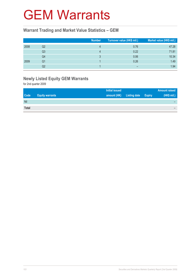### GEM Warrants

#### **Warrant Trading and Market Value Statistics – GEM**

|      |    | <b>Number</b> | Turnover value (HK\$ mil.) <sup>1</sup> | Market value (HK\$ mil.) |
|------|----|---------------|-----------------------------------------|--------------------------|
| 2008 | Q2 |               | 0.76                                    | 47.28                    |
|      | Q3 |               | 0.22                                    | 71.81                    |
|      | Q4 |               | 0.06                                    | 10.34                    |
| 2009 | Q1 |               | 0.26                                    | 1.49                     |
|      | Q2 |               |                                         | 1.94                     |

### **Newly Listed Equity GEM Warrants**

for 2nd quarter 2009

|              |                        | <b>Initial issued</b> |                     | <b>Amount raised</b> |
|--------------|------------------------|-----------------------|---------------------|----------------------|
| <b>Code</b>  | <b>Equity warrants</b> | amount (HK)           | Listing date Expiry | (HK\$ mil.)          |
| Nil          |                        |                       |                     |                      |
| <b>Total</b> |                        |                       |                     |                      |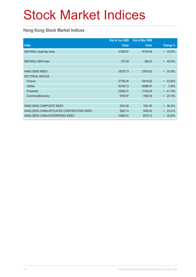# Stock Market Indices

### **Hong Kong Stock Market Indices**

|                                               | End of Jun 2009 | End of Mar 2009 |                |
|-----------------------------------------------|-----------------|-----------------|----------------|
| <b>Index</b>                                  | <b>Close</b>    | <b>Close</b>    | Change %       |
| S&P/HKEx LargeCap Index                       | 21686.87        | 16740.46        | $+29.55\%$     |
|                                               |                 |                 |                |
| S&P/HKEx GEM Index                            | 575.20          | 386.23          | 48.93%<br>$+$  |
|                                               |                 |                 |                |
| <b>HANG SENG INDEX</b>                        | 18378.73        | 13576.02        | 35.38%<br>$^+$ |
| <b>SECTORIAL INDICES</b>                      |                 |                 |                |
| Finance                                       | 27768.46        | 19418.62        | 43.00%<br>$+$  |
| <b>Utilities</b>                              | 36186.12        | 34966.97        | 3.49%<br>$+$   |
| Properties                                    | 24565.01        | 17330.49        | 41.74%<br>$+$  |
| Commerce&Industry                             | 9790.97         | 7580.55         | $+29.16%$      |
|                                               |                 |                 |                |
| HANG SENG COMPOSITE INDEX                     | 2591.05         | 1901.85         | $+36.24%$      |
| HANG SENG CHINA-AFFILIATED CORPORATIONS INDEX | 3820.14         | 3095.40         | $+ 23.41%$     |
| <b>HANG SENG CHINA ENTERPRISES INDEX</b>      | 10962.61        | 8070.13         | $+35.84\%$     |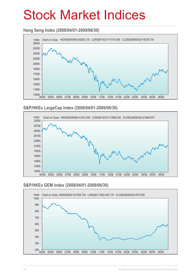## Stock Market Indices

### **Hang Seng Index (2008/04/01-2009/06/30)**



#### **S&P/HKEx LargeCap Index (2008/04/01-2009/06/30)**



#### **S&P/HKEx GEM Index (2008/04/01-2009/06/30)**

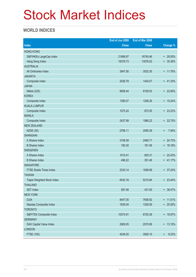## Stock Market Indices

### **WORLD INDICES**

|                                 | End of Jun 2009 | End of Mar 2009 |                     |
|---------------------------------|-----------------|-----------------|---------------------|
| <b>Index</b>                    | <b>Close</b>    | <b>Close</b>    | Change %            |
| <b>HONG KONG</b>                |                 |                 |                     |
| S&P/HKEx LargeCap Index         | 21686.87        | 16740.46        | + 29.55%            |
| Hang Seng Index                 | 18378.73        | 13576.02        | $+ 35.38%$          |
| <b>AUSTRALIA</b>                |                 |                 |                     |
| All Ordinaries Index            | 3947.80         | 3532.30         | + 11.76%            |
| <b>JAKARTA</b>                  |                 |                 |                     |
| Composite Index                 | 2026.78         | 1434.07         | $+ 41.33%$          |
| <b>JAPAN</b>                    |                 |                 |                     |
| Nikkei (225)                    | 9958.44         | 8109.53         | + 22.80%            |
| <b>KOREA</b>                    |                 |                 |                     |
| Composite Index                 | 1390.07         | 1206.26         | $+ 15.24\%$         |
| <b>KUALA LUMPUR</b>             |                 |                 |                     |
| Composite Index                 | 1075.24         | 872.55          | $+ 23.23%$          |
| <b>MANILA</b>                   |                 |                 |                     |
| Composite Index                 | 2437.99         | 1986.22         | + 22.75%            |
| <b>NEW ZEALAND</b>              |                 |                 |                     |
| <b>NZSE (50)</b>                | 2796.11         | 2590.39         | 7.94%<br>$+$        |
| <b>SHANGHAI</b>                 |                 |                 |                     |
| A Shares Index                  | 3106.59         | 2490.71         | $+ 24.73%$          |
| <b>B</b> Shares Index           | 190.30          | 161.06          | + 18.16%            |
| <b>SHENZHEN</b>                 |                 |                 |                     |
| A Shares Index                  | 1010.41         | 825.31          | $+ 22.43%$          |
| <b>B Shares Index</b>           | 496.22          | 351.49          | + 41.17%            |
| SINGAPORE                       |                 |                 |                     |
| <b>FTSE Straits Times Index</b> | 2333.14         | 1699.99         | $+ 37.24%$          |
| <b>TAIWAN</b>                   |                 |                 |                     |
| Taipei Weighted Stock Index     | 6432.16         | 5210.84         | $+ 23.44\%$         |
| <b>THAILAND</b>                 |                 |                 |                     |
| <b>SET Index</b>                | 597.48          | 431.50          | + 38.47%            |
| <b>NEW YORK</b>                 |                 |                 |                     |
| <b>DJIA</b>                     | 8447.00         | 7608.92         | $+ 11.01\%$         |
| Nasdaq Composite Index          | 1835.04         | 1528.59         | + 20.05%            |
| <b>TORONTO</b>                  |                 |                 |                     |
| S&P/TSX Composite Index         | 10374.91        | 8720.39         | + 18.97%            |
| <b>GERMANY</b>                  |                 |                 |                     |
| DAX Capital Value Index         | 2909.05         | 2570.99         | $+ 13.15%$          |
| <b>LONDON</b>                   |                 |                 |                     |
| <b>FTSE (100)</b>               | 4249.20         | 3926.10         | 8.23%<br>$\ddagger$ |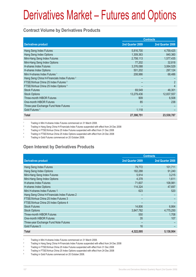# Derivatives Market – Futures and Options

### **Contract Volume by Derivatives Products**

|                                                         | <b>Contracts</b> |                  |  |
|---------------------------------------------------------|------------------|------------------|--|
| <b>Derivatives product</b>                              | 2nd Quarter 2009 | 2nd Quarter 2008 |  |
| Hang Seng Index Futures                                 | 5,816,700        | 4,759,425        |  |
| Hang Seng Index Options                                 | 1,309,363        | 840,360          |  |
| Mini-Hang Seng Index Futures                            | 2,758,113        | 1,577,435        |  |
| Mini-Hang Seng Index Options                            | 77,202           | 32,818           |  |
| H-shares Index Futures                                  | 3,376,088        | 3,064,529        |  |
| H-shares Index Options                                  | 501,202          | 297,124          |  |
| Mini H-shares Index Futures <sup>1</sup>                | 208,986          | 68,486           |  |
| Hang Seng China H-Financials Index Futures <sup>2</sup> |                  |                  |  |
| FTSE/Xinhua China 25 Index Futures <sup>3</sup>         |                  | $\overline{2}$   |  |
| FTSE/Xinhua China 25 Index Options 4                    |                  | $\overline{4}$   |  |
| <b>Stock Futures</b>                                    | 69,549           | 46,301           |  |
| <b>Stock Options</b>                                    | 13,279,436       | 12,837,557       |  |
| <b>Three-month HIBOR Futures</b>                        | 909              | 6,508            |  |
| One-month HIBOR Futures                                 | 85               | 238              |  |
| Three-year Exchange Fund Note Futures                   |                  |                  |  |
| Gold Futures <sup>5</sup>                               | 1,118            |                  |  |
| <b>Total</b>                                            | 27,398,751       | 23,530,787       |  |

1 Trading in Mini H-shares Index Futures commenced on 31 March 2008.

 $\overline{2}$ Trading in Hang Seng China H-Financials Index Futures suspended with effect from 24 Dec 2008

3 Trading in FTSE/Xinhua China 25 Index Futures suspended with effect from 31 Dec 2008

4 Trading in FTSE/Xinhua China 25 Index Options suspended with effect from 24 Dec 2008

5 Trading in Gold Futures commenced on 20 October 2008.

### **Open Interest by Derivatives Products**

|                                              | <b>Contracts</b> |                  |  |
|----------------------------------------------|------------------|------------------|--|
| <b>Derivatives product</b>                   | 2nd Quarter 2009 | 2nd Quarter 2008 |  |
| Hang Seng Index Futures                      | 79,772           | 101,711          |  |
| Hang Seng Index Options                      | 182,288          | 91,240           |  |
| Mini-Hang Seng Index Futures                 | 5,914            | 3,215            |  |
| Mini-Hang Seng Index Options                 | 4,378            | 1,611            |  |
| <b>H-shares Index Futures</b>                | 71,607           | 108,981          |  |
| H-shares Index Options                       | 114,324          | 47,697           |  |
| Mini H-shares Index Futures 1                | 623              | 520              |  |
| Hang Seng China H-Financials Index Futures 2 |                  |                  |  |
| FTSE/Xinhua China 25 Index Futures 3         |                  |                  |  |
| FTSE/Xinhua China 25 Index Options 4         |                  |                  |  |
| <b>Stock Futures</b>                         | 14,806           | 6,864            |  |
| <b>Stock Options</b>                         | 3,847,782        | 4,775,250        |  |
| Three-month HIBOR Futures                    | 550              | 1.708            |  |
| One-month HIBOR Futures                      | 35               | 107              |  |
| Three-year Exchange Fund Note Futures        |                  |                  |  |
| Gold Futures 5                               | 16               |                  |  |
| Total                                        | 4,322,095        | 5,138,904        |  |

1 Trading in Mini H-shares Index Futures commenced on 31 March 2008.

2 Trading in Hang Seng China H-Financials Index Futures suspended with effect from 24 Dec 2008

3 Trading in FTSE/Xinhua China 25 Index Futures suspended with effect from 31 Dec 2008

4 Trading in FTSE/Xinhua China 25 Index Options suspended with effect from 24 Dec 2008

5 Trading in Gold Futures commenced on 20 October 2008.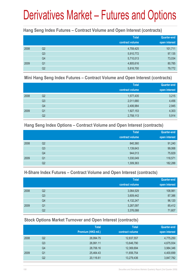## Derivatives Market – Futures and Options

### **Hang Seng Index Futures – Contract Volume and Open Interest (contracts)**

|      |                | <b>Total</b><br>contract volume | <b>Quarter-end</b><br>open interest |
|------|----------------|---------------------------------|-------------------------------------|
| 2008 | Q2             | 4,759,425                       | 101,711                             |
|      | Q <sub>3</sub> | 5,910,772                       | 97,135                              |
|      | Q4             | 5,710,013                       | 73,034                              |
| 2009 | Q <sub>1</sub> | 4,805,616                       | 80,785                              |
|      | Q <sub>2</sub> | 5,816,700                       | 79,772                              |

#### **Mini Hang Seng Index Futures – Contract Volume and Open Interest (contracts)**

|      |                | <b>Total</b><br>contract volume | Quarter-end<br>open interest |
|------|----------------|---------------------------------|------------------------------|
| 2008 | Q2             | 1,577,435                       | 3,215                        |
|      | Q3             | 2,011,680                       | 4,456                        |
|      | Q4             | 2,406,984                       | 2,945                        |
| 2009 | Q <sub>1</sub> | 1,927,153                       | 4,303                        |
|      | Q <sub>2</sub> | 2,758,113                       | 5,914                        |

### **Hang Seng Index Options – Contract Volume and Open Interest (contracts)**

|      |                | <b>Total</b>    | Quarter-end   |
|------|----------------|-----------------|---------------|
|      |                | contract volume | open interest |
| 2008 | Q2             | 840,360         | 91,240        |
|      | Q <sub>3</sub> | 1,139,643       | 99,068        |
|      | Q4             | 944,013         | 75,829        |
| 2009 | Q <sub>1</sub> | 1,030,049       | 118,571       |
|      | Q2             | 1,309,363       | 182,288       |

### **H-Share Index Futures – Contract Volume and Open Interest (contracts)**

|      |                | <b>Total</b>    | <b>Quarter-end</b> |
|------|----------------|-----------------|--------------------|
|      |                | contract volume | open interest      |
| 2008 | Q <sub>2</sub> | 3,064,529       | 108,981            |
|      | Q <sub>3</sub> | 3,609,442       | 87,386             |
|      | Q4             | 4,132,247       | 96,120             |
| 2009 | Q <sub>1</sub> | 3,287,097       | 85,412             |
|      | Q2             | 3,376,088       | 71,607             |

## **Stock Options Market Turnover and Open Interest (contracts)**

|      |    | <b>Total</b>        | <b>Total</b>    | <b>Quarter-end</b> |
|------|----|---------------------|-----------------|--------------------|
|      |    | Premium (HK\$ mil.) | contract volume | open interest      |
| 2008 | Q2 | 26,994.75           | 12,837,557      | 4,775,250          |
|      | Q3 | 26,991.11           | 13,646,790      | 4,675,934          |
|      | Q4 | 28,706.16           | 12,369,694      | 3,984,346          |
| 2009 | Q1 | 25,464.43           | 11,656,754      | 4,400,699          |
|      | Q2 | 20,116.61           | 13,279,436      | 3,847,782          |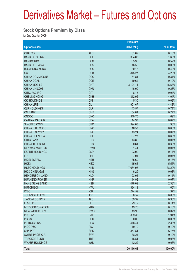## Derivatives Market – Futures and Options

### **Stock Options Premium by Class**

for 2nd Quarter 2009

|                           |            | Premium     |              |
|---------------------------|------------|-------------|--------------|
| <b>Options class</b>      |            | (HK\$ mil.) | $%$ of total |
| <b>CHALCO</b>             | <b>ALC</b> | 31.89       | 0.16%        |
| <b>BANK OF CHINA</b>      | <b>BCL</b> | 334.03      | 1.66%        |
| <b>BANKCOMM</b>           | <b>BCM</b> | 105.35      | 0.52%        |
| <b>BANK OF E ASIA</b>     | <b>BEA</b> | 16.55       | 0.08%        |
| <b>BOC HONG KONG</b>      | <b>BOC</b> | 80.16       | 0.40%        |
| <b>CCB</b>                | <b>CCB</b> | 845.27      | 4.20%        |
| CHINA COMM CONS           | CCC        | 61.84       | 0.31%        |
| <b>CHINA COAL</b>         | <b>CCE</b> | 19.62       | 0.10%        |
| <b>CHINA MOBILE</b>       | <b>CHT</b> | 3,124.71    | 15.53%       |
| <b>CHINA UNICOM</b>       | <b>CHU</b> | 46.00       | 0.23%        |
| <b>CITIC PACIFIC</b>      | <b>CIT</b> | 8.18        | 0.04%        |
| <b>CHEUNG KONG</b>        | <b>CKH</b> | 812.92      | 4.04%        |
| <b>CKI HOLDINGS</b>       | <b>CKI</b> | 5.30        | 0.03%        |
| <b>CHINA LIFE</b>         | <b>CLI</b> | 901.67      | 4.48%        |
| <b>CLP HOLDINGS</b>       | <b>CLP</b> | 143.57      | 0.71%        |
| <b>CM BANK</b>            | <b>CMB</b> | 154.81      | 0.77%        |
| <b>CNOOC</b>              | <b>CNC</b> | 340.70      | 1.69%        |
| <b>CATHAY PAC AIR</b>     | <b>CPA</b> | 14.97       | 0.07%        |
| SINOPEC CORP              | <b>CPC</b> | 394.03      | 1.96%        |
| <b>CHINA RAIL CONS</b>    | <b>CRC</b> | 16.57       | 0.08%        |
| <b>CHINA RAILWAY</b>      | <b>CRG</b> | 13.24       | 0.07%        |
| <b>CHINA SHENHUA</b>      | <b>CSE</b> | 137.27      | 0.68%        |
| <b>CITIC BANK</b>         | <b>CTB</b> | 13.85       | 0.07%        |
| CHINA TELECOM             | <b>CTC</b> | 60.61       | 0.30%        |
| <b>DENWAY MOTORS</b>      | <b>DWM</b> | 1.41        | 0.01%        |
| <b>ESPRIT HOLDINGS</b>    | <b>ESP</b> | 23.09       | 0.11%        |
| <b>FIH</b>                | <b>FIH</b> | 7.94        | 0.04%        |
| <b>HK ELECTRIC</b>        | <b>HEH</b> | 35.60       | 0.18%        |
| <b>HKEX</b>               | <b>HEX</b> | 1,115.66    | 5.55%        |
| <b>HSBC HOLDINGS</b>      | <b>HKB</b> | 7,684.98    | 38.20%       |
| <b>HK &amp; CHINA GAS</b> | <b>HKG</b> | 6.29        | 0.03%        |
| <b>HENDERSON LAND</b>     | <b>HLD</b> | 23.05       | 0.11%        |
| <b>HUANENG POWER</b>      | <b>HNP</b> | 14.92       | 0.07%        |
| <b>HANG SENG BANK</b>     | <b>HSB</b> | 478.09      | 2.38%        |
| <b>HUTCHISON</b>          | <b>HWL</b> | 334.12      | 1.66%        |
| <b>ICBC</b>               | <b>ICB</b> | 274.59      | 1.37%        |
| JOHNSON ELECH             | <b>JSE</b> | 0.52        | 0.00%        |
| <b>JIANGXI COPPER</b>     | <b>JXC</b> | 59.39       | 0.30%        |
| LI & FUNG                 | LIF        | 29.12       | 0.14%        |
| <b>MTR CORPORATION</b>    | <b>MTR</b> | 19.75       | 0.10%        |
| <b>NEW WORLD DEV</b>      | <b>NWD</b> | 13.93       | 0.07%        |
| <b>PING AN</b>            | PAI        | 389.36      | 1.94%        |
| <b>PCCW</b>               | <b>PCC</b> | 0.00        | 0.00%        |
| <b>PETROCHINA</b>         | PEC        | 478.44      | 2.38%        |
| PICC P&C                  | <b>PIC</b> | 19.79       | 0.10%        |
| <b>SHK PPT</b>            | <b>SHK</b> | 1,357.51    | 6.75%        |
| <b>SWIRE PACIFIC A</b>    | <b>SWA</b> | 38.24       | 0.19%        |
| <b>TRACKER FUND</b>       | <b>TRF</b> | 15.51       | 0.08%        |
| <b>WHARF HOLDINGS</b>     | <b>WHL</b> | 12.22       | 0.06%        |
| <b>Total</b>              |            | 20,116.61   | 100.00%      |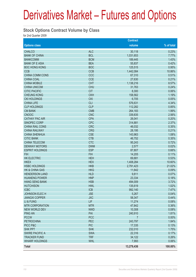## Derivatives Market – Futures and Options

### **Stock Options Contract Volume by Class**

for 2nd Quarter 2009

|                           |            | <b>Contract</b> |            |
|---------------------------|------------|-----------------|------------|
| <b>Options class</b>      |            | volume          | % of total |
| <b>CHALCO</b>             | <b>ALC</b> | 30,118          | 0.23%      |
| <b>BANK OF CHINA</b>      | <b>BCL</b> | 1,031,653       | 7.77%      |
| <b>BANKCOMM</b>           | <b>BCM</b> | 189,445         | 1.43%      |
| <b>BANK OF E ASIA</b>     | <b>BEA</b> | 55,837          | 0.42%      |
| <b>BOC HONG KONG</b>      | <b>BOC</b> | 125,515         | 0.95%      |
| <b>CCB</b>                | <b>CCB</b> | 1,442,084       | 10.86%     |
| <b>CHINA COMM CONS</b>    | CCC        | 67,310          | 0.51%      |
| <b>CHINA COAL</b>         | <b>CCE</b> | 27,630          | 0.21%      |
| <b>CHINA MOBILE</b>       | <b>CHT</b> | 1,138,216       | 8.57%      |
| <b>CHINA UNICOM</b>       | <b>CHU</b> | 31,763          | 0.24%      |
| <b>CITIC PACIFIC</b>      | <b>CIT</b> | 8,300           | 0.06%      |
| <b>CHEUNG KONG</b>        | <b>CKH</b> | 158,562         | 1.19%      |
| <b>CKI HOLDINGS</b>       | <b>CKI</b> | 6,705           | 0.05%      |
| <b>CHINA LIFE</b>         | <b>CLI</b> | 576,631         | 4.34%      |
| <b>CLP HOLDINGS</b>       | <b>CLP</b> | 112,282         | 0.85%      |
| <b>CM BANK</b>            | <b>CMB</b> | 264,183         | 1.99%      |
| <b>CNOOC</b>              | <b>CNC</b> | 339,835         | 2.56%      |
| <b>CATHAY PAC AIR</b>     | <b>CPA</b> | 26,041          | 0.20%      |
| SINOPEC CORP              | <b>CPC</b> | 314,881         | 2.37%      |
| CHINA RAIL CONS           | <b>CRC</b> | 46,032          | 0.35%      |
| <b>CHINA RAILWAY</b>      | <b>CRG</b> | 28,195          | 0.21%      |
| <b>CHINA SHENHUA</b>      | <b>CSE</b> | 143,963         | 1.08%      |
| <b>CITIC BANK</b>         | <b>CTB</b> | 46,752          | 0.35%      |
| <b>CHINA TELECOM</b>      | <b>CTC</b> | 95,243          | 0.72%      |
| <b>DENWAY MOTORS</b>      | <b>DWM</b> | 2,577           | 0.02%      |
| <b>ESPRIT HOLDINGS</b>    | <b>ESP</b> | 87,807          | 0.66%      |
| <b>FIH</b>                | <b>FIH</b> | 14,205          | 0.11%      |
| <b>HK ELECTRIC</b>        | <b>HEH</b> | 69,881          | 0.53%      |
| <b>HKEX</b>               | <b>HEX</b> | 1,408,284       | 10.60%     |
| <b>HSBC HOLDINGS</b>      | <b>HKB</b> | 2,791,423       | 21.02%     |
| <b>HK &amp; CHINA GAS</b> | <b>HKG</b> | 11,642          | 0.09%      |
| <b>HENDERSON LAND</b>     | <b>HLD</b> | 9,811           | 0.07%      |
| <b>HUANENG POWER</b>      | <b>HNP</b> | 23,334          | 0.18%      |
| <b>HANG SENG BANK</b>     | <b>HSB</b> | 494,009         | 3.72%      |
| <b>HUTCHISON</b>          | <b>HWL</b> | 135,619         | 1.02%      |
| <b>ICBC</b>               | <b>ICB</b> | 992,140         | 7.47%      |
| JOHNSON ELEC H            | <b>JSE</b> | 5,267           | 0.04%      |
| <b>JIANGXI COPPER</b>     | <b>JXC</b> | 58,347          | 0.44%      |
| LI & FUNG                 | LIF        | 11,274          | 0.08%      |
| <b>MTR CORPORATION</b>    | <b>MTR</b> | 47,842          | 0.36%      |
| <b>NEW WORLD DEV</b>      | <b>NWD</b> | 10,308          | 0.08%      |
| <b>PING AN</b>            | PAI        | 240,910         | 1.81%      |
| <b>PCCW</b>               | <b>PCC</b> | $\overline{7}$  | 0.00%      |
| <b>PETROCHINA</b>         | PEC        | 243,797         | 1.84%      |
| PICC P&C                  | <b>PIC</b> | 17,335          | 0.13%      |
| <b>SHK PPT</b>            | <b>SHK</b> | 232,010         | 1.75%      |
| <b>SWIRE PACIFIC A</b>    | <b>SWA</b> | 22,316          | 0.17%      |
| <b>TRACKER FUND</b>       | <b>TRF</b> | 34,122          | 0.26%      |
| <b>WHARF HOLDINGS</b>     | <b>WHL</b> | 7,993           | 0.06%      |
| <b>Total</b>              |            | 13,279,436      | 100.00%    |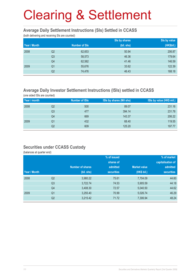#### **Average Daily Settlement Instructions (SIs) Settled in CCASS**

(both delivering and receiving SIs are counted)

|              |                |                      | Sis by shares | Sis by value |
|--------------|----------------|----------------------|---------------|--------------|
| Year / Month |                | <b>Number of SIs</b> | (bil. shs)    | (HK\$bil.)   |
| 2008         | Q <sub>2</sub> | 62,653               | 50.94         | 206.87       |
|              | Q <sub>3</sub> | 58,573               | 46.36         | 179.64       |
|              | Q4             | 62,582               | 41.46         | 146.59       |
| 2009         | Q1             | 55,676               | 33.62         | 122.39       |
|              | Q2             | 74,476               | 46.43         | 188.18       |

## **Average Daily Investor Settlement Instructions (ISIs) settled in CCASS**

(one sided ISIs are counted)

| Year / month |    | <b>Number of ISIs</b> | ISIs by shares (Mil shs) | ISIs by value (HK\$ mil.) |
|--------------|----|-----------------------|--------------------------|---------------------------|
| 2008         | Q2 | 500                   | 89.07                    | 231.16                    |
|              | Q3 | 477                   | 394.14                   | 231.78                    |
|              | Q4 | 669                   | 143.37                   | 206.22                    |
| 2009         | Q1 | 432                   | 68.40                    | 119.55                    |
|              | Q2 | 609                   | 125.20                   | 197.77                    |

### **Securities under CCASS Custody**

(balances at quarter end)

|              |                |                         | % of issued       |                     | % of market       |
|--------------|----------------|-------------------------|-------------------|---------------------|-------------------|
|              |                |                         | shares of         |                     | capitalisation of |
|              |                | <b>Number of shares</b> | admitted          | <b>Market value</b> | admitted          |
| Year / Month |                | (bil. shs)              | <b>securities</b> | (HK\$ bil.)         | <b>securities</b> |
| 2008         | Q <sub>2</sub> | 3,980.22                | 75.61             | 7,704.09            | 44.60             |
|              | Q <sub>3</sub> | 3,722.74                | 74.53             | 5,905.59            | 44.18             |
|              | Q4             | 3,408.30                | 72.57             | 5,040.50            | 44.62             |
| 2009         | Q <sub>1</sub> | 3,255.40                | 70.99             | 5,026.74            | 46.29             |
|              | Q <sub>2</sub> | 3,215.42                | 71.72             | 7,306.94            | 48.24             |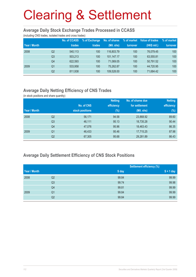#### **Average Daily Stock Exchange Trades Processed in CCASS**

(including CNS trades, isolated trades and cross trades)

|              |                | <b>No. of CCASS</b> | % of Exchange | No. of shares | % of market | Value of trades | % of market |
|--------------|----------------|---------------------|---------------|---------------|-------------|-----------------|-------------|
| Year / Month |                | trades              | trades        | (Mil. shs)    | turnover    | (HK\$ mil.)     | turnover    |
| 2008         | Q2             | 540,113             | 100           | 116,803.79    | 100         | 76.079.45       | 100         |
|              | Q <sub>3</sub> | 503.213             | 100           | 101.147.17    | 100         | 63.555.81       | 100         |
|              | Q4             | 622,593             | 100           | 71.069.05     | 100         | 50.791.52       | 100         |
| 2009         | Q <sub>1</sub> | 533.958             | 100           | 75,262.87     | 100         | 44.720.95       | 100         |
|              | Q2             | 811,938             | 100           | 109.528.00    | 100         | 71.684.42       | 100         |

## **Average Daily Netting Efficiency of CNS Trades**

(in stock positions and share quantity)

|              |                |                 | <b>Netting</b> | No. of shares due | <b>Netting</b> |
|--------------|----------------|-----------------|----------------|-------------------|----------------|
|              |                | No. of CNS      | efficiency     | for settlement    | efficiency     |
| Year / Month |                | stock positions | $(\%)$         | (Mil. shs)        | $(\%)$         |
| 2008         | Q2             | 56,171          | 94.58          | 23,868.92         | 89.60          |
|              | Q <sub>3</sub> | 46,111          | 95.13          | 18,735.28         | 90.44          |
|              | Q4             | 47,076          | 95.96          | 18,463.43         | 86.35          |
| 2009         | Q <sub>1</sub> | 46,433          | 95.46          | 17,715.25         | 87.98          |
|              | Q <sub>2</sub> | 67,305          | 95.68          | 29,281.89         | 86.43          |

## **Average Daily Settlement Efficiency of CNS Stock Positions**

|              |                | <b>Settlement efficiency (%)</b> |             |
|--------------|----------------|----------------------------------|-------------|
| Year / Month |                | S day                            | $S + 1$ day |
| 2008         | Q2             | 99.84                            | 99.99       |
|              | Q <sub>3</sub> | 99.74                            | 99.98       |
|              | Q4             | 99.81                            | 99.99       |
| 2009         | Q1             | 99.84                            | 99.99       |
|              | Q2             | 99.84                            | 99.99       |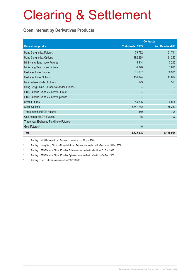## **Open Interest by Derivatives Products**

|                                                         | <b>Contracts</b> |                  |  |
|---------------------------------------------------------|------------------|------------------|--|
| <b>Derivatives product</b>                              | 2nd Quarter 2009 | 2nd Quarter 2008 |  |
| Hang Seng Index Futures                                 | 79,772           | 101,711          |  |
| Hang Seng Index Options                                 | 182,288          | 91,240           |  |
| Mini-Hang Seng Index Futures                            | 5,914            | 3,215            |  |
| Mini-Hang Seng Index Options                            | 4,378            | 1,611            |  |
| <b>H-shares Index Futures</b>                           | 71,607           | 108,981          |  |
| H-shares Index Options                                  | 114,324          | 47,697           |  |
| Mini H-shares Index Futures <sup>1</sup>                | 623              | 520              |  |
| Hang Seng China H-Financials Index Futures <sup>2</sup> |                  |                  |  |
| FTSE/Xinhua China 25 Index Futures <sup>3</sup>         |                  |                  |  |
| FTSE/Xinhua China 25 Index Options <sup>4</sup>         |                  |                  |  |
| <b>Stock Futures</b>                                    | 14,806           | 6,864            |  |
| <b>Stock Options</b>                                    | 3,847,782        | 4,775,250        |  |
| <b>Three-month HIBOR Futures</b>                        | 550              | 1,708            |  |
| One-month HIBOR Futures                                 | 35               | 107              |  |
| Three-year Exchange Fund Note Futures                   |                  |                  |  |
| Gold Futures <sup>5</sup>                               | 16               |                  |  |
| <b>Total</b>                                            | 4,322,095        | 5,138,904        |  |

1 Trading in Mini H-shares Index Futures commenced on 31 Mar 2008

2 Trading in Hang Seng China H-Financials Index Futures suspended with effect from 24 Dec 2008

3 Trading in FTSE/Xinhua China 25 Index Futures suspended with effect from 31 Dec 2008

4 Trading in FTSE/Xinhua China 25 Index Options suspended with effect from 24 Dec 2008

5 Trading in Gold Futures commenced on 20 Oct 2008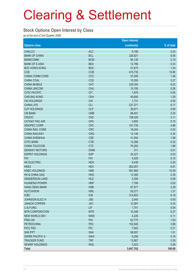#### **Stock Options Open Interest by Class**

as at the end of 2nd Quarter 2009

|                        |            | <b>Open interest</b> |            |
|------------------------|------------|----------------------|------------|
| <b>Options class</b>   |            | (contracts)          | % of total |
| <b>CHALCO</b>          | <b>ALC</b> | 9,186                | 0.24       |
| <b>BANK OF CHINA</b>   | <b>BCL</b> | 328,921              | 8.55       |
| <b>BANKCOMM</b>        | <b>BCM</b> | 84,135               | 2.19       |
| <b>BANK OF E ASIA</b>  | <b>BEA</b> | 12,786               | 0.33       |
| <b>BOC HONG KONG</b>   | <b>BOC</b> | 51,675               | 1.34       |
| <b>CCB</b>             | <b>CCB</b> | 415,735              | 10.80      |
| CHINA COMM CONS        | CCC        | 57,045               | 1.48       |
| <b>CHINA COAL</b>      | <b>CCE</b> | 10,355               | 0.27       |
| <b>CHINA MOBILE</b>    | <b>CHT</b> | 239,300              | 6.22       |
| <b>CHINA UNICOM</b>    | <b>CHU</b> | 10,195               | 0.26       |
| <b>CITIC PACIFIC</b>   | <b>CIT</b> | 1,878                | 0.05       |
| <b>CHEUNG KONG</b>     | <b>CKH</b> | 49,650               | 1.29       |
| <b>CKI HOLDINGS</b>    | <b>CKI</b> | 1,731                | 0.04       |
| <b>CHINA LIFE</b>      | <b>CLI</b> | 237,371              | 6.17       |
| <b>CLP HOLDINGS</b>    | <b>CLP</b> | 36,671               | 0.95       |
| <b>CM BANK</b>         | <b>CMB</b> | 88,491               | 2.30       |
| <b>CNOOC</b>           | <b>CNC</b> | 158,029              | 4.11       |
| <b>CATHAY PAC AIR</b>  | <b>CPA</b> | 3,693                | 0.10       |
| SINOPEC CORP           | <b>CPC</b> | 191,735              | 4.98       |
| CHINA RAIL CONS        | <b>CRC</b> | 16,244               | 0.42       |
| <b>CHINA RAILWAY</b>   | <b>CRG</b> | 12,148               | 0.32       |
| <b>CHINA SHENHUA</b>   | <b>CSE</b> | 41,554               | 1.08       |
| <b>CITIC BANK</b>      | <b>CTB</b> | 12,266               | 0.32       |
| <b>CHINA TELECOM</b>   | <b>CTC</b> | 76,283               | 1.98       |
| <b>DENWAY MOTORS</b>   | <b>DWM</b> | 511                  | 0.01       |
| <b>ESPRIT HOLDINGS</b> | <b>ESP</b> | 20,327               | 0.53       |
| <b>FIH</b>             | <b>FIH</b> | 4,029                | 0.10       |
| <b>HK ELECTRIC</b>     | <b>HEH</b> | 9,439                | 0.25       |
| <b>HKEX</b>            | <b>HEX</b> | 262,007              | 6.81       |
| <b>HSBC HOLDINGS</b>   | <b>HKB</b> | 591,993              | 15.39      |
| HK & CHINA GAS         | <b>HKG</b> | 13,300               | 0.35       |
| <b>HENDERSON LAND</b>  | <b>HLD</b> | 3,358                | 0.09       |
| <b>HUANENG POWER</b>   | <b>HNP</b> | 7,786                | 0.20       |
| <b>HANG SENG BANK</b>  | <b>HSB</b> | 87,977               | 2.29       |
| <b>HUTCHISON</b>       | <b>HWL</b> | 50,271               | 1.31       |
| <b>ICBC</b>            | <b>ICB</b> | 314,603              | 8.18       |
| JOHNSON ELECH          | <b>JSE</b> | 2,040                | 0.05       |
| <b>JIANGXI COPPER</b>  | <b>JXC</b> | 12,587               | 0.33       |
| LI & FUNG              | LIF        | 1,701                | 0.04       |
| <b>MTR CORPORATION</b> | <b>MTR</b> | 10,348               | 0.27       |
| <b>NEW WORLD DEV</b>   | <b>NWD</b> | 4,226                | 0.11       |
| <b>PING AN</b>         | PAI        | 62,775               | 1.63       |
| <b>PETROCHINA</b>      | PEC        | 152,540              | 3.96       |
| PICC P&C               | <b>PIC</b> | 7,942                | 0.21       |
| <b>SHK PPT</b>         | <b>SHK</b> | 58,097               | 1.51       |
| <b>SWIRE PACIFIC A</b> | <b>SWA</b> | 6,258                | 0.16       |
| <b>TRACKER FUND</b>    | <b>TRF</b> | 13,567               | 0.35       |
| <b>WHARF HOLDINGS</b>  | <b>WHL</b> | 3,023                | 0.08       |
| <b>Total</b>           |            | 3,847,782            | 100.00     |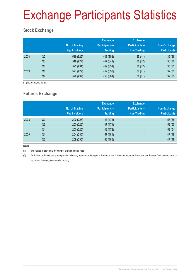# Exchange Participants Statistics

## **Stock Exchange**

|      |                | No. of Trading<br><b>Right Holders</b> | <b>Exchange</b><br><b>Participants -</b><br><b>Trading</b> | <b>Exchange</b><br><b>Participants -</b><br>Non-Trading | Non-Exchange<br><b>Participants</b> |
|------|----------------|----------------------------------------|------------------------------------------------------------|---------------------------------------------------------|-------------------------------------|
| 2008 | Q <sub>2</sub> | 519 (929)                              | 448 (852)                                                  | 35(41)                                                  | 36(36)                              |
|      | Q <sub>3</sub> | 519 (927)                              | 447 (849)                                                  | 36(42)                                                  | 36(36)                              |
|      | Q4             | 522 (931)                              | 449 (854)                                                  | 38(42)                                                  | 35(35)                              |
| 2009 | Q <sub>1</sub> | 521 (929)                              | 452 (856)                                                  | 37(41)                                                  | 32(32)                              |
|      | Q2             | 526 (937)                              | 458 (864)                                                  | 36(41)                                                  | 32(32)                              |

( ) No. of trading rights

## **Futures Exchange**

|      |                | No. of Trading<br><b>Right Holders</b> | <b>Exchange</b><br><b>Participants -</b><br><b>Trading</b> | <b>Exchange</b><br><b>Participants -</b><br><b>Non-Trading</b> | Non-Exchange<br><b>Participants</b> |
|------|----------------|----------------------------------------|------------------------------------------------------------|----------------------------------------------------------------|-------------------------------------|
| 2008 | Q <sub>2</sub> | 200 (227)                              | 147 (172)                                                  | $\overline{\phantom{0}}$                                       | 53(55)                              |
|      | Q <sub>3</sub> | 200 (226)                              | 147 (171)                                                  | $\overline{a}$                                                 | 53(55)                              |
|      | Q4             | 200 (226)                              | 148 (172)                                                  | $\overline{\phantom{a}}$                                       | 52(54)                              |
| 2009 | Q <sub>1</sub> | 204 (230)                              | 157 (181)                                                  | $\overline{\phantom{0}}$                                       | 47 (49)                             |
|      | Q <sub>2</sub> | 209 (235)                              | 162 (186)                                                  |                                                                | 47 (49)                             |

Notes:

(1) The figures in blanket is the number of trading rights held.

(2) An Exchange Participant is a corporation who may trade on or through the Exchange and is licensed under the Securities and Futures Ordinance to carry on securities/ futures/options dealing activity.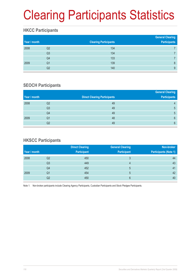# Clearing Participants Statistics

## **HKCC Participants**

| Year / month |                | <b>Clearing Participants</b> | <b>General Clearing</b><br><b>Participants</b> |
|--------------|----------------|------------------------------|------------------------------------------------|
| 2008         | Q2             | 134                          |                                                |
|              | Q <sub>3</sub> | 134                          |                                                |
|              | Q4             | 133                          |                                                |
| 2009         | Q <sub>1</sub> | 139                          | 8                                              |
|              | Q2             | 140                          | 9                                              |

## **SEOCH Participants**

|              |                |                                     | <b>General Clearing</b> |
|--------------|----------------|-------------------------------------|-------------------------|
| Year / month |                | <b>Direct Clearing Participants</b> | <b>Participants</b>     |
| 2008         | Q2             | 49                                  | 4                       |
|              | Q <sub>3</sub> | 49                                  | 5                       |
|              | Q4             | 49                                  | 5                       |
| 2009         | Q1             | 48                                  | 6                       |
|              | Q2             | 49                                  | $6\phantom{1}$          |

## **HKSCC Participants**

|              |    | <b>Direct Clearing</b> | <b>General Clearing</b> | Non-broker                   |
|--------------|----|------------------------|-------------------------|------------------------------|
| Year / month |    | <b>Participant</b>     | <b>Participant</b>      | <b>Participants (Note 1)</b> |
| 2008         | Q2 | 450                    | 3                       | 44                           |
|              | Q3 | 449                    | 4                       | 43                           |
|              | Q4 | 452                    | 5                       | 41                           |
| 2009         | Q1 | 454                    | 5                       | 42                           |
|              | Q2 | 450                    | 6                       | 40                           |

Note 1: Non-broker participants include Clearing Agency Participants, Custodian Participants and Stock Pledgee Participants.